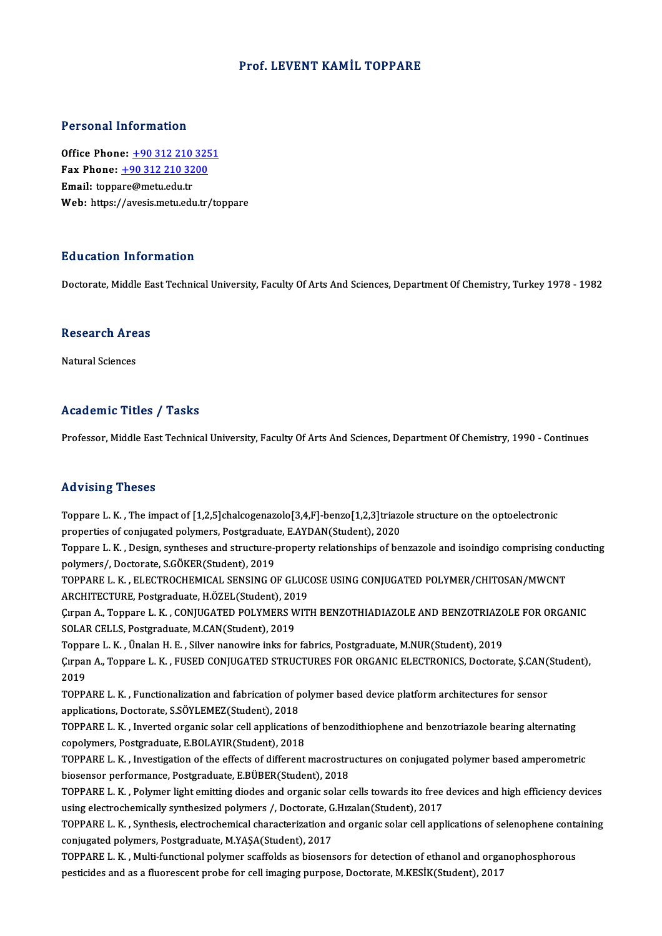### Prof. LEVENT KAMİL TOPPARE

### Personal Information

**Personal Information<br>Office Phone: +90 312 210 3251<br>Fax Phone: +90 312 210 3200** 1 0100111 11101 1111011<br>
0ffice Phone: <u>+90 312 210 325</u><br>
Fax Phone: <u>+90 312 210 3200</u> Office Phone: <u>+90 312 210</u><br>Fax Phone: <u>+90 312 210 32</u><br>Email: topp[are@metu.edu.tr](tel:+90 312 210 3200) Fax Phone:  $\pm$ 90 312 210 3200<br>Email: toppare@metu.edu.tr<br>Web: https://avesis.metu.edu.tr/toppare

### Education Information

Doctorate, Middle East Technical University, Faculty Of Arts And Sciences, Department Of Chemistry, Turkey 1978 - 1982

## Doctorate, Middle Ea<br>Research Areas <mark>Research Are</mark><br>Natural Sciences

## Natural Sciences<br>Academic Titles / Tasks

Professor, Middle East Technical University, Faculty Of Arts And Sciences, Department Of Chemistry, 1990 - Continues

#### Advising Theses

Toppare L.K. ,The impactof [1,2,5]chalcogenazolo[3,4,F]-benzo[1,2,3]triazole structure onthe optoelectronic properties of contact of [1,2,5]chalcogenazolo[3,4,F]-benzo[1,2,3]triazof<br>properties of conjugated polymers, Postgraduate, E.AYDAN(Student), 2020<br>Tennare L.*V., Dosim, sunthoses and structure property relationships of he* Toppare L. K. , The impact of [1,2,5]chalcogenazolo[3,4,F]-benzo[1,2,3]triazole structure on the optoelectronic<br>properties of conjugated polymers, Postgraduate, E.AYDAN(Student), 2020<br>Toppare L. K. , Design, syntheses and

properties of conjugated polymers, Postgraduat<br>Toppare L. K. , Design, syntheses and structure-<br>polymers/, Doctorate, S.GÖKER(Student), 2019<br>TOPPARE L. K., ELECTROCHEMICAL SENSINC O Toppare L. K. , Design, syntheses and structure-property relationships of benzazole and isoindigo comprising con<br>polymers/, Doctorate, S.GÖKER(Student), 2019<br>TOPPARE L. K. , ELECTROCHEMICAL SENSING OF GLUCOSE USING CONJUGA

polymers/, Doctorate, S.GÖKER(Student), 2019<br>TOPPARE L. K. , ELECTROCHEMICAL SENSING OF GLUCOSE USING CONJUGATED POLYMER/CHITOSAN/MWCNT<br>ARCHITECTURE, Postgraduate, H.ÖZEL(Student), 2019 TOPPARE L. K. , ELECTROCHEMICAL SENSING OF GLUCOSE USING CONJUGATED POLYMER/CHITOSAN/MWCNT<br>ARCHITECTURE, Postgraduate, H.ÖZEL(Student), 2019<br>Çırpan A., Toppare L. K. , CONJUGATED POLYMERS WITH BENZOTHIADIAZOLE AND BENZOTRI

ARCHITECTURE, Postgraduate, H.ÖZEL(Student), 201<br>Çırpan A., Toppare L. K. , CONJUGATED POLYMERS W<br>SOLAR CELLS, Postgraduate, M.CAN(Student), 2019<br>Tennare L. K., Ünelan H. E., Silver nanovine inke for Cirpan A., Toppare L. K. , CONJUGATED POLYMERS WITH BENZOTHIADIAZOLE AND BENZOTRIAZO<br>SOLAR CELLS, Postgraduate, M.CAN(Student), 2019<br>Toppare L. K. , Ünalan H. E. , Silver nanowire inks for fabrics, Postgraduate, M.NUR(Stud

SOLAR CELLS, Postgraduate, M.CAN(Student), 2019<br>Toppare L. K. , Ünalan H. E. , Silver nanowire inks for fabrics, Postgraduate, M.NUR(Student), 2019<br>Çırpan A., Toppare L. K. , FUSED CONJUGATED STRUCTURES FOR ORGANIC ELECTRO Toppa<br>Çırpar<br>2019<br>TOPP Cirpan A., Toppare L. K. , FUSED CONJUGATED STRUCTURES FOR ORGANIC ELECTRONICS, Doctorate, Ş.CAN(<br>2019<br>TOPPARE L. K. , Functionalization and fabrication of polymer based device platform architectures for sensor<br>annligation

2019<br>TOPPARE L. K. , Functionalization and fabrication of p<br>applications, Doctorate, S.SÖYLEMEZ(Student), 2018<br>TOPPARE L. K., Javerted organis selar cell application

TOPPARE L. K. , Functionalization and fabrication of polymer based device platform architectures for sensor applications, Doctorate, S.SÖYLEMEZ(Student), 2018<br>TOPPARE L. K. , Inverted organic solar cell applications of ben applications, Doctorate, S.SÖYLEMEZ(Student), 2018<br>TOPPARE L. K. , Inverted organic solar cell applications<br>copolymers, Postgraduate, E.BOLAYIR(Student), 2018<br>TOPPARE L. K. Investigation of the effects of different TOPPARE L. K. , Inverted organic solar cell applications of benzodithiophene and benzotriazole bearing alternating<br>copolymers, Postgraduate, E.BOLAYIR(Student), 2018<br>TOPPARE L. K. , Investigation of the effects of differen

copolymers, Postgraduate, E.BOLAYIR(Student), 2018<br>TOPPARE L. K. , Investigation of the effects of different macrostru<br>biosensor performance, Postgraduate, E.BÜBER(Student), 2018<br>TOPPARE L. K. , Rokwar light omitting diode TOPPARE L. K. , Investigation of the effects of different macrostructures on conjugated polymer based amperometric<br>biosensor performance, Postgraduate, E.BÜBER(Student), 2018<br>TOPPARE L. K. , Polymer light emitting diodes a

biosensor performance, Postgraduate, E.BÜBER(Student), 2018<br>TOPPARE L. K. , Polymer light emitting diodes and organic solar cells towards ito free<br>using electrochemically synthesized polymers /, Doctorate, G.Hızalan(Studen TOPPARE L. K. , Polymer light emitting diodes and organic solar cells towards ito free devices and high efficiency devices<br>using electrochemically synthesized polymers /, Doctorate, G.Hızalan(Student), 2017<br>TOPPARE L. K. ,

using electrochemically synthesized polymers /, Doctorate, G<br>TOPPARE L. K. , Synthesis, electrochemical characterization a<br>conjugated polymers, Postgraduate, M.YAŞA(Student), 2017<br>TOPPARE L. K. Multi functional polymer see TOPPARE L. K. , Synthesis, electrochemical characterization and organic solar cell applications of selenophene conta<br>conjugated polymers, Postgraduate, M.YAŞA(Student), 2017<br>TOPPARE L. K. , Multi-functional polymer scaffol

conjugated polymers, Postgraduate, M.YAŞA(Student), 2017<br>TOPPARE L. K. , Multi-functional polymer scaffolds as biosensors for detection of ethanol and orga<br>pesticides and as a fluorescent probe for cell imaging purpose, Do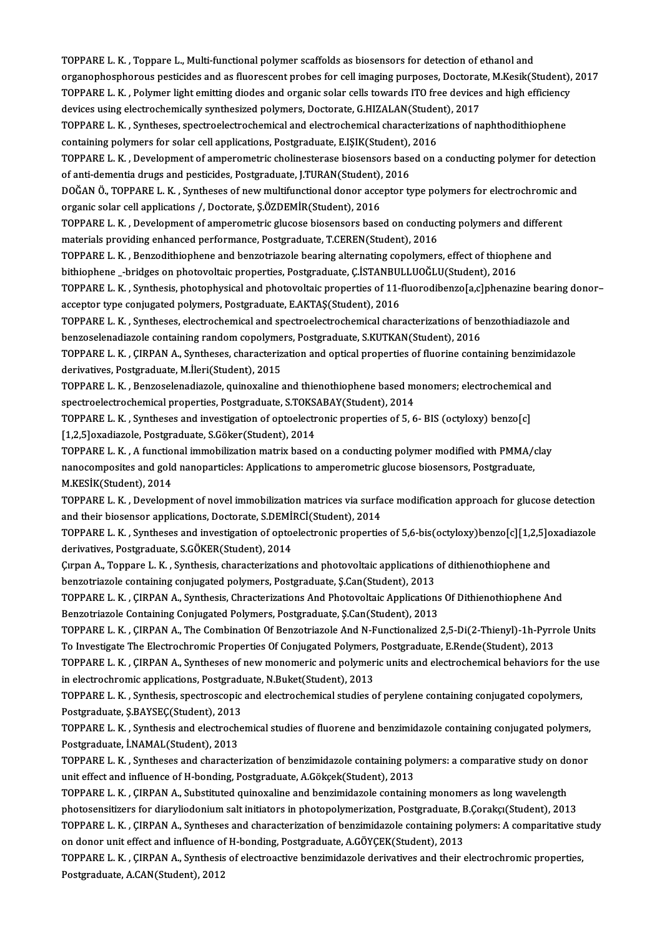TOPPARE L. K., Toppare L., Multi-functional polymer scaffolds as biosensors for detection of ethanol and organophosphorous pesticides and as fluorescent probes for cell imaging purposes, Doctorate, M.Kesik(Student), 2017 TOPPARE L. K. , Toppare L., Multi-functional polymer scaffolds as biosensors for detection of ethanol and<br>organophosphorous pesticides and as fluorescent probes for cell imaging purposes, Doctorate, M.Kesik(Student),<br>TOPPA organophosphorous pesticides and as fluorescent probes for cell imaging purposes, Doctorat<br>TOPPARE L. K. , Polymer light emitting diodes and organic solar cells towards ITO free devices<br>devices using electrochemically synt TOPPARE L. K. , Polymer light emitting diodes and organic solar cells towards ITO free devices and high efficiency<br>devices using electrochemically synthesized polymers, Doctorate, G.HIZALAN(Student), 2017<br>TOPPARE L. K. , S

devices using electrochemically synthesized polymers, Doctorate, G.HIZALAN(Student), 2017<br>TOPPARE L. K. , Syntheses, spectroelectrochemical and electrochemical characterizations of naphthodithiophene<br>containing polymers fo TOPPARE L. K. , Syntheses, spectroelectrochemical and electrochemical characterizations of naphthodithiophene<br>containing polymers for solar cell applications, Postgraduate, E.IŞIK(Student), 2016<br>TOPPARE L. K. , Development

containing polymers for solar cell applications, Postgraduate, E.IŞIK(Student),<br>TOPPARE L. K. , Development of amperometric cholinesterase biosensors base<br>of anti-dementia drugs and pesticides, Postgraduate, J.TURAN(Studen TOPPARE L. K. , Development of amperometric cholinesterase biosensors based on a conducting polymer for detect<br>of anti-dementia drugs and pesticides, Postgraduate, J.TURAN(Student), 2016<br>DOĞAN Ö., TOPPARE L. K. , Syntheses

of anti-dementia drugs and pesticides, Postgraduate, J.TURAN(Student), 2016<br>DOĞAN Ö., TOPPARE L. K. , Syntheses of new multifunctional donor acceptor type polymers for electrochromic and<br>organic solar cell applications /, DOĞAN Ö., TOPPARE L. K. , Syntheses of new multifunctional donor acceptor type polymers for electrochromic a<br>organic solar cell applications /, Doctorate, Ş.ÖZDEMİR(Student), 2016<br>TOPPARE L. K. , Development of amperometri

organic solar cell applications /, Doctorate, Ş.ÖZDEMİR(Student), 2016<br>TOPPARE L. K. , Development of amperometric glucose biosensors based on conduct<br>materials providing enhanced performance, Postgraduate, T.CEREN(Student TOPPARE L. K. , Development of amperometric glucose biosensors based on conducting polymers and different materials providing enhanced performance, Postgraduate, T.CEREN(Student), 2016<br>TOPPARE L. K. , Benzodithiophene and

materials providing enhanced performance, Postgraduate, T.CEREN(Student), 2016<br>TOPPARE L. K. , Benzodithiophene and benzotriazole bearing alternating copolymers, effect of thiophe<br>bithiophene \_-bridges on photovoltaic prop TOPPARE L. K. , Benzodithiophene and benzotriazole bearing alternating copolymers, effect of thiophene and<br>bithiophene \_-bridges on photovoltaic properties, Postgraduate, Ç.İSTANBULLUOĞLU(Student), 2016<br>TOPPARE L. K. , Syn

bithiophene \_-bridges on photovoltaic properties, Postgraduate, Ç.İSTANBU<br>TOPPARE L. K. , Synthesis, photophysical and photovoltaic properties of 11-1<br>acceptor type conjugated polymers, Postgraduate, E.AKTAŞ(Student), 2016 TOPPARE L. K. , Synthesis, photophysical and photovoltaic properties of 11-fluorodibenzo[a,c]phenazine bearing of<br>acceptor type conjugated polymers, Postgraduate, E.AKTAŞ(Student), 2016<br>TOPPARE L. K. , Syntheses, electroch

acceptor type conjugated polymers, Postgraduate, E.AKTAŞ(Student), 2016<br>TOPPARE L. K. , Syntheses, electrochemical and spectroelectrochemical characterizations of benzothiadiazole and<br>benzoselenadiazole containing random c TOPPARE L. K. , Syntheses, electrochemical and spectroelectrochemical characterizations of benzothiadiazole and<br>benzoselenadiazole containing random copolymers, Postgraduate, S.KUTKAN(Student), 2016<br>TOPPARE L. K. , ÇIRPAN

benzoselenadiazole containing random copolyme<br>TOPPARE L. K. , ÇIRPAN A., Syntheses, characteriz<br>derivatives, Postgraduate, M.İleri(Student), 2015<br>TOPPARE L. K., Penzoselanadiazele, quinevaline ( TOPPARE L. K. , ÇIRPAN A., Syntheses, characterization and optical properties of fluorine containing benzimida<br>derivatives, Postgraduate, M.İleri(Student), 2015<br>TOPPARE L. K. , Benzoselenadiazole, quinoxaline and thienothi

derivatives, Postgraduate, M.İleri(Student), 2015<br>TOPPARE L. K. , Benzoselenadiazole, quinoxaline and thienothiophene based mexpectroelectrochemical properties, Postgraduate, S.TOKSABAY(Student), 2014<br>TOPPARE L. K., Symthe TOPPARE L. K. , Benzoselenadiazole, quinoxaline and thienothiophene based monomers; electrochemical<br>spectroelectrochemical properties, Postgraduate, S.TOKSABAY(Student), 2014<br>TOPPARE L. K. , Syntheses and investigation of

spectroelectrochemical properties, Postgraduate, S.TOKS.<br>TOPPARE L. K. , Syntheses and investigation of optoelectr<br>[1,2,5]oxadiazole, Postgraduate, S.Göker(Student), 2014<br>TOPPARE L. K. , A functional immobilization matrix TOPPARE L. K. , Syntheses and investigation of optoelectronic properties of 5, 6- BIS (octyloxy) benzo[c]<br>[1,2,5]oxadiazole, Postgraduate, S.Göker(Student), 2014<br>TOPPARE L. K. , A functional immobilization matrix based on

[1,2,5]oxadiazole, Postgraduate, S.Göker(Student), 2014<br>TOPPARE L. K. , A functional immobilization matrix based on a conducting polymer modified with PMMA/<br>nanocomposites and gold nanoparticles: Applications to amperometr TOPPARE L. K. , A function<br>nanocomposites and gold<br>M.KESİK(Student), 2014<br>TOPPAPE L. K., Davelant nanocomposites and gold nanoparticles: Applications to amperometric glucose biosensors, Postgraduate,<br>M.KESİK(Student), 2014<br>TOPPARE L. K. , Development of novel immobilization matrices via surface modification approach fo

M.KESİK(Student), 2014<br>TOPPARE L. K. , Development of novel immobilization matrices via surfa<br>and their biosensor applications, Doctorate, S.DEMİRCİ(Student), 2014<br>TOPPARE L. K., Suntheses and investisation of ontaslestron

TOPPARE L. K., Syntheses and investigation of optoelectronic properties of 5,6-bis(octyloxy)benzo[c][1,2,5]oxadiazole<br>derivatives, Postgraduate, S.GÖKER(Student), 2014 and their biosensor applications, Doctorate, S.DEMİ<br>TOPPARE L. K. , Syntheses and investigation of optom<br>derivatives, Postgraduate, S.GÖKER(Student), 2014<br>Cupan A. Toppare L. K., Synthesis, characterization TOPPARE L. K. , Syntheses and investigation of optoelectronic properties of 5,6-bis(octyloxy)benzo[c][1,2,5]o<br>derivatives, Postgraduate, S.GÖKER(Student), 2014<br>Cirpan A., Toppare L. K. , Synthesis, characterizations and ph

derivatives, Postgraduate, S.GÖKER(Student), 2014<br>Çırpan A., Toppare L. K. , Synthesis, characterizations and photovoltaic applications (<br>benzotriazole containing conjugated polymers, Postgraduate, Ş.Can(Student), 2013<br>TOP Cirpan A., Toppare L. K. , Synthesis, characterizations and photovoltaic applications of dithienothiophene and<br>benzotriazole containing conjugated polymers, Postgraduate, Ş.Can(Student), 2013<br>TOPPARE L. K. , ÇIRPAN A., Syn

benzotriazole containing conjugated polymers, Postgraduate, Ş.Can(Student), 2013<br>TOPPARE L. K. , ÇIRPAN A., Synthesis, Chracterizations And Photovoltaic Applications Of Dithienothiophene And<br>Benzotriazole Containing Conjug

TOPPARE L. K., CIRPAN A., The Combination Of Benzotriazole And N-Functionalized 2,5-Di(2-Thienyl)-1h-Pyrrole Units Benzotriazole Containing Conjugated Polymers, Postgraduate, Ş.Can(Student), 2013<br>TOPPARE L. K. , ÇIRPAN A., The Combination Of Benzotriazole And N-Functionalized 2,5-Di(2-Thienyl)-1h-Pyrr<br>TOPPARE L. K. , ÇIRPAN A. Synthese TOPPARE L. K. , ÇIRPAN A., The Combination Of Benzotriazole And N-Functionalized 2,5-Di(2-Thienyl)-1h-Pyrrole Units<br>To Investigate The Electrochromic Properties Of Conjugated Polymers, Postgraduate, E.Rende(Student), 2013<br>

To Investigate The Electrochromic Properties Of Conjugated Polymers<br>TOPPARE L. K. , ÇIRPAN A., Syntheses of new monomeric and polymer<br>in electrochromic applications, Postgraduate, N.Buket(Student), 2013<br>TOPPARE L. K., Synt TOPPARE L. K. , ÇIRPAN A., Syntheses of new monomeric and polymeric units and electrochemical behaviors for the<br>in electrochromic applications, Postgraduate, N.Buket(Student), 2013<br>TOPPARE L. K. , Synthesis, spectroscopic

in electrochromic applications, Postgraduate, N.Buket(Student), 2013<br>TOPPARE L. K. , Synthesis, spectroscopic and electrochemical studies of perylene containing conjugated copolymers,<br>Postgraduate, Ş.BAYSEÇ(Student), 2013 TOPPARE L. K. , Synthesis, spectroscopic and electrochemical studies of perylene containing conjugated copolymers,<br>Postgraduate, Ş.BAYSEÇ(Student), 2013<br>TOPPARE L. K. , Synthesis and electrochemical studies of fluorene and

Postgraduate, Ş.BAYSEÇ(Student), 2013<br>TOPPARE L. K. , Synthesis and electroch<br>Postgraduate, İ.NAMAL(Student), 2013<br>TOPPAPE L. K. Syntheses and character TOPPARE L. K. , Synthesis and electrochemical studies of fluorene and benzimidazole containing conjugated polymers,<br>Postgraduate, İ.NAMAL(Student), 2013<br>TOPPARE L. K. , Syntheses and characterization of benzimidazole conta

Postgraduate, İ.NAMAL(Student), 2013<br>TOPPARE L. K. , Syntheses and characterization of benzimidazole containing pol<br>unit effect and influence of H-bonding, Postgraduate, A.Gökçek(Student), 2013<br>TOPPARE L. K., GUPAN A. Subs TOPPARE L. K. , Syntheses and characterization of benzimidazole containing polymers: a comparative study on do<br>unit effect and influence of H-bonding, Postgraduate, A.Gökçek(Student), 2013<br>TOPPARE L. K. , ÇIRPAN A., Substi

unit effect and influence of H-bonding, Postgraduate, A.Gökçek(Student), 2013<br>TOPPARE L. K. , ÇIRPAN A., Substituted quinoxaline and benzimidazole containing monomers as long wavelength<br>photosensitizers for diaryliodonium TOPPARE L. K. , ÇIRPAN A., Substituted quinoxaline and benzimidazole containing monomers as long wavelength<br>photosensitizers for diaryliodonium salt initiators in photopolymerization, Postgraduate, B.Çorakçı(Student), 2013 photosensitizers for diaryliodonium salt initiators in photopolymerization, Postgraduate, E<br>TOPPARE L. K. , ÇIRPAN A., Syntheses and characterization of benzimidazole containing po<br>on donor unit effect and influence of H-b TOPPARE L. K. , ÇIRPAN A., Syntheses and characterization of benzimidazole containing polymers: A comparitative st<br>on donor unit effect and influence of H-bonding, Postgraduate, A.GÖYÇEK(Student), 2013<br>TOPPARE L. K. , ÇIRP

on donor unit effect and influence of H-bonding, Postgraduate, A.GÖYÇEK(Student), 2013<br>TOPPARE L. K. , ÇIRPAN A., Synthesis of electroactive benzimidazole derivatives and their electrochromic properties,<br>Postgraduate, A.CA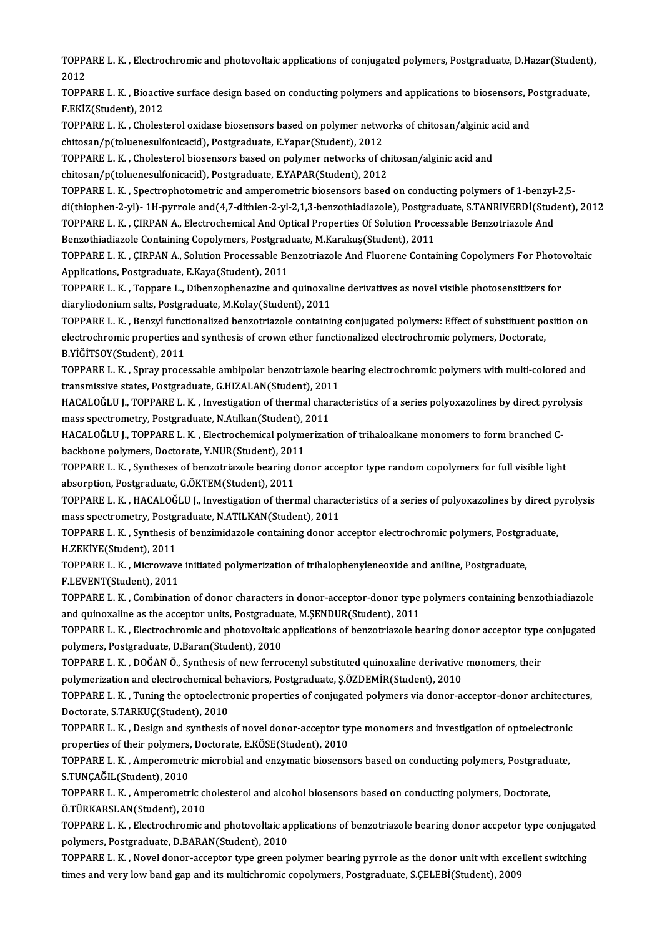TOPPARE L. K. , Electrochromic and photovoltaic applications of conjugated polymers, Postgraduate, D.Hazar(Student),<br>2012 TOPP/<br>2012<br>TOPP/ TOPPARE L. K. , Electrochromic and photovoltaic applications of conjugated polymers, Postgraduate, D.Hazar(Student)<br>2012<br>TOPPARE L. K. , Bioactive surface design based on conducting polymers and applications to biosensors,

2012<br>TOPPARE L. K. , Bioactive surface design based on conducting polymers and applications to biosensors, Postgraduate,<br>F.EKİZ(Student), 2012 TOPPARE L. K. , Bioactive surface design based on conducting polymers and applications to biosensors, P<br>F.EKİZ(Student), 2012<br>TOPPARE L. K. , Cholesterol oxidase biosensors based on polymer networks of chitosan/alginic aci

F.EKİZ(Student), 2012<br>TOPPARE L. K. , Cholesterol oxidase biosensors based on polymer netwo<br>chitosan/p(toluenesulfonicacid), Postgraduate, E.Yapar(Student), 2012<br>TOPPARE L. K., Cholesterol biosensors based on polymer netwo TOPPARE L. K. , Cholesterol oxidase biosensors based on polymer networks of chitosan/alginic a<br>chitosan/p(toluenesulfonicacid), Postgraduate, E.Yapar(Student), 2012<br>TOPPARE L. K. , Cholesterol biosensors based on polymer n

chitosan/p(toluenesulfonicacid), Postgraduate, E.Yapar(Student), 2012<br>TOPPARE L. K. , Cholesterol biosensors based on polymer networks of chitosan/alginic acid and<br>chitosan/p(toluenesulfonicacid), Postgraduate, E.YAPAR(Stu

TOPPARE L.K., Spectrophotometric and amperometric biosensors based on conducting polymers of 1-benzyl-2,5chitosan/p(toluenesulfonicacid), Postgraduate, E.YAPAR(Student), 2012<br>TOPPARE L. K. , Spectrophotometric and amperometric biosensors based on conducting polymers of 1-benzyl-2,5-<br>di(thiophen-2-yl)- 1H-pyrrole and(4,7-dithi TOPPARE L. K. , Spectrophotometric and amperometric biosensors based on conducting polymers of 1-benzyl-<br>di(thiophen-2-yl)- 1H-pyrrole and(4,7-dithien-2-yl-2,1,3-benzothiadiazole), Postgraduate, S.TANRIVERDİ(Stud<br>TOPPARE L di(thiophen-2-yl)- 1H-pyrrole and(4,7-dithien-2-yl-2,1,3-benzothiadiazole), Postgraduate, M.K., CIRPAN A., Electrochemical And Optical Properties Of Solution Proce<br>Benzothiadiazole Containing Copolymers, Postgraduate, M.Ka

TOPPARE L. K. , ÇIRPAN A., Electrochemical And Optical Properties Of Solution Processable Benzotriazole And<br>Benzothiadiazole Containing Copolymers, Postgraduate, M.Karakuş(Student), 2011<br>TOPPARE L. K. , ÇIRPAN A., Solution Benzothiadiazole Containing Copolymers, Postgraduate, M.Karakuş(Student), 2011<br>TOPPARE L. K. , ÇIRPAN A., Solution Processable Benzotriazole And Fluorene Conta<br>Applications, Postgraduate, E.Kaya(Student), 2011

TOPPARE L. K. , ÇIRPAN A., Solution Processable Benzotriazole And Fluorene Containing Copolymers For Photov<br>Applications, Postgraduate, E.Kaya(Student), 2011<br>TOPPARE L. K. , Toppare L., Dibenzophenazine and quinoxaline der TOPPARE L. K., Toppare L., Dibenzophenazine and quinoxaline derivatives as novel visible photosensitizers for<br>diaryliodonium salts, Postgraduate, M.Kolay(Student), 2011 TOPPARE L. K. , Toppare L., Dibenzophenazine and quinoxaline derivatives as novel visible photosensitizers for<br>diaryliodonium salts, Postgraduate, M.Kolay(Student), 2011<br>TOPPARE L. K. , Benzyl functionalized benzotriazole

diaryliodonium salts, Postgraduate, M.Kolay(Student), 2011<br>TOPPARE L. K. , Benzyl functionalized benzotriazole containing conjugated polymers: Effect of substituent po<br>electrochromic properties and synthesis of crown ether TOPPARE L. K. , Benzyl funct<br>electrochromic properties a<br>B.YİĞİTSOY(Student), 2011<br>TOPPAPE L. K., Sprav proce electrochromic properties and synthesis of crown ether functionalized electrochromic polymers, Doctorate,<br>B.YİĞİTSOY(Student), 2011<br>TOPPARE L. K. , Spray processable ambipolar benzotriazole bearing electrochromic polymers

B.YİĞİTSOY(Student), 2011<br>TOPPARE L. K. , Spray processable ambipolar benzotriazole be<br>transmissive states, Postgraduate, G.HIZALAN(Student), 2011<br>HACALOČLILL, TOPPAREL, K., Investigation of thermal sharas TOPPARE L. K. , Spray processable ambipolar benzotriazole bearing electrochromic polymers with multi-colored and<br>transmissive states, Postgraduate, G.HIZALAN(Student), 2011<br>HACALOĞLU J., TOPPARE L. K. , Investigation of th

transmissive states, Postgraduate, G.HIZALAN(Student), 201<br>HACALOĞLU J., TOPPARE L. K. , Investigation of thermal char<br>mass spectrometry, Postgraduate, N.Atılkan(Student), 2011<br>HACALOĞLU L. TOPPARE L. K. Ekstrashamisel pol HACALOĞLU J., TOPPARE L. K. , Investigation of thermal characteristics of a series polyoxazolines by direct pyro<br>mass spectrometry, Postgraduate, N.Atılkan(Student), 2011<br>HACALOĞLU J., TOPPARE L. K. , Electrochemical polym

mass spectrometry, Postgraduate, N.Atılkan(Student), 2<br>HACALOĞLU J., TOPPARE L. K. , Electrochemical polyme<br>backbone polymers, Doctorate, Y.NUR(Student), 2011<br>TOPPARE L. K., Syntheses of benzetriarele bearing del HACALOĞLU J., TOPPARE L. K. , Electrochemical polymerization of trihaloalkane monomers to form branched C-<br>backbone polymers, Doctorate, Y.NUR(Student), 2011<br>TOPPARE L. K. , Syntheses of benzotriazole bearing donor accepto

backbone polymers, Doctorate, Y.NUR(Student), 2011<br>TOPPARE L. K. , Syntheses of benzotriazole bearing donor acceptor type random copolymers for full visible light<br>absorption, Postgraduate, G.ÖKTEM(Student), 2011

TOPPARE L.K., HACALOĞLU J., Investigation of thermal characteristics of a series of polyoxazolines by direct pyrolysis absorption, Postgraduate, G.ÖKTEM(Student), 2011<br>TOPPARE L. K. , HACALOĞLU J., Investigation of thermal charac<br>mass spectrometry, Postgraduate, N.ATILKAN(Student), 2011<br>TOPPARE L. K., Synthesis of bongimidagele senteining

TOPPARE L. K., Synthesis of benzimidazole containing donor acceptor electrochromic polymers, Postgraduate, H.ZEKİYE(Student), 2011 mass spectrometry, Postgi<br>TOPPARE L. K. , Synthesis<br>H.ZEKİYE(Student), 2011<br>TOPPARE L. K. Misroviau TOPPARE L. K. , Synthesis of benzimidazole containing donor acceptor electrochromic polymers, Postgra<br>H.ZEKİYE(Student), 2011<br>TOPPARE L. K. , Microwave initiated polymerization of trihalophenyleneoxide and aniline, Postgra

H.ZEKİYE(Student), 2011<br>TOPPARE L. K. , Microwave<br>F.LEVENT(Student), 2011<br>TOPPARE L. K. , Combinati

TOPPARE L. K. , Microwave initiated polymerization of trihalophenyleneoxide and aniline, Postgraduate,<br>F.LEVENT(Student), 2011<br>TOPPARE L. K. , Combination of donor characters in donor-acceptor-donor type polymers containin F.LEVENT(Student), 2011<br>TOPPARE L. K. , Combination of donor characters in donor-acceptor-donor type<br>and quinoxaline as the acceptor units, Postgraduate, M.ŞENDUR(Student), 2011<br>TOPPARE L. K., Flestreshremis and photovelta and quinoxaline as the acceptor units, Postgraduate, M.ŞENDUR(Student), 2011

TOPPARE L. K., Electrochromic and photovoltaic applications of benzotriazole bearing donor acceptor type conjugated<br>polymers, Postgraduate, D.Baran(Student), 2010 TOPPARE L. K. , Electrochromic and photovoltaic applications of benzotriazole bearing donor acceptor type<br>polymers, Postgraduate, D.Baran(Student), 2010<br>TOPPARE L. K. , DOĞAN Ö., Synthesis of new ferrocenyl substituted qui

polymers, Postgraduate, D.Baran(Student), 2010<br>TOPPARE L. K. , DOĞAN Ö., Synthesis of new ferrocenyl substituted quinoxaline derivative<br>polymerization and electrochemical behaviors, Postgraduate, Ş.ÖZDEMİR(Student), 2010<br>T

TOPPARE L. K. , DOĞAN Ö., Synthesis of new ferrocenyl substituted quinoxaline derivative monomers, their<br>polymerization and electrochemical behaviors, Postgraduate, Ş.ÖZDEMİR(Student), 2010<br>TOPPARE L. K. , Tuning the optoe polymerization and electrochemical behaviors, Postgraduate, Ş.ÖZDEMİR(Student), 2010<br>TOPPARE L. K. , Tuning the optoelectronic properties of conjugated polymers via donor-acceptor-donor architectures,<br>Doctorate, S.TARKUÇ(S TOPPARE L. K. , Tuning the optoelectronic properties of conjugated polymers via donor-acceptor-donor architectu<br>Doctorate, S.TARKUÇ(Student), 2010<br>TOPPARE L. K. , Design and synthesis of novel donor-acceptor type monomers

Doctorate, S.TARKUÇ(Student), 2010<br>TOPPARE L. K. , Design and synthesis of novel donor-acceptor ty<br>properties of their polymers, Doctorate, E.KÖSE(Student), 2010<br>TOPPARE L. K. , Amnaromatric microbial and anzumatic biosone TOPPARE L. K. , Design and synthesis of novel donor-acceptor type monomers and investigation of optoelectronic<br>properties of their polymers, Doctorate, E.KÖSE(Student), 2010<br>TOPPARE L. K. , Amperometric microbial and enzym

properties of their polymers, Doctorate, E.KÖSE(Student), 2010<br>TOPPARE L. K. , Amperometric microbial and enzymatic biosensors based on conducting polymers, Postgraduate,<br>S.TUNCAĞIL(Student), 2010 TOPPARE L. K. , Amperometric microbial and enzymatic biosensors based on conducting polymers, Postgradu<br>S.TUNÇAĞIL(Student), 2010<br>TOPPARE L. K. , Amperometric cholesterol and alcohol biosensors based on conducting polymers

S.TUNÇAĞIL(Student), 2010<br>TOPPARE L. K. , Amperometric ch<br>Ö.TÜRKARSLAN(Student), 2010<br>TOPPAPE L. K., Electrochromic c TOPPARE L. K. , Amperometric cholesterol and alcohol biosensors based on conducting polymers, Doctorate,<br>Ö.TÜRKARSLAN(Student), 2010<br>TOPPARE L. K. , Electrochromic and photovoltaic applications of benzotriazole bearing don

Ö.TÜRKARSLAN(Student), 2010<br>TOPPARE L. K. , Electrochromic and photovoltaic ap<br>polymers, Postgraduate, D.BARAN(Student), 2010<br>TOPPARE L. K., Novel donor assenter time green n TOPPARE L. K. , Electrochromic and photovoltaic applications of benzotriazole bearing donor accpetor type conjugate<br>polymers, Postgraduate, D.BARAN(Student), 2010<br>TOPPARE L. K. , Novel donor-acceptor type green polymer bea

polymers, Postgraduate, D.BARAN(Student), 2010<br>TOPPARE L. K. , Novel donor-acceptor type green polymer bearing pyrrole as the donor unit with excellent switching<br>times and very low band gap and its multichromic copolymers,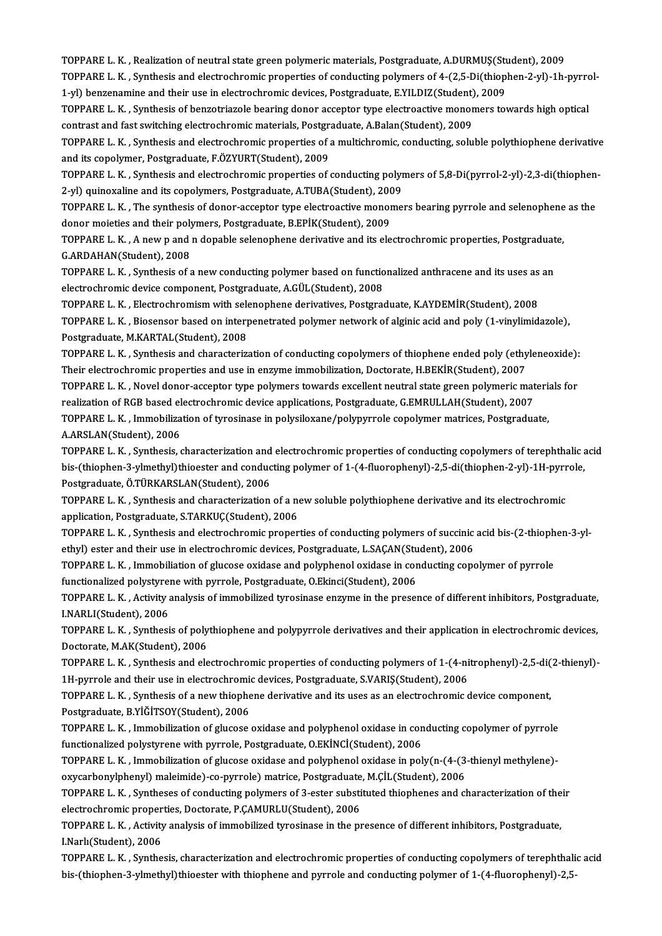TOPPARE L. K. , Realization of neutral state green polymeric materials, Postgraduate, A.DURMUŞ(Student), 2009<br>TOPPARE L. K. , Realization of neutral state green polymeric materials, Postgraduate, A.DURMUŞ(Student), 2009 TOPPARE L. K. , Realization of neutral state green polymeric materials, Postgraduate, A.DURMUŞ(Student), 2009<br>TOPPARE L. K. , Synthesis and electrochromic properties of conducting polymers of 4-(2,5-Di(thiophen-2-yl)-1h-py TOPPARE L. K. , Realization of neutral state green polymeric materials, Postgraduate, A.DURMUŞ(Student)<br>TOPPARE L. K. , Synthesis and electrochromic properties of conducting polymers of 4-(2,5-Di(thiop)<br>1-yl) benzenamine a TOPPARE L. K. , Synthesis and electrochromic properties of conducting polymers of 4-(2,5-Di(thiophen-2-yl)-1h-pyrrol-<br>1-yl) benzenamine and their use in electrochromic devices, Postgraduate, E.YILDIZ(Student), 2009<br>TOPPARE

1-yl) benzenamine and their use in electrochromic devices, Postgraduate, E.YILDIZ(Student)<br>TOPPARE L. K. , Synthesis of benzotriazole bearing donor acceptor type electroactive monor<br>contrast and fast switching electrochrom

TOPPARE L. K., Synthesis and electrochromic properties of a multichromic, conducting, soluble polythiophene derivative and its copolymer, Postgraduate, F.ÖZYURT(Student), 2009 contrast and fast switching electrochromic materials, Postgraduate, TOPPARE L. K., Synthesis and electrochromic properties of and its copolymer, Postgraduate, F.ÖZYURT(Student), 2009<br>TOPPARE L. K., Synthesis and electrochr TOPPARE L. K. , Synthesis and electrochromic properties of a multichromic, conducting, soluble polythiophene derivative<br>and its copolymer, Postgraduate, F.ÖZYURT(Student), 2009<br>TOPPARE L. K. , Synthesis and electrochromic

and its copolymer, Postgraduate, F.ÖZYURT(Student), 2009<br>TOPPARE L. K. , Synthesis and electrochromic properties of conducting polyn<br>2-yl) quinoxaline and its copolymers, Postgraduate, A.TUBA(Student), 2009<br>TOPPARE L. K., TOPPARE L. K. , Synthesis and electrochromic properties of conducting polymers of 5,8-Di(pyrrol-2-yl)-2,3-di(thiophen<br>2-yl) quinoxaline and its copolymers, Postgraduate, A.TUBA(Student), 2009<br>TOPPARE L. K. , The synthesis

2-yl) quinoxaline and its copolymers, Postgraduate, A.TUBA(Student), 2009<br>TOPPARE L. K. , The synthesis of donor-acceptor type electroactive monomers bearing pyrrole and selenophene<br>donor moieties and their polymers, Postg TOPPARE L. K. , The synthesis of donor-acceptor type electroactive monomers bearing pyrrole and selenophene as the donor moieties and their polymers, Postgraduate, B.EPİK(Student), 2009<br>TOPPARE L. K. , A new p and n dopabl donor moieties and their polymers, Postgraduate, B.EPİK(Student), 2009

TOPPARE L. K. , A new p and n dopable selenophene derivative and its electrochromic properties, Postgraduat<br>G.ARDAHAN(Student), 2008<br>TOPPARE L. K. , Synthesis of a new conducting polymer based on functionalized anthracene

G.ARDAHAN(Student), 2008<br>TOPPARE L. K. , Synthesis of a new conducting polymer based on function<br>electrochromic device component, Postgraduate, A.GÜL(Student), 2008<br>TOPPARE L. K., Flectrochromism with selepaphene derivativ TOPPARE L. K. , Synthesis of a new conducting polymer based on functionalized anthracene and its uses as<br>electrochromic device component, Postgraduate, A.GÜL(Student), 2008<br>TOPPARE L. K. , Electrochromism with selenophene

TOPPARE L. K., Electrochromism with selenophene derivatives, Postgraduate, K.AYDEMİR(Student), 2008

electrochromic device component, Postgraduate, A.GÜL(Student), 2008<br>TOPPARE L. K. , Electrochromism with selenophene derivatives, Postgraduate, K.AYDEMİR(Student), 2008<br>TOPPARE L. K. , Biosensor based on interpenetrated po TOPPARE L. K. , Biosensor based on interpenetrated polymer network of alginic acid and poly (1-vinylimidazole),<br>Postgraduate, M.KARTAL(Student), 2008<br>TOPPARE L. K. , Synthesis and characterization of conducting copolymers

Postgraduate, M.KARTAL(Student), 2008<br>TOPPARE L. K. , Synthesis and characterization of conducting copolymers of thiophene ended poly (ethy<br>TOPPARE L. K. , Novel donor acceptor time polymers towards excellent poutrel state TOPPARE L. K. , Synthesis and characterization of conducting copolymers of thiophene ended poly (ethyleneoxide):<br>Their electrochromic properties and use in enzyme immobilization, Doctorate, H.BEKİR(Student), 2007<br>TOPPARE L

Their electrochromic properties and use in enzyme immobilization, Doctorate, H.BEKİR(Student), 2007<br>TOPPARE L. K. , Novel donor-acceptor type polymers towards excellent neutral state green polymeric mat<br>realization of RGB TOPPARE L. K. , Novel donor-acceptor type polymers towards excellent neutral state green polymeric materiant<br>realization of RGB based electrochromic device applications, Postgraduate, G.EMRULLAH(Student), 2007<br>TOPPARE L. K

realization of RGB based electrochromic device applications, Postgraduate, G.EMRULLAH(Student), 2007<br>TOPPARE L. K. , Immobilization of tyrosinase in polysiloxane/polypyrrole copolymer matrices, Postgraduate,<br>A.ARSLAN(Stude TOPPARE L. K. , Immobilization of tyrosinase in polysiloxane/polypyrrole copolymer matrices, Postgraduate,<br>A.ARSLAN(Student), 2006<br>TOPPARE L. K. , Synthesis, characterization and electrochromic properties of conducting cop

A.ARSLAN(Student), 2006<br>TOPPARE L. K. , Synthesis, characterization and electrochromic properties of conducting copolymers of terephthalic<br>bis-(thiophen-3-ylmethyl)thioester and conducting polymer of 1-(4-fluorophenyl)-2,5 TOPPARE L. K. , Synthesis, characterization and<br>bis-(thiophen-3-ylmethyl)thioester and conduc<br>Postgraduate, Ö.TÜRKARSLAN(Student), 2006<br>TOPPARE L. K., Synthesis and sharasterization bis-(thiophen-3-ylmethyl)thioester and conducting polymer of 1-(4-fluorophenyl)-2,5-di(thiophen-2-yl)-1H-pyrrole,<br>Postgraduate, Ö.TÜRKARSLAN(Student), 2006

application, Postgraduate, S.TARKUÇ(Student), 2006 TOPPARE L. K. , Synthesis and characterization of a new soluble polythiophene derivative and its electrochromic<br>application, Postgraduate, S.TARKUÇ(Student), 2006<br>TOPPARE L. K. , Synthesis and electrochromic properties of

TOPPARE L.K., Synthesis and electrochromic properties of conducting polymers of succinic acid bis-(2-thiophen-3-yl-TOPPARE L. K. , Synthesis and electrochromic properties of conducting polymers of succinic acid bis-(2-thioph<br>ethyl) ester and their use in electrochromic devices, Postgraduate, L.SAÇAN(Student), 2006<br>TOPPARE L. K. , Immob

ethyl) ester and their use in electrochromic devices, Postgraduate, L.SAÇAN(Sturd)<br>TOPPARE L. K. , Immobiliation of glucose oxidase and polyphenol oxidase in cor<br>functionalized polystyrene with pyrrole, Postgraduate, O.Eki TOPPARE L. K. , Immobiliation of glucose oxidase and polyphenol oxidase in conducting copolymer of pyrrole<br>functionalized polystyrene with pyrrole, Postgraduate, O.Ekinci(Student), 2006<br>TOPPARE L. K. , Activity analysis of

functionalized polystyrene with pyrrole, Postgraduate, O.Ekinci(Student), 2006<br>TOPPARE L. K. , Activity analysis of immobilized tyrosinase enzyme in the presence of different inhibitors, Postgraduate,<br>I.NARLI(Student), 200 TOPPARE L. K. , Activity analysis of immobilized tyrosinase enzyme in the presence of different inhibitors, Postgraduate,<br>I.NARLI(Student), 2006<br>TOPPARE L. K. , Synthesis of polythiophene and polypyrrole derivatives and th

I.NARLI(Student), 2006<br>TOPPARE L. K. , Synthesis of poly<br>Doctorate, M.AK(Student), 2006<br>TOPPAPE L. K., Synthesis and ala TOPPARE L. K. , Synthesis of polythiophene and polypyrrole derivatives and their application in electrochromic devices,<br>Doctorate, M.AK(Student), 2006<br>TOPPARE L. K. , Synthesis and electrochromic properties of conducting p

Doctorate, M.AK(Student), 2006<br>TOPPARE L. K. , Synthesis and electrochromic properties of conducting polymers of 1-(4-ni<br>1H-pyrrole and their use in electrochromic devices, Postgraduate, S.VARIŞ(Student), 2006<br>TOPPARE L. K TOPPARE L. K. , Synthesis and electrochromic properties of conducting polymers of 1-(4-nitrophenyl)-2,5-di(<br>1H-pyrrole and their use in electrochromic devices, Postgraduate, S.VARIŞ(Student), 2006<br>TOPPARE L. K. , Synthesis

1H-pyrrole and their use in electrochromic devices, Postgraduate, S.VARIŞ(Student), 2006<br>TOPPARE L. K. , Synthesis of a new thiophene derivative and its uses as an electrochromic device component,<br>Postgraduate, B.YİĞİTSOY( TOPPARE L. K. , Synthesis of a new thiophene derivative and its uses as an electrochromic device component,<br>Postgraduate, B.YIĞİTSOY(Student), 2006<br>TOPPARE L. K. , Immobilization of glucose oxidase and polyphenol oxidase i

Fostgraduate, B.YİĞİTSOY(Student), 2006<br>TOPPARE L. K. , Immobilization of glucose oxidase and polyphenol oxidase in con<br>functionalized polystyrene with pyrrole, Postgraduate, O.EKİNCİ(Student), 2006<br>TOPPARE L. K., Immobili TOPPARE L. K. , Immobilization of glucose oxidase and polyphenol oxidase in conducting copolymer of pyrrole<br>functionalized polystyrene with pyrrole, Postgraduate, O.EKİNCİ(Student), 2006<br>TOPPARE L. K. , Immobilization of g

functionalized polystyrene with pyrrole, Postgraduate, O.EKİNCİ(Student), 2006<br>TOPPARE L. K. , Immobilization of glucose oxidase and polyphenol oxidase in poly(n-(4-(3<br>oxycarbonylphenyl) maleimide)-co-pyrrole) matrice, Pos TOPPARE L. K. , Immobilization of glucose oxidase and polyphenol oxidase in poly(n-(4-(3-thienyl methylene)-<br>oxycarbonylphenyl) maleimide)-co-pyrrole) matrice, Postgraduate, M.ÇİL(Student), 2006<br>TOPPARE L. K. , Syntheses o

oxycarbonylphenyl) maleimide)-co-pyrrole) matrice, Postgraduate, M.ÇİL(Student), 2006<br>TOPPARE L. K. , Syntheses of conducting polymers of 3-ester substituted thiophenes and c<br>electrochromic properties, Doctorate, P.ÇAMURLU TOPPARE L. K. , Syntheses of conducting polymers of 3-ester substituted thiophenes and characterization of their<br>electrochromic properties, Doctorate, P.ÇAMURLU(Student), 2006<br>TOPPARE L. K. , Activity analysis of immobiliz

electrochromic proper<br>TOPPARE L. K. , Activity<br>I.Narlı(Student), 2006<br>TOPPAPE L. K., Sunthe TOPPARE L. K. , Activity analysis of immobilized tyrosinase in the presence of different inhibitors, Postgraduate,<br>I.Narlı(Student), 2006<br>TOPPARE L. K. , Synthesis, characterization and electrochromic properties of conduct

TOPPARE L. K., Synthesis, characterization and electrochromic properties of conducting copolymers of terephthalic acid<br>bis-(thiophen-3-ylmethyl)thioester with thiophene and pyrrole and conducting polymer of 1-(4-fluorophen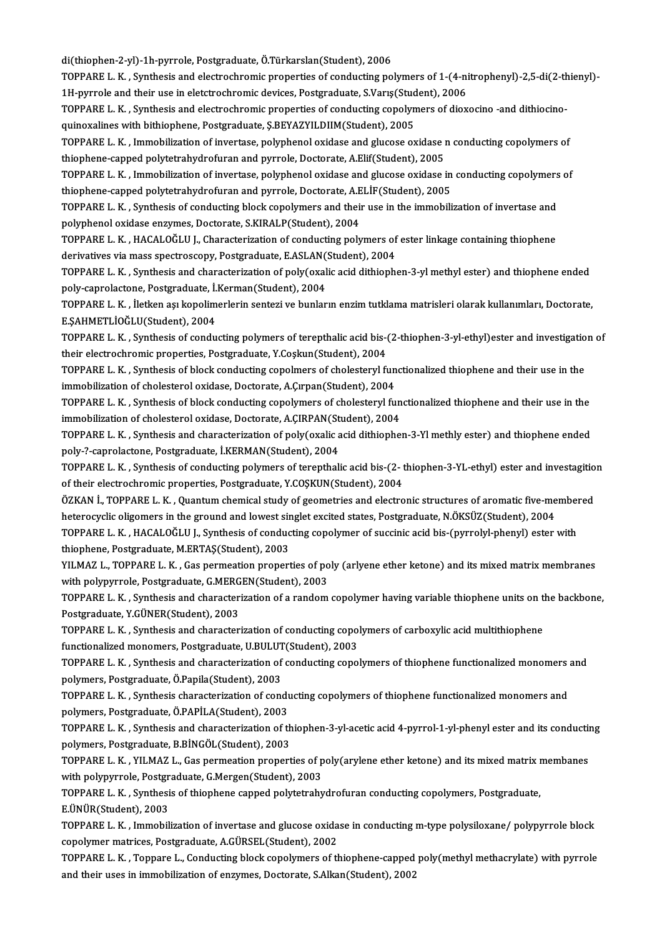di(thiophen-2-yl)-1h-pyrrole, Postgraduate, Ö.Türkarslan(Student), 2006

di(thiophen-2-yl)-1h-pyrrole, Postgraduate, Ö.Türkarslan(Student), 2006<br>TOPPARE L. K. , Synthesis and electrochromic properties of conducting polymers of 1-(4-nitrophenyl)-2,5-di(2-thienyl)-<br>1H. pyrrole and their use in el di(thiophen-2-yl)-1h-pyrrole, Postgraduate, Ö.Türkarslan(Student), 2006<br>TOPPARE L. K. , Synthesis and electrochromic properties of conducting polymers of 1-(4-ni<br>1H-pyrrole and their use in eletctrochromic devices, Postgra TOPPARE L. K. , Synthesis and electrochromic properties of conducting polymers of 1-(4-nitrophenyl)-2,5-di(2-th<br>1H-pyrrole and their use in eletctrochromic devices, Postgraduate, S.Varış(Student), 2006<br>TOPPARE L. K. , Synt

1H-pyrrole and their use in eletctrochromic devices, Postgraduate, S.Varış(Studt)<br>TOPPARE L. K. , Synthesis and electrochromic properties of conducting copolyn<br>quinoxalines with bithiophene, Postgraduate, Ş.BEYAZYILDIIM(St TOPPARE L. K. , Synthesis and electrochromic properties of conducting copolymers of dioxocino -and dithiocino-<br>quinoxalines with bithiophene, Postgraduate, Ş.BEYAZYILDIIM(Student), 2005<br>TOPPARE L. K. , Immobilization of in

quinoxalines with bithiophene, Postgraduate, Ş.BEYAZYILDIIM(Student), 2005<br>TOPPARE L. K. , Immobilization of invertase, polyphenol oxidase and glucose oxidase i<br>thiophene-capped polytetrahydrofuran and pyrrole, Doctorate, TOPPARE L. K. , Immobilization of invertase, polyphenol oxidase and glucose oxidase n conducting copolymers of<br>thiophene-capped polytetrahydrofuran and pyrrole, Doctorate, A.Elif(Student), 2005<br>TOPPARE L. K. , Immobilizati

thiophene-capped polytetrahydrofuran and pyrrole, Doctorate, A.Elif(Student), 2005<br>TOPPARE L. K. , Immobilization of invertase, polyphenol oxidase and glucose oxidase in<br>thiophene-capped polytetrahydrofuran and pyrrole, Do TOPPARE L. K. , Immobilization of invertase, polyphenol oxidase and glucose oxidase in conducting copolymers<br>thiophene-capped polytetrahydrofuran and pyrrole, Doctorate, A.ELİF(Student), 2005<br>TOPPARE L. K. , Synthesis of c

thiophene-capped polytetrahydrofuran and pyrrole, Doctorate, A.E<br>TOPPARE L. K. , Synthesis of conducting block copolymers and their<br>polyphenol oxidase enzymes, Doctorate, S.KIRALP(Student), 2004<br>TOPPARE L. K., HACALOČLILL, TOPPARE L. K. , Synthesis of conducting block copolymers and their use in the immobilization of invertase and<br>polyphenol oxidase enzymes, Doctorate, S.KIRALP(Student), 2004<br>TOPPARE L. K. , HACALOĞLU J., Characterization of

polyphenol oxidase enzymes, Doctorate, S.KIRALP(Student), 2004<br>TOPPARE L. K. , HACALOĞLU J., Characterization of conducting polymers of ester linkage containing thiophene<br>derivatives via mass spectroscopy, Postgraduate, E. TOPPARE L. K. , HACALOĞLU J., Characterization of conducting polymers of ester linkage containing thiophene<br>derivatives via mass spectroscopy, Postgraduate, E.ASLAN(Student), 2004<br>TOPPARE L. K. , Synthesis and characteriza

derivatives via mass spectroscopy, Postgraduate, E.ASLAN(<br>TOPPARE L. K. , Synthesis and characterization of poly(oxal<br>poly-caprolactone, Postgraduate, İ.Kerman(Student), 2004<br>TOPPARE L. K., İletisp ası kapolimerlerin sente TOPPARE L. K. , Synthesis and characterization of poly(oxalic acid dithiophen-3-yl methyl ester) and thiophene ended<br>poly-caprolactone, Postgraduate, İ.Kerman(Student), 2004<br>TOPPARE L. K. , İletken aşı kopolimerlerin sente

poly-caprolactone, Postgraduate, İ.Kerman(Student), 2004<br>TOPPARE L. K. , İletken aşı kopolimerlerin sentezi ve bunların enzim tutklama matrisleri olarak kullanımları, Doctorate,<br>E.ŞAHMETLİOĞLU(Student), 2004 TOPPARE L. K. , İletken aşı kopolimerlerin sentezi ve bunların enzim tutklama matrisleri olarak kullanımları, Doctorate,<br>E.ŞAHMETLİOĞLU(Student), 2004<br>TOPPARE L. K. , Synthesis of conducting polymers of terepthalic acid bi

E.ȘAHMETLİOĞLU(Student), 2004<br>TOPPARE L. K. , Synthesis of conducting polymers of terepthalic acid bis-t<br>their electrochromic properties, Postgraduate, Y.Coşkun(Student), 2004<br>TOPPARE L. K., Synthesis of block sondusting s TOPPARE L. K. , Synthesis of conducting polymers of terepthalic acid bis-(2-thiophen-3-yl-ethyl)ester and investigatio<br>their electrochromic properties, Postgraduate, Y.Coşkun(Student), 2004<br>TOPPARE L. K. , Synthesis of blo

their electrochromic properties, Postgraduate, Y.Coşkun(Student), 2004<br>TOPPARE L. K. , Synthesis of block conducting copolmers of cholesteryl functionalized thiophene and their use in the<br>immobilization of cholesterol oxid

TOPPARE L. K., Synthesis of block conducting copolymers of cholesteryl functionalized thiophene and their use in the immobilization of cholesterol oxidase, Doctorate, A.Çırpan(Student), 2004<br>TOPPARE L. K. , Synthesis of block conducting copolymers of cholesteryl fun<br>immobilization of cholesterol oxidase, Doctorate, A.ÇIRPAN(Student), 200

TOPPARE L. K., Synthesis and characterization of poly(oxalic acid dithiophen-3-Yl methly ester) and thiophene ended<br>poly-?-caprolactone, Postgraduate, İ.KERMAN(Student), 2004 immobilization of cholesterol oxidase, Doctorate, A.ÇIRPAN(St<br>TOPPARE L. K. , Synthesis and characterization of poly(oxalic a<br>poly-?-caprolactone, Postgraduate, İ.KERMAN(Student), 2004<br>TOPPARE L. K., Synthesis of sondustin TOPPARE L. K. , Synthesis and characterization of poly(oxalic acid dithiophen-3-Yl methly ester) and thiophene ended<br>poly-?-caprolactone, Postgraduate, İ.KERMAN(Student), 2004<br>TOPPARE L. K. , Synthesis of conducting polyme

poly-?-caprolactone, Postgraduate, İ.KERMAN(Student), 2004<br>TOPPARE L. K. , Synthesis of conducting polymers of terepthalic acid bis-(2-1<br>of their electrochromic properties, Postgraduate, Y.COŞKUN(Student), 2004<br>ÖZKAN İ. TO TOPPARE L. K. , Synthesis of conducting polymers of terepthalic acid bis-(2- thiophen-3-YL-ethyl) ester and investagitio<br>of their electrochromic properties, Postgraduate, Y.COSKUN(Student), 2004<br>ÖZKAN İ., TOPPARE L. K. , Q

of their electrochromic properties, Postgraduate, Y.COŞKUN(Student), 2004<br>ÖZKAN İ., TOPPARE L. K. , Quantum chemical study of geometries and electronic structures of aromatic five-me<br>heterocyclic oligomers in the ground an ÖZKAN İ., TOPPARE L. K. , Quantum chemical study of geometries and electronic structures of aromatic five-member<br>heterocyclic oligomers in the ground and lowest singlet excited states, Postgraduate, N.ÖKSÜZ(Student), 2004<br>

heterocyclic oligomers in the ground and lowest sir<br>TOPPARE L. K. , HACALOĞLU J., Synthesis of conduc<br>thiophene, Postgraduate, M.ERTAŞ(Student), 2003<br>V.U.MAZ L., TOPPARE L. K., Cas permeation propert TOPPARE L. K. , HACALOĞLU J., Synthesis of conducting copolymer of succinic acid bis-(pyrrolyl-phenyl) ester with<br>thiophene, Postgraduate, M.ERTAŞ(Student), 2003<br>YILMAZ L., TOPPARE L. K. , Gas permeation properties of poly

thiophene, Postgraduate, M.ERTAŞ(Student), 2003<br>YILMAZ L., TOPPARE L. K. , Gas permeation properties of po<br>with polypyrrole, Postgraduate, G.MERGEN(Student), 2003<br>TOPPARE L. K., Synthesis and shanastarization of a random YILMAZ L., TOPPARE L. K. , Gas permeation properties of poly (arlyene ether ketone) and its mixed matrix membranes<br>with polypyrrole, Postgraduate, G.MERGEN(Student), 2003<br>TOPPARE L. K. , Synthesis and characterization of a

with polypyrrole, Postgraduate, G.MERGEN(Student), 2003<br>TOPPARE L. K. , Synthesis and characterization of a random copolymer having variable thiophene units on the backbone,<br>Postgraduate, Y.GÜNER(Student), 2003 TOPPARE L. K. , Synthesis and characterization of a random copolymer having variable thiophene units on the<br>Postgraduate, Y.GÜNER(Student), 2003<br>TOPPARE L. K. , Synthesis and characterization of conducting copolymers of ca

Fostgraduate, Y.GÜNER(Student), 2003<br>TOPPARE L. K. , Synthesis and characterization of conducting copol<br>functionalized monomers, Postgraduate, U.BULUT(Student), 2003<br>TOPPARE L. K., Symthesis and characterization of conduct TOPPARE L. K. , Synthesis and characterization of conducting copolymers of carboxylic acid multithiophene<br>functionalized monomers, Postgraduate, U.BULUT(Student), 2003<br>TOPPARE L. K. , Synthesis and characterization of cond

functionalized monomers, Postgraduate, U.BULUT<br>TOPPARE L. K. , Synthesis and characterization of<br>polymers, Postgraduate, Ö.Papila(Student), 2003<br>TOPPARE L. K., Synthesis characterization of sons TOPPARE L. K. , Synthesis and characterization of conducting copolymers of thiophene functionalized monomers and<br>polymers, Postgraduate, Ö.Papila(Student), 2003<br>TOPPARE L. K. , Synthesis characterization of conducting copo

polymers, Postgraduate, Ö.Papila(Student), 2003<br>TOPPARE L. K. , Synthesis characterization of conducting copolymers of thiophene functionalized monomers and<br>polymers, Postgraduate, Ö.PAPİLA(Student), 2003 TOPPARE L. K. , Synthesis characterization of conducting copolymers of thiophene functionalized monomers and<br>polymers, Postgraduate, Ö.PAPİLA(Student), 2003<br>TOPPARE L. K. , Synthesis and characterization of thiophen-3-yl-a

polymers, Postgraduate, Ö.PAPİLA(Student), 2003<br>TOPPARE L. K. , Synthesis and characterization of th<br>polymers, Postgraduate, B.BİNGÖL(Student), 2003<br>TOPPARE L. K., VILMAZ L. Cas parmeation propert TOPPARE L. K. , Synthesis and characterization of thiophen-3-yl-acetic acid 4-pyrrol-1-yl-phenyl ester and its conduction<br>polymers, Postgraduate, B.BİNGÖL(Student), 2003<br>TOPPARE L. K. , YILMAZ L., Gas permeation properties

polymers, Postgraduate, B.BİNGÖL(Student), 2003<br>TOPPARE L. K. , YILMAZ L., Gas permeation properties of p<br>with polypyrrole, Postgraduate, G.Mergen(Student), 2003<br>TOPPARE L. K., Symthesis of thiophane sanned polytetrahy TOPPARE L. K. , YILMAZ L., Gas permeation properties of poly(arylene ether ketone) and its mixed matrix i<br>with polypyrrole, Postgraduate, G.Mergen(Student), 2003<br>TOPPARE L. K. , Synthesis of thiophene capped polytetrahydro

with polypyrrole, Postgraduate, G.Mergen(Student), 2003<br>TOPPARE L. K. , Synthesis of thiophene capped polytetrahydrofuran conducting copolymers, Postgraduate,<br>E.ÜNÜR(Student), 2003 TOPPARE L. K. , Synthesis of thiophene capped polytetrahydrofuran conducting copolymers, Postgraduate,<br>E.ÜNÜR(Student), 2003<br>TOPPARE L. K. , Immobilization of invertase and glucose oxidase in conducting m-type polysiloxane

E.ÜNÜR(Student), 2003<br>TOPPARE L. K. , Immobilization of invertase and glucose oxida<br>copolymer matrices, Postgraduate, A.GÜRSEL(Student), 2002<br>TOPPARE L. K., Toppane L. Condusting block sopolymers of th TOPPARE L. K. , Immobilization of invertase and glucose oxidase in conducting m-type polysiloxane/ polypyrrole block<br>copolymer matrices, Postgraduate, A.GÜRSEL(Student), 2002<br>TOPPARE L. K. , Toppare L., Conducting block co

copolymer matrices, Postgraduate, A.GÜRSEL(Student), 2002<br>TOPPARE L. K. , Toppare L., Conducting block copolymers of thiophene-capped<br>and their uses in immobilization of enzymes, Doctorate, S.Alkan(Student), 2002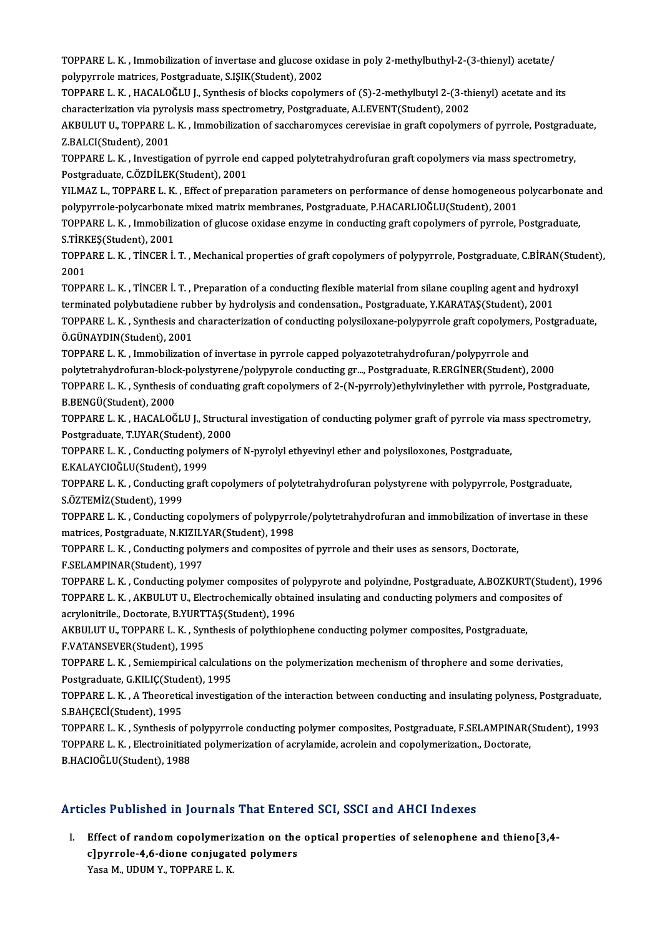TOPPARE L. K. , Immobilization of invertase and glucose oxidase in poly 2-methylbuthyl-2-(3-thienyl) acetate/<br>Reliminate metrises. Pestereduste, S ISIK/Student), 2002 TOPPARE L. K. , Immobilization of invertase and glucose ox<br>polypyrrole matrices, Postgraduate, S.IŞIK(Student), 2002<br>TOPPARE L. K., HACALOČLU L. Symbosis of blogly sonolyn TOPPARE L. K. , Immobilization of invertase and glucose oxidase in poly 2-methylbuthyl-2-(3-thienyl) acetate/<br>polypyrrole matrices, Postgraduate, S.IŞIK(Student), 2002<br>TOPPARE L. K. , HACALOĞLU J., Synthesis of blocks copo

polypyrrole matrices, Postgraduate, S.IŞIK(Student), 2002<br>TOPPARE L. K. , HACALOĞLU J., Synthesis of blocks copolymers of (S)-2-methylbutyl 2-(3-th<br>characterization via pyrolysis mass spectrometry, Postgraduate, A.LEVENT(S

TOPPARE L. K. , HACALOĞLU J., Synthesis of blocks copolymers of (S)-2-methylbutyl 2-(3-thienyl) acetate and its<br>characterization via pyrolysis mass spectrometry, Postgraduate, A.LEVENT(Student), 2002<br>AKBULUT U., TOPPARE L. characterization via pyro<br>AKBULUT U., TOPPARE L<br>Z.BALCI(Student), 2001<br>TOPPAPE L. K., Investiss AKBULUT U., TOPPARE L. K. , Immobilization of saccharomyces cerevisiae in graft copolymers of pyrrole, Postgradu<br>Z.BALCI(Student), 2001<br>TOPPARE L. K. , Investigation of pyrrole end capped polytetrahydrofuran graft copolyme

Z.BALCI(Student), 2001<br>TOPPARE L. K. , Investigation of pyrrole er<br>Postgraduate, C.ÖZDİLEK(Student), 2001<br>VILMAZ L. TOPPAPE L. K., Effect of prope TOPPARE L. K. , Investigation of pyrrole end capped polytetrahydrofuran graft copolymers via mass spectrometry,<br>Postgraduate, C.ÖZDİLEK(Student), 2001<br>YILMAZ L., TOPPARE L. K. , Effect of preparation parameters on performa

Postgraduate, C.ÖZDİLEK(Student), 2001<br>YILMAZ L., TOPPARE L. K. , Effect of preparation parameters on performance of dense homogeneous <sub>l</sub><br>polypyrrole-polycarbonate mixed matrix membranes, Postgraduate, P.HACARLIOĞLU(Stude YILMAZ L., TOPPARE L. K. , Effect of preparation parameters on performance of dense homogeneous polycarbonate and<br>polypyrrole-polycarbonate mixed matrix membranes, Postgraduate, P.HACARLIOĞLU(Student), 2001<br>TOPPARE L. K. ,

Polypyrrole-polycarbonat<br>TOPPARE L. K. , Immobiliz<br>S.TİRKEŞ(Student), 2001<br>TOPPARE L. K., TİNCER İ TOPPARE L. K. , Immobilization of glucose oxidase enzyme in conducting graft copolymers of pyrrole, Postgraduate,<br>S.TİRKEŞ(Student), 2001<br>TOPPARE L. K. , TİNCER İ. T. , Mechanical properties of graft copolymers of polypyrr

S.TİRK<br>TOPP/<br>2001<br>TOPP/ TOPPARE L. K. , TİNCER İ. T. , Mechanical properties of graft copolymers of polypyrrole, Postgraduate, C.BİRAN(Stud<br>2001<br>TOPPARE L. K. , TİNCER İ. T. , Preparation of a conducting flexible material from silane coupling age 2001<br>TOPPARE L. K., TİNCER İ. T., Preparation of a conducting flexible material from silane coupling agent and hydroxyl

TOPPARE L. K. , TİNCER İ. T. , Preparation of a conducting flexible material from silane coupling agent and hydroxyl<br>terminated polybutadiene rubber by hydrolysis and condensation., Postgraduate, Y.KARATAŞ(Student), 2001<br>T

terminated polybutadiene rubber by hydrolysis and condensation., Postgraduate, Y.KARATAŞ(Student), 2001<br>TOPPARE L. K. , Synthesis and characterization of conducting polysiloxane-polypyrrole graft copolymers, Post<br>Ö.GÜNAYDI TOPPARE L. K. , Synthesis and characterization of conducting polysiloxane-polypyrrole graft copolymers,<br>Ö.GÜNAYDIN(Student), 2001<br>TOPPARE L. K. , Immobilization of invertase in pyrrole capped polyazotetrahydrofuran/polypyr

Ö.GÜNAYDIN(Student), 2001<br>TOPPARE L. K. , Immobilization of invertase in pyrrole capped polyazotetrahydrofuran/polypyrrole and<br>polytetrahydrofuran-block-polystyrene/polypyrole conducting gr..., Postgraduate, R.ERGİNER(Stud TOPPARE L. K. , Immobilization of invertase in pyrrole capped polyazotetrahydrofuran/polypyrrole and<br>polytetrahydrofuran-block-polystyrene/polypyrole conducting gr…, Postgraduate, R.ERGİNER(Student), 2000<br>TOPPARE L. K. , S

polytetrahydrofuran-bloc<br>TOPPARE L. K. , Synthesis<br>B.BENGÜ(Student), 2000<br>TOPPAPE L. K. HACALOČ TOPPARE L. K. , Synthesis of conduating graft copolymers of 2-(N-pyrroly)ethylvinylether with pyrrole, Postgraduate,<br>B.BENGÜ(Student), 2000<br>TOPPARE L. K. , HACALOĞLU J., Structural investigation of conducting polymer graft

B.BENGÜ(Student), 2000<br>TOPPARE L. K. , HACALOĞLU J., Structu<br>Postgraduate, T.UYAR(Student), 2000<br>TOPPAPE L. K., Conducting polymers 4 TOPPARE L. K. , HACALOĞLU J., Structural investigation of conducting polymer graft of pyrrole via ma<br>Postgraduate, T.UYAR(Student), 2000<br>TOPPARE L. K. , Conducting polymers of N-pyrolyl ethyevinyl ether and polysiloxones,

Postgraduate, T.UYAR(Student), 2000<br>TOPPARE L. K., Conducting polymers of N-pyrolyl ethyevinyl ether and polysiloxones, Postgraduate,

E.KALAYCIOĞLU(Student), 1999

TOPPARE L. K., Conducting graft copolymers of polytetrahydrofuran polystyrene with polypyrrole, Postgraduate,<br>S.ÖZTEMİZ(Student), 1999 TOPPARE L. K. , Conducting graft copolymers of polytetrahydrofuran polystyrene with polypyrrole, Postgraduate,<br>S.ÖZTEMİZ(Student), 1999<br>TOPPARE L. K. , Conducting copolymers of polypyrrole/polytetrahydrofuran and immobiliz

S.ÖZTEMİZ(Student), 1999<br>TOPPARE L. K. , Conducting copolymers of polypyrro<br>matrices, Postgraduate, N.KIZILYAR(Student), 1998<br>TOPPARE L. K., Conducting polymors and composite TOPPARE L. K. , Conducting copolymers of polypyrrole/polytetrahydrofuran and immobilization of inv<br>matrices, Postgraduate, N.KIZILYAR(Student), 1998<br>TOPPARE L. K. , Conducting polymers and composites of pyrrole and their u

matrices, Postgraduate, N.KIZILYAR(Student), 1998<br>TOPPARE L. K. , Conducting polymers and composites of pyrrole and their uses as sensors, Doctorate,<br>F.SELAMPINAR(Student), 1997 TOPPARE L. K. , Conducting polymers and composites of pyrrole and their uses as sensors, Doctorate,<br>F.SELAMPINAR(Student), 1997<br>TOPPARE L. K. , Conducting polymer composites of polypyrote and polyindne, Postgraduate, A.BOZ

F.SELAMPINAR(Student), 1997<br>TOPPARE L. K. , Conducting polymer composites of polypyrote and polyindne, Postgraduate, A.BOZKURT(Studer<br>TOPPARE L. K. , AKBULUT U., Electrochemically obtained insulating and conducting polymer TOPPARE L. K. , Conducting polymer composites of p<br>TOPPARE L. K. , AKBULUT U., Electrochemically obtai<br>acrylonitrile., Doctorate, B.YURTTAŞ(Student), 1996<br>AKRULUT U. TOPPARE L. K., Synthesis of polythioph acrylonitrile., Doctorate, B.YURTTAŞ(Student), 1996

TOPPARE L. K. , AKBULUT U., Electrochemically obtained insulating and conducting polymers and composites of<br>acrylonitrile., Doctorate, B.YURTTAŞ(Student), 1996<br>AKBULUT U., TOPPARE L. K. , Synthesis of polythiophene conduct AKBULUT U., TOPPARE L. K. , Synthesis of polythiophene conducting polymer composites, Postgraduate,<br>F.VATANSEVER(Student), 1995<br>TOPPARE L. K. , Semiempirical calculations on the polymerization mechenism of throphere and so

F.VATANSEVER(Student), 1995<br>TOPPARE L. K. , Semiempirical calculati<br>Postgraduate, G.KILIÇ(Student), 1995<br>TOPPAPE L. K. , A. Theoratical investiga TOPPARE L. K. , Semiempirical calculations on the polymerization mechenism of throphere and some derivaties,<br>Postgraduate, G.KILIÇ(Student), 1995<br>TOPPARE L. K. , A Theoretical investigation of the interaction between condu

Postgraduate, G.KILIÇ(Student), 1995<br>TOPPARE L. K. , A Theoretical investigation of the interaction between conducting and insulating polyness, Postgraduate,<br>S.BAHÇECİ(Student), 1995 TOPPARE L. K. , A Theoretical investigation of the interaction between conducting and insulating polyness, Postgraduate,<br>S.BAHÇECİ(Student), 1995<br>TOPPARE L. K. , Synthesis of polypyrrole conducting polymer composites, Post

S.BAHÇECİ(Student), 1995<br>TOPPARE L. K. , Synthesis of polypyrrole conducting polymer composites, Postgraduate, F.SELAMPINAR(<br>TOPPARE L. K. , Electroinitiated polymerization of acrylamide, acrolein and copolymerization., Do TOPPARE L. K. , Synthesis of p<br>TOPPARE L. K. , Electroinitiate<br>B.HACIOĞLU(Student), 1988

# Articles Published in Journals That Entered SCI, SSCI and AHCI Indexes

rticles Published in Journals That Entered SCI, SSCI and AHCI Indexes<br>I. Effect of random copolymerization on the optical properties of selenophene and thieno[3,4-Effect of random copolymerization on the<br>c]pyrrole-4,6-dione conjugated polymers<br>Yose M\_UDUM V\_TOPPARE L\_V Effect of random copolymeri<br>c]pyrrole-4,6-dione conjugat<br>Yasa M., UDUM Y., TOPPARE L. K.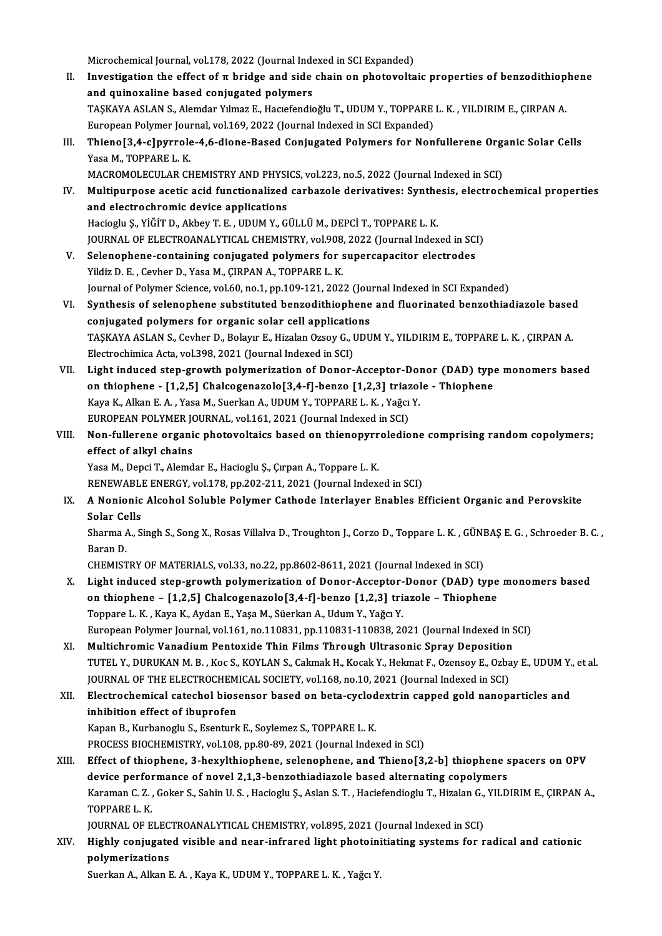Microchemical Journal, vol.178, 2022 (Journal Indexed in SCI Expanded)

- Microchemical Journal, vol.178, 2022 (Journal Indexed in SCI Expanded)<br>II. Investigation the effect of π bridge and side chain on photovoltaic properties of benzodithiophene<br>and quinevaline based conjugated nelymens Microchemical Journal, vol.178, 2022 (Journal Inde<br>Investigation the effect of  $\pi$  bridge and side<br>and quinoxaline based conjugated polymers<br>TASKAVA ASLANS, Alemder Vimer E, Hagefondia Investigation the effect of π bridge and side chain on photovoltaic properties of benzodithiop<br>and quinoxaline based conjugated polymers<br>TAŞKAYA ASLAN S., Alemdar Yılmaz E., Hacıefendioğlu T., UDUM Y., TOPPARE L. K. , YIL and quinoxaline based conjugated polymers<br>TAŞKAYA ASLAN S., Alemdar Yılmaz E., Hacıefendioğlu T., UDUM Y., TOPPARE L. K. , YILDIRIM E., ÇIRPAN A. TAŞKAYA ASLAN S., Alemdar Yılmaz E., Hacıefendioğlu T., UDUM Y., TOPPARE L. K. , YILDIRIM E., ÇIRPAN A.<br>European Polymer Journal, vol.169, 2022 (Journal Indexed in SCI Expanded)<br>III. Thieno[3,4-c]pyrrole-4,6-dione-Based Co
- European Polymer Journal, vol.169, 2022 (Journal Indexed in SCI Expanded)<br>Thieno[3,4-c]pyrrole-4,6-dione-Based Conjugated Polymers for Nonfullerene Org<br>Yasa M., TOPPARE L. K.<br>MACROMOLECULAR CHEMISTRY AND PHYSICS, vol.223, Thieno[3,4-c]pyrrole-4,6-dione-Based Conjugated Polymers for Nonfullerene Organization (1988)<br>Yasa M., TOPPARE L. K.<br>MACROMOLECULAR CHEMISTRY AND PHYSICS, vol.223, no.5, 2022 (Journal Indexed in SCI)<br>Multinurnasse asstis a
- Yasa M., TOPPARE L. K.<br>MACROMOLECULAR CHEMISTRY AND PHYSICS, vol.223, no.5, 2022 (Journal Indexed in SCI)<br>IV. Multipurpose acetic acid functionalized carbazole derivatives: Synthesis, electrochemical properties<br>and electro MACROMOLECULAR CHEMISTRY AND PHYSI<br>Multipurpose acetic acid functionalized<br>and electrochromic device applications<br>Hagiagly S. Vičin D. Alboy T. E. UDUM Y. Gi Multipurpose acetic acid functionalized carbazole derivatives: Synthe<br>and electrochromic device applications<br>Hacioglu Ş., YİĞİT D., Akbey T. E. , UDUM Y., GÜLLÜ M., DEPCİ T., TOPPARE L. K.<br>JOUPMAL OE ELECTROANALYTICAL CHEM and electrochromic device applications<br>Hacioglu Ș., YİĞİT D., Akbey T. E. , UDUM Y., GÜLLÜ M., DEPCİ T., TOPPARE L. K.<br>JOURNAL OF ELECTROANALYTICAL CHEMISTRY, vol.908, 2022 (Journal Indexed in SCI)
- V. Selenophene-containing conjugated polymers for supercapacitor electrodes Yildiz D. E., Cevher D., Yasa M., ÇIRPAN A., TOPPARE L. K. Selenophene-containing conjugated polymers for supercapacitor electrodes<br>Yildiz D. E. , Cevher D., Yasa M., ÇIRPAN A., TOPPARE L. K.<br>Journal of Polymer Science, vol.60, no.1, pp.109-121, 2022 (Journal Indexed in SCI Expand Yildiz D. E. , Cevher D., Yasa M., ÇIRPAN A., TOPPARE L. K.<br>Journal of Polymer Science, vol.60, no.1, pp.109-121, 2022 (Journal Indexed in SCI Expanded)<br>VI. Synthesis of selenophene substituted benzodithiophene and fluorin
- Journal of Polymer Science, vol.60, no.1, pp.109-121, 2022 (Jou<br>Synthesis of selenophene substituted benzodithiophene<br>conjugated polymers for organic solar cell applications<br>TASKAVA ASLAN S. Cerber D. Bolaur E. Higelen Org Synthesis of selenophene substituted benzodithiophene and fluorinated benzothiadiazole based<br>conjugated polymers for organic solar cell applications<br>TAŞKAYA ASLAN S., Cevher D., Bolayır E., Hizalan Ozsoy G., UDUM Y., YILDI conjugated polymers for organic solar cell applications<br>TAŞKAYA ASLAN S., Cevher D., Bolayır E., Hizalan Ozsoy G., UDUM Y., YILDIRIM E., TOPPARE L. K. , ÇIRPAN A.<br>Electrochimica Acta, vol.398, 2021 (Journal Indexed in SCI) TAŞKAYA ASLAN S., Cevher D., Bolayır E., Hizalan Ozsoy G., UDUM Y., YILDIRIM E., TOPPARE L. K. , ÇIRPAN A.<br>Electrochimica Acta, vol.398, 2021 (Journal Indexed in SCI)<br>VII. Light induced step-growth polymerization of Donor-
- Electrochimica Acta, vol.398, 2021 (Journal Indexed in SCI)<br>Light induced step-growth polymerization of Donor-Acceptor-Donor (DAD) type<br>on thiophene [1,2,5] Chalcogenazolo[3,4-f]-benzo [1,2,3] triazole Thiophene<br>Kava K Light induced step-growth polymerization of Donor-Acceptor-Dom<br>Thiophene - [1,2,5] Chalcogenazolo[3,4-f]-benzo [1,2,3] triazol<br>Kaya K., Alkan E. A. , Yasa M., Suerkan A., UDUM Y., TOPPARE L. K. , Yağcı Y.<br>FUROPEAN POLYMER on thiophene - [1,2,5] Chalcogenazolo[3,4-f]-benzo [1,2,3] triaz<br>Kaya K., Alkan E. A. , Yasa M., Suerkan A., UDUM Y., TOPPARE L. K. , Yağcı<br>EUROPEAN POLYMER JOURNAL, vol.161, 2021 (Journal Indexed in SCI)<br>Non fullerene erg Kaya K., Alkan E. A. , Yasa M., Suerkan A., UDUM Y., TOPPARE L. K. , Yağcı Y.<br>EUROPEAN POLYMER JOURNAL, vol.161, 2021 (Journal Indexed in SCI)<br>VIII. Non-fullerene organic photovoltaics based on thienopyrroledione comprisin
- EUROPEAN POLYMER JON<br>Non-fullerene organi<br>effect of alkyl chains<br>Yasa M. Dangi T. Alamd Non-fullerene organic photovoltaics based on thienopyrr<br>effect of alkyl chains<br>Yasa M., Depci T., Alemdar E., Hacioglu Ş., Çırpan A., Toppare L. K.<br>PENEWARI E ENERGY vel 178. pp.202.211.2021 (Journal Indov effect of alkyl chains<br>Yasa M., Depci T., Alemdar E., Hacioglu Ş., Çırpan A., Toppare L. K.<br>RENEWABLE ENERGY, vol.178, pp.202-211, 2021 (Journal Indexed in SCI)<br>A Nonionia Alsohol Soluble Bolymor Cathodo Interlever Enghles

### Yasa M., Depci T., Alemdar E., Hacioglu Ş., Çırpan A., Toppare L. K.<br>RENEWABLE ENERGY, vol.178, pp.202-211, 2021 (Journal Indexed in SCI)<br>IX. A Nonionic Alcohol Soluble Polymer Cathode Interlayer Enables Efficient Orga RENEWABLE<br>A Nonionic<br>Solar Cells<br>Sharma A S A Nonionic Alcohol Soluble Polymer Cathode Interlayer Enables Efficient Organic and Perovskite<br>Solar Cells<br>Sharma A., Singh S., Song X., Rosas Villalva D., Troughton J., Corzo D., Toppare L. K. , GÜNBAŞ E. G. , Schroeder B

Solar Ce<br>Sharma A<br>Baran D.<br>CHEMIST

Baran D.<br>CHEMISTRY OF MATERIALS, vol.33, no.22, pp.8602-8611, 2021 (Journal Indexed in SCI)

- Baran D.<br>CHEMISTRY OF MATERIALS, vol.33, no.22, pp.8602-8611, 2021 (Journal Indexed in SCI)<br>X. Light induced step-growth polymerization of Donor-Acceptor-Donor (DAD) type monomers based<br>on thionbone 51.251 Chalassenarale 5 CHEMISTRY OF MATERIALS, vol.33, no.22, pp.8602-8611, 2021 (Journal Indexed in SCI)<br>Light induced step-growth polymerization of Donor-Acceptor-Donor (DAD) type<br>on thiophene – [1,2,5] Chalcogenazolo[3,4-f]-benzo [1,2,3] tria Light induced step-growth polymerization of Donor-Acceptor-<br>on thiophene – [1,2,5] Chalcogenazolo[3,4-f]-benzo [1,2,3] tri<br>Toppare L. K., Kaya K., Aydan E., Yaşa M., Süerkan A., Udum Y., Yağcı Y.<br>European Polymor Journal v on thiophene – [1,2,5] Chalcogenazolo[3,4-f]-benzo [1,2,3] triazole – Thiophene<br>Toppare L. K., Kaya K., Aydan E., Yaşa M., Süerkan A., Udum Y., Yağcı Y.<br>European Polymer Journal, vol.161, no.110831, pp.110831-110838, 2021
- XI. Multichromic VanadiumPentoxide Thin Films Through Ultrasonic Spray Deposition European Polymer Journal, vol.161, no.110831, pp.110831-110838, 2021 (Journal Indexed in SCI)<br>Multichromic Vanadium Pentoxide Thin Films Through Ultrasonic Spray Deposition<br>TUTEL Y., DURUKAN M. B. , Koc S., KOYLAN S., Cakm Multichromic Vanadium Pentoxide Thin Films Through Ultrasonic Spray Deposition<br>TUTEL Y., DURUKAN M. B. , Koc S., KOYLAN S., Cakmak H., Kocak Y., Hekmat F., Ozensoy E., Ozba<br>JOURNAL OF THE ELECTROCHEMICAL SOCIETY, vol.168, TUTEL Y., DURUKAN M. B. , Koc S., KOYLAN S., Cakmak H., Kocak Y., Hekmat F., Ozensoy E., Ozbay E., UDUM Y.<br>JOURNAL OF THE ELECTROCHEMICAL SOCIETY, vol.168, no.10, 2021 (Journal Indexed in SCI)<br>XII. Electrochemical catechol

### JOURNAL OF THE ELECTROCHEMICAL SOCIETY, vol.168, no.10, 2021 (Journal Indexed in SCI)<br>Electrochemical catechol biosensor based on beta-cyclodextrin capped gold nanop<br>inhibition effect of ibuprofen<br>Kapan B., Kurbanoglu S., XII. Electrochemical catechol biosensor based on beta-cyclodextrin capped gold nanoparticles and

PROCESS BIOCHEMISTRY, vol.108, pp.80-89, 2021 (Journal Indexed in SCI)

Kapan B., Kurbanoglu S., Esenturk E., Soylemez S., TOPPARE L. K.<br>PROCESS BIOCHEMISTRY, vol.108, pp.80-89, 2021 (Journal Indexed in SCI)<br>XIII. Effect of thiophene, 3-hexylthiophene, selenophene, and Thieno[3,2-b] thiophene PROCESS BIOCHEMISTRY, vol.108, pp.80-89, 2021 (Journal Indexed in SCI)<br>Effect of thiophene, 3-hexylthiophene, selenophene, and Thieno[3,2-b] thiophene s<br>device performance of novel 2,1,3-benzothiadiazole based alternating Effect of thiophene, 3-hexylthiophene, selenophene, and Thieno[3,2-b] thiophene spacers on OPV<br>device performance of novel 2,1,3-benzothiadiazole based alternating copolymers<br>Karaman C. Z. , Goker S., Sahin U. S. , Haciogl device performance of novel 2,1,3-benzothiadiazole based alternating copolymers<br>Karaman C. Z. , Goker S., Sahin U. S. , Hacioglu Ş., Aslan S. T. , Haciefendioglu T., Hizalan G., YILD<br>TOPPARE L. K. Karaman C. Z. , Goker S., Sahin U. S. , Hacioglu Ș., Aslan S. T. , Haciefendioglu T., Hizalan G.,<br>TOPPARE L. K.<br>JOURNAL OF ELECTROANALYTICAL CHEMISTRY, vol.895, 2021 (Journal Indexed in SCI)<br>Highly, conjugated visible and

JOURNAL OF ELECTROANALYTICAL CHEMISTRY, vol.895, 2021 (Journal Indexed in SCI)

## XIV. Highly conjugated visible and near-infrared light photoinitiating systems for radical and cationic

Suerkan A., Alkan E. A., Kaya K., UDUM Y., TOPPARE L. K., Yağcı Y.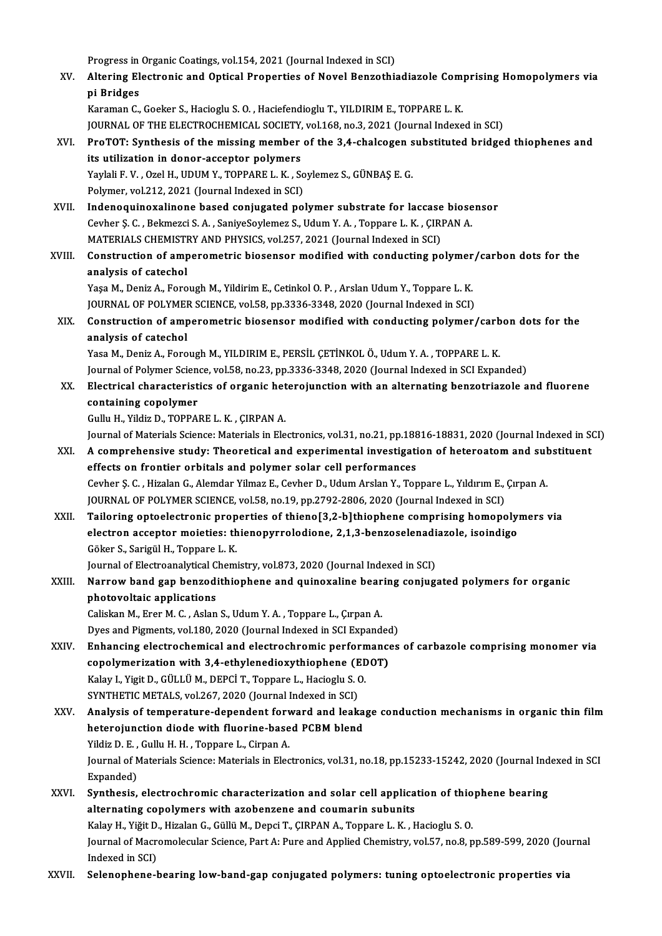Progress in Organic Coatings, vol.154, 2021 (Journal Indexed in SCI)<br>Altoning Flectronic and Ontical Properties of Novel Benrathic

Progress in Organic Coatings, vol.154, 2021 (Journal Indexed in SCI)<br>XV. Altering Electronic and Optical Properties of Novel Benzothiadiazole Comprising Homopolymers via Progress in<br><mark>Altering El</mark><br>pi Bridges<br><sup>Koromon C</sup> Altering Electronic and Optical Properties of Novel Benzothiadiazole Comp<br>pi Bridges<br>Karaman C., Goeker S., Hacioglu S. O. , Haciefendioglu T., YILDIRIM E., TOPPARE L. K.<br>JOUPMAL OF THE ELECTROCHEMICAL SOCIETY, vol.169 no. pi Bridges<br>Karaman C., Goeker S., Hacioglu S. O. , Haciefendioglu T., YILDIRIM E., TOPPARE L. K.<br>JOURNAL OF THE ELECTROCHEMICAL SOCIETY, vol.168, no.3, 2021 (Journal Indexed in SCI)<br>Pre TOT: Synthosis of the missing member

Karaman C., Goeker S., Hacioglu S. O. , Haciefendioglu T., YILDIRIM E., TOPPARE L. K.<br>JOURNAL OF THE ELECTROCHEMICAL SOCIETY, vol.168, no.3, 2021 (Journal Indexed in SCI)<br>XVI. ProTOT: Synthesis of the missing member of the JOURNAL OF THE ELECTROCHEMICAL SOCIETY,<br>ProTOT: Synthesis of the missing member<br>its utilization in donor-acceptor polymers<br>Yavlali E.V. Oral H. UDIM Y. TOPPAPE L.V. S. ProTOT: Synthesis of the missing member of the 3,4-chalcogen s<br>its utilization in donor-acceptor polymers<br>Yaylali F. V. , Ozel H., UDUM Y., TOPPARE L. K. , Soylemez S., GÜNBAŞ E. G.<br>Polymer vol 212, 2021 (Journal Indoved i its utilization in donor-acceptor polymers<br>Yaylali F. V. , Ozel H., UDUM Y., TOPPARE L. K. , Soylemez S., GÜNBAŞ E. G.<br>Polymer, vol.212, 2021 (Journal Indexed in SCI)

Yaylali F. V., Ozel H., UDUM Y., TOPPARE L. K., Soylemez S., GÜNBAŞ E. G.<br>Polymer, vol.212, 2021 (Journal Indexed in SCI)<br>XVII. Indenoquinoxalinone based conjugated polymer substrate for laccase biosensor<br>Couber S. G., Bol Polymer, vol.212, 2021 (Journal Indexed in SCI)<br>Indenoquinoxalinone based conjugated polymer substrate for laccase biose<br>Cevher Ş. C. , Bekmezci S. A. , SaniyeSoylemez S., Udum Y. A. , Toppare L. K. , ÇIRPAN A.<br>MATERIALS G Indenoquinoxalinone based conjugated polymer substrate for laccase<br>Cevher Ş. C. , Bekmezci S. A. , SaniyeSoylemez S., Udum Y. A. , Toppare L. K. , ÇIRI<br>MATERIALS CHEMISTRY AND PHYSICS, vol.257, 2021 (Journal Indexed in SCI Cevher Ş. C. , Bekmezci S. A. , SaniyeSoylemez S., Udum Y. A. , Toppare L. K. , ÇIRPAN A.<br>MATERIALS CHEMISTRY AND PHYSICS, vol.257, 2021 (Journal Indexed in SCI)<br>XVIII. Construction of amperometric biosensor modified with

## MATERIALS CHEMISTE<br>Construction of amp<br>analysis of catechol Construction of amperometric biosensor modified with conducting polymer<br>analysis of catechol<br>Yaşa M., Deniz A., Forough M., Yildirim E., Cetinkol O. P. , Arslan Udum Y., Toppare L. K.<br>JOUPMAL OF POLYMER SCIENCE vol 59 nn 2

analysis of catechol<br>Yaşa M., Deniz A., Forough M., Yildirim E., Cetinkol O. P. , Arslan Udum Y., Toppare L. K.<br>JOURNAL OF POLYMER SCIENCE, vol.58, pp.3336-3348, 2020 (Journal Indexed in SCI)

### Yaşa M., Deniz A., Forough M., Yildirim E., Cetinkol O. P. , Arslan Udum Y., Toppare L. K.<br>JOURNAL OF POLYMER SCIENCE, vol.58, pp.3336-3348, 2020 (Journal Indexed in SCI)<br>XIX. Construction of amperometric biosensor modifie JOURNAL OF POLYMER<br>Construction of amp<br>analysis of catechol<br>Yosa M. Daniz A. Fana Construction of amperometric biosensor modified with conducting polymer/carb<br>analysis of catechol<br>Yasa M., Deniz A., Forough M., YILDIRIM E., PERSİL ÇETİNKOL Ö., Udum Y. A. , TOPPARE L. K.<br>Journal of Polymer Science, vol 5

analysis of catechol<br>Yasa M., Deniz A., Forough M., YILDIRIM E., PERSİL ÇETİNKOL Ö., Udum Y. A. , TOPPARE L. K.<br>Journal of Polymer Science, vol.58, no.23, pp.3336-3348, 2020 (Journal Indexed in SCI Expanded)<br>Flectrical cha

Yasa M., Deniz A., Forough M., YILDIRIM E., PERSİL ÇETİNKOL Ö., Udum Y. A. , TOPPARE L. K.<br>Journal of Polymer Science, vol.58, no.23, pp.3336-3348, 2020 (Journal Indexed in SCI Expanded)<br>XX. Electrical characteristics of o Journal of Polymer Scien<br>Electrical characterist<br>containing copolymer<br>Cully H. Vildig D. TOPPA Electrical characteristics of organic het<br>containing copolymer<br>Gullu H., Yildiz D., TOPPARE L. K. , ÇIRPAN A.<br>Journal of Matorials Science: Matorials in Fle containing copolymer<br>Gullu H., Yildiz D., TOPPARE L. K. , ÇIRPAN A.<br>Journal of Materials Science: Materials in Electronics, vol.31, no.21, pp.18816-18831, 2020 (Journal Indexed in SCI)<br>A semprehensive study: Theoretisel an

- Gullu H., Yildiz D., TOPPARE L. K. , ÇIRPAN A.<br>Journal of Materials Science: Materials in Electronics, vol.31, no.21, pp.18816-18831, 2020 (Journal Indexed in S<br>XXI. A comprehensive study: Theoretical and experimental inve Journal of Materials Science: Materials in Electronics, vol.31, no.21, pp.188<br>A comprehensive study: Theoretical and experimental investigati<br>effects on frontier orbitals and polymer solar cell performances<br>Ceuber S.C., Hi XXI. A comprehensive study: Theoretical and experimental investigation of heteroatom and substituent<br>effects on frontier orbitals and polymer solar cell performances<br>Cevher Ş. C. , Hizalan G., Alemdar Yilmaz E., Cevher D., Cevher S. C., Hizalan G., Alemdar Yilmaz E., Cevher D., Udum Arslan Y., Toppare L., Yıldırım E., Cırpan A. Cevher Ş. C. , Hizalan G., Alemdar Yilmaz E., Cevher D., Udum Arslan Y., Toppare L., Yıldırım E., Çırpan A.<br>JOURNAL OF POLYMER SCIENCE, vol.58, no.19, pp.2792-2806, 2020 (Journal Indexed in SCI)<br>XXII. Tailoring optoelectro
- JOURNAL OF POLYMER SCIENCE, vol.58, no.19, pp.2792-2806, 2020 (Journal Indexed in SCI)<br>Tailoring optoelectronic properties of thieno[3,2-b]thiophene comprising homopoly:<br>electron acceptor moieties: thienopyrrolodione, 2,1, Tailoring optoelectronic prop<br>electron acceptor moieties: th<br>Göker S., Sarigül H., Toppare L.K.<br>Journal of Electroanakrisal Cham electron acceptor moieties: thienopyrrolodione, 2,1,3-benzoselenadiazole, isoindigo<br>Göker S., Sarigül H., Toppare L. K.<br>Journal of Electroanalytical Chemistry, vol.873, 2020 (Journal Indexed in SCI)

### Göker S., Sarigül H., Toppare L. K.<br>Journal of Electroanalytical Chemistry, vol.873, 2020 (Journal Indexed in SCI)<br>XXIII. Narrow band gap benzodithiophene and quinoxaline bearing conjugated polymers for organic<br>nhateveltai Journal of Electroanalytical C<br>Narrow band gap benzodi<br>photovoltaic applications<br>Calislian M. Ener M. C. Aslan Narrow band gap benzodithiophene and quinoxaline bear<br>photovoltaic applications<br>Caliskan M., Erer M. C. , Aslan S., Udum Y. A. , Toppare L., Çırpan A.<br>Dive and Birmanta val 180, 2020 (Jaunnal Indaved in SCI Eunand

photovoltaic applications<br>Caliskan M., Erer M. C. , Aslan S., Udum Y. A. , Toppare L., Çırpan A.<br>Dyes and Pigments, vol.180, 2020 (Journal Indexed in SCI Expanded)

- XXIV. Enhancing electrochemical and electrochromic performances of carbazole comprisingmonomer via Dyes and Pigments, vol.180, 2020 (Journal Indexed in SCI Expanded Enhancing electrochemical and electrochromic performance<br>copolymerization with 3,4-ethylenedioxythiophene (EDOT)<br>Kalay L. Vigit D. CÜLLÜ M. DEPCLT, Tennare Enhancing electrochemical and electrochromic perform<br>copolymerization with 3,4-ethylenedioxythiophene (EE<br>Kalay I., Yigit D., GÜLLÜ M., DEPCİ T., Toppare L., Hacioglu S. O.<br>SYNTHETIC METALS .vol 267–2020 (Journal Indoved i copolymerization with 3,4-ethylenedioxythiophene (E<br>Kalay I., Yigit D., GÜLLÜ M., DEPCİ T., Toppare L., Hacioglu S. (<br>SYNTHETIC METALS, vol.267, 2020 (Journal Indexed in SCI)<br>Analysis of temperature dependent forward and l Kalay I., Yigit D., GÜLLÜ M., DEPCİ T., Toppare L., Hacioglu S. O.<br>SYNTHETIC METALS, vol.267, 2020 (Journal Indexed in SCI)<br>XXV. Analysis of temperature-dependent forward and leakage conduction mechanisms in organic thin f
- SYNTHETIC METALS, vol.267, 2020 (Journal Indexed in SCI)<br>Analysis of temperature-dependent forward and leaka<br>heterojunction diode with fluorine-based PCBM blend<br>Vildie D. E. Cullu H. H. Tennere L. Ciman A Analysis of temperature-dependent forv<br>heterojunction diode with fluorine-base<br>Yildiz D. E. , Gullu H. H. , Toppare L., Cirpan A.<br>Journal of Materials Science: Materials in Elec heterojunction diode with fluorine-based PCBM blend<br>Yildiz D. E. , Gullu H. H. , Toppare L., Cirpan A.<br>Journal of Materials Science: Materials in Electronics, vol.31, no.18, pp.15233-15242, 2020 (Journal Indexed in SCI<br>Exp Yildiz D. E., Gullu H. H., Toppare L., Cirpan A. Journal of Materials Science: Materials in Electronics, vol.31, no.18, pp.15233-15242, 2020 (Journal Ind<br>Expanded)<br>XXVI. Synthesis, electrochromic characterization and solar cell application of thiophene bearing<br>alternatin

### Expanded)<br>Synthesis, electrochromic characterization and solar cell applica<br>alternating copolymers with azobenzene and coumarin subunits<br>Keky H. Vižit D. Higelan G. Göllü M. Dengi T. GIPPAN A. Tennere L. K., L Synthesis, electrochromic characterization and solar cell application of thio<br>alternating copolymers with azobenzene and coumarin subunits<br>Kalay H., Yiğit D., Hizalan G., Güllü M., Depci T., ÇIRPAN A., Toppare L. K. , Haci alternating copolymers with azobenzene and coumarin subunits<br>Kalay H., Yiğit D., Hizalan G., Güllü M., Depci T., ÇIRPAN A., Toppare L. K., Hacioglu S. O.<br>Journal of Macromolecular Science, Part A: Pure and Applied Chemistr Kalay H., Yiğit D.<br>Journal of Macr<br>Indexed in SCI)<br>Selenenhane l

XXVII. Selenophene-bearing low-band-gap conjugated polymers: tuning optoelectronic properties via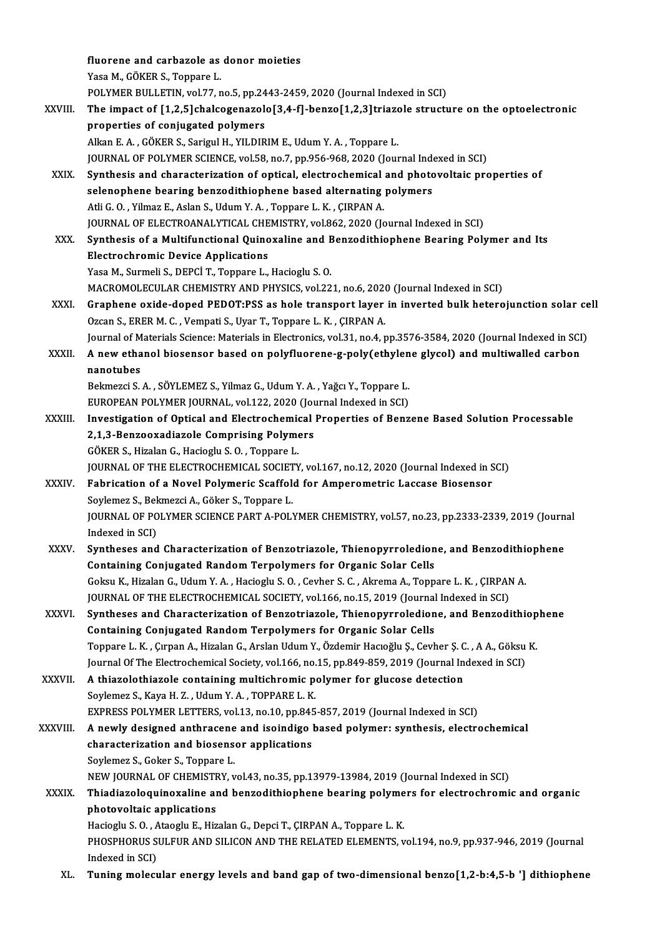fluorene and carbazole as donor moieties YasaM.,GÖKERS.,Toppare L. POLYMER BULLETIN, vol.77, no.5, pp.2443-2459, 2020 (Journal Indexed in SCI) Yasa M., GÖKER S., Toppare L.<br>POLYMER BULLETIN, vol.77, no.5, pp.2443-2459, 2020 (Journal Indexed in SCI)<br>XXVIII. The impact of [1,2,5]chalcogenazolo[3,4-f]-benzo[1,2,3]triazole structure on the optoelectronic<br>preperties o POLYMER BULLETIN, vol.77, no.5, pp.24<br>The impact of [1,2,5]chalcogenazole<br>properties of conjugated polymers<br>Allran E.A., GÖKER S. Sarigul H. VILDIR The impact of [1,2,5]chalcogenazolo[3,4-f]-benzo[1,2,3]triazo<br>properties of conjugated polymers<br>Alkan E. A., GÖKER S., Sarigul H., YILDIRIM E., Udum Y. A., Toppare L.<br>JOUPMAL OF POLYMER SCIENCE vol 59, po 7, pp.956,969,202 properties of conjugated polymers<br>Alkan E. A. , GÖKER S., Sarigul H., YILDIRIM E., Udum Y. A. , Toppare L.<br>JOURNAL OF POLYMER SCIENCE, vol.58, no.7, pp.956-968, 2020 (Journal Indexed in SCI)<br>Synthesis and sharasterization Alkan E. A., GÖKER S., Sarigul H., YILDIRIM E., Udum Y. A., Toppare L.<br>JOURNAL OF POLYMER SCIENCE, vol.58, no.7, pp.956-968, 2020 (Journal Indexed in SCI)<br>XXIX. Synthesis and characterization of optical, electrochemical an JOURNAL OF POLYMER SCIENCE, vol.58, no.7, pp.956-968, 2020 (Journal Index)<br>Synthesis and characterization of optical, electrochemical and photo<br>selenophene bearing benzodithiophene based alternating polymers<br>Atli C.O. Vilm AtliG.O. ,YilmazE.,AslanS.,UdumY.A. ,Toppare L.K. ,ÇIRPANA. selenophene bearing benzodithiophene based alternating polymers<br>Atli G. O. , Yilmaz E., Aslan S., Udum Y. A. , Toppare L. K. , ÇIRPAN A.<br>JOURNAL OF ELECTROANALYTICAL CHEMISTRY, vol.862, 2020 (Journal Indexed in SCI)<br>Synthe XXX. Synthesis of a Multifunctional Quinoxaline and Benzodithiophene Bearing Polymer and Its<br>Electrochromic Device Applications **JOURNAL OF ELECTROANALYTICAL CHE<br>Synthesis of a Multifunctional Quino<br>Electrochromic Device Applications**<br>Yose M. Surmeli S. DEPC<sup>i</sup> T. Tonnere L Yasa M., Surmeli S., DEPCİ T., Toppare L., Hacioglu S. O. Electrochromic Device Applications<br>Yasa M., Surmeli S., DEPCİ T., Toppare L., Hacioglu S. O.<br>MACROMOLECULAR CHEMISTRY AND PHYSICS, vol.221, no.6, 2020 (Journal Indexed in SCI)<br>Craphane evide dened BEDOT-BSS es hale transpo Yasa M., Surmeli S., DEPCİ T., Toppare L., Hacioglu S. O.<br>MACROMOLECULAR CHEMISTRY AND PHYSICS, vol.221, no.6, 2020 (Journal Indexed in SCI)<br>XXXI. Graphene oxide-doped PEDOT:PSS as hole transport layer in inverted bulk het MACROMOLECULAR CHEMISTRY AND PHYSICS, vol.221, no.6, 2020<br>Graphene oxide-doped PEDOT:PSS as hole transport layer<br>Ozcan S., ERER M. C. , Vempati S., Uyar T., Toppare L. K. , ÇIRPAN A.<br>Journal of Materials Science: Materials Graphene oxide-doped PEDOT:PSS as hole transport layer in inverted bulk heterojunction solar ce<br>Ozcan S., ERER M. C. , Vempati S., Uyar T., Toppare L. K. , ÇIRPAN A.<br>Journal of Materials Science: Materials in Electronics, Ozcan S., ERER M. C. , Vempati S., Uyar T., Toppare L. K. , ÇIRPAN A.<br>Journal of Materials Science: Materials in Electronics, vol.31, no.4, pp.3576-3584, 2020 (Journal Indexed in SCI<br>XXXII. A new ethanol biosensor base Journal of M<br>A new etha<br>nanotubes<br><sup>Rolmoroi S</sup> A new ethanol biosensor based on polyfluorene-g-poly(ethylen<br>nanotubes<br>Bekmezci S. A. , SÖYLEMEZ S., Yilmaz G., Udum Y. A. , Yağcı Y., Toppare L.<br>EUROPEAN POLYMER JOURNAL .vol 122–2020 (Journal Indoved in SCL) nanotubes<br>Bekmezci S. A. , SÖYLEMEZ S., Yilmaz G., Udum Y. A. , Yağcı Y., Toppare L.<br>EUROPEAN POLYMER JOURNAL, vol.122, 2020 (Journal Indexed in SCI) Bekmezci S. A. , SÖYLEMEZ S., Yilmaz G., Udum Y. A. , Yağcı Y., Toppare L.<br>EUROPEAN POLYMER JOURNAL, vol.122, 2020 (Journal Indexed in SCI)<br>XXXIII. Investigation of Optical and Electrochemical Properties of Benzene Based S EUROPEAN POLYMER JOURNAL, vol.122, 2020 (Journal Investigation of Optical and Electrochemical<br>2,1,3-Benzooxadiazole Comprising Polymers<br>COVER S. Hizalan G. Hasiaglu S.O. Tonnare L Investigation of Optical and Electrochemic<br>2,1,3-Benzooxadiazole Comprising Polyme<br>GÖKER S., Hizalan G., Hacioglu S.O. , Toppare L.<br>JOUPMAL OF THE ELECTROCHEMICAL SOCIETY 2,1,3-Benzooxadiazole Comprising Polymers<br>GÖKER S., Hizalan G., Hacioglu S. O. , Toppare L.<br>JOURNAL OF THE ELECTROCHEMICAL SOCIETY, vol.167, no.12, 2020 (Journal Indexed in SCI)<br>Febrisation of a Novel Polymeria Soeffold fo GÖKER S., Hizalan G., Hacioglu S. O. , Toppare L.<br>JOURNAL OF THE ELECTROCHEMICAL SOCIETY, vol.167, no.12, 2020 (Journal Indexed in S<br>XXXIV. Fabrication of a Novel Polymeric Scaffold for Amperometric Laccase Biosensor<br>Soyle SOURNAL OF THE ELECTROCHEMICAL SOCIET<br>Fabrication of a Novel Polymeric Scaffol<br>Soylemez S., Bekmezci A., Göker S., Toppare L.<br>JOUPNAL OF POLYMER SCIENCE BART A POLY Fabrication of a Novel Polymeric Scaffold for Amperometric Laccase Biosensor<br>Soylemez S., Bekmezci A., Göker S., Toppare L.<br>JOURNAL OF POLYMER SCIENCE PART A-POLYMER CHEMISTRY, vol.57, no.23, pp.2333-2339, 2019 (Journal<br>In Soylemez S., Bel<br>JOURNAL OF PO<br>Indexed in SCI)<br>Sunthoses and JOURNAL OF POLYMER SCIENCE PART A-POLYMER CHEMISTRY, vol.57, no.23, pp.2333-2339, 2019 (Journ<br>Indexed in SCI)<br>XXXV. Syntheses and Characterization of Benzotriazole, Thienopyrroledione, and Benzodithiophene<br>Containing Conju Indexed in SCI)<br>Syntheses and Characterization of Benzotriazole, Thienopyrroledione, and Benzodithiophene<br>Containing Conjugated Random Terpolymers for Organic Solar Cells GoksuK.,HizalanG.,UdumY.A. ,Hacioglu S.O. ,Cevher S.C. ,AkremaA.,Toppare L.K. ,ÇIRPANA. Containing Conjugated Random Terpolymers for Organic Solar Cells<br>Goksu K., Hizalan G., Udum Y. A. , Hacioglu S. O. , Cevher S. C. , Akrema A., Toppare L. K. , ÇIRPAN<br>JOURNAL OF THE ELECTROCHEMICAL SOCIETY, vol.166, no.15, Goksu K., Hizalan G., Udum Y. A. , Hacioglu S. O. , Cevher S. C. , Akrema A., Toppare L. K. , ÇIRPAN A.<br>JOURNAL OF THE ELECTROCHEMICAL SOCIETY, vol.166, no.15, 2019 (Journal Indexed in SCI)<br>XXXVI. Syntheses and Characteriz JOURNAL OF THE ELECTROCHEMICAL SOCIETY, vol.166, no.15, 2019 (Journal<br>Syntheses and Characterization of Benzotriazole, Thienopyrroledion<br>Containing Conjugated Random Terpolymers for Organic Solar Cells<br>Tenners L.*V. Curren* Syntheses and Characterization of Benzotriazole, Thienopyrroledione, and Benzodithiophene<br>Containing Conjugated Random Terpolymers for Organic Solar Cells<br>Toppare L.K., Çırpan A., Hizalan G., Arslan Udum Y., Özdemir Hacıoğ Containing Conjugated Random Terpolymers for Organic Solar Cells<br>Toppare L. K. , Çırpan A., Hizalan G., Arslan Udum Y., Özdemir Hacıoğlu Ş., Cevher Ş. C. , A A., Göksu<br>Journal Of The Electrochemical Society, vol.166, no.15 XXXVII. A thiazolothiazole containing multichromic polymer for glucose detection<br>Soylemez S., Kaya H. Z., Udum Y. A., TOPPARE L. K. Sournal Of The Electrochemical Society, vol.166, no.<br>A thiazolothiazole containing multichromic p<br>Soylemez S., Kaya H. Z. , Udum Y. A. , TOPPARE L. K.<br>EXPRESS POLYMER LETTERS, vol.12, no.10, np.945 A thiazolothiazole containing multichromic polymer for glucose detection<br>Soylemez S., Kaya H. Z., Udum Y. A., TOPPARE L. K.<br>EXPRESS POLYMER LETTERS, vol.13, no.10, pp.845-857, 2019 (Journal Indexed in SCI) Soylemez S., Kaya H. Z., Udum Y. A., TOPPARE L. K.<br>EXPRESS POLYMER LETTERS, vol.13, no.10, pp.845-857, 2019 (Journal Indexed in SCI)<br>XXXVIII. A newly designed anthracene and isoindigo based polymer: synthesis, electrochemi EXPRESS POLYMER LETTERS, vol.13, no.10, pp.845<br>A newly designed anthracene and isoindigo |<br>characterization and biosensor applications<br>Sevlemer S. Coker S. Tennere I. **A newly designed anthracene<br>characterization and biosens<br>Soylemez S., Goker S., Toppare L.<br>NEW JOUPMAL OF CHEMISTRY V** characterization and biosensor applications<br>Soylemez S., Goker S., Toppare L.<br>NEW JOURNAL OF CHEMISTRY, vol.43, no.35, pp.13979-13984, 2019 (Journal Indexed in SCI)<br>Thiodiaraloguinaraline and benrodithionbene bearing polym Soylemez S., Goker S., Toppare L.<br>NEW JOURNAL OF CHEMISTRY, vol.43, no.35, pp.13979-13984, 2019 (Journal Indexed in SCI)<br>XXXIX. Thiadiazoloquinoxaline and benzodithiophene bearing polymers for electrochromic and organic<br>ph NEW JOURNAL OF CHEMISTF<br>Thiadiazoloquinoxaline are<br>photovoltaic applications<br>Hagiagh: S.O. Ataagh: E. Hir Thiadiazoloquinoxaline and benzodithiophene bearing polyme<br>photovoltaic applications<br>Hacioglu S.O., Ataoglu E., Hizalan G., Depci T., ÇIRPAN A., Toppare L. K.<br>puospuopus sul EUP AND SU ICON AND TUE PELATED ELEMENTS PHOSPHORUS SULFUR AND SILICON AND THE RELATED ELEMENTS, vol.194, no.9, pp.937-946, 2019 (Journal Indexed in SCI) Hacioglu S. O. , A<br>PHOSPHORUS S<br>Indexed in SCI)<br>Tuning mology XL. Tuning molecular energy levels and band gap of two-dimensional benzo[1,2-b:4,5-b '] dithiophene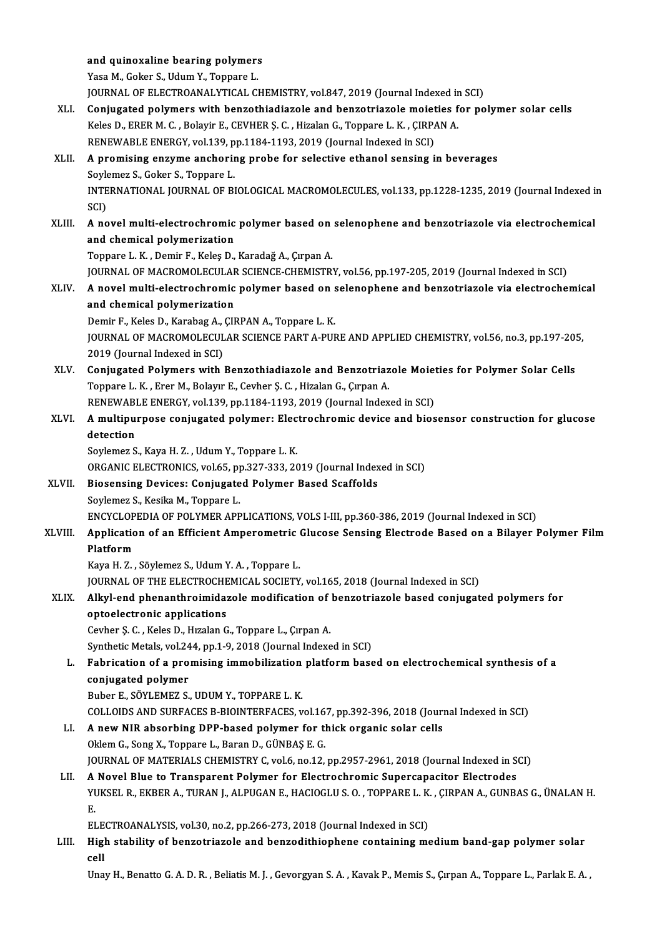|         | and quinoxaline bearing polymers                                                                                                                                                                  |
|---------|---------------------------------------------------------------------------------------------------------------------------------------------------------------------------------------------------|
|         | Yasa M., Goker S., Udum Y., Toppare L.                                                                                                                                                            |
|         | JOURNAL OF ELECTROANALYTICAL CHEMISTRY, vol.847, 2019 (Journal Indexed in SCI)                                                                                                                    |
| XLI.    | Conjugated polymers with benzothiadiazole and benzotriazole moieties for polymer solar cells                                                                                                      |
|         | Keles D., ERER M. C., Bolayir E., CEVHER Ş. C., Hizalan G., Toppare L. K., ÇIRPAN A.                                                                                                              |
|         | RENEWABLE ENERGY, vol.139, pp.1184-1193, 2019 (Journal Indexed in SCI)                                                                                                                            |
| XLII.   | A promising enzyme anchoring probe for selective ethanol sensing in beverages                                                                                                                     |
|         | Soylemez S., Goker S., Toppare L.                                                                                                                                                                 |
|         | INTERNATIONAL JOURNAL OF BIOLOGICAL MACROMOLECULES, vol.133, pp.1228-1235, 2019 (Journal Indexed in                                                                                               |
|         | SCI)                                                                                                                                                                                              |
| XLIII.  | A novel multi-electrochromic polymer based on selenophene and benzotriazole via electrochemical                                                                                                   |
|         | and chemical polymerization                                                                                                                                                                       |
|         | Toppare L. K., Demir F., Keleş D., Karadağ A., Çırpan A.                                                                                                                                          |
|         | JOURNAL OF MACROMOLECULAR SCIENCE-CHEMISTRY, vol.56, pp.197-205, 2019 (Journal Indexed in SCI)                                                                                                    |
| XLIV.   | A novel multi-electrochromic polymer based on selenophene and benzotriazole via electrochemical                                                                                                   |
|         | and chemical polymerization                                                                                                                                                                       |
|         | Demir F., Keles D., Karabag A., ÇIRPAN A., Toppare L. K.                                                                                                                                          |
|         | JOURNAL OF MACROMOLECULAR SCIENCE PART A-PURE AND APPLIED CHEMISTRY, vol.56, no.3, pp.197-205,                                                                                                    |
|         | 2019 (Journal Indexed in SCI)                                                                                                                                                                     |
| XLV.    | Conjugated Polymers with Benzothiadiazole and Benzotriazole Moieties for Polymer Solar Cells                                                                                                      |
|         | Toppare L. K., Erer M., Bolayır E., Cevher Ş. C., Hizalan G., Çırpan A.                                                                                                                           |
|         | RENEWABLE ENERGY, vol.139, pp.1184-1193, 2019 (Journal Indexed in SCI)                                                                                                                            |
| XLVI.   | A multipurpose conjugated polymer: Electrochromic device and biosensor construction for glucose                                                                                                   |
|         | detection                                                                                                                                                                                         |
|         | Soylemez S., Kaya H. Z., Udum Y., Toppare L. K.                                                                                                                                                   |
|         | ORGANIC ELECTRONICS, vol.65, pp.327-333, 2019 (Journal Indexed in SCI)                                                                                                                            |
| XLVII.  | <b>Biosensing Devices: Conjugated Polymer Based Scaffolds</b>                                                                                                                                     |
|         | Soylemez S., Kesika M., Toppare L.                                                                                                                                                                |
| XLVIII. | ENCYCLOPEDIA OF POLYMER APPLICATIONS, VOLS I-III, pp.360-386, 2019 (Journal Indexed in SCI)<br>Application of an Efficient Amperometric Glucose Sensing Electrode Based on a Bilayer Polymer Film |
|         | Platform                                                                                                                                                                                          |
|         | Kaya H. Z., Söylemez S., Udum Y. A., Toppare L.                                                                                                                                                   |
|         | JOURNAL OF THE ELECTROCHEMICAL SOCIETY, vol.165, 2018 (Journal Indexed in SCI)                                                                                                                    |
| XLIX.   | Alkyl-end phenanthroimidazole modification of benzotriazole based conjugated polymers for                                                                                                         |
|         | optoelectronic applications                                                                                                                                                                       |
|         | Cevher Ş. C., Keles D., Hızalan G., Toppare L., Çırpan A.                                                                                                                                         |
|         | Synthetic Metals, vol.244, pp.1-9, 2018 (Journal Indexed in SCI)                                                                                                                                  |
| L.      | Fabrication of a promising immobilization platform based on electrochemical synthesis of a                                                                                                        |
|         | conjugated polymer                                                                                                                                                                                |
|         | Buber E., SÖYLEMEZ S., UDUM Y., TOPPARE L. K.                                                                                                                                                     |
|         | COLLOIDS AND SURFACES B-BIOINTERFACES, vol.167, pp.392-396, 2018 (Journal Indexed in SCI)                                                                                                         |
| LI.     | A new NIR absorbing DPP-based polymer for thick organic solar cells                                                                                                                               |
|         | Oklem G., Song X., Toppare L., Baran D., GÜNBAŞ E. G.                                                                                                                                             |
|         | JOURNAL OF MATERIALS CHEMISTRY C, vol.6, no.12, pp.2957-2961, 2018 (Journal Indexed in SCI)                                                                                                       |
| LII.    | A Novel Blue to Transparent Polymer for Electrochromic Supercapacitor Electrodes                                                                                                                  |
|         | YUKSEL R., EKBER A., TURAN J., ALPUGAN E., HACIOGLU S. O., TOPPARE L. K., ÇIRPAN A., GUNBAS G., ÜNALAN H.                                                                                         |
|         | Ε.                                                                                                                                                                                                |
|         | ELECTROANALYSIS, vol.30, no.2, pp.266-273, 2018 (Journal Indexed in SCI)                                                                                                                          |
| LIII.   | High stability of benzotriazole and benzodithiophene containing medium band-gap polymer solar                                                                                                     |
|         | cell                                                                                                                                                                                              |
|         | Unay H., Benatto G. A. D. R., Beliatis M. J., Gevorgyan S. A., Kavak P., Memis S., Çırpan A., Toppare L., Parlak E. A.,                                                                           |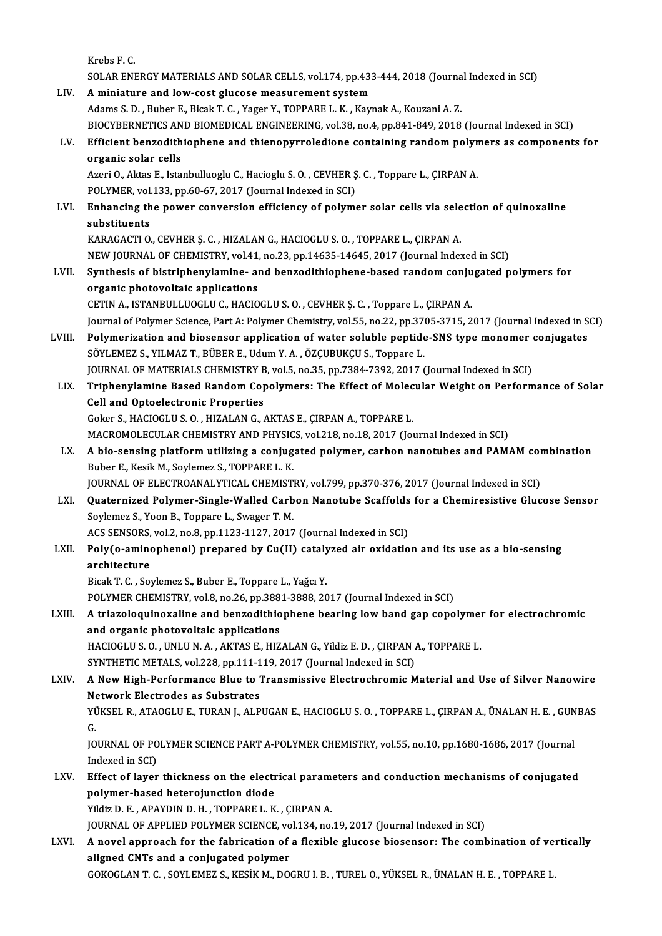Krebs F.C. Krebs F. C.<br>SOLAR ENERGY MATERIALS AND SOLAR CELLS, vol.174, pp.433-444, 2018 (Journal Indexed in SCI)<br>A ministure and low seet clusess measurement system LIV. A miniature and low-cost glucose measurement system<br>Adams S. D., Buber E., Bicak T. C., Yager Y., TOPPARE L. K., Kaynak A., Kouzani A. Z. SOLAR ENERGY MATERIALS AND SOLAR CELLS, vol.174, pp.433-444, 2018 (Journa<br>A miniature and low-cost glucose measurement system<br>Adams S. D. , Buber E., Bicak T. C. , Yager Y., TOPPARE L. K. , Kaynak A., Kouzani A. Z.<br>BIOCYPE A miniature and low-cost glucose measurement system<br>Adams S. D. , Buber E., Bicak T. C. , Yager Y., TOPPARE L. K. , Kaynak A., Kouzani A. Z.<br>BIOCYBERNETICS AND BIOMEDICAL ENGINEERING, vol.38, no.4, pp.841-849, 2018 (Journa Adams S. D. , Buber E., Bicak T. C. , Yager Y., TOPPARE L. K. , Kaynak A., Kouzani A. Z.<br>BIOCYBERNETICS AND BIOMEDICAL ENGINEERING, vol.38, no.4, pp.841-849, 2018 (Journal Indexed in SCI)<br>LV. Efficient benzodithiophene BIOCYBERNETICS AN<br>Efficient benzodith<br>organic solar cells<br>Azeri O. Aktes E. Ista Efficient benzodithiophene and thienopyrroledione containing random polyn<br>organic solar cells<br>Azeri O., Aktas E., Istanbulluoglu C., Hacioglu S. O. , CEVHER Ş. C. , Toppare L., ÇIRPAN A.<br>POLYMER vol 122, pp.60.67, 2017 (Jo organic solar cells<br>Azeri O., Aktas E., Istanbulluoglu C., Hacioglu S. O. , CEVHER Ş. C. , Toppare L., ÇIRPAN A.<br>POLYMER, vol.133, pp.60-67, 2017 (Journal Indexed in SCI) Azeri O., Aktas E., Istanbulluoglu C., Hacioglu S. O. , CEVHER Ş. C. , Toppare L., ÇIRPAN A.<br>POLYMER, vol.133, pp.60-67, 2017 (Journal Indexed in SCI)<br>LVI. Enhancing the power conversion efficiency of polymer solar cells v POLYMER, vol.<br>Enhancing th<br>substituents<br>KARACACTIO Enhancing the power conversion efficiency of polymer solar cells via sele<br>substituents<br>KARAGACTI O., CEVHER Ș. C. , HIZALAN G., HACIOGLU S. O. , TOPPARE L., ÇIRPAN A.<br>NEW JOUPMAL OE CHEMISTRY vol.41, no.22, np.14625-14645substituents<br>KARAGACTI O., CEVHER Ş. C. , HIZALAN G., HACIOGLU S. O. , TOPPARE L., ÇIRPAN A.<br>NEW JOURNAL OF CHEMISTRY, vol.41, no.23, pp.14635-14645, 2017 (Journal Indexed in SCI) KARAGACTI 0., CEVHER Ş. C. , HIZALAN G., HACIOGLU S. O. , TOPPARE L., ÇIRPAN A.<br>NEW JOURNAL OF CHEMISTRY, vol.41, no.23, pp.14635-14645, 2017 (Journal Indexed in SCI)<br>LVII. Synthesis of bistriphenylamine- and benzodithioph NEW JOURNAL OF CHEMISTRY, vol.41,<br>Synthesis of bistriphenylamine- applications<br>organic photovoltaic applications Synthesis of bistriphenylamine- and benzodithiophene-based random conju<br>organic photovoltaic applications<br>CETIN A., ISTANBULLUOGLU C., HACIOGLU S. O. , CEVHER Ş. C. , Toppare L., ÇIRPAN A.<br>Journal of Polymon Scionce, Port organic photovoltaic applications<br>CETIN A., ISTANBULLUOGLU C., HACIOGLU S. O. , CEVHER Ş. C. , Toppare L., ÇIRPAN A.<br>Journal of Polymer Science, Part A: Polymer Chemistry, vol.55, no.22, pp.3705-3715, 2017 (Journal Indexed CETIN A., ISTANBULLUOGLU C., HACIOGLU S. O. , CEVHER Ş. C. , Toppare L., ÇIRPAN A.<br>Journal of Polymer Science, Part A: Polymer Chemistry, vol.55, no.22, pp.3705-3715, 2017 (Journal Indexed in S<br>LVIII. Polymerization and bi Journal of Polymer Science, Part A: Polymer Chemistry, vol.55, no.22, pp.37<br>Polymerization and biosensor application of water soluble peptide<br>SÖYLEMEZ S., YILMAZ T., BÜBER E., Udum Y. A. , ÖZÇUBUKÇU S., Toppare L.<br>JOUPMAL Polymerization and biosensor application of water soluble peptide-SNS type monomer<br>SÖYLEMEZ S., YILMAZ T., BÜBER E., Udum Y. A. , ÖZÇUBUKÇU S., Toppare L.<br>JOURNAL OF MATERIALS CHEMISTRY B, vol.5, no.35, pp.7384-7392, 2017 SÖYLEMEZ S., YILMAZ T., BÜBER E., Udum Y. A. , ÖZÇUBUKÇU S., Toppare L.<br>JOURNAL OF MATERIALS CHEMISTRY B, vol.5, no.35, pp.7384-7392, 2017 (Journal Indexed in SCI)<br>LIX. Triphenylamine Based Random Copolymers: The Effec JOURNAL OF MATERIALS CHEMISTRY B, vol.5, no.35, pp.7384-7392, 2017 (Journal Indexed in SCI) Goker S.,HACIOGLUS.O. ,HIZALANG.,AKTASE.,ÇIRPANA.,TOPPAREL. Cell and Optoelectronic Properties<br>Goker S., HACIOGLU S. O. , HIZALAN G., AKTAS E., ÇIRPAN A., TOPPARE L.<br>MACROMOLECULAR CHEMISTRY AND PHYSICS, vol.218, no.18, 2017 (Journal Indexed in SCI)<br>A bio sonsing platform utilizing Goker S., HACIOGLU S. O. , HIZALAN G., AKTAS E., ÇIRPAN A., TOPPARE L.<br>MACROMOLECULAR CHEMISTRY AND PHYSICS, vol.218, no.18, 2017 (Journal Indexed in SCI)<br>LX. A bio-sensing platform utilizing a conjugated polymer, carbon n MACROMOLECULAR CHEMISTRY AND PHYSIC<br>A bio-sensing platform utilizing a conjug<br>Buber E., Kesik M., Soylemez S., TOPPARE L. K.<br>JOUPMAL OF ELECTROANALYTICAL CHEMIST A bio-sensing platform utilizing a conjugated polymer, carbon nanotubes and PAMAM con<br>Buber E., Kesik M., Soylemez S., TOPPARE L. K.<br>JOURNAL OF ELECTROANALYTICAL CHEMISTRY, vol.799, pp.370-376, 2017 (Journal Indexed in SCI Buber E., Kesik M., Soylemez S., TOPPARE L. K.<br>JOURNAL OF ELECTROANALYTICAL CHEMISTRY, vol.799, pp.370-376, 2017 (Journal Indexed in SCI)<br>LXI. Quaternized Polymer-Single-Walled Carbon Nanotube Scaffolds for a Chemiresistiv JOURNAL OF ELECTROANALYTICAL CHEMISTRY, vol.799, pp.370-376, 2017 (Journal Indexed in SCI)<br>Quaternized Polymer-Single-Walled Carbon Nanotube Scaffolds for a Chemiresistive Gluc<br>Soylemez S., Yoon B., Toppare L., Swager T. M Quaternized Polymer-Single-Walled Carbon Nanotube Scaffolds<br>Soylemez S., Yoon B., Toppare L., Swager T. M.<br>ACS SENSORS, vol.2, no.8, pp.1123-1127, 2017 (Journal Indexed in SCI)<br>Poly(e eminenhanel), prenaned by Cy(II) estel Soylemez S., Yoon B., Toppare L., Swager T. M.<br>ACS SENSORS, vol.2, no.8, pp.1123-1127, 2017 (Journal Indexed in SCI)<br>LXII. Poly(o-aminophenol) prepared by Cu(II) catalyzed air oxidation and its use as a bio-sensing<br>archite ACS SENSORS, vol.2, no.8, pp.1123-1127, 2017 (Journal Indexed in SCI)<br>Poly(o-aminophenol) prepared by Cu(II) catalyzed air oxidatio<br>architecture<br>Bicak T. C., Soylemez S., Buber E., Toppare L., Yağcı Y. Poly(o-aminophenol) prepared by Cu(II) cataly<br>architecture<br>Bicak T. C. , Soylemez S., Buber E., Toppare L., Yağcı Y.<br>POLYMER CHEMISTRY val 9 no 26 nn 2991 2999 20 architecture<br>Bicak T. C. , Soylemez S., Buber E., Toppare L., Yağcı Y.<br>POLYMER CHEMISTRY, vol.8, no.26, pp.3881-3888, 2017 (Journal Indexed in SCI)<br>A triarelesuinexeline and benredithienhene beering Jew band gen sene Bicak T. C. , Soylemez S., Buber E., Toppare L., Yağcı Y.<br>POLYMER CHEMISTRY, vol.8, no.26, pp.3881-3888, 2017 (Journal Indexed in SCI)<br>LXIII. A triazoloquinoxaline and benzodithiophene bearing low band gap copolymer for el POLYMER CHEMISTRY, vol.8, no.26, pp.388<br>A triazoloquinoxaline and benzodithio<br>and organic photovoltaic applications<br>HACIOCLUS O, UNUUNA A AKTAS E HIZ A triazoloquinoxaline and benzodithiophene bearing low band gap copolymer<br>and organic photovoltaic applications<br>HACIOGLU S. O. , UNLU N. A. , AKTAS E., HIZALAN G., Yildiz E. D. , ÇIRPAN A., TOPPARE L.<br>SYNTHETIC METALS .vel and organic photovoltaic applications<br>HACIOGLU S. O. , UNLU N. A. , AKTAS E., HIZALAN G., Yildiz E. D. , ÇIRPAN A<br>SYNTHETIC METALS, vol.228, pp.111-119, 2017 (Journal Indexed in SCI)<br>A Now High Performance Plue to Transmis HACIOGLU S. O. , UNLU N. A. , AKTAS E., HIZALAN G., Yildiz E. D. , ÇIRPAN A., TOPPARE L.<br>SYNTHETIC METALS, vol.228, pp.111-119, 2017 (Journal Indexed in SCI)<br>LXIV. A New High-Performance Blue to Transmissive Electrochr SYNTHETIC METALS, vol.228, pp.111-1<br>A New High-Performance Blue to 1<br>Network Electrodes as Substrates<br>VÜKSEL P ATAQCLUE TUPANL ALB A New High-Performance Blue to Transmissive Electrochromic Material and Use of Silver Nanowire<br>Network Electrodes as Substrates<br>YÜKSEL R., ATAOGLU E., TURAN J., ALPUGAN E., HACIOGLU S. O. , TOPPARE L., ÇIRPAN A., ÜNALAN H. Ne<br>YÜ<br>G. YÜKSEL R., ATAOGLU E., TURAN J., ALPUGAN E., HACIOGLU S. O. , TOPPARE L., ÇIRPAN A., ÜNALAN H. E. , GUN<br>G.<br>JOURNAL OF POLYMER SCIENCE PART A-POLYMER CHEMISTRY, vol.55, no.10, pp.1680-1686, 2017 (Journal<br>Indoved in SCL) G.<br>JOURNAL OF POLYMER SCIENCE PART A-POLYMER CHEMISTRY, vol.55, no.10, pp.1680-1686, 2017 (Journal<br>Indexed in SCI) JOURNAL OF POLYMER SCIENCE PART A-POLYMER CHEMISTRY, vol.55, no.10, pp.1680-1686, 2017 (Journal<br>Indexed in SCI)<br>LXV. Effect of layer thickness on the electrical parameters and conduction mechanisms of conjugated<br>nolumer ba Indexed in SCI)<br>Effect of layer thickness on the electr<br>polymer-based heterojunction diode<br>Vildie D. E. ARAYDIN D. H. TOPRARE L. K polymer-based heterojunction diode<br>Yildiz D. E. , APAYDIN D. H. , TOPPARE L. K. , ÇIRPAN A. JOURNAL OF APPLIED POLYMER SCIENCE, vol.134, no.19, 2017 (Journal Indexed in SCI) LXVI. A novel approach for the fabrication of a flexible glucose biosensor: The combination of vertically aligned CNTs and a conjugated polymer GOKOGLANT.C. ,SOYLEMEZ S.,KESİKM.,DOGRUI.B. ,TURELO.,YÜKSELR.,ÜNALANH.E. ,TOPPAREL.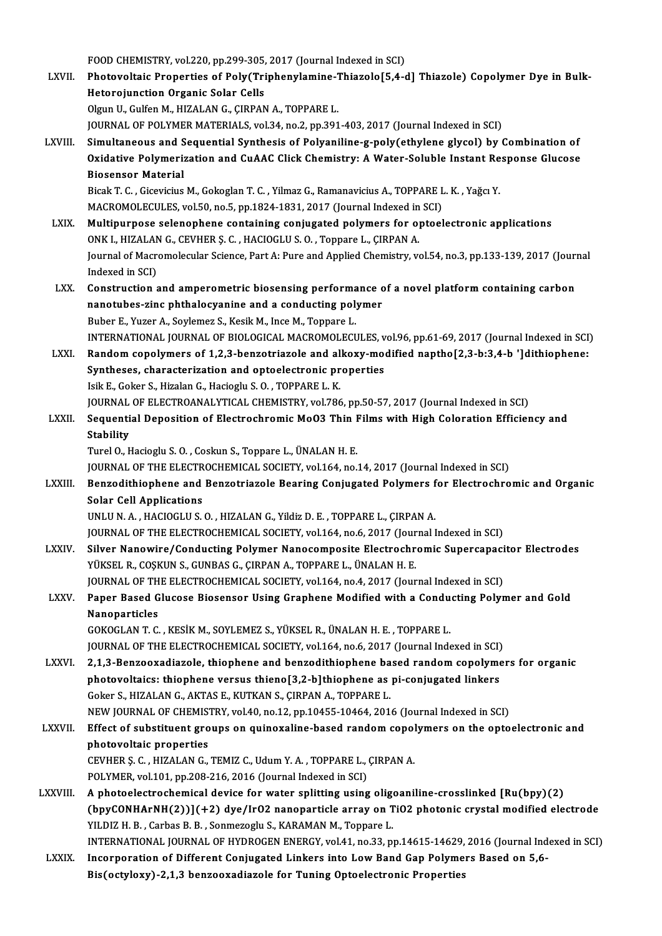FOOD CHEMISTRY, vol.220, pp.299-305, 2017 (Journal Indexed in SCI)

FOOD CHEMISTRY, vol.220, pp.299-305, 2017 (Journal Indexed in SCI)<br>LXVII. Photovoltaic Properties of Poly(Triphenylamine-Thiazolo[5,4-d] Thiazole) Copolymer Dye in Bulk-FOOD CHEMISTRY, vol.220, pp.299-305,<br>Photovoltaic Properties of Poly(Tri<br>Hetorojunction Organic Solar Cells<br>Olayn II, Gylfon M, HIZALAN G, GIRBAN Photovoltaic Properties of Poly(Triphenylamine-7<br>Hetorojunction Organic Solar Cells<br>Olgun U., Gulfen M., HIZALAN G., ÇIRPAN A., TOPPARE L.<br>JOUPMAL OF POLYMER MATERIALS .vol 34, no 3, nn 301 Hetorojunction Organic Solar Cells<br>Olgun U., Gulfen M., HIZALAN G., ÇIRPAN A., TOPPARE L.<br>JOURNAL OF POLYMER MATERIALS, vol.34, no.2, pp.391-403, 2017 (Journal Indexed in SCI) LXVIII. Simultaneous and Sequential Synthesis of Polyaniline-g-poly(ethylene glycol) by Combination of JOURNAL OF POLYMER MATERIALS, vol.34, no.2, pp.391-403, 2017 (Journal Indexed in SCI)<br>Simultaneous and Sequential Synthesis of Polyaniline-g-poly(ethylene glycol) by Combination of<br>Oxidative Polymerization and CuAAC Click Simultaneous and S<br>Oxidative Polymeria<br>Biosensor Material<br><sup>Biook T.C.</sup> Ciequisius Oxidative Polymerization and CuAAC Click Chemistry: A Water-Soluble Instant Re<br>Biosensor Material<br>Bicak T. C. , Gicevicius M., Gokoglan T. C. , Yilmaz G., Ramanavicius A., TOPPARE L. K. , Yağcı Y.<br>MACROMOLECULES Vel 50 no Biosensor Material<br>Bicak T. C. , Gicevicius M., Gokoglan T. C. , Yilmaz G., Ramanavicius A., TOPPARE L<br>MACROMOLECULES, vol.50, no.5, pp.1824-1831, 2017 (Journal Indexed in SCI)<br>Multinurnese selenenhene sentaining seniugate Bicak T. C. , Gicevicius M., Gokoglan T. C. , Yilmaz G., Ramanavicius A., TOPPARE L. K. , Yağcı Y.<br>MACROMOLECULES, vol.50, no.5, pp.1824-1831, 2017 (Journal Indexed in SCI)<br>LXIX. Multipurpose selenophene containing conjuga MACROMOLECULES, vol.50, no.5, pp.1824-1831, 2017 (Journal Indexed in<br>Multipurpose selenophene containing conjugated polymers for op<br>ONK I., HIZALAN G., CEVHER S. C. , HACIOGLU S. O. , Toppare L., ÇIRPAN A.<br>Journal of Magro Multipurpose selenophene containing conjugated polymers for optoelectronic applications<br>ONK I., HIZALAN G., CEVHER Ş. C. , HACIOGLU S. O. , Toppare L., ÇIRPAN A.<br>Journal of Macromolecular Science, Part A: Pure and Applied ONK I., HIZALAN<br>Journal of Macri<br>Indexed in SCI)<br>Construction Journal of Macromolecular Science, Part A: Pure and Applied Chemistry, vol.54, no.3, pp.133-139, 2017 (Journal)<br>Indexed in SCI)<br>LXX. Construction and amperometric biosensing performance of a novel platform containing carbo Indexed in SCI)<br>Construction and amperometric biosensing performance c<br>nanotubes-zinc phthalocyanine and a conducting polymer<br>Puber F. Yugar A. Sovlames S. Kosik M. Inse M. Tannere L Construction and amperometric biosensing performa<br>nanotubes-zinc phthalocyanine and a conducting pol<br>Buber E., Yuzer A., Soylemez S., Kesik M., Ince M., Toppare L.<br>INTERNATIONAL JOURNAL OF PIOLOCICAL MACROMOLECI nanotubes-zinc phthalocyanine and a conducting polymer<br>Buber E., Yuzer A., Soylemez S., Kesik M., Ince M., Toppare L.<br>INTERNATIONAL JOURNAL OF BIOLOGICAL MACROMOLECULES, vol.96, pp.61-69, 2017 (Journal Indexed in SCI) Buber E., Yuzer A., Soylemez S., Kesik M., Ince M., Toppare L.<br>INTERNATIONAL JOURNAL OF BIOLOGICAL MACROMOLECULES, vol.96, pp.61-69, 2017 (Journal Indexed in SCI)<br>LXXI. Random copolymers of 1,2,3-benzotriazole and alkoxy-m INTERNATIONAL JOURNAL OF BIOLOGICAL MACROMOLECULES, v<br>Random copolymers of 1,2,3-benzotriazole and alkoxy-mo<br>Syntheses, characterization and optoelectronic properties<br>Jail E. Colson S. Hiselan C. Hasiasly S.O., TOPPAPE L. Random copolymers of 1,2,3-benzotriazole and al<br>Syntheses, characterization and optoelectronic pr<br>Isik E., Goker S., Hizalan G., Hacioglu S. O. , TOPPARE L. K.<br>JOUPMAL OF ELECTROANALYTICAL CHEMISTRY vol.796 Syntheses, characterization and optoelectronic properties<br>Isik E., Goker S., Hizalan G., Hacioglu S. O. , TOPPARE L. K.<br>JOURNAL OF ELECTROANALYTICAL CHEMISTRY, vol.786, pp.50-57, 2017 (Journal Indexed in SCI) Isik E., Goker S., Hizalan G., Hacioglu S. O. , TOPPARE L. K.<br>JOURNAL OF ELECTROANALYTICAL CHEMISTRY, vol.786, pp.50-57, 2017 (Journal Indexed in SCI)<br>LXXII. Sequential Deposition of Electrochromic MoO3 Thin Films with JOURNAL<br>Sequenti<br>Stability<br>Turel O. L Sequential Deposition of Electrochromic Mo03 Thin I<br>Stability<br>Turel O., Hacioglu S. O. , Coskun S., Toppare L., ÜNALAN H. E.<br>JOUPNAL OF TUE ELECTROCHEMICAL SOCIETY vel 164 no. Stability<br>Turel O., Hacioglu S. O. , Coskun S., Toppare L., ÜNALAN H. E.<br>JOURNAL OF THE ELECTROCHEMICAL SOCIETY, vol.164, no.14, 2017 (Journal Indexed in SCI) Turel O., Hacioglu S. O. , Coskun S., Toppare L., ÜNALAN H. E.<br>JOURNAL OF THE ELECTROCHEMICAL SOCIETY, vol.164, no.14, 2017 (Journal Indexed in SCI)<br>LXXIII. Benzodithiophene and Benzotriazole Bearing Conjugated Polymers fo **JOURNAL OF THE ELECTR<br>Benzodithiophene and<br>Solar Cell Applications**<br>UNU U.N. A. HACIOCLUS Benzodithiophene and Benzotriazole Bearing Conjugated Polymers f<br>Solar Cell Applications<br>UNLU N.A., HACIOGLU S.O., HIZALAN G., Yildiz D.E., TOPPARE L., ÇIRPAN A.<br>JOUPMAL OF THE ELECTROCHEMICAL SOCIETY vol 164 no 6,2017 (Jo Solar Cell Applications<br>UNLU N. A. , HACIOGLU S. O. , HIZALAN G., Yildiz D. E. , TOPPARE L., ÇIRPAN A.<br>JOURNAL OF THE ELECTROCHEMICAL SOCIETY, vol.164, no.6, 2017 (Journal Indexed in SCI) LXXIV. Silver Nanowire/Conducting Polymer Nanocomposite Electrochromic Supercapacitor Electrodes YÜKSEL R., COŞKUN S., GUNBAS G., ÇIRPAN A., TOPPARE L., ÜNALAN H. E. Silver Nanowire/Conducting Polymer Nanocomposite Electrochromic Supercapaci<br>YÜKSEL R., COŞKUN S., GUNBAS G., ÇIRPAN A., TOPPARE L., ÜNALAN H. E.<br>JOURNAL OF THE ELECTROCHEMICAL SOCIETY, vol.164, no.4, 2017 (Journal Indexed YÜKSEL R., COŞKUN S., GUNBAS G., ÇIRPAN A., TOPPARE L., ÜNALAN H. E.<br>JOURNAL OF THE ELECTROCHEMICAL SOCIETY, vol.164, no.4, 2017 (Journal Indexed in SCI)<br>LXXV. Paper Based Glucose Biosensor Using Graphene Modified with **JOURNAL OF TH<br>Paper Based G<br>Nanoparticles**<br>COVOCLAN T.C Paper Based Glucose Biosensor Using Graphene Modified with a Condu<br>Nanoparticles<br>GOKOGLAN T. C. , KESİK M., SOYLEMEZ S., YÜKSEL R., ÜNALAN H. E. , TOPPARE L.<br>JOUPNAL OF THE ELECTROCHEMICAL SOCIETY, vol.164 no.6, 2017 (Jour Nanoparticles<br>GOKOGLAN T. C. , KESİK M., SOYLEMEZ S., YÜKSEL R., ÜNALAN H. E. , TOPPARE L.<br>JOURNAL OF THE ELECTROCHEMICAL SOCIETY, vol.164, no.6, 2017 (Journal Indexed in SCI) GOKOGLAN T. C. , KESIK M., SOYLEMEZ S., YÜKSEL R., ÜNALAN H. E. , TOPPARE L.<br>JOURNAL OF THE ELECTROCHEMICAL SOCIETY, vol.164, no.6, 2017 (Journal Indexed in SCI)<br>LXXVI. 2,1,3-Benzooxadiazole, thiophene and benzodithiophene JOURNAL OF THE ELECTROCHEMICAL SOCIETY, vol.164, no.6, 2017 (Journal Indexed in SCI)<br>2,1,3-Benzooxadiazole, thiophene and benzodithiophene based random copolyme<br>photovoltaics: thiophene versus thieno[3,2-b]thiophene as pi-2,1,3-Benzooxadiazole, thiophene and benzodithiophene ba<br>photovoltaics: thiophene versus thieno[3,2-b]thiophene as<br>Goker S., HIZALAN G., AKTAS E., KUTKAN S., ÇIRPAN A., TOPPARE L.<br>NEW JOUPMAL OF CHEMISTPY vol.40, po.12, pp photovoltaics: thiophene versus thieno[3,2-b]thiophene as pi-conjugated linkers<br>Goker S., HIZALAN G., AKTAS E., KUTKAN S., ÇIRPAN A., TOPPARE L.<br>NEW JOURNAL OF CHEMISTRY, vol.40, no.12, pp.10455-10464, 2016 (Journal Indexe Goker S., HIZALAN G., AKTAS E., KUTKAN S., ÇIRPAN A., TOPPARE L.<br>NEW JOURNAL OF CHEMISTRY, vol.40, no.12, pp.10455-10464, 2016 (Journal Indexed in SCI)<br>LXXVII. Effect of substituent groups on quinoxaline-based random copol NEW JOURNAL OF CHEMIST<br>Effect of substituent gro<br>photovoltaic properties<br>CEVUED S. C. UIZALAN C Effect of substituent groups on quinoxaline-based random copol<br>photovoltaic properties<br>CEVHER Ş.C., HIZALAN G., TEMIZ C., Udum Y. A., TOPPARE L., ÇIRPAN A.<br>POLYMER vel 101 np 208 216 2016 (Jaurnal Indeved in SCD photovoltaic properties<br>CEVHER Ş. C. , HIZALAN G., TEMIZ C., Udum Y. A. , TOPPARE L., ÇIRPAN A.<br>POLYMER, vol.101, pp.208-216, 2016 (Journal Indexed in SCI) LXXVIII. A photoelectrochemical device for water splitting using oligoaniline-crosslinked [Ru(bpy)(2)  $(bpyCOMHArnH(2))$  $(+2)$  dye/IrO2 nanoparticle array on TiO2 photonic crystal modified electrode YILDIZ H. B., Carbas B. B., Sonmezoglu S., KARAMAN M., Toppare L. INTERNATIONAL JOURNALOFHYDROGENENERGY,vol.41,no.33,pp.14615-14629,2016 (Journal Indexed inSCI) LXXIX. Incorporation of Different Conjugated Linkers into Low Band Gap Polymers Based on 5,6-Bis(octyloxy)-2,1,3 benzooxadiazole for Tuning Optoelectronic Properties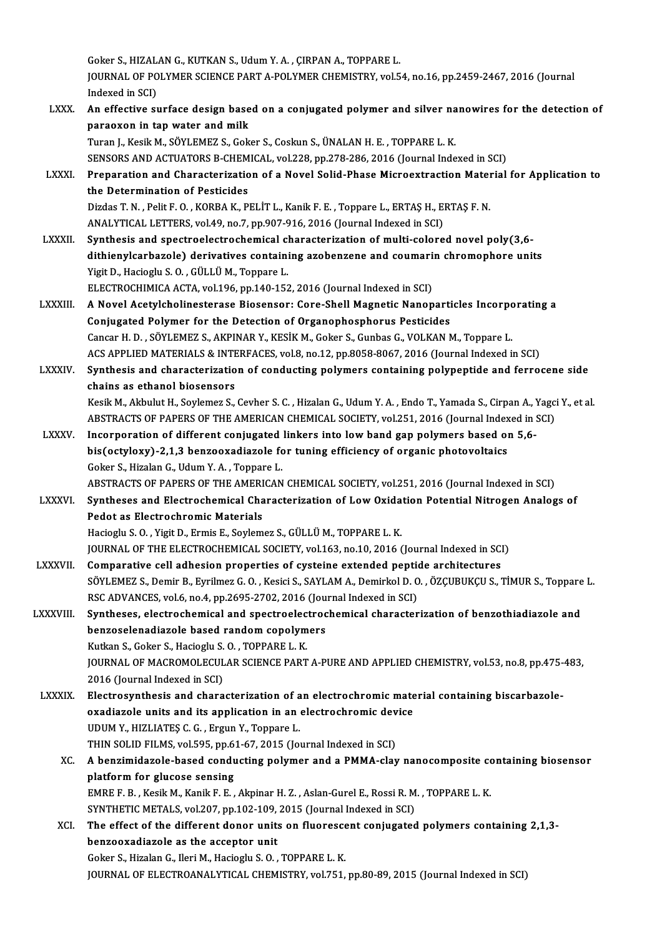Goker S., HIZALAN G., KUTKAN S., Udum Y. A. , ÇIRPAN A., TOPPARE L.<br>JOUPMAL OF POLYMER SCIENCE PART A POLYMER CHEMISTRY vol£ Goker S., HIZALAN G., KUTKAN S., Udum Y. A. , ÇIRPAN A., TOPPARE L.<br>JOURNAL OF POLYMER SCIENCE PART A-POLYMER CHEMISTRY, vol.54, no.16, pp.2459-2467, 2016 (Journal Goker S., HIZAL<br>JOURNAL OF PO<br>Indexed in SCI)<br>An offective av JOURNAL OF POLYMER SCIENCE PART A-POLYMER CHEMISTRY, vol.54, no.16, pp.2459-2467, 2016 (Journal<br>Indexed in SCI)<br>LXXX. An effective surface design based on a conjugated polymer and silver nanowires for the detection of

|                | Indexed in SCI)                                                                                                               |
|----------------|-------------------------------------------------------------------------------------------------------------------------------|
| <b>LXXX</b>    | An effective surface design based on a conjugated polymer and silver nanowires for the detection of                           |
|                | paraoxon in tap water and milk                                                                                                |
|                | Turan J., Kesik M., SÖYLEMEZ S., Goker S., Coskun S., ÜNALAN H. E., TOPPARE L. K.                                             |
|                | SENSORS AND ACTUATORS B-CHEMICAL, vol.228, pp.278-286, 2016 (Journal Indexed in SCI)                                          |
| <b>LXXXI</b>   | Preparation and Characterization of a Novel Solid-Phase Microextraction Material for Application to                           |
|                | the Determination of Pesticides                                                                                               |
|                | Dizdas T. N., Pelit F. O., KORBA K., PELIT L., Kanik F. E., Toppare L., ERTAS H., ERTAS F. N.                                 |
|                | ANALYTICAL LETTERS, vol.49, no.7, pp.907-916, 2016 (Journal Indexed in SCI)                                                   |
| <b>LXXXII</b>  | Synthesis and spectroelectrochemical characterization of multi-colored novel poly(3,6-                                        |
|                | dithienylcarbazole) derivatives containing azobenzene and coumarin chromophore units                                          |
|                | Yigit D., Hacioglu S.O., GÜLLÜ M., Toppare L.                                                                                 |
|                | ELECTROCHIMICA ACTA, vol.196, pp.140-152, 2016 (Journal Indexed in SCI)                                                       |
| LXXXIII.       | A Novel Acetylcholinesterase Biosensor: Core-Shell Magnetic Nanoparticles Incorporating a                                     |
|                | Conjugated Polymer for the Detection of Organophosphorus Pesticides                                                           |
|                | Cancar H. D., SÖYLEMEZ S., AKPINAR Y., KESİK M., Goker S., Gunbas G., VOLKAN M., Toppare L.                                   |
|                | ACS APPLIED MATERIALS & INTERFACES, vol.8, no.12, pp.8058-8067, 2016 (Journal Indexed in SCI)                                 |
| <b>LXXXIV.</b> | Synthesis and characterization of conducting polymers containing polypeptide and ferrocene side                               |
|                | chains as ethanol biosensors                                                                                                  |
|                | Kesik M., Akbulut H., Soylemez S., Cevher S. C., Hizalan G., Udum Y. A., Endo T., Yamada S., Cirpan A., Yagci Y., et al.      |
|                | ABSTRACTS OF PAPERS OF THE AMERICAN CHEMICAL SOCIETY, vol.251, 2016 (Journal Indexed in SCI)                                  |
| <b>LXXXV</b>   | Incorporation of different conjugated linkers into low band gap polymers based on 5,6-                                        |
|                | bis(octyloxy)-2,1,3 benzooxadiazole for tuning efficiency of organic photovoltaics                                            |
|                | Goker S., Hizalan G., Udum Y.A., Toppare L.                                                                                   |
|                | ABSTRACTS OF PAPERS OF THE AMERICAN CHEMICAL SOCIETY, vol.251, 2016 (Journal Indexed in SCI)                                  |
| <b>LXXXVI</b>  | Syntheses and Electrochemical Characterization of Low Oxidation Potential Nitrogen Analogs of                                 |
|                | Pedot as Electrochromic Materials                                                                                             |
|                | Hacioglu S. O., Yigit D., Ermis E., Soylemez S., GÜLLÜ M., TOPPARE L. K.                                                      |
|                | JOURNAL OF THE ELECTROCHEMICAL SOCIETY, vol.163, no.10, 2016 (Journal Indexed in SCI)                                         |
| <b>LXXXVII</b> | Comparative cell adhesion properties of cysteine extended peptide architectures                                               |
|                | SÖYLEMEZ S., Demir B., Eyrilmez G. O., Kesici S., SAYLAM A., Demirkol D. O., ÖZÇUBUKÇU S., TİMUR S., Toppare L                |
|                | RSC ADVANCES, vol.6, no.4, pp.2695-2702, 2016 (Journal Indexed in SCI)                                                        |
| LXXXVIII.      | Syntheses, electrochemical and spectroelectrochemical characterization of benzothiadiazole and                                |
|                | benzoselenadiazole based random copolymers                                                                                    |
|                | Kutkan S., Goker S., Hacioglu S.O., TOPPARE L. K.                                                                             |
|                | JOURNAL OF MACROMOLECULAR SCIENCE PART A-PURE AND APPLIED CHEMISTRY, vol.53, no.8, pp.475-483,                                |
| <b>LXXXIX</b>  | 2016 (Journal Indexed in SCI)<br>Electrosynthesis and characterization of an electrochromic material containing biscarbazole- |
|                | oxadiazole units and its application in an electrochromic device                                                              |
|                | UDUM Y., HIZLIATES C. G., Ergun Y., Toppare L.                                                                                |
|                | THIN SOLID FILMS, vol.595, pp.61-67, 2015 (Journal Indexed in SCI)                                                            |
| XC.            | A benzimidazole-based conducting polymer and a PMMA-clay nanocomposite containing biosensor                                   |
|                | platform for glucose sensing                                                                                                  |
|                | EMRE F. B., Kesik M., Kanik F. E., Akpinar H. Z., Aslan-Gurel E., Rossi R. M., TOPPARE L. K.                                  |
|                | SYNTHETIC METALS, vol.207, pp.102-109, 2015 (Journal Indexed in SCI)                                                          |
| XCI.           | The effect of the different donor units on fluorescent conjugated polymers containing 2,1,3-                                  |
|                | benzooxadiazole as the acceptor unit                                                                                          |
|                | Goker S., Hizalan G., Ileri M., Hacioglu S. O., TOPPARE L. K.                                                                 |
|                | JOURNAL OF ELECTROANALYTICAL CHEMISTRY, vol.751, pp.80-89, 2015 (Journal Indexed in SCI)                                      |
|                |                                                                                                                               |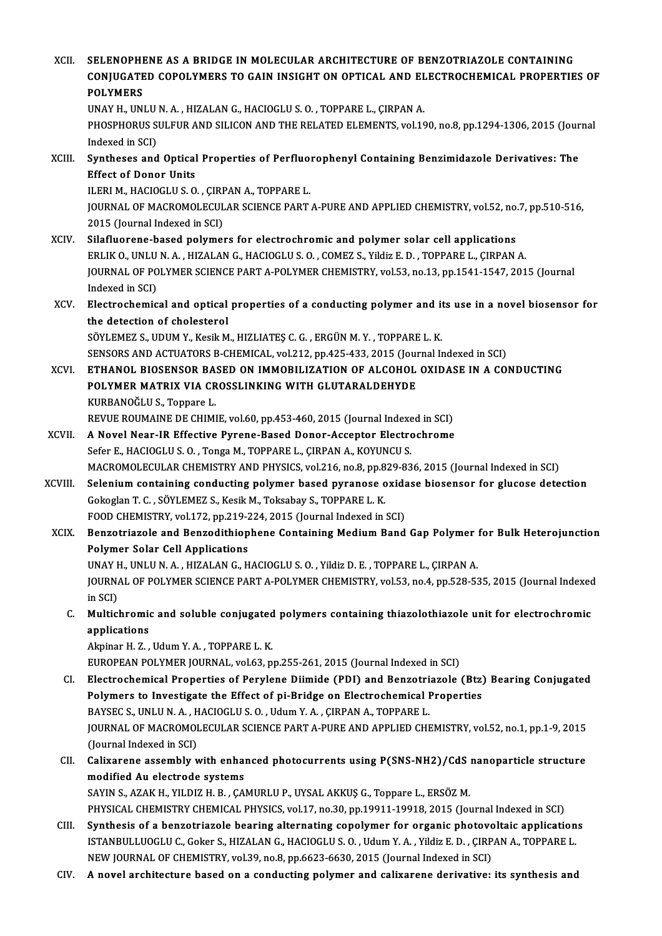| XCII.       | SELENOPHENE AS A BRIDGE IN MOLECULAR ARCHITECTURE OF BENZOTRIAZOLE CONTAINING<br>CONJUGATED COPOLYMERS TO GAIN INSIGHT ON OPTICAL AND ELECTROCHEMICAL PROPERTIES OF<br><b>POLYMERS</b>                       |
|-------------|--------------------------------------------------------------------------------------------------------------------------------------------------------------------------------------------------------------|
|             | UNAY H., UNLU N. A., HIZALAN G., HACIOGLU S. O., TOPPARE L., ÇIRPAN A.                                                                                                                                       |
|             | PHOSPHORUS SULFUR AND SILICON AND THE RELATED ELEMENTS, vol.190, no.8, pp.1294-1306, 2015 (Journal<br>Indexed in SCI)                                                                                        |
| XCIII.      | Syntheses and Optical Properties of Perfluorophenyl Containing Benzimidazole Derivatives: The<br><b>Effect of Donor Units</b>                                                                                |
|             | ILERI M., HACIOGLU S. O., ÇIRPAN A., TOPPARE L.                                                                                                                                                              |
|             | JOURNAL OF MACROMOLECULAR SCIENCE PART A-PURE AND APPLIED CHEMISTRY, vol 52, no.7, pp.510-516,<br>2015 (Journal Indexed in SCI)                                                                              |
| <b>XCIV</b> | Silafluorene-based polymers for electrochromic and polymer solar cell applications                                                                                                                           |
|             | ERLIK O., UNLU N. A., HIZALAN G., HACIOGLU S. O., COMEZ S., Yildiz E. D., TOPPARE L., CIRPAN A.                                                                                                              |
|             | JOURNAL OF POLYMER SCIENCE PART A-POLYMER CHEMISTRY, vol.53, no.13, pp.1541-1547, 2015 (Journal<br>Indexed in SCI)                                                                                           |
| XCV.        | Electrochemical and optical properties of a conducting polymer and its use in a novel biosensor for                                                                                                          |
|             | the detection of cholesterol                                                                                                                                                                                 |
|             | SÖYLEMEZ S., UDUM Y., Kesik M., HIZLIATEŞ C. G., ERGÜN M. Y., TOPPARE L. K.                                                                                                                                  |
| XCVI.       | SENSORS AND ACTUATORS B-CHEMICAL, vol.212, pp.425-433, 2015 (Journal Indexed in SCI)<br>ETHANOL BIOSENSOR BASED ON IMMOBILIZATION OF ALCOHOL OXIDASE IN A CONDUCTING                                         |
|             | POLYMER MATRIX VIA CROSSLINKING WITH GLUTARALDEHYDE                                                                                                                                                          |
|             | KURBANOĞLU S., Toppare L.                                                                                                                                                                                    |
|             | REVUE ROUMAINE DE CHIMIE, vol.60, pp.453-460, 2015 (Journal Indexed in SCI)                                                                                                                                  |
| XCVII.      | A Novel Near-IR Effective Pyrene-Based Donor-Acceptor Electrochrome                                                                                                                                          |
|             | Sefer E., HACIOGLU S. O., Tonga M., TOPPARE L., ÇIRPAN A., KOYUNCU S.                                                                                                                                        |
|             | MACROMOLECULAR CHEMISTRY AND PHYSICS, vol.216, no.8, pp.829-836, 2015 (Journal Indexed in SCI)                                                                                                               |
| XCVIII.     | Selenium containing conducting polymer based pyranose oxidase biosensor for glucose detection<br>Gokoglan T. C., SÖYLEMEZ S., Kesik M., Toksabay S., TOPPARE L. K.                                           |
|             | FOOD CHEMISTRY, vol.172, pp.219-224, 2015 (Journal Indexed in SCI)                                                                                                                                           |
| <b>XCIX</b> | Benzotriazole and Benzodithiophene Containing Medium Band Gap Polymer for Bulk Heterojunction<br><b>Polymer Solar Cell Applications</b>                                                                      |
|             | UNAY H., UNLU N. A., HIZALAN G., HACIOGLU S. O., Yildiz D. E., TOPPARE L., ÇIRPAN A.                                                                                                                         |
|             | JOURNAL OF POLYMER SCIENCE PART A-POLYMER CHEMISTRY, vol.53, no.4, pp.528-535, 2015 (Journal Indexed<br>in SCI)                                                                                              |
| C.          | Multichromic and soluble conjugated polymers containing thiazolothiazole unit for electrochromic<br>applications                                                                                             |
|             | Akpinar H. Z., Udum Y. A., TOPPARE L. K.                                                                                                                                                                     |
|             | EUROPEAN POLYMER JOURNAL, vol.63, pp.255-261, 2015 (Journal Indexed in SCI)                                                                                                                                  |
| CI.         | Electrochemical Properties of Perylene Diimide (PDI) and Benzotriazole (Btz) Bearing Conjugated                                                                                                              |
|             | Polymers to Investigate the Effect of pi-Bridge on Electrochemical Properties                                                                                                                                |
|             | BAYSEC S., UNLU N. A., HACIOGLU S. O., Udum Y. A., ÇIRPAN A., TOPPARE L.                                                                                                                                     |
|             | JOURNAL OF MACROMOLECULAR SCIENCE PART A-PURE AND APPLIED CHEMISTRY, vol.52, no.1, pp.1-9, 2015                                                                                                              |
|             | (Journal Indexed in SCI)                                                                                                                                                                                     |
| CII.        | Calixarene assembly with enhanced photocurrents using P(SNS-NH2)/CdS nanoparticle structure<br>modified Au electrode systems                                                                                 |
|             | SAYIN S., AZAK H., YILDIZ H. B., ÇAMURLU P., UYSAL AKKUŞ G., Toppare L., ERSÖZ M.                                                                                                                            |
|             | PHYSICAL CHEMISTRY CHEMICAL PHYSICS, vol.17, no.30, pp.19911-19918, 2015 (Journal Indexed in SCI)                                                                                                            |
| CIII.       | Synthesis of a benzotriazole bearing alternating copolymer for organic photovoltaic applications<br>ISTANBULLUOGLU C., Goker S., HIZALAN G., HACIOGLU S. O., Udum Y. A., Yildiz E. D., ÇIRPAN A., TOPPARE L. |
|             | NEW JOURNAL OF CHEMISTRY, vol.39, no.8, pp.6623-6630, 2015 (Journal Indexed in SCI)                                                                                                                          |
| CIV.        | A novel architecture based on a conducting polymer and calixarene derivative: its synthesis and                                                                                                              |
|             |                                                                                                                                                                                                              |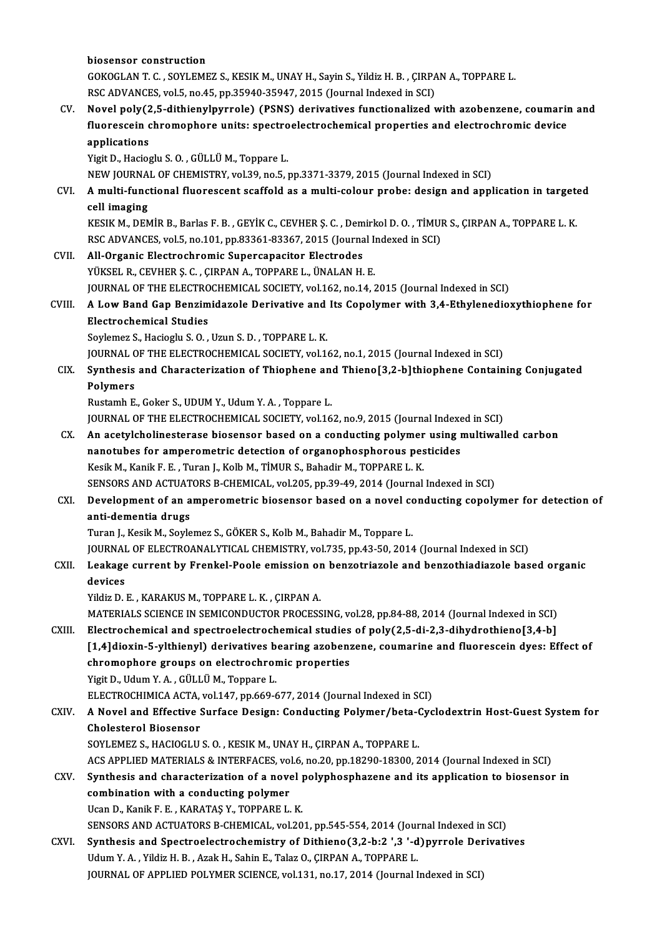biosensor construction biosensor construction<br>GOKOGLAN T. C. , SOYLEMEZ S., KESIK M., UNAY H., Sayin S., Yildiz H. B. , ÇIRPAN A., TOPPARE L.<br>RSC ADVANCES, vol.5, no.45, nn.35949,35947,3945 (Journal Indoved in SCI) biosensor construction<br>GOKOGLAN T. C. , SOYLEMEZ S., KESIK M., UNAY H., Sayin S., Yildiz H. B. , ÇIRPA<br>RSC ADVANCES, vol.5, no.45, pp.35940-35947, 2015 (Journal Indexed in SCI)<br>Novel poly(2 5. dithionylpyyrole) (PSNS) deri GOKOGLAN T. C. , SOYLEMEZ S., KESIK M., UNAY H., Sayin S., Yildiz H. B. , ÇIRPAN A., TOPPARE L.<br>RSC ADVANCES, vol.5, no.45, pp.35940-35947, 2015 (Journal Indexed in SCI)<br>CV. Novel poly(2,5-dithienylpyrrole) (PSNS) derivati RSC ADVANCES, vol.5, no.45, pp.35940-35947, 2015 (Journal Indexed in SCI)<br>Novel poly(2,5-dithienylpyrrole) (PSNS) derivatives functionalized with azobenzene, coumarii<br>fluorescein chromophore units: spectroelectrochemical p Novel poly(2<br>fluorescein c<br>applications<br><sup>Vigit D.</sup> Hasias fluorescein chromophore units: spectroelectrochemical properties and electrochromic device<br>applications<br>Yigit D., Hacioglu S.O. , GÜLLÜ M., Toppare L. NEWJOURNALOF CHEMISTRY,vol.39,no.5,pp.3371-3379,2015 (Journal Indexed inSCI) Yigit D., Hacioglu S. O. , GÜLLÜ M., Toppare L.<br>NEW JOURNAL OF CHEMISTRY, vol.39, no.5, pp.3371-3379, 2015 (Journal Indexed in SCI)<br>CVI. A multi-functional fluorescent scaffold as a multi-colour probe: design and appli NEW JOURNA<br>**A multi-func<br>cell imaging**<br>EESIE M. DEN A multi-functional fluorescent scaffold as a multi-colour probe: design and application in target<br>cell imaging<br>KESIK M., DEMİR B., Barlas F. B. , GEYİK C., CEVHER Ş. C. , Demirkol D. O. , TİMUR S., ÇIRPAN A., TOPPARE L. K. cell imaging<br>KESIK M., DEMİR B., Barlas F. B. , GEYİK C., CEVHER Ş. C. , Demirkol D. O. , TİMUI<br>RSC ADVANCES, vol.5, no.101, pp.83361-83367, 2015 (Journal Indexed in SCI)<br>All Organis Elestrashramis Sunersanasitar Elestrade KESIK M., DEMIR B., Barlas F. B., GEYIK C., CEVHER S. C., Dem<br>RSC ADVANCES, vol.5, no.101, pp.83361-83367, 2015 (Journa<br>CVII. All-Organic Electrochromic Supercapacitor Electrodes<br>VIVEEL B. CEVHER S. G. CIRRAN A. TOPRARE L. RSC ADVANCES, vol.5, no.101, pp.83361-83367, 2015 (Journal Indexed in SCI)<br>All-Organic Electrochromic Supercapacitor Electrodes<br>YÜKSEL R., CEVHER Ş. C. , ÇIRPAN A., TOPPARE L., ÜNALAN H. E. All-Organic Electrochromic Supercapacitor Electrodes<br>YÜKSEL R., CEVHER Ş. C. , ÇIRPAN A., TOPPARE L., ÜNALAN H. E.<br>JOURNAL OF THE ELECTROCHEMICAL SOCIETY, vol.162, no.14, 2015 (Journal Indexed in SCI)<br>A Low Band Can Bongim YÜKSEL R., CEVHER Ş. C. , ÇIRPAN A., TOPPARE L., ÜNALAN H. E.<br>JOURNAL OF THE ELECTROCHEMICAL SOCIETY, vol.162, no.14, 2015 (Journal Indexed in SCI)<br>CVIII. A Low Band Gap Benzimidazole Derivative and Its Copolymer with **JOURNAL OF THE ELECTRO<br>A Low Band Gap Benzim<br>Electrochemical Studies<br>Seulamer S. Hegiagh: S. O** A Low Band Gap Benzimidazole Derivative and<br>Electrochemical Studies<br>Soylemez S., Hacioglu S. O. , Uzun S. D. , TOPPARE L. K.<br>JOUPMAL OF THE ELECTROCHEMICAL SOCIETY, vol.1. Electrochemical Studies<br>Soylemez S., Hacioglu S. O. , Uzun S. D. , TOPPARE L. K.<br>JOURNAL OF THE ELECTROCHEMICAL SOCIETY, vol.162, no.1, 2015 (Journal Indexed in SCI) Soylemez S., Hacioglu S. O. , Uzun S. D. , TOPPARE L. K.<br>JOURNAL OF THE ELECTROCHEMICAL SOCIETY, vol.162, no.1, 2015 (Journal Indexed in SCI)<br>CIX. Synthesis and Characterization of Thiophene and Thieno[3,2-b]thiophene JOURNAL<br>Synthesis<br>Polymers<br><sup>Pustamb F</sup> Synthesis and Characterization of Thiophene and<br>Polymers<br>Rustamh E., Goker S., UDUM Y., Udum Y. A. , Toppare L.<br>JOUPNAL OF THE ELECTROCHEMICAL SOCIETY vol.16 Polymers<br>Rustamh E., Goker S., UDUM Y., Udum Y. A. , Toppare L.<br>JOURNAL OF THE ELECTROCHEMICAL SOCIETY, vol.162, no.9, 2015 (Journal Indexed in SCI)<br>An asatylshalinesterase biosenser based on a sondusting polymer using mul Rustamh E., Goker S., UDUM Y., Udum Y. A. , Toppare L.<br>JOURNAL OF THE ELECTROCHEMICAL SOCIETY, vol.162, no.9, 2015 (Journal Indexed in SCI)<br>CX. An acetylcholinesterase biosensor based on a conducting polymer using multiwal JOURNAL OF THE ELECTROCHEMICAL SOCIETY, vol.162, no.9, 2015 (Journal Indexe<br>An acetylcholinesterase biosensor based on a conducting polymer using in<br>nanotubes for amperometric detection of organophosphorous pesticides<br>Kesi An acetylcholinesterase biosensor based on a conducting polymer<br>nanotubes for amperometric detection of organophosphorous pes<br>Kesik M., Kanik F. E. , Turan J., Kolb M., TİMUR S., Bahadir M., TOPPARE L. K.<br>SENSORS AND ACTUA nanotubes for amperometric detection of organophosphorous pesticides<br>Kesik M., Kanik F. E. , Turan J., Kolb M., TİMUR S., Bahadir M., TOPPARE L. K.<br>SENSORS AND ACTUATORS B-CHEMICAL, vol.205, pp.39-49, 2014 (Journal Indexed Kesik M., Kanik F. E. , Turan J., Kolb M., TİMUR S., Bahadir M., TOPPARE L. K.<br>SENSORS AND ACTUATORS B-CHEMICAL, vol.205, pp.39-49, 2014 (Journal Indexed in SCI)<br>CXI. Development of an amperometric biosensor based on a SENSORS AND ACTUAT<br>Development of an a<br>anti-dementia drugs<br>Turan L Kesik M. Sovie Development of an amperometric biosensor based on a novel contribution and a set of a set of the same of the Turan<br>J., Kesik M., Soylemez S., GÖKER S., Kolb M., Bahadir M., Toppare L.<br>JOUPMAL OF ELECTROANALYTICAL CHEMISTRY anti-dementia drugs<br>Turan J., Kesik M., Soylemez S., GÖKER S., Kolb M., Bahadir M., Toppare L.<br>JOURNAL OF ELECTROANALYTICAL CHEMISTRY, vol.735, pp.43-50, 2014 (Journal Indexed in SCI) Turan J., Kesik M., Soylemez S., GÖKER S., Kolb M., Bahadir M., Toppare L.<br>JOURNAL OF ELECTROANALYTICAL CHEMISTRY, vol.735, pp.43-50, 2014 (Journal Indexed in SCI)<br>CXII. Leakage current by Frenkel-Poole emission on ben JOURNA<mark>I</mark><br>Leakage<br>devices Leakage current by Frenkel-Poole emission or<br>devices<br>Yildiz D. E. , KARAKUS M., TOPPARE L. K. , ÇIRPAN A.<br>MATERIALS SCIENCE IN SEMICONDUCTOR PROCESS devices<br>Yildiz D. E. , KARAKUS M., TOPPARE L. K. , ÇIRPAN A.<br>MATERIALS SCIENCE IN SEMICONDUCTOR PROCESSING, vol.28, pp.84-88, 2014 (Journal Indexed in SCI)<br>Electrochamical and anostroclastrochamical studies of nolv(3 5, di Yildiz D. E., KARAKUS M., TOPPARE L. K., ÇIRPAN A.<br>MATERIALS SCIENCE IN SEMICONDUCTOR PROCESSING, vol.28, pp.84-88, 2014 (Journal Indexed in SCI)<br>CXIII. Electrochemical and spectroelectrochemical studies of poly(2,5-di-2,3 MATERIALS SCIENCE IN SEMICONDUCTOR PROCESSING, vol.28, pp.84-88, 2014 (Journal Indexed in SCI)<br>Electrochemical and spectroelectrochemical studies of poly(2,5-di-2,3-dihydrothieno[3,4-b]<br>[1,4]dioxin-5-ylthienyl) derivatives Electrochemical and spectroelectrochemical studies<br>[1,4]dioxin-5-ylthienyl) derivatives bearing azoben:<br>chromophore groups on electrochromic properties<br>Vigit D. Hdum V.A. CÜLLÜM Tennare L chromophore groups on electrochromic properties<br>Yigit D., Udum Y. A., GÜLLÜM., Toppare L. ELECTROCHIMICA ACTA, vol.147, pp.669-677, 2014 (Journal Indexed in SCI) Yigit D., Udum Y. A. , GÜLLÜ M., Toppare L.<br>ELECTROCHIMICA ACTA, vol.147, pp.669-677, 2014 (Journal Indexed in SCI)<br>CXIV. A Novel and Effective Surface Design: Conducting Polymer/beta-Cyclodextrin Host-Guest System for ELECTROCHIMICA ACTA,<br>A Novel and Effective !<br>Cholesterol Biosensor<br>SOVI EMEZ S. HACIOCLU A Novel and Effective Surface Design: Conducting Polymer/beta-C<br>Cholesterol Biosensor<br>SOYLEMEZ S., HACIOGLU S. O. , KESIK M., UNAY H., ÇIRPAN A., TOPPARE L.<br>ACS APPLIED MATERIALS & INTERFACES vol.6, no.20, np.19200, 19200, Cholesterol Biosensor<br>SOYLEMEZ S., HACIOGLU S. O. , KESIK M., UNAY H., ÇIRPAN A., TOPPARE L.<br>ACS APPLIED MATERIALS & INTERFACES, vol.6, no.20, pp.18290-18300, 2014 (Journal Indexed in SCI)<br>Synthesis and sharasterization of SOYLEMEZ S., HACIOGLU S. O., KESIK M., UNAY H., ÇIRPAN A., TOPPARE L.<br>ACS APPLIED MATERIALS & INTERFACES, vol.6, no.20, pp.18290-18300, 2014 (Journal Indexed in SCI)<br>CXV. Synthesis and characterization of a novel polyphosp ACS APPLIED MATERIALS & INTERFACES, voltations and characterization of a nove<br>combination with a conducting polymer<br>Heap D. Kapik E. E., KARATAS V. TOPPARE L Ucan D., Kanik F. E., KARATAŞ Y., TOPPARE L. K. combination with a conducting polymer<br>Ucan D., Kanik F. E. , KARATAŞ Y., TOPPARE L. K.<br>SENSORS AND ACTUATORS B-CHEMICAL, vol.201, pp.545-554, 2014 (Journal Indexed in SCI)<br>Synthesis and Spectroclastrosbomistry of Dithiopo( Ucan D., Kanik F. E., KARATAŞ Y., TOPPARE L. K.<br>SENSORS AND ACTUATORS B-CHEMICAL, vol.201, pp.545-554, 2014 (Journal Indexed in SCI)<br>CXVI. Synthesis and Spectroelectrochemistry of Dithieno(3,2-b:2 ',3 '-d)pyrrole Derivativ SENSORS AND ACTUATORS B-CHEMICAL, vol.201, pp.545-554, 2014 (Journ Synthesis and Spectroelectrochemistry of Dithieno(3,2-b:2).<br>Udum Y.A., Yildiz H.B., Azak H., Sahin E., Talaz O., ÇIRPAN A., TOPPARE L.<br>JOUPMAL OF APPLIED P Synthesis and Spectroelectrochemistry of Dithieno(3,2-b:2 ',3 '-d)pyrrole Derivatives<br>Udum Y. A. , Yildiz H. B. , Azak H., Sahin E., Talaz O., ÇIRPAN A., TOPPARE L.<br>JOURNAL OF APPLIED POLYMER SCIENCE, vol.131, no.17, 2014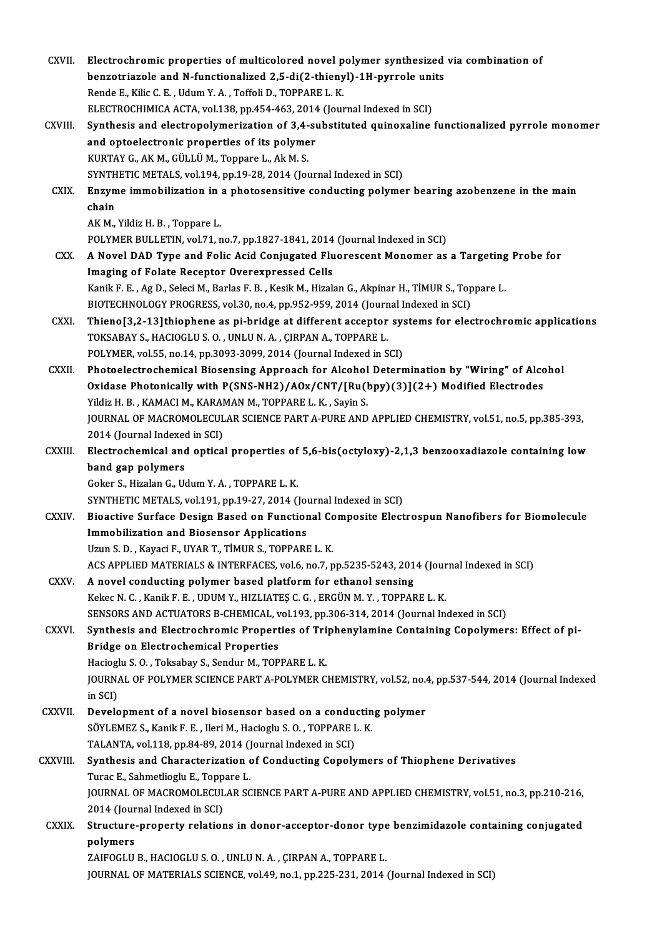| CXVII.        | Electrochromic properties of multicolored novel polymer synthesized via combination of                                                                               |
|---------------|----------------------------------------------------------------------------------------------------------------------------------------------------------------------|
|               | benzotriazole and N-functionalized 2,5-di(2-thienyl)-1H-pyrrole units                                                                                                |
|               | Rende E., Kilic C. E., Udum Y. A., Toffoli D., TOPPARE L. K.                                                                                                         |
|               | ELECTROCHIMICA ACTA, vol.138, pp.454-463, 2014 (Journal Indexed in SCI)                                                                                              |
| CXVIII.       | Synthesis and electropolymerization of 3,4-substituted quinoxaline functionalized pyrrole monomer                                                                    |
|               | and optoelectronic properties of its polymer                                                                                                                         |
|               | KURTAY G., AK M., GÜLLÜ M., Toppare L., Ak M. S.                                                                                                                     |
|               | SYNTHETIC METALS, vol.194, pp.19-28, 2014 (Journal Indexed in SCI)                                                                                                   |
| CXIX.         | Enzyme immobilization in a photosensitive conducting polymer bearing azobenzene in the main                                                                          |
|               | chain                                                                                                                                                                |
|               | AK M., Yildiz H. B., Toppare L.                                                                                                                                      |
|               | POLYMER BULLETIN, vol.71, no.7, pp.1827-1841, 2014 (Journal Indexed in SCI)                                                                                          |
| CXX.          | A Novel DAD Type and Folic Acid Conjugated Fluorescent Monomer as a Targeting Probe for                                                                              |
|               | Imaging of Folate Receptor Overexpressed Cells                                                                                                                       |
|               | Kanik F. E., Ag D., Seleci M., Barlas F. B., Kesik M., Hizalan G., Akpinar H., TİMUR S., Toppare L.                                                                  |
|               | BIOTECHNOLOGY PROGRESS, vol.30, no.4, pp.952-959, 2014 (Journal Indexed in SCI)                                                                                      |
| <b>CXXI</b>   | Thieno[3,2-13]thiophene as pi-bridge at different acceptor systems for electrochromic applications<br>TOKSABAY S., HACIOGLU S. O., UNLU N. A., ÇIRPAN A., TOPPARE L. |
|               | POLYMER, vol.55, no.14, pp.3093-3099, 2014 (Journal Indexed in SCI)                                                                                                  |
| CXXII.        | Photoelectrochemical Biosensing Approach for Alcohol Determination by "Wiring" of Alcohol                                                                            |
|               | Oxidase Photonically with P(SNS-NH2)/AOx/CNT/[Ru(bpy)(3)](2+) Modified Electrodes                                                                                    |
|               | Yildiz H. B., KAMACI M., KARAMAN M., TOPPARE L. K., Sayin S.                                                                                                         |
|               | JOURNAL OF MACROMOLECULAR SCIENCE PART A-PURE AND APPLIED CHEMISTRY, vol.51, no.5, pp.385-393,                                                                       |
|               | 2014 (Journal Indexed in SCI)                                                                                                                                        |
| CXXIII.       | Electrochemical and optical properties of 5,6-bis(octyloxy)-2,1,3 benzooxadiazole containing low                                                                     |
|               | band gap polymers                                                                                                                                                    |
|               | Goker S., Hizalan G., Udum Y.A., TOPPARE L.K.                                                                                                                        |
|               | SYNTHETIC METALS, vol.191, pp.19-27, 2014 (Journal Indexed in SCI)                                                                                                   |
| <b>CXXIV</b>  | Bioactive Surface Design Based on Functional Composite Electrospun Nanofibers for Biomolecule                                                                        |
|               | <b>Immobilization and Biosensor Applications</b>                                                                                                                     |
|               | Uzun S. D., Kayaci F., UYAR T., TİMUR S., TOPPARE L. K.                                                                                                              |
|               | ACS APPLIED MATERIALS & INTERFACES, vol.6, no.7, pp.5235-5243, 2014 (Journal Indexed in SCI)                                                                         |
| CXXV.         | A novel conducting polymer based platform for ethanol sensing                                                                                                        |
|               | Kekec N. C., Kanik F. E., UDUM Y., HIZLIATEŞ C. G., ERGÜN M. Y., TOPPARE L. K.                                                                                       |
|               | SENSORS AND ACTUATORS B-CHEMICAL, vol.193, pp.306-314, 2014 (Journal Indexed in SCI)                                                                                 |
| CXXVI.        | Synthesis and Electrochromic Properties of Triphenylamine Containing Copolymers: Effect of pi-<br><b>Bridge on Electrochemical Properties</b>                        |
|               | Hacioglu S.O., Toksabay S., Sendur M., TOPPARE L.K.                                                                                                                  |
|               | JOURNAL OF POLYMER SCIENCE PART A-POLYMER CHEMISTRY, vol.52, no.4, pp.537-544, 2014 (Journal Indexed                                                                 |
|               | in SCI)                                                                                                                                                              |
| <b>CXXVII</b> | Development of a novel biosensor based on a conducting polymer                                                                                                       |
|               | SÖYLEMEZ S., Kanik F. E., Ileri M., Hacioglu S. O., TOPPARE L. K.                                                                                                    |
|               | TALANTA, vol.118, pp.84-89, 2014 (Journal Indexed in SCI)                                                                                                            |
| CXXVIII.      | Synthesis and Characterization of Conducting Copolymers of Thiophene Derivatives                                                                                     |
|               | Turac E., Sahmetlioglu E., Toppare L.                                                                                                                                |
|               | JOURNAL OF MACROMOLECULAR SCIENCE PART A-PURE AND APPLIED CHEMISTRY, vol.51, no.3, pp.210-216,                                                                       |
|               | 2014 (Journal Indexed in SCI)                                                                                                                                        |
| <b>CXXIX</b>  | Structure-property relations in donor-acceptor-donor type benzimidazole containing conjugated                                                                        |
|               | polymers                                                                                                                                                             |
|               | ZAIFOGLU B., HACIOGLU S. O., UNLU N. A., ÇIRPAN A., TOPPARE L.                                                                                                       |
|               | JOURNAL OF MATERIALS SCIENCE, vol.49, no.1, pp.225-231, 2014 (Journal Indexed in SCI)                                                                                |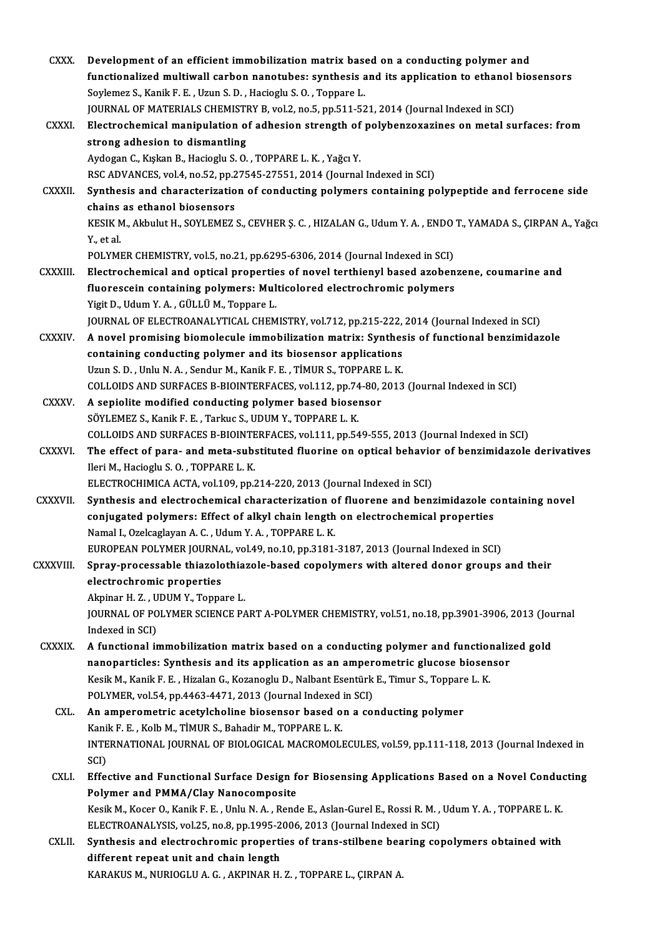| <b>CXXX</b>    | Development of an efficient immobilization matrix based on a conducting polymer and                           |
|----------------|---------------------------------------------------------------------------------------------------------------|
|                | functionalized multiwall carbon nanotubes: synthesis and its application to ethanol biosensors                |
|                | Soylemez S., Kanik F. E., Uzun S. D., Hacioglu S. O., Toppare L.                                              |
|                | JOURNAL OF MATERIALS CHEMISTRY B, vol.2, no.5, pp.511-521, 2014 (Journal Indexed in SCI)                      |
| CXXXI.         | Electrochemical manipulation of adhesion strength of polybenzoxazines on metal surfaces: from                 |
|                | strong adhesion to dismantling                                                                                |
|                | Aydogan C., Kışkan B., Hacioglu S. O., TOPPARE L. K., Yağcı Y.                                                |
|                | RSC ADVANCES, vol.4, no.52, pp.27545-27551, 2014 (Journal Indexed in SCI)                                     |
| <b>CXXXII</b>  | Synthesis and characterization of conducting polymers containing polypeptide and ferrocene side               |
|                | chains as ethanol biosensors                                                                                  |
|                | KESIK M., Akbulut H., SOYLEMEZ S., CEVHER Ş. C., HIZALAN G., Udum Y. A., ENDO T., YAMADA S., ÇIRPAN A., Yağcı |
|                | Y, et al.                                                                                                     |
|                | POLYMER CHEMISTRY, vol.5, no.21, pp.6295-6306, 2014 (Journal Indexed in SCI)                                  |
| <b>CXXXIII</b> | Electrochemical and optical properties of novel terthienyl based azobenzene, coumarine and                    |
|                | fluorescein containing polymers: Multicolored electrochromic polymers                                         |
|                | Yigit D., Udum Y. A., GÜLLÜ M., Toppare L.                                                                    |
|                | JOURNAL OF ELECTROANALYTICAL CHEMISTRY, vol.712, pp.215-222, 2014 (Journal Indexed in SCI)                    |
| CXXXIV.        | A novel promising biomolecule immobilization matrix: Synthesis of functional benzimidazole                    |
|                | containing conducting polymer and its biosensor applications                                                  |
|                | Uzun S. D., Unlu N. A., Sendur M., Kanik F. E., TİMUR S., TOPPARE L. K.                                       |
|                | COLLOIDS AND SURFACES B-BIOINTERFACES, vol.112, pp.74-80, 2013 (Journal Indexed in SCI)                       |
| CXXXV.         | A sepiolite modified conducting polymer based biosensor                                                       |
|                | SÖYLEMEZ S., Kanik F. E., Tarkuc S., UDUM Y., TOPPARE L. K.                                                   |
|                | COLLOIDS AND SURFACES B-BIOINTERFACES, vol.111, pp.549-555, 2013 (Journal Indexed in SCI)                     |
| <b>CXXXVI</b>  | The effect of para- and meta-substituted fluorine on optical behavior of benzimidazole derivatives            |
|                | Ileri M., Hacioglu S.O., TOPPARE L.K.                                                                         |
|                | ELECTROCHIMICA ACTA, vol.109, pp.214-220, 2013 (Journal Indexed in SCI)                                       |
| <b>CXXXVII</b> | Synthesis and electrochemical characterization of fluorene and benzimidazole containing novel                 |
|                | conjugated polymers: Effect of alkyl chain length on electrochemical properties                               |
|                | Namal I., Ozelcaglayan A. C., Udum Y. A., TOPPARE L. K.                                                       |
|                | EUROPEAN POLYMER JOURNAL, vol.49, no.10, pp.3181-3187, 2013 (Journal Indexed in SCI)                          |
| CXXXVIII.      | Spray-processable thiazolothiazole-based copolymers with altered donor groups and their                       |
|                | electrochromic properties                                                                                     |
|                | Akpinar H.Z., UDUM Y., Toppare L.                                                                             |
|                | JOURNAL OF POLYMER SCIENCE PART A-POLYMER CHEMISTRY, vol.51, no.18, pp.3901-3906, 2013 (Journal               |
|                | Indexed in SCI)                                                                                               |
| <b>CXXXIX</b>  | A functional immobilization matrix based on a conducting polymer and functionalized gold                      |
|                | nanoparticles: Synthesis and its application as an amperometric glucose biosensor                             |
|                | Kesik M., Kanik F. E., Hizalan G., Kozanoglu D., Nalbant Esentürk E., Timur S., Toppare L. K.                 |
|                | POLYMER, vol.54, pp.4463-4471, 2013 (Journal Indexed in SCI)                                                  |
| CXL.           | An amperometric acetylcholine biosensor based on a conducting polymer                                         |
|                | Kanik F. E., Kolb M., TİMUR S., Bahadir M., TOPPARE L. K.                                                     |
|                | INTERNATIONAL JOURNAL OF BIOLOGICAL MACROMOLECULES, vol.59, pp.111-118, 2013 (Journal Indexed in              |
|                | SCI)                                                                                                          |
| CXLI.          | Effective and Functional Surface Design for Biosensing Applications Based on a Novel Conducting               |
|                | Polymer and PMMA/Clay Nanocomposite                                                                           |
|                | Kesik M., Kocer O., Kanik F. E., Unlu N. A., Rende E., Aslan-Gurel E., Rossi R. M., Udum Y. A., TOPPARE L. K. |
|                | ELECTROANALYSIS, vol.25, no.8, pp.1995-2006, 2013 (Journal Indexed in SCI)                                    |
| CXLII.         | Synthesis and electrochromic properties of trans-stilbene bearing copolymers obtained with                    |
|                | different repeat unit and chain length                                                                        |
|                | KARAKUS M., NURIOGLU A. G., AKPINAR H. Z., TOPPARE L., ÇIRPAN A.                                              |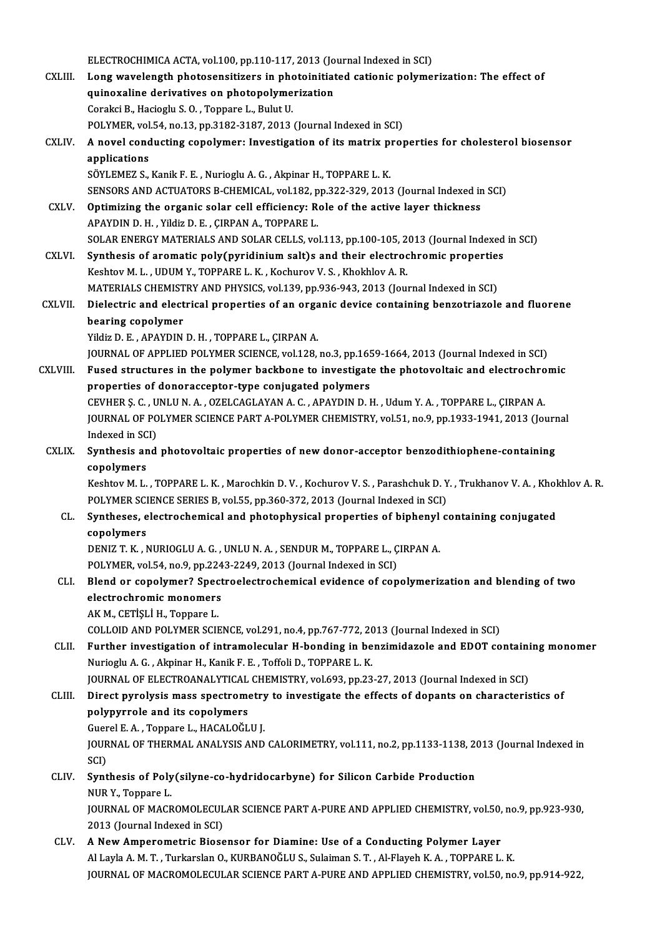ELECTROCHIMICA ACTA, vol.100, pp.110-117, 2013 (Journal Indexed in SCI)<br>Lang wayslangth photosanaitingna in photoinitiated estienis polyme ELECTROCHIMICA ACTA, vol.100, pp.110-117, 2013 (Journal Indexed in SCI)<br>CXLIII. Long wavelength photosensitizers in photoinitiated cationic polymerization: The effect of ELECTROCHIMICA ACTA, vol.100, pp.110-117, 2013 (Jo<br>Long wavelength photosensitizers in photoinitiat<br>quinoxaline derivatives on photopolymerization<br>Coreksi B. Hasisslu S.O. Tennere L. Bulut H. Long wavelength photosensitizers in pho<br>quinoxaline derivatives on photopolyme<br>Corakci B., Hacioglu S. O. , Toppare L., Bulut U.<br>POLYMER val 54, no 12, np 3192, 3197, 2012. quinoxaline derivatives on photopolymerization<br>Corakci B., Hacioglu S. O. , Toppare L., Bulut U.<br>POLYMER, vol.54, no.13, pp.3182-3187, 2013 (Journal Indexed in SCI)<br>A novel conducting conolymer: Investigation of its matrix Corakci B., Hacioglu S. O. , Toppare L., Bulut U.<br>POLYMER, vol.54, no.13, pp.3182-3187, 2013 (Journal Indexed in SCI)<br>CXLIV. A novel conducting copolymer: Investigation of its matrix properties for cholesterol biosensor<br>ap POLYMER, vol<br>A novel cond<br>applications<br>sövi EME7 s A novel conducting copolymer: Investigation of its matrix proplications<br>SÖYLEMEZ S., Kanik F. E. , Nurioglu A. G. , Akpinar H., TOPPARE L. K.<br>SENSORS AND ACTUATORS R. GUEMICAL vol.192 pp.322,329, 2013 applications<br>SÖYLEMEZ S., Kanik F. E. , Nurioglu A. G. , Akpinar H., TOPPARE L. K.<br>SENSORS AND ACTUATORS B-CHEMICAL, vol.182, pp.322-329, 2013 (Journal Indexed in SCI) SÖYLEMEZ S., Kanik F. E., Nurioglu A. G., Akpinar H., TOPPARE L. K.<br>SENSORS AND ACTUATORS B-CHEMICAL, vol.182, pp.322-329, 2013 (Journal Indexed in<br>CXLV. Optimizing the organic solar cell efficiency: Role of the active lay SENSORS AND ACTUATORS B-CHEMICAL, vol.182, p<br>Optimizing the organic solar cell efficiency: R<br>APAYDIN D. H. , Yildiz D. E. , ÇIRPAN A., TOPPARE L.<br>SOLAR ENERCY MATERIALS AND SOLAR CELLS .vo APAYDIN D. H. , Yildiz D. E. , ÇIRPAN A., TOPPARE L.<br>SOLAR ENERGY MATERIALS AND SOLAR CELLS, vol.113, pp.100-105, 2013 (Journal Indexed in SCI) CXLVI. Synthesis of aromatic poly(pyridiniumsalt)s and their electrochromic properties Keshtov M. L., UDUMY., TOPPARE L. K., Kochurov V. S., Khokhlov A. R. Synthesis of aromatic poly(pyridinium salt)s and their electrochromic propertie:<br>Keshtov M. L. , UDUM Y., TOPPARE L. K. , Kochurov V. S. , Khokhlov A. R.<br>MATERIALS CHEMISTRY AND PHYSICS, vol.139, pp.936-943, 2013 (Journal Keshtov M. L. , UDUM Y., TOPPARE L. K. , Kochurov V. S. , Khokhlov A. R.<br>MATERIALS CHEMISTRY AND PHYSICS, vol.139, pp.936-943, 2013 (Journal Indexed in SCI)<br>CXLVII. Dielectric and electrical properties of an organic device MATERIALS CHEMIST<br>Dielectric and elect<br>bearing copolymer<br><sup>Vildig</sup> D. E. ABAVDIN Dielectric and electrical properties of an orga<br>bearing copolymer<br>Yildiz D. E. , APAYDIN D. H. , TOPPARE L., ÇIRPAN A.<br>JOUPMAL OF APPLIED POLYMER SCIENCE vol 128 bearing copolymer<br>Yildiz D. E. , APAYDIN D. H. , TOPPARE L., ÇIRPAN A.<br>JOURNAL OF APPLIED POLYMER SCIENCE, vol.128, no.3, pp.1659-1664, 2013 (Journal Indexed in SCI)<br>Euged structures in the polymer basitbons to investigate Vildiz D. E., APAYDIN D. H., TOPPARE L., ÇIRPAN A.<br>JOURNAL OF APPLIED POLYMER SCIENCE, vol.128, no.3, pp.1659-1664, 2013 (Journal Indexed in SCI)<br>CXLVIII. Fused structures in the polymer backbone to investigate the photovo JOURNAL OF APPLIED POLYMER SCIENCE, vol.128, no.3, pp.165<br>Fused structures in the polymer backbone to investigate<br>properties of donoracceptor-type conjugated polymers<br>CEVIUED S.C. UNUUNA. OZELGACLAYANA.C. ABAYDIND L Fused structures in the polymer backbone to investigate the photovoltaic and electrochro<br>properties of donoracceptor-type conjugated polymers<br>CEVHER Ş. C. , UNLU N. A. , OZELCAGLAYAN A. C. , APAYDIN D. H. , Udum Y. A. , TO properties of donoracceptor-type conjugated polymers<br>CEVHER Ş. C. , UNLU N. A. , OZELCAGLAYAN A. C. , APAYDIN D. H. , Udum Y. A. , TOPPARE L., ÇIRPAN A.<br>JOURNAL OF POLYMER SCIENCE PART A-POLYMER CHEMISTRY, vol.51, no.9, pp CEVHER Ş. C. , U<br>JOURNAL OF PO<br>Indexed in SCI)<br>Synthosis and JOURNAL OF POLYMER SCIENCE PART A-POLYMER CHEMISTRY, vol.51, no.9, pp.1933-1941, 2013 (Journ<br>Indexed in SCI)<br>CXLIX. Synthesis and photovoltaic properties of new donor-acceptor benzodithiophene-containing<br>conclumers Indexed in SCI)<br>Synthesis and photovoltaic properties of new donor-acceptor benzodithiophene-containing<br>copolymers Synthesis and photovoltaic properties of new donor-acceptor benzodithiophene-containing<br>copolymers<br>Keshtov M. L. , TOPPARE L. K. , Marochkin D. V. , Kochurov V. S. , Parashchuk D. Y. , Trukhanov V. A. , Khokhlov A. R.<br>POLY copolymers<br>Keshtov M. L. , TOPPARE L. K. , Marochkin D. V. , Kochurov V. S. , Parashchuk D. Y<br>POLYMER SCIENCE SERIES B, vol.55, pp.360-372, 2013 (Journal Indexed in SCI)<br>Syntheses, electrochamical and photophysical propert Keshtov M. L., TOPPARE L. K., Marochkin D. V., Kochurov V. S., Parashchuk D. Y., Trukhanov V. A., Khol<br>POLYMER SCIENCE SERIES B, vol.55, pp.360-372, 2013 (Journal Indexed in SCI)<br>CL. Syntheses, electrochemical and photophy POLYMER SCI<br>Syntheses, e<br>copolymers<br>DENIZ T K Syntheses, electrochemical and photophysical properties of biphenyl<br>copolymers<br>DENIZ T. K. , NURIOGLU A. G. , UNLU N. A. , SENDUR M., TOPPARE L., ÇIRPAN A.<br>POLYMER .val 54, no 8, nn 2242, 2249, 2912 (Journal Indoved in SCL copolymers<br>DENIZ T. K. , NURIOGLU A. G. , UNLU N. A. , SENDUR M., TOPPARE L., Ç<br>POLYMER, vol.54, no.9, pp.2243-2249, 2013 (Journal Indexed in SCI)<br>Bland, ar sanalymar? Spectroclastroshemisel svidense of sen DENIZ T. K., NURIOGLU A. G., UNLU N. A., SENDUR M., TOPPARE L., ÇIRPAN A.<br>POLYMER, vol.54, no.9, pp.2243-2249, 2013 (Journal Indexed in SCI)<br>CLI. Blend or copolymer? Spectroelectrochemical evidence of copolymerization and POLYMER, vol.54, no.9, pp.224<br>Blend or copolymer? Spect<br>electrochromic monomers AKM., CETİŞLİ H., Toppare L. COLLOIDANDPOLYMERSCIENCE,vol.291,no.4,pp.767-772,2013 (Journal Indexed inSCI) AK M., CETIȘLI H., Toppare L.<br>COLLOID AND POLYMER SCIENCE, vol.291, no.4, pp.767-772, 2013 (Journal Indexed in SCI)<br>CLII. Further investigation of intramolecular H-bonding in benzimidazole and EDOT containing monomer<br>Nurje Nurioglu A. G. , Akpinar H., Kanik F. E. , Toffoli D., TOPPARE L. K.<br>JOURNAL OF ELECTROANALYTICAL CHEMISTRY, vol.693, pp.23-27, 2013 (Journal Indexed in SCI) Further investigation of intramolecular H-bonding in benzimidazole and EDOT containi<br>Nurioglu A. G. , Akpinar H., Kanik F. E. , Toffoli D., TOPPARE L. K.<br>JOURNAL OF ELECTROANALYTICAL CHEMISTRY, vol.693, pp.23-27, 2013 (Jou CLIII. Direct pyrolysis mass spectrometry to investigate the effects of dopants on characteristics of polypyrrole and its copolymers Direct pyrolysis mass spectrometry<br>polypyrrole and its copolymers<br>Guerel E. A. , Toppare L., HACALOĞLU J.<br>JOUPNAL OF THEPMAL ANALYSIS AND JOURNAL OF THERMAL ANALYSIS AND CALORIMETRY, vol.111, no.2, pp.1133-1138, 2013 (Journal Indexed in SCI) Guer<br>JOUR<br>SCI)<br>Sunt JOURNAL OF THERMAL ANALYSIS AND CALORIMETRY, vol.111, no.2, pp.1133-1138, 2<br>SCI)<br>CLIV. Synthesis of Poly(silyne-co-hydridocarbyne) for Silicon Carbide Production<br>NUR Y. Tennere I SCI)<br>Synthesis of Poly<br>NUR Y., Toppare L.<br>JOUPNAL OF MACR Synthesis of Poly(silyne-co-hydridocarbyne) for Silicon Carbide Production<br>NUR Y., Toppare L.<br>JOURNAL OF MACROMOLECULAR SCIENCE PART A-PURE AND APPLIED CHEMISTRY, vol.50, no.9, pp.923-930,<br>2012 (Journal Indoved in SCI) NUR Y., Toppare L.<br>JOURNAL OF MACROMOLECUL<br>2013 (Journal Indexed in SCI)<br>A Now Amnonomotric Biosc JOURNAL OF MACROMOLECULAR SCIENCE PART A-PURE AND APPLIED CHEMISTRY, vol.50,<br>2013 (Journal Indexed in SCI)<br>CLV. A New Amperometric Biosensor for Diamine: Use of a Conducting Polymer Layer 2013 (Journal Indexed in SCI)<br>A New Amperometric Biosensor for Diamine: Use of a Conducting Polymer Layer<br>Al Layla A. M. T. , Turkarslan O., KURBANOĞLU S., Sulaiman S. T. , Al-Flayeh K. A. , TOPPARE L. K. JOURNAL OF MACROMOLECULAR SCIENCE PART A-PURE AND APPLIED CHEMISTRY, vol.50, no.9, pp.914-922,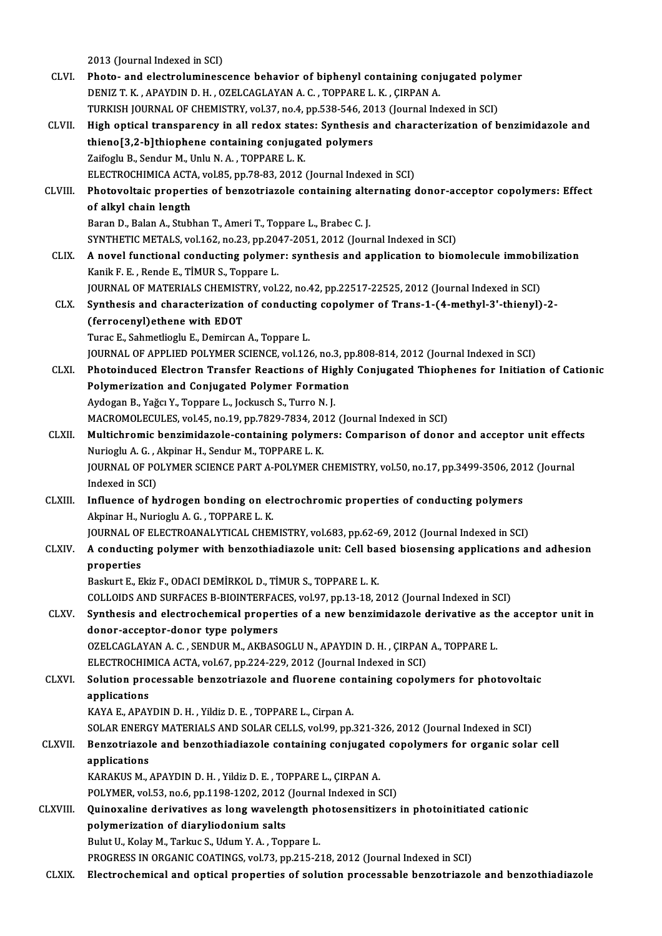2013 (Journal Indexed in SCI) CLVI. Photo- and electroluminescence behavior of biphenyl containing conjugated polymer DENIZ T.K. ,APAYDIND.H. ,OZELCAGLAYANA.C. ,TOPPAREL.K. ,ÇIRPANA. Photo- and electroluminescence behavior of biphenyl containing conjugated poly<br>DENIZ T. K., APAYDIN D. H., OZELCAGLAYAN A. C., TOPPARE L. K., ÇIRPAN A.<br>TURKISH JOURNAL OF CHEMISTRY, vol.37, no.4, pp.538-546, 2013 (Journal DENIZ T. K., APAYDIN D. H., OZELCAGLAYAN A. C., TOPPARE L. K., ÇIRPAN A.<br>TURKISH JOURNAL OF CHEMISTRY, vol.37, no.4, pp.538-546, 2013 (Journal Indexed in SCI)<br>CLVII. High optical transparency in all redox states: Synthesis TURKISH JOURNAL OF CHEMISTRY, vol.37, no.4, pp.538-546, 20<br>High optical transparency in all redox states: Synthesis a<br>thieno[3,2-b]thiophene containing conjugated polymers<br>Zaifogly B. Sondur M. Unly N.A., TOPPAPE L.K. High optical transparency in all redox state<br>thieno[3,2-b]thiophene containing conjuga<br>Zaifoglu B., Sendur M., Unlu N. A. , TOPPARE L. K.<br>ELECTROCHIMICA ACTA, VOL95, pp.79,93,2012. thieno[3,2-b]thiophene containing conjugated polymers<br>Zaifoglu B., Sendur M., Unlu N. A. , TOPPARE L. K.<br>ELECTROCHIMICA ACTA, vol.85, pp.78-83, 2012 (Journal Indexed in SCI) Zaifoglu B., Sendur M., Unlu N. A. , TOPPARE L. K.<br>ELECTROCHIMICA ACTA, vol.85, pp.78-83, 2012 (Journal Indexed in SCI)<br>CLVIII. Photovoltaic properties of benzotriazole containing alternating donor-acceptor copolymers: Eff ELECTROCHIMICA ACT/<br>Photovoltaic propert<br>of alkyl chain length<br>Paran D. Balan A. Stubl Photovoltaic properties of benzotriazole containing alte<br>of alkyl chain length<br>Baran D., Balan A., Stubhan T., Ameri T., Toppare L., Brabec C. J.<br>SYNTHETIC METALS vol.162, no.22, nn.2047,2051,2012 (Jour of alkyl chain length<br>Baran D., Balan A., Stubhan T., Ameri T., Toppare L., Brabec C. J.<br>SYNTHETIC METALS, vol.162, no.23, pp.2047-2051, 2012 (Journal Indexed in SCI) CLIX. A novel functional conducting polymer: synthesis and application to biomolecule immobilization KanikF.E. ,RendeE.,TİMURS.,Toppare L. A novel functional conducting polymer: synthesis and application to biomolecule immobil<br>Kanik F. E. , Rende E., TIMUR S., Toppare L.<br>JOURNAL OF MATERIALS CHEMISTRY, vol.22, no.42, pp.22517-22525, 2012 (Journal Indexed in S Kanik F. E. , Rende E., TİMUR S., Toppare L.<br>JOURNAL OF MATERIALS CHEMISTRY, vol.22, no.42, pp.22517-22525, 2012 (Journal Indexed in SCI)<br>CLX. Synthesis and characterization of conducting copolymer of Trans-1-(4-methyl-3'-(*JOURNAL OF MATERIALS CHEMIST*<br>Synthesis and characterization<br>(*ferrocenyl*)ethene with EDOT<br>Tures E. Sehmetliesh: E. Demirsen Synthesis and characterization of conductin<br>(ferrocenyl)ethene with EDOT<br>Turac E., Sahmetlioglu E., Demircan A., Toppare L.<br>JOUPNAL OF APPLIED POLYMED SCIENCE vol.124 (ferrocenyl)ethene with EDOT<br>Turac E., Sahmetlioglu E., Demircan A., Toppare L.<br>JOURNAL OF APPLIED POLYMER SCIENCE, vol.126, no.3, pp.808-814, 2012 (Journal Indexed in SCI) Turac E., Sahmetlioglu E., Demircan A., Toppare L.<br>JOURNAL OF APPLIED POLYMER SCIENCE, vol.126, no.3, pp.808-814, 2012 (Journal Indexed in SCI)<br>CLXI. Photoinduced Electron Transfer Reactions of Highly Conjugated Thiophenes JOURNAL OF APPLIED POLYMER SCIENCE, vol.126, no.3, pp<br>Photoinduced Electron Transfer Reactions of Highly<br>Polymerization and Conjugated Polymer Formation<br>Aydogan B. Yağay Y. Tennare L. Jockusch S. Turro N. L. Photoinduced Electron Transfer Reactions of Hig<br>Polymerization and Conjugated Polymer Formati<br>Aydogan B., Yağcı Y., Toppare L., Jockusch S., Turro N. J.<br>MACROMOLECULES vol 45 no 19 nn 7929 7924 2012 Polymerization and Conjugated Polymer Formation<br>Aydogan B., Yağcı Y., Toppare L., Jockusch S., Turro N. J.<br>MACROMOLECULES, vol.45, no.19, pp.7829-7834, 2012 (Journal Indexed in SCI)<br>Multichromis bongimidagele, containing p Aydogan B., Yağcı Y., Toppare L., Jockusch S., Turro N. J.<br>MACROMOLECULES, vol.45, no.19, pp.7829-7834, 2012 (Journal Indexed in SCI)<br>CLXII. Multichromic benzimidazole-containing polymers: Comparison of donor and acceptor MACROMOLECULES, vol.45, no.19, pp.7829-7834, 20<br>Multichromic benzimidazole-containing polyme<br>Nurioglu A. G. , Akpinar H., Sendur M., TOPPARE L. K.<br>JOUPNAL OF POLYMER SCIENCE BART A POLYMER G Multichromic benzimidazole-containing polymers: Comparison of donor and acceptor unit effec<br>Nurioglu A. G. , Akpinar H., Sendur M., TOPPARE L. K.<br>JOURNAL OF POLYMER SCIENCE PART A-POLYMER CHEMISTRY, vol.50, no.17, pp.3499-Nurioglu A. G. , Akpinar H., Sendur M., TOPPARE L. K.<br>JOURNAL OF POLYMER SCIENCE PART A-POLYMER CHEMISTRY, vol.50, no.17, pp.3499-3506, 2012 (Journal<br>Indexed in SCI) JOURNAL OF POLYMER SCIENCE PART A-POLYMER CHEMISTRY, vol.50, no.17, pp.3499-3506, 201<br>Indexed in SCI)<br>CLXIII. Influence of hydrogen bonding on electrochromic properties of conducting polymers<br>Alminar H. Nuriogly A. G. TOPP Akpinar H., Nurioglu A. G., TOPPARE L. K. Influence of hydrogen bonding on electrochromic properties of conducting polymers<br>Akpinar H., Nurioglu A. G. , TOPPARE L. K.<br>JOURNAL OF ELECTROANALYTICAL CHEMISTRY, vol.683, pp.62-69, 2012 (Journal Indexed in SCI)<br>A conduc CLXIV. A conducting polymer with benzothiadiazole unit: Cel based biosensing applications and adhesion JOURNAL OF ELECTROANALYTICAL CHEMISTRY, vol.683, pp.62-69, 2012 (Journal Indexed in SCI) Baskurt E., Ekiz F., ODACI DEMİRKOL D., TİMUR S., TOPPARE L. K. COLLOIDS AND SURFACES B-BIOINTERFACES, vol.97, pp.13-18, 2012 (Journal Indexed in SCI) Baskurt E., Ekiz F., ODACI DEMİRKOL D., TİMUR S., TOPPARE L. K.<br>COLLOIDS AND SURFACES B-BIOINTERFACES, vol.97, pp.13-18, 2012 (Journal Indexed in SCI)<br>CLXV. Synthesis and electrochemical properties of a new benzimidazole d COLLOIDS AND SURFACES B-BIOINTERFAC<br>Synthesis and electrochemical proper<br>donor-acceptor-donor type polymers<br>OZELCACLAYAN A.C. SENDUR M. AKRAS Synthesis and electrochemical properties of a new benzimidazole derivative as t<br>donor-acceptor-donor type polymers<br>OZELCAGLAYAN A. C. , SENDUR M., AKBASOGLU N., APAYDIN D. H. , ÇIRPAN A., TOPPARE L.<br>ELECTROCHIMICA ACTA .vo donor-acceptor-donor type polymers<br>OZELCAGLAYAN A. C. , SENDUR M., AKBASOGLU N., APAYDIN D. H. , ÇIRPAN<br>ELECTROCHIMICA ACTA, vol.67, pp.224-229, 2012 (Journal Indexed in SCI)<br>Selution presessable benretriazels and fluerens OZELCAGLAYAN A. C., SENDUR M., AKBASOGLU N., APAYDIN D. H., ÇIRPAN A., TOPPARE L.<br>ELECTROCHIMICA ACTA, vol.67, pp.224-229, 2012 (Journal Indexed in SCI)<br>CLXVI. Solution processable benzotriazole and fluorene containing cop ELECTROCHIM<br>Solution pro<br>applications<br>KAVA E APAV KAYA E., APAYDIN D. H., Yildiz D. E., TOPPARE L., Cirpan A. SOLAR ENERGY MATERIALS AND SOLAR CELLS, vol.99, pp.321-326, 2012 (Journal Indexed in SCI) KAYA E., APAYDIN D. H. , Yildiz D. E. , TOPPARE L., Cirpan A.<br>SOLAR ENERGY MATERIALS AND SOLAR CELLS, vol.99, pp.321-326, 2012 (Journal Indexed in SCI)<br>CLXVII. Benzotriazole and benzothiadiazole containing conjugated copol SOLAR ENERG<br>Benzotriazol<br>applications<br>KARAKUS M Benzotriazole and benzothiadiazole containing conjugated<br>applications<br>KARAKUS M., APAYDIN D. H. , Yildiz D. E. , TOPPARE L., ÇIRPAN A.<br>POLYMER. vel 52, no 6, nn 1109, 1202, 2012. (Journal Indoved in S applications<br>KARAKUS M., APAYDIN D. H. , Yildiz D. E. , TOPPARE L., ÇIRPAN A.<br>POLYMER, vol.53, no.6, pp.1198-1202, 2012 (Journal Indexed in SCI) CLXVIII. Quinoxaline derivatives as long wavelength photosensitizers in photoinitiated cationic polymer, vol.53, no.6, pp.1198-1202, 2012<br>Quinoxaline derivatives as long waveler<br>polymerization of diaryliodonium salts<br>Pulut II, Kolay M. Tarlue S. Hdum V.A. Ten Quinoxaline derivatives as long wavelength pl<br>polymerization of diaryliodonium salts<br>Bulut U., Kolay M., Tarkuc S., Udum Y. A. , Toppare L.<br>PROCRESS IN ORGANIC COATINGS .vol 72, pp.215-2. Bulut U., Kolay M., Tarkuc S., Udum Y. A., Toppare L.<br>PROGRESS IN ORGANIC COATINGS, vol.73, pp.215-218, 2012 (Journal Indexed in SCI)

CLXIX. Electrochemical and optical properties of solution processable benzotriazole and benzothiadiazole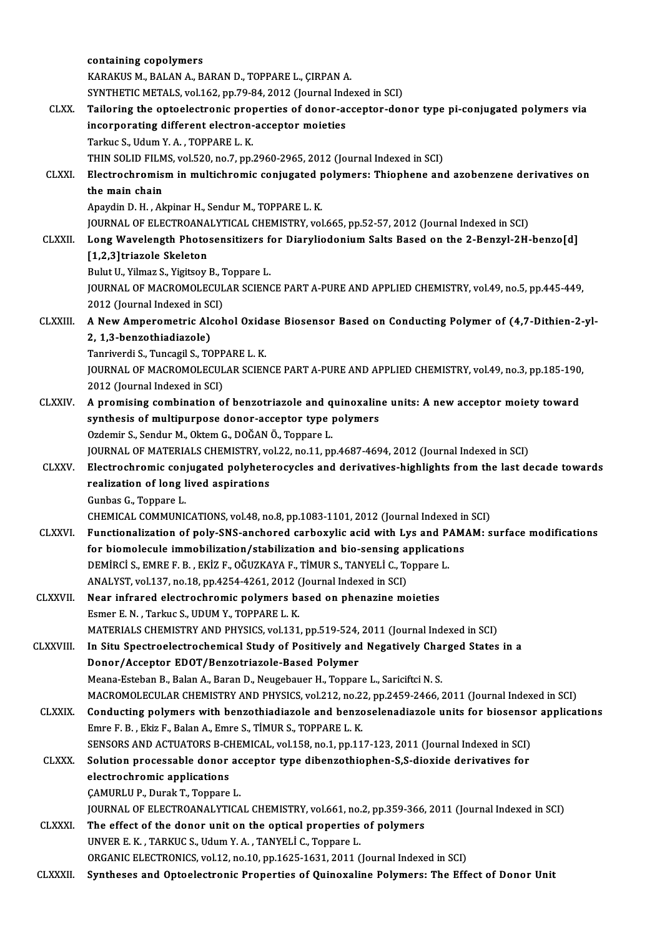|                 | containing copolymers                                                                                                                       |
|-----------------|---------------------------------------------------------------------------------------------------------------------------------------------|
|                 | KARAKUS M., BALAN A., BARAN D., TOPPARE L., ÇIRPAN A.                                                                                       |
|                 | SYNTHETIC METALS, vol.162, pp.79-84, 2012 (Journal Indexed in SCI)                                                                          |
| CLXX.           | Tailoring the optoelectronic properties of donor-acceptor-donor type pi-conjugated polymers via                                             |
|                 | incorporating different electron-acceptor moieties                                                                                          |
|                 | Tarkuc S., Udum Y. A., TOPPARE L. K.                                                                                                        |
|                 | THIN SOLID FILMS, vol.520, no.7, pp.2960-2965, 2012 (Journal Indexed in SCI)                                                                |
| <b>CLXXI</b>    | Electrochromism in multichromic conjugated polymers: Thiophene and azobenzene derivatives on                                                |
|                 | the main chain                                                                                                                              |
|                 | Apaydin D. H., Akpinar H., Sendur M., TOPPARE L. K.                                                                                         |
|                 | JOURNAL OF ELECTROANALYTICAL CHEMISTRY, vol.665, pp.52-57, 2012 (Journal Indexed in SCI)                                                    |
| <b>CLXXII</b>   | Long Wavelength Photosensitizers for Diaryliodonium Salts Based on the 2-Benzyl-2H-benzo[d]                                                 |
|                 | [1,2,3]triazole Skeleton                                                                                                                    |
|                 | Bulut U., Yilmaz S., Yigitsoy B., Toppare L.                                                                                                |
|                 | JOURNAL OF MACROMOLECULAR SCIENCE PART A-PURE AND APPLIED CHEMISTRY, vol.49, no.5, pp.445-449,                                              |
|                 | 2012 (Journal Indexed in SCI)                                                                                                               |
| <b>CLXXIII</b>  | A New Amperometric Alcohol Oxidase Biosensor Based on Conducting Polymer of (4,7-Dithien-2-yl-                                              |
|                 | 2, 1,3-benzothiadiazole)                                                                                                                    |
|                 | Tanriverdi S., Tuncagil S., TOPPARE L. K.                                                                                                   |
|                 | JOURNAL OF MACROMOLECULAR SCIENCE PART A-PURE AND APPLIED CHEMISTRY, vol.49, no.3, pp.185-190,                                              |
|                 | 2012 (Journal Indexed in SCI)                                                                                                               |
| <b>CLXXIV.</b>  | A promising combination of benzotriazole and quinoxaline units: A new acceptor moiety toward                                                |
|                 | synthesis of multipurpose donor-acceptor type polymers                                                                                      |
|                 | Ozdemir S., Sendur M., Oktem G., DOĞAN Ö., Toppare L.                                                                                       |
|                 | JOURNAL OF MATERIALS CHEMISTRY, vol.22, no.11, pp.4687-4694, 2012 (Journal Indexed in SCI)                                                  |
| <b>CLXXV</b>    | Electrochromic conjugated polyheterocycles and derivatives-highlights from the last decade towards<br>realization of long lived aspirations |
|                 | Gunbas G., Toppare L.                                                                                                                       |
|                 | CHEMICAL COMMUNICATIONS, vol.48, no.8, pp.1083-1101, 2012 (Journal Indexed in SCI)                                                          |
| <b>CLXXVI</b>   | Functionalization of poly-SNS-anchored carboxylic acid with Lys and PAMAM: surface modifications                                            |
|                 | for biomolecule immobilization/stabilization and bio-sensing applications                                                                   |
|                 | DEMIRCI S., EMRE F. B., EKİZ F., OĞUZKAYA F., TİMUR S., TANYELİ C., Toppare L.                                                              |
|                 | ANALYST, vol.137, no.18, pp.4254-4261, 2012 (Journal Indexed in SCI)                                                                        |
| <b>CLXXVII.</b> | Near infrared electrochromic polymers based on phenazine moieties                                                                           |
|                 | Esmer E. N., Tarkuc S., UDUM Y., TOPPARE L. K.                                                                                              |
|                 | MATERIALS CHEMISTRY AND PHYSICS, vol.131, pp.519-524, 2011 (Journal Indexed in SCI)                                                         |
| CLXXVIII.       | In Situ Spectroelectrochemical Study of Positively and Negatively Charged States in a                                                       |
|                 | Donor/Acceptor EDOT/Benzotriazole-Based Polymer                                                                                             |
|                 | Meana-Esteban B., Balan A., Baran D., Neugebauer H., Toppare L., Sariciftci N. S.                                                           |
|                 | MACROMOLECULAR CHEMISTRY AND PHYSICS, vol.212, no.22, pp.2459-2466, 2011 (Journal Indexed in SCI)                                           |
| <b>CLXXIX</b>   | Conducting polymers with benzothiadiazole and benzoselenadiazole units for biosensor applications                                           |
|                 | Emre F. B., Ekiz F., Balan A., Emre S., TİMUR S., TOPPARE L. K.                                                                             |
|                 | SENSORS AND ACTUATORS B-CHEMICAL, vol.158, no.1, pp.117-123, 2011 (Journal Indexed in SCI)                                                  |
| <b>CLXXX</b>    | Solution processable donor acceptor type dibenzothiophen-S,S-dioxide derivatives for                                                        |
|                 | electrochromic applications                                                                                                                 |
|                 | ÇAMURLU P., Durak T., Toppare L.                                                                                                            |
|                 | JOURNAL OF ELECTROANALYTICAL CHEMISTRY, vol.661, no.2, pp.359-366, 2011 (Journal Indexed in SCI)                                            |
| <b>CLXXXI</b>   | The effect of the donor unit on the optical properties of polymers                                                                          |
|                 | UNVER E. K., TARKUC S., Udum Y. A., TANYELİ C., Toppare L.                                                                                  |
|                 | ORGANIC ELECTRONICS, vol.12, no.10, pp.1625-1631, 2011 (Journal Indexed in SCI)                                                             |
| <b>CLXXXII.</b> | Syntheses and Optoelectronic Properties of Quinoxaline Polymers: The Effect of Donor Unit                                                   |
|                 |                                                                                                                                             |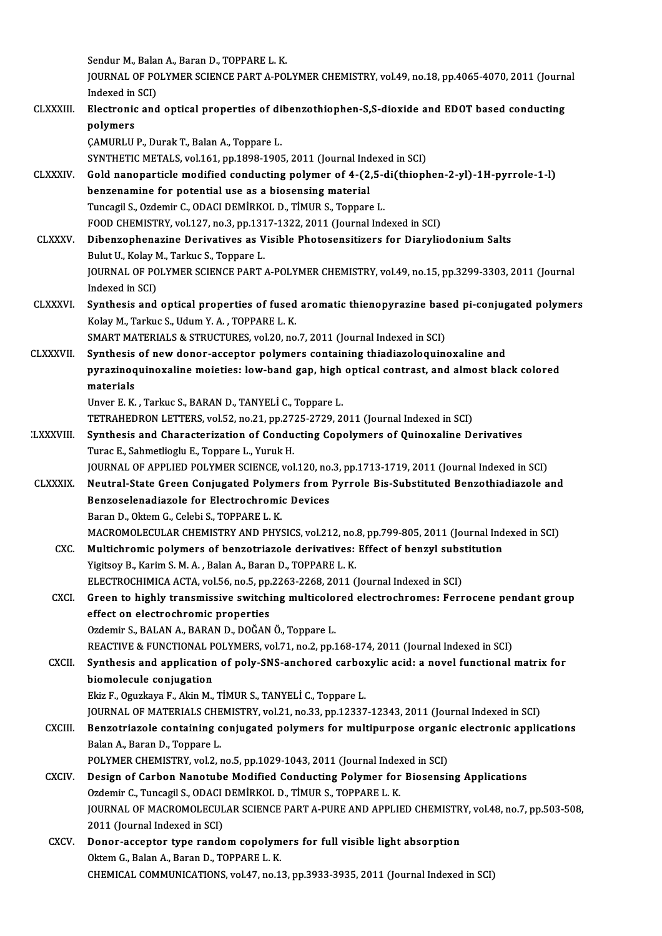Sendur M., Balan A., Baran D., TOPPARE L. K. Sendur M., Balan A., Baran D., TOPPARE L. K.<br>JOURNAL OF POLYMER SCIENCE PART A-POLYMER CHEMISTRY, vol.49, no.18, pp.4065-4070, 2011 (Journal Sendur M., Balai<br>JOURNAL OF PO<br>Indexed in SCI)<br>Electronic and JOURNAL OF POLYMER SCIENCE PART A-POLYMER CHEMISTRY, vol.49, no.18, pp.4065-4070, 2011 (Journ<br>Indexed in SCI)<br>CLXXXIII. Electronic and optical properties of dibenzothiophen-S,S-dioxide and EDOT based conducting<br>nolymore Indexed in<br><mark>Electronic</mark><br>polymers<br>CAMIPH H Electronic and optical properties of di<br>polymers<br>ÇAMURLU P., Durak T., Balan A., Toppare L.<br>SYNTHETIC METALS, vol.161, pp.1999-1905 polymers<br>ÇAMURLU P., Durak T., Balan A., Toppare L.<br>SYNTHETIC METALS, vol.161, pp.1898-1905, 2011 (Journal Indexed in SCI)<br>Cold nanonartisle modified conducting polymer of 4,62.5, di(thion) CAMURLU P., Durak T., Balan A., Toppare L.<br>SYNTHETIC METALS, vol.161, pp.1898-1905, 2011 (Journal Indexed in SCI)<br>CLXXXIV. Gold nanoparticle modified conducting polymer of 4-(2,5-di(thiophen-2-yl)-1H-pyrrole-1-l)<br>hangenomi SYNTHETIC METALS, vol.161, pp.1898-1905, 2011 (Journal Ind<br>Gold nanoparticle modified conducting polymer of 4-(2)<br>benzenamine for potential use as a biosensing material<br>Tunggil S. OrdominG. ODACLDEMIRKOLD, TIMUR S. Tonnary Gold nanoparticle modified conducting polymer of 4-(2,5-d<br>benzenamine for potential use as a biosensing material<br>Tuncagil S., Ozdemir C., ODACI DEMİRKOL D., TİMUR S., Toppare L.<br>FOOD CHEMISTEV vol.127 no 2 nn 1217 1222 201 benzenamine for potential use as a biosensing material<br>Tuncagil S., Ozdemir C., ODACI DEMİRKOL D., TİMUR S., Toppare L.<br>FOOD CHEMISTRY, vol.127, no.3, pp.1317-1322, 2011 (Journal Indexed in SCI) CLXXXV. Dibenzophenazine Derivatives as Visible Photosensitizers for Diaryliodonium Salts BulutU.,KolayM.,Tarkuc S.,Toppare L. Dibenzophenazine Derivatives as Visible Photosensitizers for Diaryliodonium Salts<br>Bulut U., Kolay M., Tarkuc S., Toppare L.<br>JOURNAL OF POLYMER SCIENCE PART A-POLYMER CHEMISTRY, vol.49, no.15, pp.3299-3303, 2011 (Journal<br>In Bulut U., Kolay N<br>JOURNAL OF PO<br>Indexed in SCI)<br>Synthosis and JOURNAL OF POLYMER SCIENCE PART A-POLYMER CHEMISTRY, vol.49, no.15, pp.3299-3303, 2011 (Journal<br>Indexed in SCI)<br>CLXXXVI. Synthesis and optical properties of fused aromatic thienopyrazine based pi-conjugated polymers<br>Volay Indexed in SCI)<br><mark>Synthesis and optical properties of fused</mark><br>Kolay M., Tarkuc S., Udum Y. A. , TOPPARE L. K.<br>SMART MATERIALS & STRUCTURES vol 20, no Synthesis and optical properties of fused aromatic thienopyrazine base<br>Kolay M., Tarkuc S., Udum Y. A. , TOPPARE L. K.<br>SMART MATERIALS & STRUCTURES, vol.20, no.7, 2011 (Journal Indexed in SCI)<br>Synthesia of now danor assent Kolay M., Tarkuc S., Udum Y. A. , TOPPARE L. K.<br>SMART MATERIALS & STRUCTURES, vol.20, no.7, 2011 (Journal Indexed in SCI)<br>CLXXXVII. Synthesis of new donor-acceptor polymers containing thiadiazoloquinoxaline and SMART MATERIALS & STRUCTURES, vol.20, no.7, 2011 (Journal Indexed in SCI)<br>Synthesis of new donor-acceptor polymers containing thiadiazoloquinoxaline and<br>pyrazinoquinoxaline moieties: low-band gap, high optical contrast, an Synthesis<br>pyrazinoq<br>materials<br>Unver E K pyrazinoquinoxaline moieties: low-band gap, high<br>materials<br>Unver E. K. , Tarkuc S., BARAN D., TANYELİ C., Toppare L.<br>TETRAHEDRON LETTERS vol 52 no 21 nn 2725 2729 24 materials<br>Unver E. K. , Tarkuc S., BARAN D., TANYELİ C., Toppare L.<br>TETRAHEDRON LETTERS, vol.52, no.21, pp.2725-2729, 2011 (Journal Indexed in SCI)<br>Synthesis and Characterization of Conducting Conelymers of Quinexaline D. Unver E. K. , Tarkuc S., BARAN D., TANYELİ C., Toppare L.<br>TETRAHEDRON LETTERS, vol.52, no.21, pp.2725-2729, 2011 (Journal Indexed in SCI)<br>LXXXVIII. Synthesis and Characterization of Conducting Copolymers of Quinoxaline Der TETRAHEDRON LETTERS, vol.52, no.21, pp.27.<br>Synthesis and Characterization of Condu<br>Turac E., Sahmetlioglu E., Toppare L., Yuruk H.<br>JOUPMAL OF APPLIED BOLYMER SCIENCE vol Synthesis and Characterization of Conducting Copolymers of Quinoxaline Derivatives<br>Turac E., Sahmetlioglu E., Toppare L., Yuruk H.<br>JOURNAL OF APPLIED POLYMER SCIENCE, vol.120, no.3, pp.1713-1719, 2011 (Journal Indexed in S Turac E., Sahmetlioglu E., Toppare L., Yuruk H.<br>JOURNAL OF APPLIED POLYMER SCIENCE, vol.120, no.3, pp.1713-1719, 2011 (Journal Indexed in SCI)<br>CLXXXIX. Neutral-State Green Conjugated Polymers from Pyrrole Bis-Substituted B JOURNAL OF APPLIED POLYMER SCIENCE, vol.120, no<br>Neutral-State Green Conjugated Polymers from<br>Benzoselenadiazole for Electrochromic Devices<br>Benzo D. Oktom C. Colobi S. TOPPARE L. K Neutral-State Green Conjugated Polymers from Pyrrole Bis-Substituted Benzothiadiazole and<br>Benzoselenadiazole for Electrochromic Devices<br>Baran D., Oktem G., Celebi S., TOPPARE L. K. Benzoselenadiazole for Electrochromic Devices<br>Baran D., Oktem G., Celebi S., TOPPARE L. K.<br>MACROMOLECULAR CHEMISTRY AND PHYSICS, vol.212, no.8, pp.799-805, 2011 (Journal Indexed in SCI)<br>Multichromic polymers of benzetriese Baran D., Oktem G., Celebi S., TOPPARE L. K.<br>MACROMOLECULAR CHEMISTRY AND PHYSICS, vol.212, no.8, pp.799-805, 2011 (Journal Ind<br>CXC. Multichromic polymers of benzotriazole derivatives: Effect of benzyl substitution<br>Vigitar Multichromic polymers of benzotriazole derivatives: Effect of benzyl substitution<br>Yigitsoy B., Karim S. M. A. , Balan A., Baran D., TOPPARE L. K. Multichromic polymers of benzotriazole derivatives: Effect of benzyl subs<br>Yigitsoy B., Karim S. M. A. , Balan A., Baran D., TOPPARE L. K.<br>ELECTROCHIMICA ACTA, vol.56, no.5, pp.2263-2268, 2011 (Journal Indexed in SCI)<br>Creen Yigitsoy B., Karim S. M. A. , Balan A., Baran D., TOPPARE L. K.<br>ELECTROCHIMICA ACTA, vol.56, no.5, pp.2263-2268, 2011 (Journal Indexed in SCI)<br>CXCI. Green to highly transmissive switching multicolored electrochromes: Ferro ELECTROCHIMICA ACTA, vol.56, no.5, pp.<br>Green to highly transmissive switchi<br>effect on electrochromic properties Green to highly transmissive switching multicolor<br>effect on electrochromic properties<br>Ozdemir S., BALAN A., BARAN D., DOĞAN Ö., Toppare L.<br>REACTIVE & EUNCTIONAL POLYMERS .vol.71, no.2, nn.1 effect on electrochromic properties<br>Ozdemir S., BALAN A., BARAN D., DOĞAN Ö., Toppare L.<br>REACTIVE & FUNCTIONAL POLYMERS, vol.71, no.2, pp.168-174, 2011 (Journal Indexed in SCI) Ozdemir S., BALAN A., BARAN D., DOĞAN Ö., Toppare L.<br>REACTIVE & FUNCTIONAL POLYMERS, vol.71, no.2, pp.168-174, 2011 (Journal Indexed in SCI)<br>CXCII. Synthesis and application of poly-SNS-anchored carboxylic acid: a novel fu REACTIVE & FUNCTIONAL P<br>Synthesis and application<br>biomolecule conjugation<br>Flig E. Oguglove E. Altin M Synthesis and application of poly-SNS-anchored carbo:<br>biomolecule conjugation<br>Ekiz F., Oguzkaya F., Akin M., TİMUR S., TANYELİ C., Toppare L.<br>JOUPNAL OE MATERIALS CHEMISTRY vol 21 no 22 nn 12227 biomolecule conjugation<br>Ekiz F., Oguzkaya F., Akin M., TİMUR S., TANYELİ C., Toppare L.<br>JOURNAL OF MATERIALS CHEMISTRY, vol.21, no.33, pp.12337-12343, 2011 (Journal Indexed in SCI)<br>Pongetriagele conteining conjugated nolum Ekiz F., Oguzkaya F., Akin M., TİMUR S., TANYELİ C., Toppare L.<br>JOURNAL OF MATERIALS CHEMISTRY, vol.21, no.33, pp.12337-12343, 2011 (Journal Indexed in SCI)<br>CXCIII. Benzotriazole containing conjugated polymers for multipur **JOURNAL OF MATERIALS CHE<br>Benzotriazole containing c<br>Balan A., Baran D., Toppare L.<br>BOLYMER CUEMISTRY .val 3 .** Benzotriazole containing conjugated polymers for multipurpose organi<br>Balan A., Baran D., Toppare L.<br>POLYMER CHEMISTRY, vol.2, no.5, pp.1029-1043, 2011 (Journal Indexed in SCI)<br>Design of Carbon Nanotube Medified Conducting Balan A., Baran D., Toppare L.<br>POLYMER CHEMISTRY, vol.2, no.5, pp.1029-1043, 2011 (Journal Indexed in SCI)<br>CXCIV. Design of Carbon Nanotube Modified Conducting Polymer for Biosensing Applications<br>Ozdemir C., Tuncagil S., O POLYMER CHEMISTRY, vol.2, no.5, pp.1029-1043, 2011 (Journal Indexed in SCI) Design of Carbon Nanotube Modified Conducting Polymer for Biosensing Applications<br>Ozdemir C., Tuncagil S., ODACI DEMIRKOL D., TIMUR S., TOPPARE L. K.<br>JOURNAL OF MACROMOLECULAR SCIENCE PART A-PURE AND APPLIED CHEMISTRY, vol Ozdemir C., Tuncagil S., ODACI<br>JOURNAL OF MACROMOLECUL<br>2011 (Journal Indexed in SCI)<br>Pener accenter type rando JOURNAL OF MACROMOLECULAR SCIENCE PART A-PURE AND APPLIED CHEMISTR<br>2011 (Journal Indexed in SCI)<br>CXCV. Donor-acceptor type random copolymers for full visible light absorption<br>Oltom C. Balan A. Baran D. TOPPARE L. K. 2011 (Journal Indexed in SCI)<br>Donor-acceptor type random copolymers for full visible light absorption<br>Oktem G., Balan A., Baran D., TOPPARE L. K. CHEMICAL COMMUNICATIONS, vol.47, no.13, pp.3933-3935, 2011 (Journal Indexed in SCI)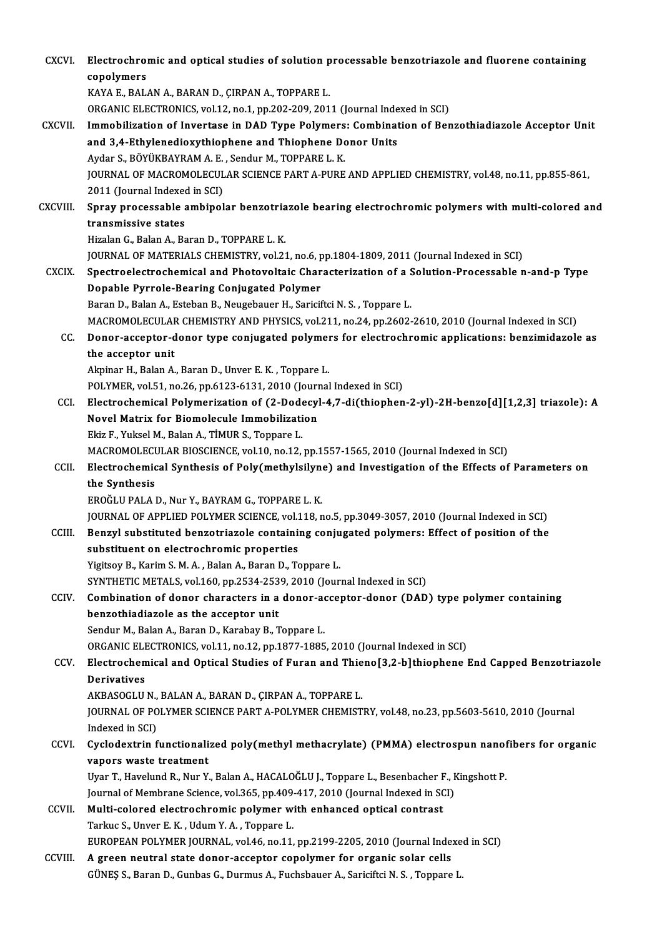| CXCVI.        | Electrochromic and optical studies of solution processable benzotriazole and fluorene containing<br>copolymers                                         |
|---------------|--------------------------------------------------------------------------------------------------------------------------------------------------------|
|               | KAYA E., BALAN A., BARAN D., ÇIRPAN A., TOPPARE L.                                                                                                     |
|               | ORGANIC ELECTRONICS, vol.12, no.1, pp.202-209, 2011 (Journal Indexed in SCI)                                                                           |
| <b>CXCVII</b> | Immobilization of Invertase in DAD Type Polymers: Combination of Benzothiadiazole Acceptor Unit                                                        |
|               | and 3,4-Ethylenedioxythiophene and Thiophene Donor Units                                                                                               |
|               | Aydar S., BÖYÜKBAYRAM A. E., Sendur M., TOPPARE L. K.                                                                                                  |
|               | JOURNAL OF MACROMOLECULAR SCIENCE PART A-PURE AND APPLIED CHEMISTRY, vol.48, no.11, pp.855-861,                                                        |
|               | 2011 (Journal Indexed in SCI)                                                                                                                          |
| CXCVIII.      | Spray processable ambipolar benzotriazole bearing electrochromic polymers with multi-colored and                                                       |
|               | transmissive states                                                                                                                                    |
|               | Hizalan G., Balan A., Baran D., TOPPARE L. K.                                                                                                          |
|               | JOURNAL OF MATERIALS CHEMISTRY, vol.21, no.6, pp.1804-1809, 2011 (Journal Indexed in SCI)                                                              |
| <b>CXCIX</b>  | Spectroelectrochemical and Photovoltaic Characterization of a Solution-Processable n-and-p Type                                                        |
|               | Dopable Pyrrole-Bearing Conjugated Polymer                                                                                                             |
|               | Baran D., Balan A., Esteban B., Neugebauer H., Sariciftci N. S., Toppare L.                                                                            |
|               | MACROMOLECULAR CHEMISTRY AND PHYSICS, vol.211, no.24, pp.2602-2610, 2010 (Journal Indexed in SCI)                                                      |
| CC.           | Donor-acceptor-donor type conjugated polymers for electrochromic applications: benzimidazole as                                                        |
|               | the acceptor unit                                                                                                                                      |
|               | Akpinar H., Balan A., Baran D., Unver E. K., Toppare L.                                                                                                |
|               | POLYMER, vol.51, no.26, pp.6123-6131, 2010 (Journal Indexed in SCI)                                                                                    |
| CCI.          | Electrochemical Polymerization of (2-Dodecyl-4,7-di(thiophen-2-yl)-2H-benzo[d][1,2,3] triazole): A                                                     |
|               | Novel Matrix for Biomolecule Immobilization                                                                                                            |
|               | Ekiz F., Yuksel M., Balan A., TİMUR S., Toppare L.                                                                                                     |
|               | MACROMOLECULAR BIOSCIENCE, vol.10, no.12, pp.1557-1565, 2010 (Journal Indexed in SCI)                                                                  |
| CCII.         | Electrochemical Synthesis of Poly(methylsilyne) and Investigation of the Effects of Parameters on                                                      |
|               | the Synthesis                                                                                                                                          |
|               | EROĞLU PALA D., Nur Y., BAYRAM G., TOPPARE L. K.                                                                                                       |
|               | JOURNAL OF APPLIED POLYMER SCIENCE, vol.118, no.5, pp.3049-3057, 2010 (Journal Indexed in SCI)                                                         |
| CCIII.        | Benzyl substituted benzotriazole containing conjugated polymers: Effect of position of the                                                             |
|               | substituent on electrochromic properties                                                                                                               |
|               | Yigitsoy B., Karim S. M. A., Balan A., Baran D., Toppare L.                                                                                            |
|               | SYNTHETIC METALS, vol.160, pp.2534-2539, 2010 (Journal Indexed in SCI)                                                                                 |
| CCIV.         | Combination of donor characters in a donor-acceptor-donor (DAD) type polymer containing                                                                |
|               | benzothiadiazole as the acceptor unit                                                                                                                  |
|               | Sendur M., Balan A., Baran D., Karabay B., Toppare L.                                                                                                  |
|               | ORGANIC ELECTRONICS, vol.11, no.12, pp.1877-1885, 2010 (Journal Indexed in SCI)                                                                        |
| CCV.          | Electrochemical and Optical Studies of Furan and Thieno[3,2-b]thiophene End Capped Benzotriazole                                                       |
|               | <b>Derivatives</b>                                                                                                                                     |
|               | AKBASOGLU N., BALAN A., BARAN D., ÇIRPAN A., TOPPARE L.                                                                                                |
|               | JOURNAL OF POLYMER SCIENCE PART A-POLYMER CHEMISTRY, vol.48, no.23, pp.5603-5610, 2010 (Journal                                                        |
|               | Indexed in SCI)                                                                                                                                        |
| CCVI.         | Cyclodextrin functionalized poly(methyl methacrylate) (PMMA) electrospun nanofibers for organic                                                        |
|               | vapors waste treatment                                                                                                                                 |
|               | Uyar T., Havelund R., Nur Y., Balan A., HACALOĞLU J., Toppare L., Besenbacher F., Kingshott P.                                                         |
|               | Journal of Membrane Science, vol.365, pp.409-417, 2010 (Journal Indexed in SCI)<br>Multi-colored electrochromic polymer with enhanced optical contrast |
| CCVII.        | Tarkuc S., Unver E. K., Udum Y. A., Toppare L.                                                                                                         |
|               | EUROPEAN POLYMER JOURNAL, vol.46, no.11, pp.2199-2205, 2010 (Journal Indexed in SCI)                                                                   |
| CCVIII.       | A green neutral state donor-acceptor copolymer for organic solar cells                                                                                 |
|               | GÜNEŞ S., Baran D., Gunbas G., Durmus A., Fuchsbauer A., Sariciftci N. S., Toppare L.                                                                  |
|               |                                                                                                                                                        |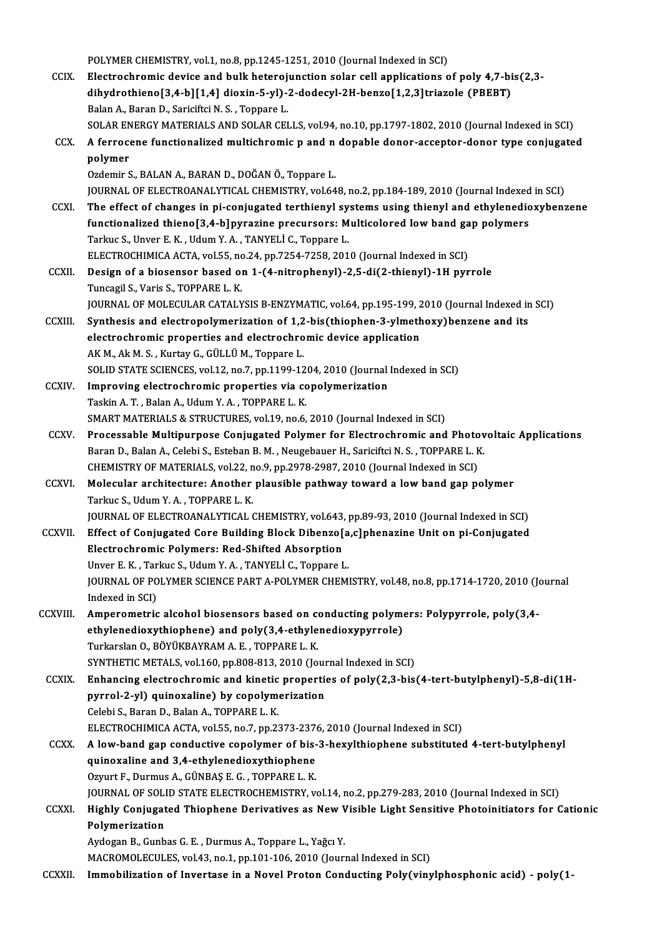POLYMER CHEMISTRY, vol.1, no.8, pp.1245-1251, 2010 (Journal Indexed in SCI)

POLYMER CHEMISTRY, vol.1, no.8, pp.1245-1251, 2010 (Journal Indexed in SCI)<br>CCIX. Electrochromic device and bulk heterojunction solar cell applications of poly 4,7-bis(2,3-<br>dibydnethional<sup>3</sup> 4, bl14, 41 diovin 5, vl), 2, d POLYMER CHEMISTRY, vol.1, no.8, pp.1245-1251, 2010 (Journal Indexed in SCI)<br>Electrochromic device and bulk heterojunction solar cell applications of poly 4,7-bi<br>dihydrothieno[3,4-b][1,4] dioxin-5-yl)-2-dodecyl-2H-benzo[1,2 dihydrothieno[3,4-b][1,4] dioxin-5-yl)-2-dodecyl-2H-benzo[1,2,3]triazole (PBEBT)<br>Balan A., Baran D., Sariciftci N. S., Toppare L. dihydrothieno[3,4-b][1,4] dioxin-5-yl)-2-dodecyl-2H-benzo[1,2,3]triazole (PBEBT)<br>Balan A., Baran D., Sariciftci N. S. , Toppare L.<br>SOLAR ENERGY MATERIALS AND SOLAR CELLS, vol.94, no.10, pp.1797-1802, 2010 (Journal Indexed Balan A., Baran D., Sariciftci N. S. , Toppare L.<br>SOLAR ENERGY MATERIALS AND SOLAR CELLS, vol.94, no.10, pp.1797-1802, 2010 (Journal Indexed in SCI)<br>CCX. A ferrocene functionalized multichromic p and n dopable donor-accept SOLAR EN<br>A ferroce<br>polymer<br>Ozdemir S A ferrocene functionalized multichromic p and n<br>polymer<br>Ozdemir S., BALAN A., BARAN D., DOĞAN Ö., Toppare L.<br>JOUPMAL OF ELECTROANALYTICAL CHEMISTRY vol 64 polymer<br>Ozdemir S., BALAN A., BARAN D., DOĞAN Ö., Toppare L.<br>JOURNAL OF ELECTROANALYTICAL CHEMISTRY, vol.648, no.2, pp.184-189, 2010 (Journal Indexed in SCI) Ozdemir S., BALAN A., BARAN D., DOĞAN Ö., Toppare L.<br>JOURNAL OF ELECTROANALYTICAL CHEMISTRY, vol.648, no.2, pp.184-189, 2010 (Journal Indexed in SCI)<br>CCXI. The effect of changes in pi-conjugated terthienyl systems using th JOURNAL OF ELECTROANALYTICAL CHEMISTRY, vol.648, no.2, pp.184-189, 2010 (Journal Indexed<br>The effect of changes in pi-conjugated terthienyl systems using thienyl and ethylenedic<br>functionalized thieno[3,4-b]pyrazine precurso The effect of changes in pi-conjugated terthienyl sy<br>functionalized thieno[3,4-b]pyrazine precursors: M<br>Tarkuc S., Unver E. K. , Udum Y. A. , TANYELİ C., Toppare L.<br>ELECTROCUIMICA ACTA .val EE. no 24. nn 7254.7259.201 functionalized thieno[3,4-b]pyrazine precursors: Multicolored low band gap polymers<br>Tarkuc S., Unver E. K. , Udum Y. A. , TANYELİ C., Toppare L.<br>ELECTROCHIMICA ACTA, vol.55, no.24, pp.7254-7258, 2010 (Journal Indexed in SC Tarkuc S., Unver E. K., Udum Y. A., TANYELİ C., Toppare L.<br>ELECTROCHIMICA ACTA, vol.55, no.24, pp.7254-7258, 2010 (Journal Indexed in SCI)<br>CCXII. Design of a biosensor based on 1-(4-nitrophenyl)-2,5-di(2-thienyl)-1H pyrrol ELECTROCHIMICA ACTA, vol.55, no<br>Design of a biosensor based of<br>Tuncagil S., Varis S., TOPPARE L. K.<br>JOUPNAL OF MOLECULAR CATALY Design of a biosensor based on 1-(4-nitrophenyl)-2,5-di(2-thienyl)-1H pyrrole<br>Tuncagil S., Varis S., TOPPARE L. K.<br>JOURNAL OF MOLECULAR CATALYSIS B-ENZYMATIC, vol.64, pp.195-199, 2010 (Journal Indexed in SCI)<br>Synthesis and Tuncagil S., Varis S., TOPPARE L. K.<br>JOURNAL OF MOLECULAR CATALYSIS B-ENZYMATIC, vol.64, pp.195-199, 2010 (Journal Indexed in<br>CCXIII. Synthesis and electropolymerization of 1,2-bis(thiophen-3-ylmethoxy)benzene and its<br>clea JOURNAL OF MOLECULAR CATALYSIS B-ENZYMATIC, vol.64, pp.195-199, 2010 (Journal Indexed in SCI)<br>Synthesis and electropolymerization of 1,2-bis(thiophen-3-ylmethoxy)benzene and its<br>electrochromic properties and electrochromic Synthesis and electropolymerization of 1,2<br>electrochromic properties and electrochro<br>AK M., Ak M. S. , Kurtay G., GÜLLÜ M., Toppare L.<br>SOLID STATE SCIENGES vol 12, po 7, pp.1100-12 electrochromic properties and electrochromic device application<br>AK M., Ak M. S. , Kurtay G., GÜLLÜ M., Toppare L.<br>SOLID STATE SCIENCES, vol.12, no.7, pp.1199-1204, 2010 (Journal Indexed in SCI)<br>Impressing electrochromic pr AK M., Ak M. S., Kurtay G., GÜLLÜ M., Toppare L.<br>SOLID STATE SCIENCES, vol.12, no.7, pp.1199-1204, 2010 (Journal<br>CCXIV. Improving electrochromic properties via copolymerization<br>Toghin A. T. Balan A. Hdum Y. A. TOPPAPE L. K SOLID STATE SCIENCES, vol.12, no.7, pp.1199-12<br>Improving electrochromic properties via co<br>Taskin A. T. , Balan A., Udum Y. A. , TOPPARE L. K.<br>SMAPT MATERIALS & STRUCTURES vol.19, no.6. Improving electrochromic properties via copolymerization<br>Taskin A. T. , Balan A., Udum Y. A. , TOPPARE L. K.<br>SMART MATERIALS & STRUCTURES, vol.19, no.6, 2010 (Journal Indexed in SCI)<br>Processable Multipurnese Conjugated Bol Taskin A. T. , Balan A., Udum Y. A. , TOPPARE L. K.<br>SMART MATERIALS & STRUCTURES, vol.19, no.6, 2010 (Journal Indexed in SCI)<br>CCXV. Processable Multipurpose Conjugated Polymer for Electrochromic and Photovoltaic Applicatio SMART MATERIALS & STRUCTURES, vol.19, no.6, 2010 (Journal Indexed in SCI)<br>Processable Multipurpose Conjugated Polymer for Electrochromic and Photov<br>Baran D., Balan A., Celebi S., Esteban B. M. , Neugebauer H., Sariciftci N Processable Multipurpose Conjugated Polymer for Electrochromic and Photo<br>Baran D., Balan A., Celebi S., Esteban B. M. , Neugebauer H., Sariciftci N. S. , TOPPARE L. K<br>CHEMISTRY OF MATERIALS, vol.22, no.9, pp.2978-2987, 201 CCXVI. Molecular architecture: Another plausible pathway toward a low band gap polymer<br>Tarkuc S., Udum Y. A., TOPPARE L. K. CHEMISTRY OF MATERIALS, vol.22, n<br>Molecular architecture: Another<br>Tarkuc S., Udum Y. A. , TOPPARE L. K.<br>JOUPNAL OF ELECTPOANALYTICAL ( Molecular architecture: Another plausible pathway toward a low band gap polymer<br>Tarkuc S., Udum Y. A. , TOPPARE L. K.<br>JOURNAL OF ELECTROANALYTICAL CHEMISTRY, vol.643, pp.89-93, 2010 (Journal Indexed in SCI)<br>Effect of Conju CCXVII. Effect of Conjugated Core Building Block Dibenzo[a,c]phenazine Unit on pi-Conjugated<br>Electrochromic Polymers: Red-Shifted Absorption JOURNAL OF ELECTROANALYTICAL CHEMISTRY, vol.643,<br>Effect of Conjugated Core Building Block Dibenzo<br>Electrochromic Polymers: Red-Shifted Absorption<br>Unver E.K., Terlue S. Hdum V.A., TANVELLE, Tennere L Effect of Conjugated Core Building Block Dibenzo[a<br>Electrochromic Polymers: Red-Shifted Absorption<br>Unver E.K., Tarkuc S., Udum Y.A., TANYELİ C., Toppare L.<br>JOUPMAL OF POLYMER SCIENCE RART A POLYMER CHEM Electrochromic Polymers: Red-Shifted Absorption<br>Unver E. K. , Tarkuc S., Udum Y. A. , TANYELİ C., Toppare L.<br>JOURNAL OF POLYMER SCIENCE PART A-POLYMER CHEMISTRY, vol.48, no.8, pp.1714-1720, 2010 (Journal<br>Indeved in SCD. Unver E. K. , Tar<br>JOURNAL OF PO<br>Indexed in SCI)<br>Amnonomotric JOURNAL OF POLYMER SCIENCE PART A-POLYMER CHEMISTRY, vol.48, no.8, pp.1714-1720, 2010 (Journal indexed in SCI)<br>CCXVIII. Amperometric alcohol biosensors based on conducting polymers: Polypyrrole, poly(3,4-<br>athrilopodioruthi Indexed in SCI)<br>Amperometric alcohol biosensors based on conducting polyme<br>ethylenedioxythiophene) and poly(3,4-ethylenedioxypyrrole)<br>Turkarelan O. BÖYÜVRAYRAM A.E., TOPRAREL V Amperometric alcohol biosensors based on complement of the same of the Turkarslan O., BÖYÜKBAYRAM A. E. , TOPPARE L. K.<br>Turkarslan O., BÖYÜKBAYRAM A. E. , TOPPARE L. K.<br>SYNTHETIC METALS .vel 160, np.909,913, 2010 (Jo ethylenedioxythiophene) and poly(3,4-ethylenedioxypyrrole)<br>Turkarslan O., BÖYÜKBAYRAM A.E., TOPPARE L.K.<br>SYNTHETIC METALS, vol.160, pp.808-813, 2010 (Journal Indexed in SCI)<br>Enhanging electrochromic and kinetic properties Turkarslan O., BÖYÜKBAYRAM A. E. , TOPPARE L. K.<br>SYNTHETIC METALS, vol.160, pp.808-813, 2010 (Journal Indexed in SCI)<br>CCXIX. Enhancing electrochromic and kinetic properties of poly(2,3-bis(4-tert-butylphenyl)-5,8-di(1H-<br>py SYNTHETIC METALS, vol.160, pp.808-813, 2010 (Journal Control of Changelectrochromic and kinetic propertion<br>pyrrol-2-yl) quinoxaline) by copolymerization<br>Colobi S. Boron D. Bolan A. TOPPARE L. K CelebiS.,BaranD.,BalanA.,TOPPAREL.K. pyrrol-2-yl) quinoxaline) by copolymerization<br>Celebi S., Baran D., Balan A., TOPPARE L. K.<br>ELECTROCHIMICA ACTA, vol.55, no.7, pp.2373-2376, 2010 (Journal Indexed in SCI)<br>A low band gan conductive conelymen of bis 3 beyylth Celebi S., Baran D., Balan A., TOPPARE L. K.<br>ELECTROCHIMICA ACTA, vol.55, no.7, pp.2373-2376, 2010 (Journal Indexed in SCI)<br>CCXX. A low-band gap conductive copolymer of bis-3-hexylthiophene substituted 4-tert-butylphenyl<br>a ELECTROCHIMICA ACTA, vol.55, no.7, pp.2373-237<br>A low-band gap conductive copolymer of bis-<br>quinoxaline and 3,4-ethylenedioxythiophene A low-band gap conductive copolymer of bisquinoxaline and 3,4-ethylenedioxythiophene<br>Ozyurt F., Durmus A., GÜNBAŞ E. G. , TOPPARE L. K.<br>JOUPMAL OF SOLID STATE ELECTROCHEMISTRY ... quinoxaline and 3,4-ethylenedioxythiophene<br>Ozyurt F., Durmus A., GÜNBAŞ E. G. , TOPPARE L. K.<br>JOURNAL OF SOLID STATE ELECTROCHEMISTRY, vol.14, no.2, pp.279-283, 2010 (Journal Indexed in SCI)<br>Highly Conjugated Thiophene Der Ozyurt F., Durmus A., GÜNBAŞ E. G. , TOPPARE L. K.<br>JOURNAL OF SOLID STATE ELECTROCHEMISTRY, vol.14, no.2, pp.279-283, 2010 (Journal Indexed in SCI)<br>CCXXI. Highly Conjugated Thiophene Derivatives as New Visible Light Se **JOURNAL OF SOLI**<br>Highly Conjugat<br>Polymerization<br>Aydogan P. Cunh Highly Conjugated Thiophene Derivatives as New V<br>Polymerization<br>Aydogan B., Gunbas G. E. , Durmus A., Toppare L., Yağcı Y.<br>MACROMOLECULES vel 43 no 1 nn 101 106 2010 (Jour Polymerization<br>Aydogan B., Gunbas G. E. , Durmus A., Toppare L., Yağcı Y.<br>MACROMOLECULES, vol.43, no.1, pp.101-106, 2010 (Journal Indexed in SCI) CCXXII. Immobilization of Invertase in a Novel Proton Conducting Poly(vinylphosphonic acid) - poly(1-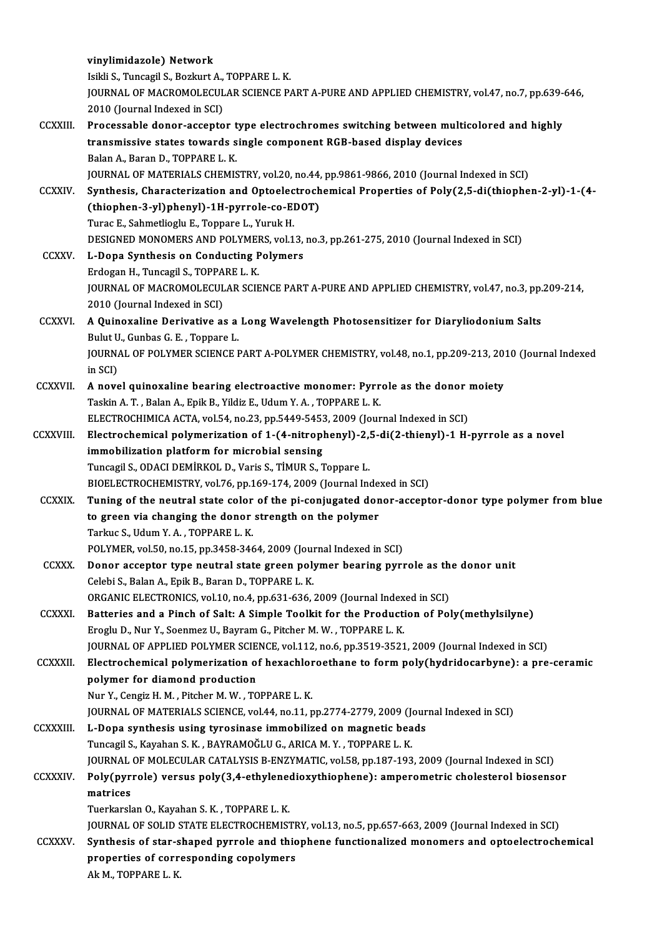|                  | vinylimidazole) Network                                                                                                                                       |
|------------------|---------------------------------------------------------------------------------------------------------------------------------------------------------------|
|                  | Isikli S., Tuncagil S., Bozkurt A., TOPPARE L. K.                                                                                                             |
|                  | JOURNAL OF MACROMOLECULAR SCIENCE PART A-PURE AND APPLIED CHEMISTRY, vol.47, no.7, pp.639-646,                                                                |
|                  | 2010 (Journal Indexed in SCI)                                                                                                                                 |
| <b>CCXXIII</b>   | Processable donor-acceptor type electrochromes switching between multicolored and highly                                                                      |
|                  | transmissive states towards single component RGB-based display devices<br>Balan A., Baran D., TOPPARE L. K.                                                   |
|                  |                                                                                                                                                               |
|                  | JOURNAL OF MATERIALS CHEMISTRY, vol.20, no.44, pp.9861-9866, 2010 (Journal Indexed in SCI)                                                                    |
| <b>CCXXIV</b>    | Synthesis, Characterization and Optoelectrochemical Properties of Poly(2,5-di(thiophen-2-yl)-1-(4-<br>(thiophen-3-yl)phenyl)-1H-pyrrole-co-EDOT)              |
|                  | Turac E., Sahmetlioglu E., Toppare L., Yuruk H.                                                                                                               |
|                  | DESIGNED MONOMERS AND POLYMERS, vol.13, no.3, pp.261-275, 2010 (Journal Indexed in SCI)                                                                       |
| <b>CCXXV</b>     | L-Dopa Synthesis on Conducting Polymers                                                                                                                       |
|                  | Erdogan H., Tuncagil S., TOPPARE L. K.                                                                                                                        |
|                  | JOURNAL OF MACROMOLECULAR SCIENCE PART A-PURE AND APPLIED CHEMISTRY, vol.47, no.3, pp.209-214,                                                                |
|                  | 2010 (Journal Indexed in SCI)                                                                                                                                 |
| <b>CCXXVI</b>    | A Quinoxaline Derivative as a Long Wavelength Photosensitizer for Diaryliodonium Salts                                                                        |
|                  | Bulut U., Gunbas G. E., Toppare L.                                                                                                                            |
|                  | JOURNAL OF POLYMER SCIENCE PART A-POLYMER CHEMISTRY, vol.48, no.1, pp.209-213, 2010 (Journal Indexed                                                          |
|                  | in SCI)                                                                                                                                                       |
| <b>CCXXVII.</b>  | A novel quinoxaline bearing electroactive monomer: Pyrrole as the donor moiety                                                                                |
|                  | Taskin A. T., Balan A., Epik B., Yildiz E., Udum Y. A., TOPPARE L. K.                                                                                         |
|                  | ELECTROCHIMICA ACTA, vol.54, no.23, pp.5449-5453, 2009 (Journal Indexed in SCI)                                                                               |
| <b>CCXXVIII.</b> | Electrochemical polymerization of 1-(4-nitrophenyl)-2,5-di(2-thienyl)-1 H-pyrrole as a novel                                                                  |
|                  | immobilization platform for microbial sensing                                                                                                                 |
|                  | Tuncagil S., ODACI DEMIRKOL D., Varis S., TIMUR S., Toppare L.                                                                                                |
|                  | BIOELECTROCHEMISTRY, vol.76, pp.169-174, 2009 (Journal Indexed in SCI)                                                                                        |
| <b>CCXXIX</b>    | Tuning of the neutral state color of the pi-conjugated donor-acceptor-donor type polymer from blue<br>to green via changing the donor strength on the polymer |
|                  | Tarkuc S., Udum Y.A., TOPPARE L.K.                                                                                                                            |
|                  | POLYMER, vol.50, no.15, pp.3458-3464, 2009 (Journal Indexed in SCI)                                                                                           |
| <b>CCXXX</b>     | Donor acceptor type neutral state green polymer bearing pyrrole as the donor unit                                                                             |
|                  | Celebi S., Balan A., Epik B., Baran D., TOPPARE L. K.                                                                                                         |
|                  | ORGANIC ELECTRONICS, vol.10, no.4, pp.631-636, 2009 (Journal Indexed in SCI)                                                                                  |
| <b>CCXXXI</b>    | Batteries and a Pinch of Salt: A Simple Toolkit for the Production of Poly(methylsilyne)                                                                      |
|                  | Eroglu D., Nur Y., Soenmez U., Bayram G., Pitcher M. W., TOPPARE L. K.                                                                                        |
|                  | JOURNAL OF APPLIED POLYMER SCIENCE, vol.112, no.6, pp.3519-3521, 2009 (Journal Indexed in SCI)                                                                |
| <b>CCXXXII</b>   | Electrochemical polymerization of hexachloroethane to form poly(hydridocarbyne): a pre-ceramic                                                                |
|                  | polymer for diamond production                                                                                                                                |
|                  | Nur Y., Cengiz H. M., Pitcher M. W., TOPPARE L. K.                                                                                                            |
|                  | JOURNAL OF MATERIALS SCIENCE, vol.44, no.11, pp.2774-2779, 2009 (Journal Indexed in SCI)                                                                      |
| <b>CCXXXIII.</b> | L-Dopa synthesis using tyrosinase immobilized on magnetic beads                                                                                               |
|                  | Tuncagil S., Kayahan S. K., BAYRAMOĞLU G., ARICA M. Y., TOPPARE L. K.                                                                                         |
|                  | JOURNAL OF MOLECULAR CATALYSIS B-ENZYMATIC, vol.58, pp.187-193, 2009 (Journal Indexed in SCI)                                                                 |
| <b>CCXXXIV</b>   | Poly(pyrrole) versus poly(3,4-ethylenedioxythiophene): amperometric cholesterol biosensor<br>matrices                                                         |
|                  | Tuerkarslan O., Kayahan S. K., TOPPARE L. K.                                                                                                                  |
|                  | JOURNAL OF SOLID STATE ELECTROCHEMISTRY, vol.13, no.5, pp.657-663, 2009 (Journal Indexed in SCI)                                                              |
| <b>CCXXXV</b>    | Synthesis of star-shaped pyrrole and thiophene functionalized monomers and optoelectrochemical                                                                |
|                  | properties of corresponding copolymers                                                                                                                        |
|                  | Ak M., TOPPARE L. K.                                                                                                                                          |
|                  |                                                                                                                                                               |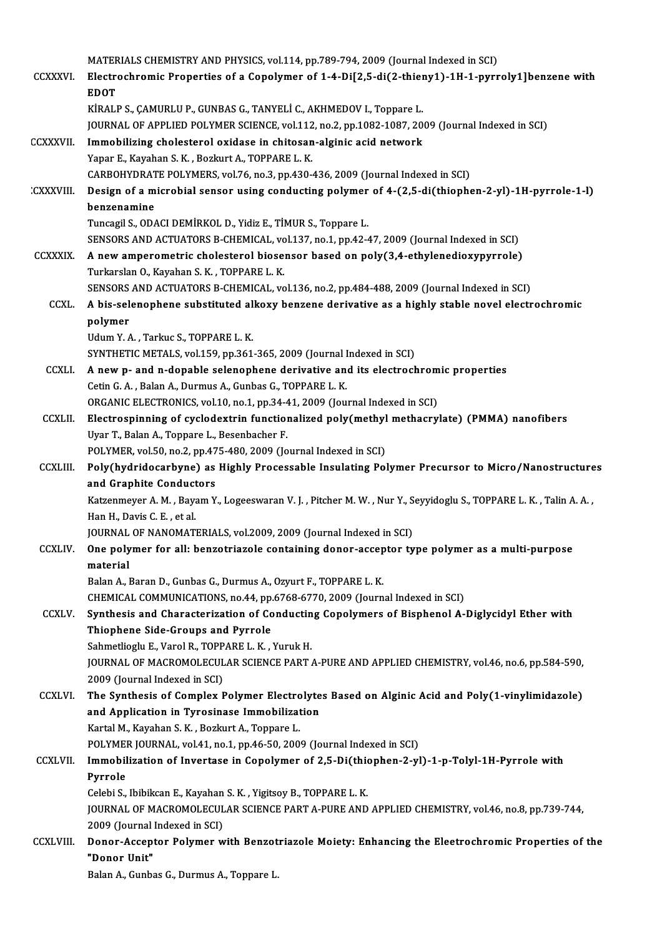|                  | MATERIALS CHEMISTRY AND PHYSICS, vol.114, pp.789-794, 2009 (Journal Indexed in SCI)                                                           |
|------------------|-----------------------------------------------------------------------------------------------------------------------------------------------|
| <b>CCXXXVI</b>   | Electrochromic Properties of a Copolymer of 1-4-Di[2,5-di(2-thieny1)-1H-1-pyrroly1]benzene with                                               |
|                  | <b>EDOT</b>                                                                                                                                   |
|                  | KİRALP S., ÇAMURLU P., GUNBAS G., TANYELİ C., AKHMEDOV I., Toppare L.                                                                         |
|                  | JOURNAL OF APPLIED POLYMER SCIENCE, vol.112, no.2, pp.1082-1087, 2009 (Journal Indexed in SCI)                                                |
| <b>CCXXXVII.</b> | Immobilizing cholesterol oxidase in chitosan-alginic acid network<br>Yapar E., Kayahan S. K., Bozkurt A., TOPPARE L. K.                       |
|                  | CARBOHYDRATE POLYMERS, vol.76, no.3, pp.430-436, 2009 (Journal Indexed in SCI)                                                                |
| <b>CXXXVIII.</b> | Design of a microbial sensor using conducting polymer of 4-(2,5-di(thiophen-2-yl)-1H-pyrrole-1-l)                                             |
|                  | benzenamine                                                                                                                                   |
|                  | Tuncagil S., ODACI DEMİRKOL D., Yidiz E., TİMUR S., Toppare L.                                                                                |
|                  | SENSORS AND ACTUATORS B-CHEMICAL, vol.137, no.1, pp.42-47, 2009 (Journal Indexed in SCI)                                                      |
| <b>CCXXXIX</b>   | A new amperometric cholesterol biosensor based on poly(3,4-ethylenedioxypyrrole)<br>Turkarslan O., Kayahan S. K., TOPPARE L. K.               |
|                  | SENSORS AND ACTUATORS B-CHEMICAL, vol.136, no.2, pp.484-488, 2009 (Journal Indexed in SCI)                                                    |
| <b>CCXL</b>      | A bis-selenophene substituted alkoxy benzene derivative as a highly stable novel electrochromic                                               |
|                  | polymer                                                                                                                                       |
|                  | Udum Y.A., Tarkuc S., TOPPARE L.K.                                                                                                            |
|                  | SYNTHETIC METALS, vol.159, pp.361-365, 2009 (Journal Indexed in SCI)                                                                          |
| <b>CCXLI</b>     | A new p- and n-dopable selenophene derivative and its electrochromic properties<br>Cetin G. A., Balan A., Durmus A., Gunbas G., TOPPARE L. K. |
|                  | ORGANIC ELECTRONICS, vol.10, no.1, pp.34-41, 2009 (Journal Indexed in SCI)                                                                    |
| <b>CCXLII</b>    | Electrospinning of cyclodextrin functionalized poly(methyl methacrylate) (PMMA) nanofibers                                                    |
|                  | Uyar T., Balan A., Toppare L., Besenbacher F.                                                                                                 |
|                  | POLYMER, vol.50, no.2, pp.475-480, 2009 (Journal Indexed in SCI)                                                                              |
| <b>CCXLIII.</b>  | Poly(hydridocarbyne) as Highly Processable Insulating Polymer Precursor to Micro/Nanostructures                                               |
|                  | and Graphite Conductors<br>Katzenmeyer A. M., Bayam Y., Logeeswaran V. J., Pitcher M. W., Nur Y., Seyyidoglu S., TOPPARE L. K., Talin A. A.,  |
|                  | Han H. Davis C. E., et al.                                                                                                                    |
|                  | JOURNAL OF NANOMATERIALS, vol.2009, 2009 (Journal Indexed in SCI)                                                                             |
| <b>CCXLIV.</b>   | One polymer for all: benzotriazole containing donor-acceptor type polymer as a multi-purpose                                                  |
|                  | material                                                                                                                                      |
|                  | Balan A., Baran D., Gunbas G., Durmus A., Ozyurt F., TOPPARE L. K.                                                                            |
|                  | CHEMICAL COMMUNICATIONS, no.44, pp.6768-6770, 2009 (Journal Indexed in SCI)                                                                   |
| CCXLV.           | Synthesis and Characterization of Conducting Copolymers of Bisphenol A-Diglycidyl Ether with<br>Thiophene Side-Groups and Pyrrole             |
|                  | Sahmetlioglu E., Varol R., TOPPARE L. K., Yuruk H.                                                                                            |
|                  | JOURNAL OF MACROMOLECULAR SCIENCE PART A-PURE AND APPLIED CHEMISTRY, vol.46, no.6, pp.584-590,                                                |
|                  | 2009 (Journal Indexed in SCI)                                                                                                                 |
| <b>CCXLVI</b>    | The Synthesis of Complex Polymer Electrolytes Based on Alginic Acid and Poly(1-vinylimidazole)                                                |
|                  | and Application in Tyrosinase Immobilization                                                                                                  |
|                  | Kartal M., Kayahan S. K., Bozkurt A., Toppare L.<br>POLYMER JOURNAL, vol.41, no.1, pp.46-50, 2009 (Journal Indexed in SCI)                    |
| <b>CCXLVII</b>   | Immobilization of Invertase in Copolymer of 2,5-Di(thiophen-2-yl)-1-p-Tolyl-1H-Pyrrole with                                                   |
|                  | Pyrrole                                                                                                                                       |
|                  | Celebi S., Ibibikcan E., Kayahan S. K., Yigitsoy B., TOPPARE L. K.                                                                            |
|                  | JOURNAL OF MACROMOLECULAR SCIENCE PART A-PURE AND APPLIED CHEMISTRY, vol.46, no.8, pp.739-744,                                                |
|                  | 2009 (Journal Indexed in SCI)                                                                                                                 |
| <b>CCXLVIII.</b> | Donor-Acceptor Polymer with Benzotriazole Moiety: Enhancing the Eleetrochromic Properties of the<br>"Donor Unit"                              |
|                  | Balan A., Gunbas G., Durmus A., Toppare L.                                                                                                    |
|                  |                                                                                                                                               |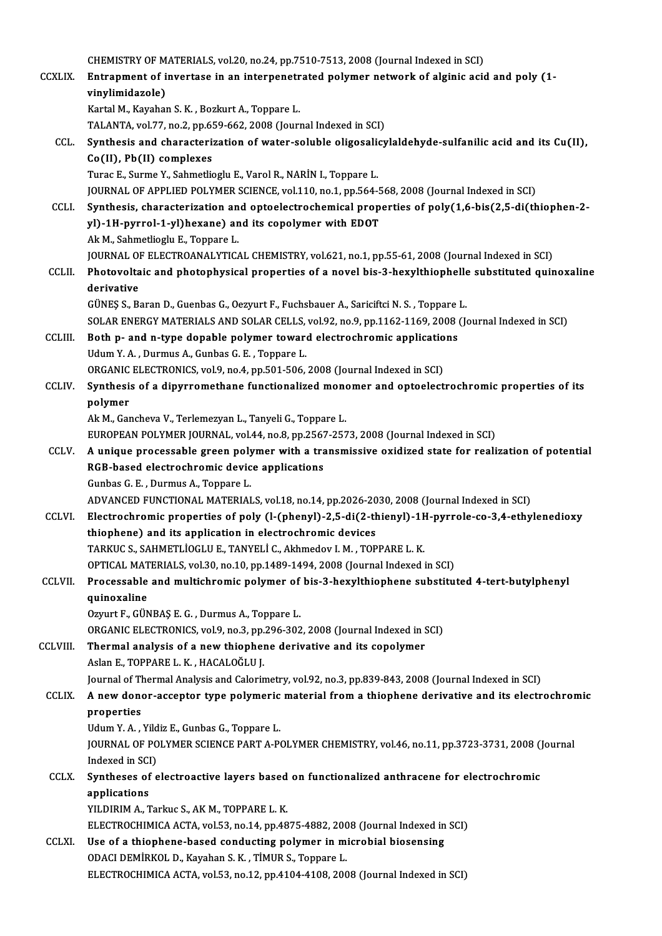|                | CHEMISTRY OF MATERIALS, vol.20, no.24, pp.7510-7513, 2008 (Journal Indexed in SCI)                                                                                                        |
|----------------|-------------------------------------------------------------------------------------------------------------------------------------------------------------------------------------------|
| <b>CCXLIX.</b> | Entrapment of invertase in an interpenetrated polymer network of alginic acid and poly (1-<br>vinylimidazole)                                                                             |
|                | Kartal M., Kayahan S. K., Bozkurt A., Toppare L.                                                                                                                                          |
|                | TALANTA, vol.77, no.2, pp.659-662, 2008 (Journal Indexed in SCI)                                                                                                                          |
| CCL.           | Synthesis and characterization of water-soluble oligosalicylaldehyde-sulfanilic acid and its Cu(II),                                                                                      |
|                | Co(II), Pb(II) complexes                                                                                                                                                                  |
|                | Turac E., Surme Y., Sahmetlioglu E., Varol R., NARİN I., Toppare L.                                                                                                                       |
|                | JOURNAL OF APPLIED POLYMER SCIENCE, vol.110, no.1, pp.564-568, 2008 (Journal Indexed in SCI)                                                                                              |
| CCLI.          | Synthesis, characterization and optoelectrochemical properties of poly(1,6-bis(2,5-di(thiophen-2-                                                                                         |
|                | yl)-1H-pyrrol-1-yl)hexane) and its copolymer with EDOT                                                                                                                                    |
|                | Ak M., Sahmetlioglu E., Toppare L.                                                                                                                                                        |
|                | JOURNAL OF ELECTROANALYTICAL CHEMISTRY, vol.621, no.1, pp.55-61, 2008 (Journal Indexed in SCI)                                                                                            |
| CCLII.         | Photovoltaic and photophysical properties of a novel bis-3-hexylthiophelle substituted quinoxaline                                                                                        |
|                | derivative                                                                                                                                                                                |
|                | GÜNEŞ S., Baran D., Guenbas G., Oezyurt F., Fuchsbauer A., Sariciftci N. S., Toppare L.                                                                                                   |
|                | SOLAR ENERGY MATERIALS AND SOLAR CELLS, vol.92, no.9, pp.1162-1169, 2008 (Journal Indexed in SCI)                                                                                         |
| <b>CCLIII.</b> | Both p- and n-type dopable polymer toward electrochromic applications                                                                                                                     |
|                | Udum Y.A., Durmus A., Gunbas G.E., Toppare L.                                                                                                                                             |
|                | ORGANIC ELECTRONICS, vol.9, no.4, pp.501-506, 2008 (Journal Indexed in SCI)                                                                                                               |
| CCLIV.         | Synthesis of a dipyrromethane functionalized monomer and optoelectrochromic properties of its                                                                                             |
|                | polymer                                                                                                                                                                                   |
|                | Ak M., Gancheva V., Terlemezyan L., Tanyeli G., Toppare L.                                                                                                                                |
| CCLV.          | EUROPEAN POLYMER JOURNAL, vol.44, no.8, pp.2567-2573, 2008 (Journal Indexed in SCI)<br>A unique processable green polymer with a transmissive oxidized state for realization of potential |
|                | RGB-based electrochromic device applications                                                                                                                                              |
|                | Gunbas G. E., Durmus A., Toppare L.                                                                                                                                                       |
|                | ADVANCED FUNCTIONAL MATERIALS, vol.18, no.14, pp.2026-2030, 2008 (Journal Indexed in SCI)                                                                                                 |
| <b>CCLVI</b>   | Electrochromic properties of poly (l-(phenyl)-2,5-di(2-thienyl)-1H-pyrrole-co-3,4-ethylenedioxy                                                                                           |
|                | thiophene) and its application in electrochromic devices                                                                                                                                  |
|                | TARKUC S., SAHMETLIOGLU E., TANYELI C., Akhmedov I. M., TOPPARE L. K.                                                                                                                     |
|                | OPTICAL MATERIALS, vol.30, no.10, pp.1489-1494, 2008 (Journal Indexed in SCI)                                                                                                             |
| CCLVII.        | Processable and multichromic polymer of bis-3-hexylthiophene substituted 4-tert-butylphenyl                                                                                               |
|                | quinoxaline                                                                                                                                                                               |
|                | Ozyurt F., GÜNBAŞ E. G., Durmus A., Toppare L.                                                                                                                                            |
|                | ORGANIC ELECTRONICS, vol.9, no.3, pp.296-302, 2008 (Journal Indexed in SCI)                                                                                                               |
| CCLVIII.       | Thermal analysis of a new thiophene derivative and its copolymer                                                                                                                          |
|                | Aslan E., TOPPARE L. K., HACALOĞLU J.                                                                                                                                                     |
|                | Journal of Thermal Analysis and Calorimetry, vol.92, no.3, pp.839-843, 2008 (Journal Indexed in SCI)                                                                                      |
| <b>CCLIX</b>   | A new donor-acceptor type polymeric material from a thiophene derivative and its electrochromic                                                                                           |
|                | properties                                                                                                                                                                                |
|                | Udum Y.A., Yildiz E., Gunbas G., Toppare L.                                                                                                                                               |
|                | JOURNAL OF POLYMER SCIENCE PART A-POLYMER CHEMISTRY, vol.46, no.11, pp.3723-3731, 2008 (Journal                                                                                           |
|                | Indexed in SCI)                                                                                                                                                                           |
| <b>CCLX</b>    | Syntheses of electroactive layers based on functionalized anthracene for electrochromic                                                                                                   |
|                | applications                                                                                                                                                                              |
|                | YILDIRIM A., Tarkuc S., AK M., TOPPARE L. K.                                                                                                                                              |
| CCLXI.         | ELECTROCHIMICA ACTA, vol.53, no.14, pp.4875-4882, 2008 (Journal Indexed in SCI)<br>Use of a thiophene-based conducting polymer in microbial biosensing                                    |
|                | ODACI DEMIRKOL D., Kayahan S. K., TIMUR S., Toppare L.                                                                                                                                    |
|                | ELECTROCHIMICA ACTA, vol.53, no.12, pp.4104-4108, 2008 (Journal Indexed in SCI)                                                                                                           |
|                |                                                                                                                                                                                           |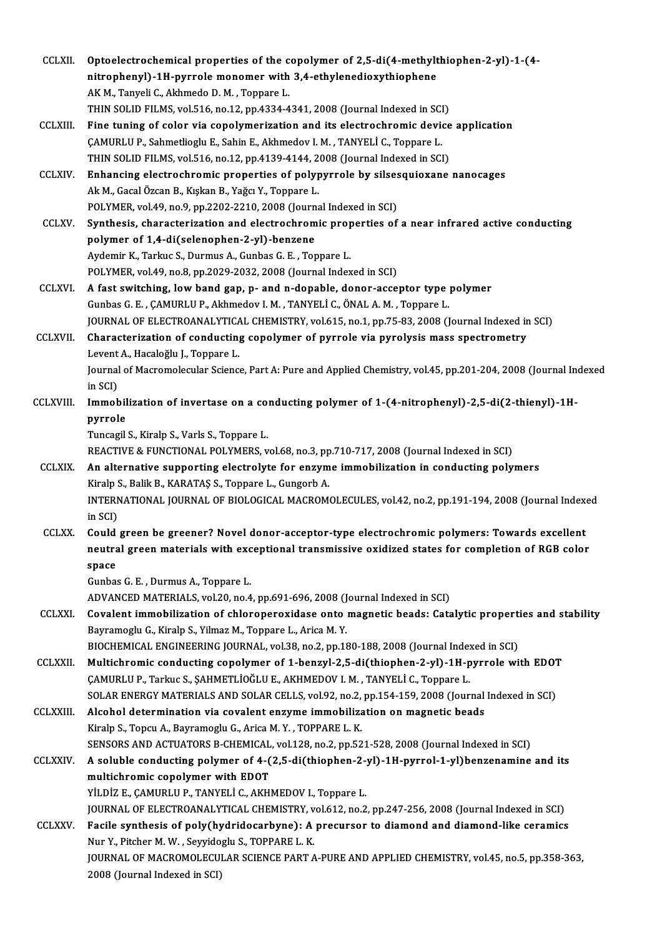| <b>CCLXII</b>    | Optoelectrochemical properties of the copolymer of 2,5-di(4-methylthiophen-2-yl)-1-(4-                                      |
|------------------|-----------------------------------------------------------------------------------------------------------------------------|
|                  | nitrophenyl)-1H-pyrrole monomer with 3,4-ethylenedioxythiophene                                                             |
|                  | AK M., Tanyeli C., Akhmedo D. M., Toppare L.                                                                                |
|                  | THIN SOLID FILMS, vol.516, no.12, pp.4334-4341, 2008 (Journal Indexed in SCI)                                               |
| <b>CCLXIII.</b>  | Fine tuning of color via copolymerization and its electrochromic device application                                         |
|                  | CAMURLU P., Sahmetlioglu E., Sahin E., Akhmedov I. M., TANYELİ C., Toppare L.                                               |
|                  | THIN SOLID FILMS, vol.516, no.12, pp.4139-4144, 2008 (Journal Indexed in SCI)                                               |
| <b>CCLXIV.</b>   | Enhancing electrochromic properties of polypyrrole by silsesquioxane nanocages                                              |
|                  | Ak M., Gacal Özcan B., Kışkan B., Yağcı Y., Toppare L.                                                                      |
|                  | POLYMER, vol.49, no.9, pp.2202-2210, 2008 (Journal Indexed in SCI)                                                          |
| <b>CCLXV</b>     | Synthesis, characterization and electrochromic properties of a near infrared active conducting                              |
|                  | polymer of 1,4-di(selenophen-2-yl)-benzene                                                                                  |
|                  | Aydemir K., Tarkuc S., Durmus A., Gunbas G. E., Toppare L.                                                                  |
|                  | POLYMER, vol.49, no.8, pp.2029-2032, 2008 (Journal Indexed in SCI)                                                          |
| <b>CCLXVI.</b>   | A fast switching, low band gap, p- and n-dopable, donor-acceptor type polymer                                               |
|                  | Gunbas G. E., ÇAMURLU P., Akhmedov I. M., TANYELİ C., ÖNAL A. M., Toppare L.                                                |
|                  | JOURNAL OF ELECTROANALYTICAL CHEMISTRY, vol.615, no.1, pp.75-83, 2008 (Journal Indexed in SCI)                              |
| <b>CCLXVII.</b>  | Characterization of conducting copolymer of pyrrole via pyrolysis mass spectrometry                                         |
|                  | Levent A., Hacaloğlu J., Toppare L.                                                                                         |
|                  | Journal of Macromolecular Science, Part A: Pure and Applied Chemistry, vol.45, pp.201-204, 2008 (Journal Indexed<br>in SCI) |
| CCLXVIII.        | Immobilization of invertase on a conducting polymer of 1-(4-nitrophenyl)-2,5-di(2-thienyl)-1H-                              |
|                  | pyrrole                                                                                                                     |
|                  | Tuncagil S., Kiralp S., Varls S., Toppare L.                                                                                |
|                  | REACTIVE & FUNCTIONAL POLYMERS, vol.68, no.3, pp.710-717, 2008 (Journal Indexed in SCI)                                     |
| <b>CCLXIX</b>    | An alternative supporting electrolyte for enzyme immobilization in conducting polymers                                      |
|                  | Kiralp S., Balik B., KARATAŞ S., Toppare L., Gungorb A.                                                                     |
|                  | INTERNATIONAL JOURNAL OF BIOLOGICAL MACROMOLECULES, vol 42, no.2, pp. 191-194, 2008 (Journal Indexed                        |
|                  | in SCI)                                                                                                                     |
| <b>CCLXX</b>     | Could green be greener? Novel donor-acceptor-type electrochromic polymers: Towards excellent                                |
|                  | neutral green materials with exceptional transmissive oxidized states for completion of RGB color                           |
|                  | space                                                                                                                       |
|                  | Gunbas G. E., Durmus A., Toppare L.                                                                                         |
|                  | ADVANCED MATERIALS, vol.20, no.4, pp.691-696, 2008 (Journal Indexed in SCI)                                                 |
| <b>CCLXXI</b>    | Covalent immobilization of chloroperoxidase onto magnetic beads: Catalytic properties and stability                         |
|                  | Bayramoglu G., Kiralp S., Yilmaz M., Toppare L., Arica M.Y.                                                                 |
|                  | BIOCHEMICAL ENGINEERING JOURNAL, vol.38, no.2, pp.180-188, 2008 (Journal Indexed in SCI)                                    |
| <b>CCLXXII</b>   | Multichromic conducting copolymer of 1-benzyl-2,5-di(thiophen-2-yl)-1H-pyrrole with EDOT                                    |
|                  | ÇAMURLU P., Tarkuc S., ŞAHMETLİOĞLU E., AKHMEDOV I. M., TANYELİ C., Toppare L.                                              |
|                  | SOLAR ENERGY MATERIALS AND SOLAR CELLS, vol.92, no.2, pp.154-159, 2008 (Journal Indexed in SCI)                             |
| <b>CCLXXIII.</b> | Alcohol determination via covalent enzyme immobilization on magnetic beads                                                  |
|                  | Kiralp S., Topcu A., Bayramoglu G., Arica M. Y., TOPPARE L. K.                                                              |
|                  | SENSORS AND ACTUATORS B-CHEMICAL, vol.128, no.2, pp.521-528, 2008 (Journal Indexed in SCI)                                  |
| <b>CCLXXIV</b>   | A soluble conducting polymer of 4-(2,5-di(thiophen-2-yl)-1H-pyrrol-1-yl)benzenamine and its                                 |
|                  | multichromic copolymer with EDOT                                                                                            |
|                  | YİLDİZ E., ÇAMURLU P., TANYELİ C., AKHMEDOV I., Toppare L.                                                                  |
|                  | JOURNAL OF ELECTROANALYTICAL CHEMISTRY, vol.612, no.2, pp.247-256, 2008 (Journal Indexed in SCI)                            |
| <b>CCLXXV</b>    | Facile synthesis of poly(hydridocarbyne): A precursor to diamond and diamond-like ceramics                                  |
|                  | Nur Y., Pitcher M. W., Seyyidoglu S., TOPPARE L. K.                                                                         |
|                  | JOURNAL OF MACROMOLECULAR SCIENCE PART A-PURE AND APPLIED CHEMISTRY, vol.45, no.5, pp.358-363,                              |
|                  | 2008 (Journal Indexed in SCI)                                                                                               |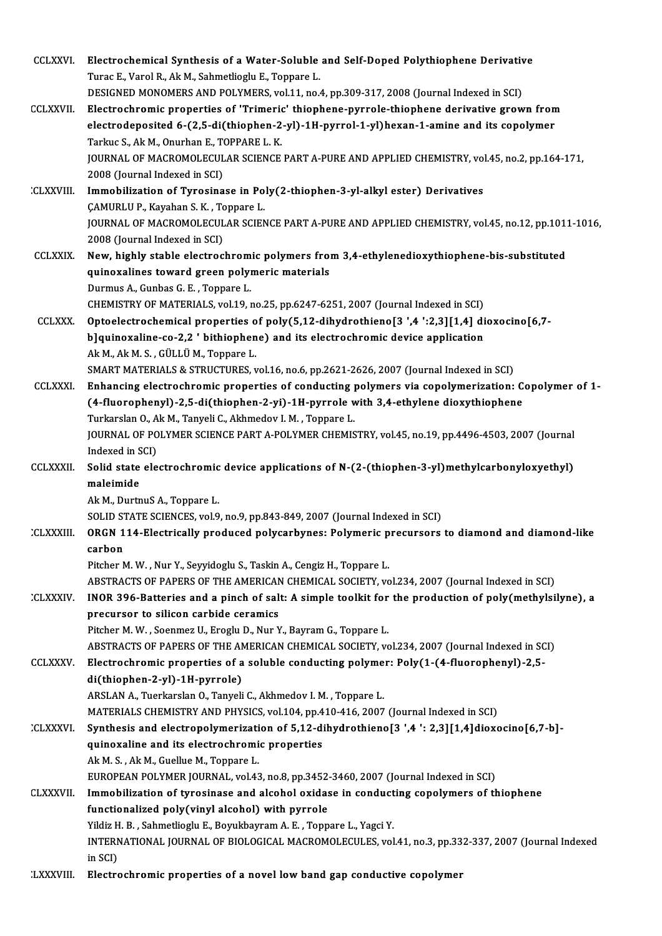| <b>CCLXXVI</b>   | Electrochemical Synthesis of a Water-Soluble and Self-Doped Polythiophene Derivative                                             |
|------------------|----------------------------------------------------------------------------------------------------------------------------------|
|                  | Turac E., Varol R., Ak M., Sahmetlioglu E., Toppare L.                                                                           |
|                  | DESIGNED MONOMERS AND POLYMERS, vol.11, no.4, pp.309-317, 2008 (Journal Indexed in SCI)                                          |
| <b>CCLXXVII</b>  | Electrochromic properties of 'Trimeric' thiophene-pyrrole-thiophene derivative grown from                                        |
|                  | electrodeposited 6-(2,5-di(thiophen-2-yl)-1H-pyrrol-1-yl)hexan-1-amine and its copolymer                                         |
|                  | Tarkuc S., Ak M., Onurhan E., TOPPARE L. K.                                                                                      |
|                  | JOURNAL OF MACROMOLECULAR SCIENCE PART A-PURE AND APPLIED CHEMISTRY, vol.45, no.2, pp.164-171,                                   |
|                  | 2008 (Journal Indexed in SCI)                                                                                                    |
| <b>CLXXVIII.</b> | Immobilization of Tyrosinase in Poly(2-thiophen-3-yl-alkyl ester) Derivatives                                                    |
|                  | CAMURLU P., Kayahan S. K., Toppare L.                                                                                            |
|                  | JOURNAL OF MACROMOLECULAR SCIENCE PART A-PURE AND APPLIED CHEMISTRY, vol.45, no.12, pp.1011-1016,                                |
|                  | 2008 (Journal Indexed in SCI)                                                                                                    |
| <b>CCLXXIX</b>   | New, highly stable electrochromic polymers from 3,4-ethylenedioxythiophene-bis-substituted                                       |
|                  | quinoxalines toward green polymeric materials                                                                                    |
|                  | Durmus A., Gunbas G. E., Toppare L.                                                                                              |
|                  | CHEMISTRY OF MATERIALS, vol.19, no.25, pp.6247-6251, 2007 (Journal Indexed in SCI)                                               |
| <b>CCLXXX.</b>   | Optoelectrochemical properties of poly(5,12-dihydrothieno[3 ',4 ':2,3][1,4] dioxocino[6,7-                                       |
|                  | b]quinoxaline-co-2,2 ' bithiophene) and its electrochromic device application                                                    |
|                  | Ak M., Ak M. S., GÜLLÜ M., Toppare L.<br>SMART MATERIALS & STRUCTURES, vol.16, no.6, pp.2621-2626, 2007 (Journal Indexed in SCI) |
| <b>CCLXXXI.</b>  | Enhancing electrochromic properties of conducting polymers via copolymerization: Copolymer of 1-                                 |
|                  | (4-fluorophenyl)-2,5-di(thiophen-2-yi)-1H-pyrrole with 3,4-ethylene dioxythiophene                                               |
|                  | Turkarslan O., Ak M., Tanyeli C., Akhmedov I. M., Toppare L.                                                                     |
|                  | JOURNAL OF POLYMER SCIENCE PART A-POLYMER CHEMISTRY, vol.45, no.19, pp.4496-4503, 2007 (Journal                                  |
|                  | Indexed in SCI)                                                                                                                  |
| <b>CCLXXXII</b>  | Solid state electrochromic device applications of N-(2-(thiophen-3-yl)methylcarbonyloxyethyl)                                    |
|                  | maleimide                                                                                                                        |
|                  | Ak M., DurtnuS A., Toppare L.                                                                                                    |
|                  | SOLID STATE SCIENCES, vol.9, no.9, pp.843-849, 2007 (Journal Indexed in SCI)                                                     |
| <b>CLXXXIII</b>  | ORGN 114-Electrically produced polycarbynes: Polymeric precursors to diamond and diamond-like                                    |
|                  | carbon                                                                                                                           |
|                  | Pitcher M. W., Nur Y., Seyyidoglu S., Taskin A., Cengiz H., Toppare L.                                                           |
|                  | ABSTRACTS OF PAPERS OF THE AMERICAN CHEMICAL SOCIETY, vol.234, 2007 (Journal Indexed in SCI)                                     |
| <b>CLXXXIV.</b>  | INOR 396-Batteries and a pinch of salt: A simple toolkit for the production of poly(methylsilyne), a                             |
|                  | precursor to silicon carbide ceramics                                                                                            |
|                  | Pitcher M. W., Soenmez U., Eroglu D., Nur Y., Bayram G., Toppare L.                                                              |
|                  | ABSTRACTS OF PAPERS OF THE AMERICAN CHEMICAL SOCIETY, vol.234, 2007 (Journal Indexed in SCI)                                     |
| <b>CCLXXXV</b>   | Electrochromic properties of a soluble conducting polymer: Poly(1-(4-fluorophenyl)-2,5-                                          |
|                  | di(thiophen-2-yl)-1H-pyrrole)<br>ARSLAN A., Tuerkarslan O., Tanyeli C., Akhmedov I. M., Toppare L.                               |
|                  | MATERIALS CHEMISTRY AND PHYSICS, vol.104, pp.410-416, 2007 (Journal Indexed in SCI)                                              |
| <b>CLXXXVI</b>   | Synthesis and electropolymerization of 5,12-dihydrothieno[3 ',4 ': 2,3][1,4]dioxocino[6,7-b]-                                    |
|                  | quinoxaline and its electrochromic properties                                                                                    |
|                  | Ak M. S., Ak M., Guellue M., Toppare L.                                                                                          |
|                  | EUROPEAN POLYMER JOURNAL, vol.43, no.8, pp.3452-3460, 2007 (Journal Indexed in SCI)                                              |
| <b>CLXXXVII.</b> | Immobilization of tyrosinase and alcohol oxidase in conducting copolymers of thiophene                                           |
|                  | functionalized poly(vinyl alcohol) with pyrrole                                                                                  |
|                  | Yildiz H. B., Sahmetlioglu E., Boyukbayram A. E., Toppare L., Yagci Y.                                                           |
|                  | INTERNATIONAL JOURNAL OF BIOLOGICAL MACROMOLECULES, vol.41, no.3, pp.332-337, 2007 (Journal Indexed                              |
|                  | in SCI)                                                                                                                          |
| :LXXXVIII.       | Electrochromic properties of a novel low band gap conductive copolymer                                                           |
|                  |                                                                                                                                  |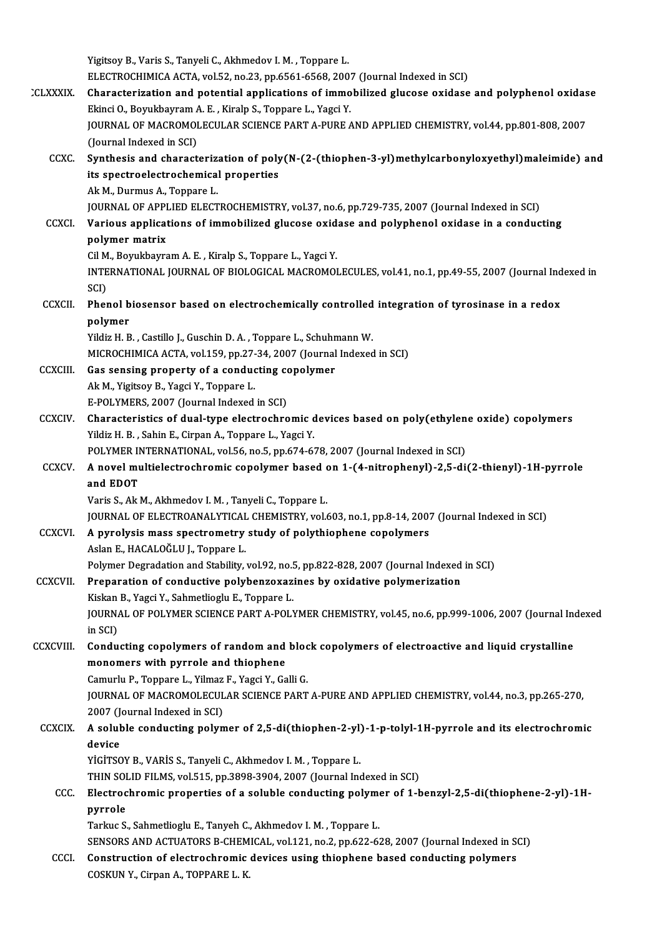|                 | Yigitsoy B., Varis S., Tanyeli C., Akhmedov I. M., Toppare L.                                                                                                                        |
|-----------------|--------------------------------------------------------------------------------------------------------------------------------------------------------------------------------------|
| <b>CLXXXIX</b>  | ELECTROCHIMICA ACTA, vol.52, no.23, pp.6561-6568, 2007 (Journal Indexed in SCI)<br>Characterization and potential applications of immobilized glucose oxidase and polyphenol oxidase |
|                 | Ekinci O., Boyukbayram A. E., Kiralp S., Toppare L., Yagci Y.                                                                                                                        |
|                 | JOURNAL OF MACROMOLECULAR SCIENCE PART A-PURE AND APPLIED CHEMISTRY, vol.44, pp.801-808, 2007                                                                                        |
|                 | (Journal Indexed in SCI)                                                                                                                                                             |
| <b>CCXC</b>     | Synthesis and characterization of poly(N-(2-(thiophen-3-yl)methylcarbonyloxyethyl)maleimide) and                                                                                     |
|                 | its spectroelectrochemical properties                                                                                                                                                |
|                 | Ak M., Durmus A., Toppare L.                                                                                                                                                         |
|                 | JOURNAL OF APPLIED ELECTROCHEMISTRY, vol.37, no.6, pp.729-735, 2007 (Journal Indexed in SCI)                                                                                         |
| <b>CCXCI</b>    | Various applications of immobilized glucose oxidase and polyphenol oxidase in a conducting                                                                                           |
|                 | polymer matrix                                                                                                                                                                       |
|                 | Cil M., Boyukbayram A. E., Kiralp S., Toppare L., Yagci Y.                                                                                                                           |
|                 | INTERNATIONAL JOURNAL OF BIOLOGICAL MACROMOLECULES, vol.41, no.1, pp.49-55, 2007 (Journal Indexed in                                                                                 |
|                 | SCI)                                                                                                                                                                                 |
| <b>CCXCII</b>   | Phenol biosensor based on electrochemically controlled integration of tyrosinase in a redox                                                                                          |
|                 | polymer                                                                                                                                                                              |
|                 | Yildiz H. B., Castillo J., Guschin D. A., Toppare L., Schuhmann W.                                                                                                                   |
|                 | MICROCHIMICA ACTA, vol.159, pp.27-34, 2007 (Journal Indexed in SCI)                                                                                                                  |
| <b>CCXCIII.</b> | Gas sensing property of a conducting copolymer                                                                                                                                       |
|                 | Ak M., Yigitsoy B., Yagci Y., Toppare L.                                                                                                                                             |
|                 | E-POLYMERS, 2007 (Journal Indexed in SCI)                                                                                                                                            |
| <b>CCXCIV.</b>  | Characteristics of dual-type electrochromic devices based on poly(ethylene oxide) copolymers<br>Yildiz H. B., Sahin E., Cirpan A., Toppare L., Yagci Y.                              |
|                 | POLYMER INTERNATIONAL, vol.56, no.5, pp.674-678, 2007 (Journal Indexed in SCI)                                                                                                       |
| <b>CCXCV</b>    | A novel multielectrochromic copolymer based on 1-(4-nitrophenyl)-2,5-di(2-thienyl)-1H-pyrrole                                                                                        |
|                 | and EDOT                                                                                                                                                                             |
|                 | Varis S., Ak M., Akhmedov I. M., Tanyeli C., Toppare L.                                                                                                                              |
|                 | JOURNAL OF ELECTROANALYTICAL CHEMISTRY, vol.603, no.1, pp.8-14, 2007 (Journal Indexed in SCI)                                                                                        |
| <b>CCXCVI</b>   | A pyrolysis mass spectrometry study of polythiophene copolymers                                                                                                                      |
|                 | Aslan E., HACALOĞLU J., Toppare L.                                                                                                                                                   |
|                 | Polymer Degradation and Stability, vol.92, no.5, pp.822-828, 2007 (Journal Indexed in SCI)                                                                                           |
| <b>CCXCVII</b>  | Preparation of conductive polybenzoxazines by oxidative polymerization                                                                                                               |
|                 | Kiskan B., Yagci Y., Sahmetlioglu E., Toppare L.                                                                                                                                     |
|                 | JOURNAL OF POLYMER SCIENCE PART A-POLYMER CHEMISTRY, vol.45, no.6, pp.999-1006, 2007 (Journal Indexed                                                                                |
|                 | in SCI)                                                                                                                                                                              |
| <b>CCXCVIII</b> | Conducting copolymers of random and block copolymers of electroactive and liquid crystalline                                                                                         |
|                 | monomers with pyrrole and thiophene                                                                                                                                                  |
|                 | Camurlu P., Toppare L., Yilmaz F., Yagci Y., Galli G.                                                                                                                                |
|                 | JOURNAL OF MACROMOLECULAR SCIENCE PART A-PURE AND APPLIED CHEMISTRY, vol.44, no.3, pp.265-270,                                                                                       |
|                 | 2007 (Journal Indexed in SCI)<br>A soluble conducting polymer of 2,5-di(thiophen-2-yl)-1-p-tolyl-1H-pyrrole and its electrochromic                                                   |
| <b>CCXCIX</b>   | device                                                                                                                                                                               |
|                 | YİGİTSOY B., VARİS S., Tanyeli C., Akhmedov I. M., Toppare L.                                                                                                                        |
|                 | THIN SOLID FILMS, vol.515, pp.3898-3904, 2007 (Journal Indexed in SCI)                                                                                                               |
| CCC.            | Electrochromic properties of a soluble conducting polymer of 1-benzyl-2,5-di(thiophene-2-yl)-1H-                                                                                     |
|                 | pyrrole                                                                                                                                                                              |
|                 | Tarkuc S., Sahmetlioglu E., Tanyeh C., Akhmedov I. M., Toppare L.                                                                                                                    |
|                 | SENSORS AND ACTUATORS B-CHEMICAL, vol.121, no.2, pp.622-628, 2007 (Journal Indexed in SCI)                                                                                           |
| <b>CCCI</b>     | Construction of electrochromic devices using thiophene based conducting polymers                                                                                                     |
|                 | COSKUN Y., Cirpan A., TOPPARE L. K.                                                                                                                                                  |
|                 |                                                                                                                                                                                      |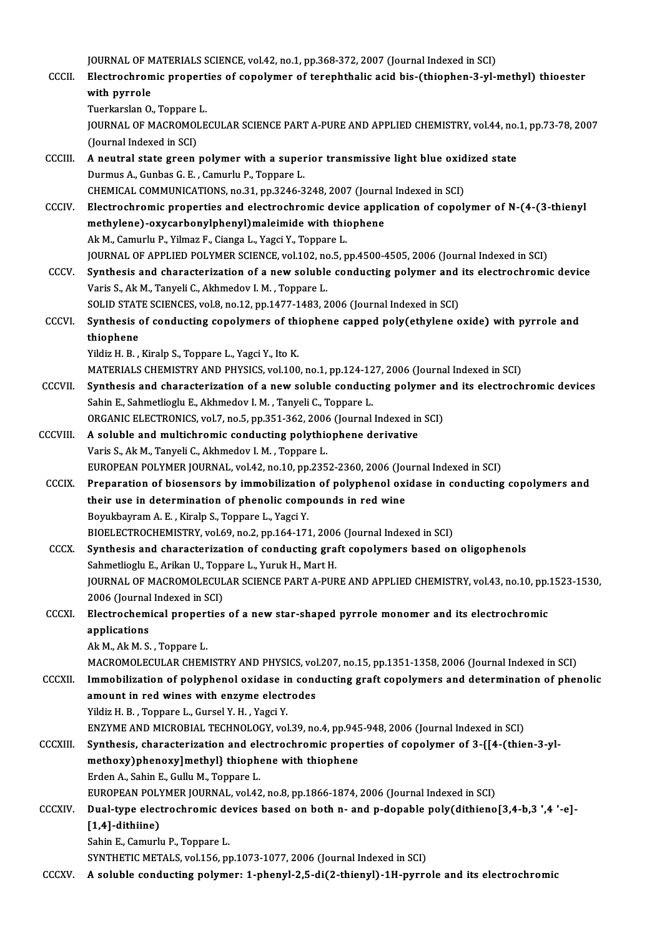|                 | JOURNAL OF MATERIALS SCIENCE, vol.42, no.1, pp.368-372, 2007 (Journal Indexed in SCI)                                                                                                                  |
|-----------------|--------------------------------------------------------------------------------------------------------------------------------------------------------------------------------------------------------|
| CCCII.          | Electrochromic properties of copolymer of terephthalic acid bis-(thiophen-3-yl-methyl) thioester                                                                                                       |
|                 | with pyrrole<br>Tuerkarslan O., Toppare L.                                                                                                                                                             |
|                 | JOURNAL OF MACROMOLECULAR SCIENCE PART A-PURE AND APPLIED CHEMISTRY, vol.44, no.1, pp.73-78, 2007                                                                                                      |
|                 | (Journal Indexed in SCI)                                                                                                                                                                               |
| CCCIII.         | A neutral state green polymer with a superior transmissive light blue oxidized state                                                                                                                   |
|                 | Durmus A., Gunbas G. E., Camurlu P., Toppare L.                                                                                                                                                        |
|                 | CHEMICAL COMMUNICATIONS, no.31, pp.3246-3248, 2007 (Journal Indexed in SCI)                                                                                                                            |
| <b>CCCIV</b>    | Electrochromic properties and electrochromic device application of copolymer of N-(4-(3-thienyl                                                                                                        |
|                 | methylene)-oxycarbonylphenyl) maleimide with thiophene                                                                                                                                                 |
|                 | Ak M., Camurlu P., Yilmaz F., Cianga L., Yagci Y., Toppare L.                                                                                                                                          |
|                 | JOURNAL OF APPLIED POLYMER SCIENCE, vol.102, no.5, pp.4500-4505, 2006 (Journal Indexed in SCI)                                                                                                         |
| CCCV.           | Synthesis and characterization of a new soluble conducting polymer and its electrochromic device                                                                                                       |
|                 | Varis S., Ak M., Tanyeli C., Akhmedov I. M., Toppare L.<br>SOLID STATE SCIENCES, vol.8, no.12, pp.1477-1483, 2006 (Journal Indexed in SCI)                                                             |
| CCCVI.          | Synthesis of conducting copolymers of thiophene capped poly(ethylene oxide) with pyrrole and                                                                                                           |
|                 | thiophene                                                                                                                                                                                              |
|                 | Yildiz H. B., Kiralp S., Toppare L., Yagci Y., Ito K.                                                                                                                                                  |
|                 | MATERIALS CHEMISTRY AND PHYSICS, vol.100, no.1, pp.124-127, 2006 (Journal Indexed in SCI)                                                                                                              |
| <b>CCCVII</b>   | Synthesis and characterization of a new soluble conducting polymer and its electrochromic devices                                                                                                      |
|                 | Sahin E., Sahmetlioglu E., Akhmedov I. M., Tanyeli C., Toppare L.                                                                                                                                      |
|                 | ORGANIC ELECTRONICS, vol.7, no.5, pp.351-362, 2006 (Journal Indexed in SCI)                                                                                                                            |
| <b>CCCVIII</b>  | A soluble and multichromic conducting polythiophene derivative                                                                                                                                         |
|                 | Varis S., Ak M., Tanyeli C., Akhmedov I. M., Toppare L.                                                                                                                                                |
|                 | EUROPEAN POLYMER JOURNAL, vol.42, no.10, pp.2352-2360, 2006 (Journal Indexed in SCI)                                                                                                                   |
| <b>CCCIX</b>    | Preparation of biosensors by immobilization of polyphenol oxidase in conducting copolymers and<br>their use in determination of phenolic compounds in red wine                                         |
|                 | Boyukbayram A. E., Kiralp S., Toppare L., Yagci Y.                                                                                                                                                     |
|                 | BIOELECTROCHEMISTRY, vol.69, no.2, pp.164-171, 2006 (Journal Indexed in SCI)                                                                                                                           |
| <b>CCCX</b>     | Synthesis and characterization of conducting graft copolymers based on oligophenols                                                                                                                    |
|                 | Sahmetlioglu E., Arikan U., Toppare L., Yuruk H., Mart H.                                                                                                                                              |
|                 | JOURNAL OF MACROMOLECULAR SCIENCE PART A-PURE AND APPLIED CHEMISTRY, vol.43, no.10, pp.1523-1530,                                                                                                      |
|                 | 2006 (Journal Indexed in SCI)                                                                                                                                                                          |
| <b>CCCXI</b>    | Electrochemical properties of a new star-shaped pyrrole monomer and its electrochromic                                                                                                                 |
|                 | applications                                                                                                                                                                                           |
|                 | Ak M, Ak M. S., Toppare L.                                                                                                                                                                             |
| <b>CCCXII.</b>  | MACROMOLECULAR CHEMISTRY AND PHYSICS, vol.207, no.15, pp.1351-1358, 2006 (Journal Indexed in SCI)<br>Immobilization of polyphenol oxidase in conducting graft copolymers and determination of phenolic |
|                 | amount in red wines with enzyme electrodes                                                                                                                                                             |
|                 | Yildiz H. B., Toppare L., Gursel Y. H., Yagci Y.                                                                                                                                                       |
|                 | ENZYME AND MICROBIAL TECHNOLOGY, vol.39, no.4, pp.945-948, 2006 (Journal Indexed in SCI)                                                                                                               |
| <b>CCCXIII.</b> | Synthesis, characterization and electrochromic properties of copolymer of 3-{[4-(thien-3-yl-                                                                                                           |
|                 | methoxy)phenoxy]methyl} thiophene with thiophene                                                                                                                                                       |
|                 | Erden A., Sahin E., Gullu M., Toppare L.                                                                                                                                                               |
|                 | EUROPEAN POLYMER JOURNAL, vol.42, no.8, pp.1866-1874, 2006 (Journal Indexed in SCI)                                                                                                                    |
| <b>CCCXIV</b>   | Dual-type electrochromic devices based on both n- and p-dopable poly(dithieno[3,4-b,3 ',4 '-e]-                                                                                                        |
|                 | $[1,4]$ -dithiine)                                                                                                                                                                                     |
|                 | Sahin E., Camurlu P., Toppare L.                                                                                                                                                                       |
|                 | SYNTHETIC METALS, vol.156, pp.1073-1077, 2006 (Journal Indexed in SCI)                                                                                                                                 |
| <b>CCCXV</b>    | A soluble conducting polymer: 1-phenyl-2,5-di(2-thienyl)-1H-pyrrole and its electrochromic                                                                                                             |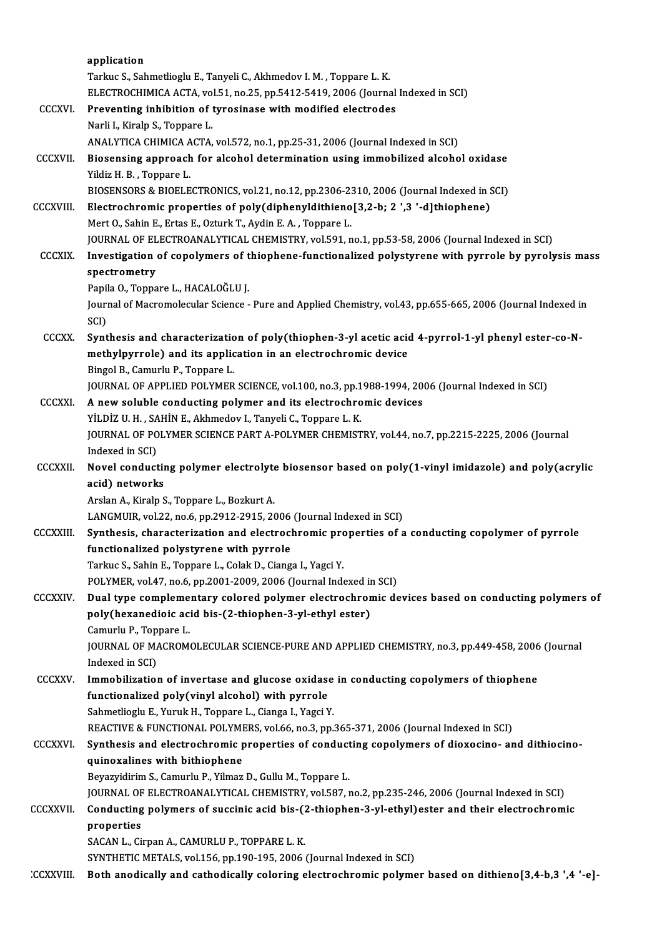|                  | application                                                                                                                                                           |
|------------------|-----------------------------------------------------------------------------------------------------------------------------------------------------------------------|
|                  | Tarkuc S., Sahmetlioglu E., Tanyeli C., Akhmedov I. M., Toppare L. K.                                                                                                 |
|                  | ELECTROCHIMICA ACTA, vol.51, no.25, pp.5412-5419, 2006 (Journal Indexed in SCI)                                                                                       |
| <b>CCCXVI</b>    | Preventing inhibition of tyrosinase with modified electrodes                                                                                                          |
|                  | Narli I., Kiralp S., Toppare L.                                                                                                                                       |
|                  | ANALYTICA CHIMICA ACTA, vol.572, no.1, pp.25-31, 2006 (Journal Indexed in SCI)                                                                                        |
| <b>CCCXVII.</b>  | Biosensing approach for alcohol determination using immobilized alcohol oxidase                                                                                       |
|                  | Yildiz H. B., Toppare L.                                                                                                                                              |
|                  | BIOSENSORS & BIOELECTRONICS, vol.21, no.12, pp.2306-2310, 2006 (Journal Indexed in SCI)                                                                               |
| <b>CCCXVIII.</b> | Electrochromic properties of poly(diphenyldithieno[3,2-b; 2 ',3 '-d]thiophene)                                                                                        |
|                  | Mert O., Sahin E., Ertas E., Ozturk T., Aydin E. A., Toppare L.                                                                                                       |
|                  | JOURNAL OF ELECTROANALYTICAL CHEMISTRY, vol.591, no.1, pp.53-58, 2006 (Journal Indexed in SCI)                                                                        |
| <b>CCCXIX.</b>   | Investigation of copolymers of thiophene-functionalized polystyrene with pyrrole by pyrolysis mass                                                                    |
|                  | spectrometry                                                                                                                                                          |
|                  | Papila O., Toppare L., HACALOĞLU J.                                                                                                                                   |
|                  | Journal of Macromolecular Science - Pure and Applied Chemistry, vol.43, pp.655-665, 2006 (Journal Indexed in<br>SCI)                                                  |
| <b>CCCXX</b>     | Synthesis and characterization of poly(thiophen-3-yl acetic acid 4-pyrrol-1-yl phenyl ester-co-N-                                                                     |
|                  | methylpyrrole) and its application in an electrochromic device                                                                                                        |
|                  | Bingol B., Camurlu P., Toppare L.                                                                                                                                     |
|                  | JOURNAL OF APPLIED POLYMER SCIENCE, vol.100, no.3, pp.1988-1994, 2006 (Journal Indexed in SCI)                                                                        |
| <b>CCCXXI.</b>   | A new soluble conducting polymer and its electrochromic devices                                                                                                       |
|                  | YİLDİZ U.H., SAHİN E., Akhmedov I., Tanyeli C., Toppare L.K.                                                                                                          |
|                  | JOURNAL OF POLYMER SCIENCE PART A-POLYMER CHEMISTRY, vol.44, no.7, pp.2215-2225, 2006 (Journal                                                                        |
|                  | Indexed in SCI)                                                                                                                                                       |
| <b>CCCXXII</b>   | Novel conducting polymer electrolyte biosensor based on poly(1-vinyl imidazole) and poly(acrylic                                                                      |
|                  | acid) networks                                                                                                                                                        |
|                  | Arslan A., Kiralp S., Toppare L., Bozkurt A.                                                                                                                          |
| <b>CCCXXIII</b>  | LANGMUIR, vol.22, no.6, pp.2912-2915, 2006 (Journal Indexed in SCI)<br>Synthesis, characterization and electrochromic properties of a conducting copolymer of pyrrole |
|                  | functionalized polystyrene with pyrrole                                                                                                                               |
|                  | Tarkuc S., Sahin E., Toppare L., Colak D., Cianga I., Yagci Y.                                                                                                        |
|                  | POLYMER, vol.47, no.6, pp.2001-2009, 2006 (Journal Indexed in SCI)                                                                                                    |
| <b>CCCXXIV</b>   | Dual type complementary colored polymer electrochromic devices based on conducting polymers of                                                                        |
|                  | poly(hexanedioic acid bis-(2-thiophen-3-yl-ethyl ester)                                                                                                               |
|                  | Camurlu P., Toppare L.                                                                                                                                                |
|                  | JOURNAL OF MACROMOLECULAR SCIENCE-PURE AND APPLIED CHEMISTRY, no.3, pp.449-458, 2006 (Journal                                                                         |
|                  | Indexed in SCI)                                                                                                                                                       |
| <b>CCCXXV</b>    | Immobilization of invertase and glucose oxidase in conducting copolymers of thiophene                                                                                 |
|                  | functionalized poly(vinyl alcohol) with pyrrole                                                                                                                       |
|                  | Sahmetlioglu E., Yuruk H., Toppare L., Cianga I., Yagci Y.                                                                                                            |
|                  | REACTIVE & FUNCTIONAL POLYMERS, vol.66, no.3, pp.365-371, 2006 (Journal Indexed in SCI)                                                                               |
| <b>CCCXXVI</b>   | Synthesis and electrochromic properties of conducting copolymers of dioxocino- and dithiocino-                                                                        |
|                  | quinoxalines with bithiophene                                                                                                                                         |
|                  | Beyazyidirim S., Camurlu P., Yilmaz D., Gullu M., Toppare L.                                                                                                          |
|                  | JOURNAL OF ELECTROANALYTICAL CHEMISTRY, vol.587, no.2, pp.235-246, 2006 (Journal Indexed in SCI)                                                                      |
| <b>CCCXXVII.</b> | Conducting polymers of succinic acid bis-(2-thiophen-3-yl-ethyl) ester and their electrochromic                                                                       |
|                  | properties                                                                                                                                                            |
|                  | SACAN L., Cirpan A., CAMURLU P., TOPPARE L. K.<br>SYNTHETIC METALS, vol.156, pp.190-195, 2006 (Journal Indexed in SCI)                                                |
| <b>CCXXVIII.</b> | Both anodically and cathodically coloring electrochromic polymer based on dithieno[3,4-b,3 ',4 '-e]-                                                                  |
|                  |                                                                                                                                                                       |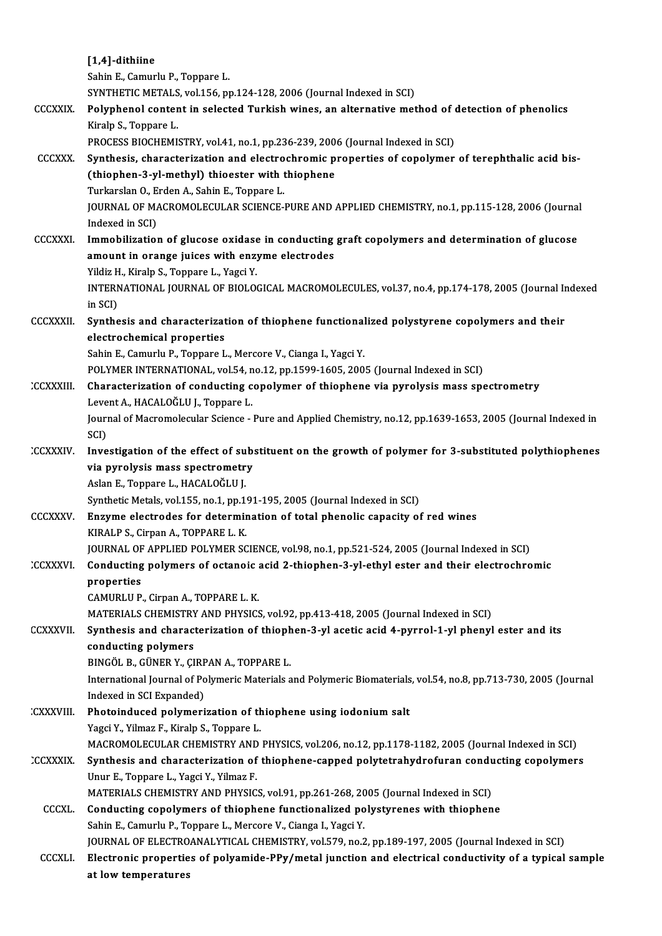|                 | [1,4]-dithiine                                                                                                                                       |
|-----------------|------------------------------------------------------------------------------------------------------------------------------------------------------|
|                 | Sahin E., Camurlu P., Toppare L.                                                                                                                     |
|                 | SYNTHETIC METALS, vol.156, pp.124-128, 2006 (Journal Indexed in SCI)                                                                                 |
| <b>CCCXXIX</b>  | Polyphenol content in selected Turkish wines, an alternative method of detection of phenolics                                                        |
|                 | Kiralp S., Toppare L.                                                                                                                                |
|                 | PROCESS BIOCHEMISTRY, vol.41, no.1, pp.236-239, 2006 (Journal Indexed in SCI)                                                                        |
| <b>CCCXXX.</b>  | Synthesis, characterization and electrochromic properties of copolymer of terephthalic acid bis-                                                     |
|                 | (thiophen-3-yl-methyl) thioester with thiophene                                                                                                      |
|                 | Turkarslan O., Erden A., Sahin E., Toppare L.                                                                                                        |
|                 | JOURNAL OF MACROMOLECULAR SCIENCE-PURE AND APPLIED CHEMISTRY, no.1, pp.115-128, 2006 (Journal                                                        |
|                 | Indexed in SCI)                                                                                                                                      |
| <b>CCCXXXI</b>  | Immobilization of glucose oxidase in conducting graft copolymers and determination of glucose                                                        |
|                 | amount in orange juices with enzyme electrodes                                                                                                       |
|                 | Yildiz H., Kiralp S., Toppare L., Yagci Y.                                                                                                           |
|                 | INTERNATIONAL JOURNAL OF BIOLOGICAL MACROMOLECULES, vol.37, no.4, pp.174-178, 2005 (Journal Indexed                                                  |
|                 | in SCI)                                                                                                                                              |
| <b>CCCXXXII</b> | Synthesis and characterization of thiophene functionalized polystyrene copolymers and their                                                          |
|                 | electrochemical properties                                                                                                                           |
|                 | Sahin E., Camurlu P., Toppare L., Mercore V., Cianga I., Yagci Y.                                                                                    |
|                 | POLYMER INTERNATIONAL, vol.54, no.12, pp.1599-1605, 2005 (Journal Indexed in SCI)                                                                    |
| <b>CCXXXIII</b> | Characterization of conducting copolymer of thiophene via pyrolysis mass spectrometry                                                                |
|                 | Levent A., HACALOĞLU J., Toppare L.<br>Journal of Macromolecular Science - Pure and Applied Chemistry, no.12, pp.1639-1653, 2005 (Journal Indexed in |
|                 | SCI)                                                                                                                                                 |
| <b>CCXXXIV</b>  | Investigation of the effect of substituent on the growth of polymer for 3-substituted polythiophenes                                                 |
|                 | via pyrolysis mass spectrometry                                                                                                                      |
|                 | Aslan E., Toppare L., HACALOĞLU J.                                                                                                                   |
|                 | Synthetic Metals, vol.155, no.1, pp.191-195, 2005 (Journal Indexed in SCI)                                                                           |
| CCCXXXV         | Enzyme electrodes for determination of total phenolic capacity of red wines                                                                          |
|                 | KIRALP S., Cirpan A., TOPPARE L. K.                                                                                                                  |
|                 | JOURNAL OF APPLIED POLYMER SCIENCE, vol.98, no.1, pp.521-524, 2005 (Journal Indexed in SCI)                                                          |
| <b>CCXXXVI</b>  | Conducting polymers of octanoic acid 2-thiophen-3-yl-ethyl ester and their electrochromic                                                            |
|                 | properties                                                                                                                                           |
|                 | CAMURLU P., Cirpan A., TOPPARE L. K.                                                                                                                 |
|                 | MATERIALS CHEMISTRY AND PHYSICS, vol.92, pp.413-418, 2005 (Journal Indexed in SCI)                                                                   |
| <b>CCXXXVII</b> | Synthesis and characterization of thiophen-3-yl acetic acid 4-pyrrol-1-yl phenyl ester and its                                                       |
|                 | conducting polymers                                                                                                                                  |
|                 | BINGÖL B., GÜNER Y., ÇIRPAN A., TOPPARE L.                                                                                                           |
|                 | International Journal of Polymeric Materials and Polymeric Biomaterials, vol.54, no.8, pp.713-730, 2005 (Journal                                     |
|                 | Indexed in SCI Expanded)                                                                                                                             |
| :CXXXVIII       | Photoinduced polymerization of thiophene using iodonium salt<br>Yagci Y., Yilmaz F., Kiralp S., Toppare L.                                           |
|                 | MACROMOLECULAR CHEMISTRY AND PHYSICS, vol.206, no.12, pp.1178-1182, 2005 (Journal Indexed in SCI)                                                    |
| CCXXXIX.        | Synthesis and characterization of thiophene-capped polytetrahydrofuran conducting copolymers                                                         |
|                 | Unur E., Toppare L., Yagci Y., Yilmaz F.                                                                                                             |
|                 | MATERIALS CHEMISTRY AND PHYSICS, vol.91, pp.261-268, 2005 (Journal Indexed in SCI)                                                                   |
| <b>CCCXL</b>    | Conducting copolymers of thiophene functionalized polystyrenes with thiophene                                                                        |
|                 | Sahin E., Camurlu P., Toppare L., Mercore V., Cianga I., Yagci Y.                                                                                    |
|                 | JOURNAL OF ELECTROANALYTICAL CHEMISTRY, vol.579, no.2, pp.189-197, 2005 (Journal Indexed in SCI)                                                     |
| <b>CCCXLI</b>   | Electronic properties of polyamide-PPy/metal junction and electrical conductivity of a typical sample                                                |
|                 | at low temperatures                                                                                                                                  |
|                 |                                                                                                                                                      |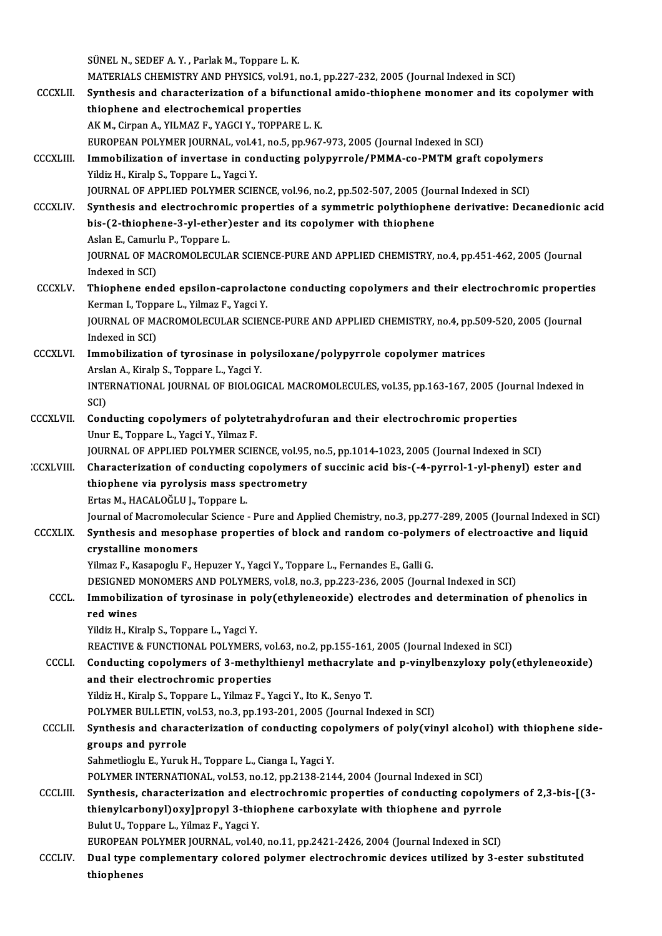|                  | SÜNEL N., SEDEF A. Y., Parlak M., Toppare L. K.                                                                                           |
|------------------|-------------------------------------------------------------------------------------------------------------------------------------------|
|                  | MATERIALS CHEMISTRY AND PHYSICS, vol.91, no.1, pp.227-232, 2005 (Journal Indexed in SCI)                                                  |
| <b>CCCXLII</b>   | Synthesis and characterization of a bifunctional amido-thiophene monomer and its copolymer with                                           |
|                  | thiophene and electrochemical properties                                                                                                  |
|                  | AK M., Cirpan A., YILMAZ F., YAGCI Y., TOPPARE L. K.                                                                                      |
|                  | EUROPEAN POLYMER JOURNAL, vol.41, no.5, pp.967-973, 2005 (Journal Indexed in SCI)                                                         |
| <b>CCCXLIII.</b> | Immobilization of invertase in conducting polypyrrole/PMMA-co-PMTM graft copolymers                                                       |
|                  | Yildiz H., Kiralp S., Toppare L., Yagci Y.                                                                                                |
|                  | JOURNAL OF APPLIED POLYMER SCIENCE, vol.96, no.2, pp.502-507, 2005 (Journal Indexed in SCI)                                               |
| <b>CCCXLIV</b>   | Synthesis and electrochromic properties of a symmetric polythiophene derivative: Decanedionic acid                                        |
|                  | bis-(2-thiophene-3-yl-ether) ester and its copolymer with thiophene                                                                       |
|                  | Aslan E., Camurlu P., Toppare L.                                                                                                          |
|                  | JOURNAL OF MACROMOLECULAR SCIENCE-PURE AND APPLIED CHEMISTRY, no 4, pp.451-462, 2005 (Journal                                             |
|                  | Indexed in SCI)                                                                                                                           |
| <b>CCCXLV</b>    | Thiophene ended epsilon-caprolactone conducting copolymers and their electrochromic properties                                            |
|                  | Kerman I., Toppare L., Yilmaz F., Yagci Y.                                                                                                |
|                  | JOURNAL OF MACROMOLECULAR SCIENCE-PURE AND APPLIED CHEMISTRY, no.4, pp.509-520, 2005 (Journal                                             |
|                  | Indexed in SCI)                                                                                                                           |
| <b>CCCXLVI.</b>  | Immobilization of tyrosinase in polysiloxane/polypyrrole copolymer matrices                                                               |
|                  | Arslan A., Kiralp S., Toppare L., Yagci Y.                                                                                                |
|                  | INTERNATIONAL JOURNAL OF BIOLOGICAL MACROMOLECULES, vol.35, pp.163-167, 2005 (Journal Indexed in                                          |
|                  | SCI)                                                                                                                                      |
| <b>CCCXLVII.</b> | Conducting copolymers of polytetrahydrofuran and their electrochromic properties                                                          |
|                  | Unur E., Toppare L., Yagci Y., Yilmaz F.<br>JOURNAL OF APPLIED POLYMER SCIENCE, vol.95, no.5, pp.1014-1023, 2005 (Journal Indexed in SCI) |
| <b>CCXLVIII.</b> | Characterization of conducting copolymers of succinic acid bis-(-4-pyrrol-1-yl-phenyl) ester and                                          |
|                  | thiophene via pyrolysis mass spectrometry                                                                                                 |
|                  | Ertas M., HACALOĞLU J., Toppare L.                                                                                                        |
|                  | Journal of Macromolecular Science - Pure and Applied Chemistry, no.3, pp.277-289, 2005 (Journal Indexed in SCI)                           |
| <b>CCCXLIX</b>   | Synthesis and mesophase properties of block and random co-polymers of electroactive and liquid                                            |
|                  | crystalline monomers                                                                                                                      |
|                  | Yilmaz F., Kasapoglu F., Hepuzer Y., Yagci Y., Toppare L., Fernandes E., Galli G.                                                         |
|                  | DESIGNED MONOMERS AND POLYMERS, vol.8, no.3, pp.223-236, 2005 (Journal Indexed in SCI)                                                    |
| CCCL.            | Immobilization of tyrosinase in poly(ethyleneoxide) electrodes and determination of phenolics in                                          |
|                  | red wines                                                                                                                                 |
|                  | Yildiz H., Kiralp S., Toppare L., Yagci Y.                                                                                                |
|                  | REACTIVE & FUNCTIONAL POLYMERS, vol.63, no.2, pp.155-161, 2005 (Journal Indexed in SCI)                                                   |
| CCCLI.           | Conducting copolymers of 3-methylthienyl methacrylate and p-vinylbenzyloxy poly(ethyleneoxide)                                            |
|                  | and their electrochromic properties                                                                                                       |
|                  | Yildiz H., Kiralp S., Toppare L., Yilmaz F., Yagci Y., Ito K., Senyo T.                                                                   |
|                  | POLYMER BULLETIN, vol.53, no.3, pp.193-201, 2005 (Journal Indexed in SCI)                                                                 |
| <b>CCCLII.</b>   | Synthesis and characterization of conducting copolymers of poly(vinyl alcohol) with thiophene side-                                       |
|                  | groups and pyrrole                                                                                                                        |
|                  | Sahmetlioglu E., Yuruk H., Toppare L., Cianga I., Yagci Y.                                                                                |
|                  | POLYMER INTERNATIONAL, vol 53, no 12, pp.2138-2144, 2004 (Journal Indexed in SCI)                                                         |
| <b>CCCLIII.</b>  | Synthesis, characterization and electrochromic properties of conducting copolymers of 2,3-bis-[(3-                                        |
|                  | thienylcarbonyl) oxy]propyl 3-thiophene carboxylate with thiophene and pyrrole                                                            |
|                  | Bulut U., Toppare L., Yilmaz F., Yagci Y.<br>EUROPEAN POLYMER JOURNAL, vol.40, no.11, pp.2421-2426, 2004 (Journal Indexed in SCI)         |
| <b>CCCLIV</b>    | Dual type complementary colored polymer electrochromic devices utilized by 3-ester substituted                                            |
|                  | thiophenes                                                                                                                                |
|                  |                                                                                                                                           |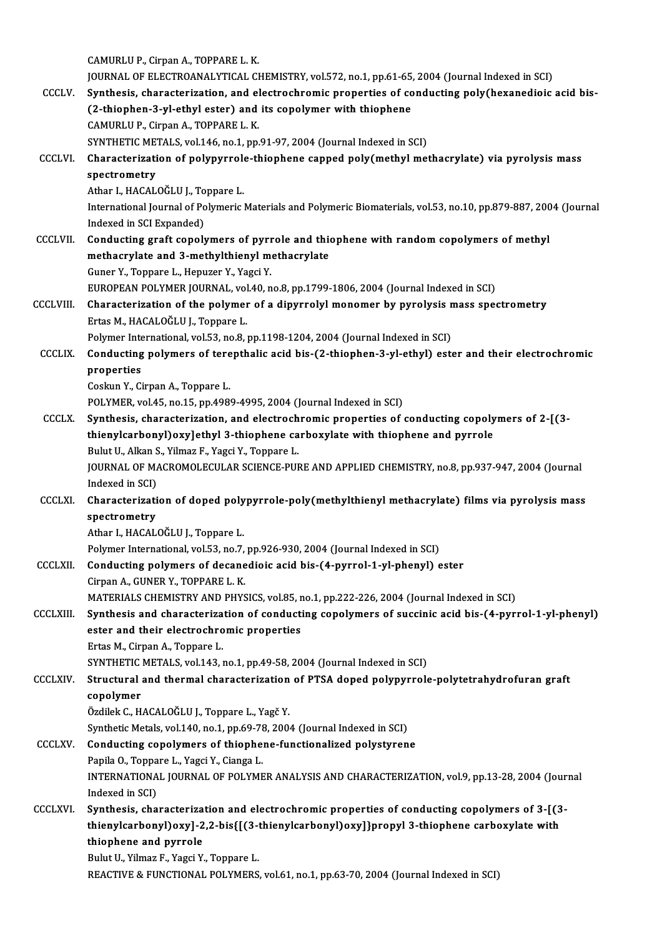CAMURLUP.,CirpanA.,TOPPAREL.K. CAMURLU P., Cirpan A., TOPPARE L. K.<br>JOURNAL OF ELECTROANALYTICAL CHEMISTRY, vol.572, no.1, pp.61-65, 2004 (Journal Indexed in SCI)<br>Synthesis, sharesterization, and electroshromis proporties of sendusting poly(boyanediais) CAMURLU P., Cirpan A., TOPPARE L. K.<br>JOURNAL OF ELECTROANALYTICAL CHEMISTRY, vol.572, no.1, pp.61-65, 2004 (Journal Indexed in SCI)<br>CCCLV. Synthesis, characterization, and electrochromic properties of conducting poly(hexan JOURNAL OF ELECTROANALYTICAL CHEMISTRY, vol.572, no.1, pp.61-65<br>Synthesis, characterization, and electrochromic properties of co<br>(2-thiophen-3-yl-ethyl ester) and its copolymer with thiophene<br>CAMIPLU P. Cinnap A. TOPPAPEL Synthesis, characterization, and electrochromic properties of conducting poly(hexanedioic acid bis-<br>(2-thiophen-3-yl-ethyl ester) and its copolymer with thiophene<br>CAMURLU P., Cirpan A., TOPPARE L. K. SYNTHETIC METALS, vol.146, no.1, pp.91-97, 2004 (Journal Indexed in SCI) CAMURLU P., Cirpan A., TOPPARE L. K.<br>SYNTHETIC METALS, vol.146, no.1, pp.91-97, 2004 (Journal Indexed in SCI)<br>CCCLVI. Characterization of polypyrrole-thiophene capped poly(methyl methacrylate) via pyrolysis mass<br>spectromet SYNTHETIC MET<br>Characterizati<br>spectrometry<br>Athar L HACAL Characterization of polypyrrole<br>spectrometry<br>Athar I., HACALOĞLU J., Toppare L.<br>International Journal of Bolymeric spectrometry<br>Athar I., HACALOĞLU J., Toppare L.<br>International Journal of Polymeric Materials and Polymeric Biomaterials, vol.53, no.10, pp.879-887, 2004 (Journal Athar I., HACALOĞLU J., To<br>International Journal of Po<br>Indexed in SCI Expanded) International Journal of Polymeric Materials and Polymeric Biomaterials, vol.53, no.10, pp.879-887, 200<br>Indexed in SCI Expanded)<br>CCCLVII. Conducting graft copolymers of pyrrole and thiophene with random copolymers of methy Indexed in SCI Expanded)<br>Conducting graft copolymers of pyrrole and thienethacrylate and 3-methylthienyl methacrylate methacrylate and 3-methylthienyl methacrylate<br>Guner Y., Toppare L., Hepuzer Y., Yagci Y. methacrylate and 3-methylthienyl methacrylate<br>Guner Y., Toppare L., Hepuzer Y., Yagci Y.<br>EUROPEAN POLYMER JOURNAL, vol.40, no.8, pp.1799-1806, 2004 (Journal Indexed in SCI)<br>Characterization of the nolymer of a dinyrrolyl m Guner Y., Toppare L., Hepuzer Y., Yagci Y.<br>EUROPEAN POLYMER JOURNAL, vol.40, no.8, pp.1799-1806, 2004 (Journal Indexed in SCI)<br>CCCLVIII. Characterization of the polymer of a dipyrrolyl monomer by pyrolysis mass spectrometr EUROPEAN POLYMER JOURNAL, vol<br>Characterization of the polymer<br>Ertas M., HACALOĞLU J., Toppare L.<br>Polymer International vol 52 xo 8 . Characterization of the polymer of a dipyrrolyl monomer by pyrolysis n<br>Ertas M., HACALOĞLU J., Toppare L.<br>Polymer International, vol.53, no.8, pp.1198-1204, 2004 (Journal Indexed in SCI)<br>Conducting polymers of tereptholis Ertas M., HACALOĞLU J., Toppare L.<br>Polymer International, vol.53, no.8, pp.1198-1204, 2004 (Journal Indexed in SCI)<br>CCCLIX. Conducting polymers of terepthalic acid bis-(2-thiophen-3-yl-ethyl) ester and their electrochromic Polymer Inte<br>**Conducting**<br>properties<br>Coslun <sup>V</sup> Ci Conducting polymers of tere<br>properties<br>Coskun Y., Cirpan A., Toppare L.<br>POLYMER vol 45 no 15 nn 400. properties<br>Coskun Y., Cirpan A., Toppare L.<br>POLYMER, vol.45, no.15, pp.4989-4995, 2004 (Journal Indexed in SCI) Coskun Y., Cirpan A., Toppare L.<br>POLYMER, vol.45, no.15, pp.4989-4995, 2004 (Journal Indexed in SCI)<br>CCCLX. Synthesis, characterization, and electrochromic properties of conducting copolymers of 2-[(3-<br>thionylearhonylogy l POLYMER, vol.45, no.15, pp.4989-4995, 2004 (Journal Indexed in SCI)<br>Synthesis, characterization, and electrochromic properties of conducting copoly<br>thienylcarbonyl)oxy]ethyl 3-thiophene carboxylate with thiophene and pyrro Synthesis, characterization, and electroch<br>thienylcarbonyl)oxy]ethyl 3-thiophene ca<br>Bulut U., Alkan S., Yilmaz F., Yagci Y., Toppare L.<br>JOUPNAL OF MACPOMOLECULAR SCIENCE PUL thienylcarbonyl)oxy]ethyl 3-thiophene carboxylate with thiophene and pyrrole<br>Bulut U., Alkan S., Yilmaz F., Yagci Y., Toppare L.<br>JOURNAL OF MACROMOLECULAR SCIENCE-PURE AND APPLIED CHEMISTRY, no.8, pp.937-947, 2004 (Journal Bulut U., Alkan S<br>JOURNAL OF MA<br>Indexed in SCI)<br>Charactorizati JOURNAL OF MACROMOLECULAR SCIENCE-PURE AND APPLIED CHEMISTRY, no.8, pp.937-947, 2004 (Journal<br>Indexed in SCI)<br>CCCLXI. Characterization of doped polypyrrole-poly(methylthienyl methacrylate) films via pyrolysis mass<br>anostrom Indexed in SCI)<br>Characterizati<br>spectrometry<br>Athar LHACAL Characterization of doped poly<br>spectrometry<br>Athar I., HACALOĞLU J., Toppare L.<br>Pekwer International vel 52. no.7. spectrometry<br>Athar I., HACALOĞLU J., Toppare L.<br>Polymer International, vol.53, no.7, pp.926-930, 2004 (Journal Indexed in SCI) Athar I., HACALOĞLU J., Toppare L.<br>Polymer International, vol.53, no.7, pp.926-930, 2004 (Journal Indexed in SCI)<br>CCCLXII. Conducting polymers of decanedioic acid bis-(4-pyrrol-1-yl-phenyl) ester<br>Cimpap A. CUNER V. TOPRARE Polymer International, vol.53, no.7,<br>Conducting polymers of decane<br>Cirpan A., GUNER Y., TOPPARE L. K.<br>MATERIALS CHEMISTRY AND RHYS Conducting polymers of decanedioic acid bis-(4-pyrrol-1-yl-phenyl) ester<br>Cirpan A., GUNER Y., TOPPARE L. K.<br>MATERIALS CHEMISTRY AND PHYSICS, vol.85, no.1, pp.222-226, 2004 (Journal Indexed in SCI)<br>Synthesis and shapesteriz Cirpan A., GUNER Y., TOPPARE L. K.<br>MATERIALS CHEMISTRY AND PHYSICS, vol.85, no.1, pp.222-226, 2004 (Journal Indexed in SCI)<br>CCCLXIII. Synthesis and characterization of conducting copolymers of succinic acid bis-(4-pyrrol-1 MATERIALS CHEMISTRY AND PHYSICS, vol.85, r<br>Synthesis and characterization of conducti<br>ester and their electrochromic properties<br>Extee M. Cinnen A. Tennene I. Synthesis and characterization of conducting copolymers of succinic acid bis-(4-pyrrol-1-yl-phenyl)<br>ester and their electrochromic properties<br>Ertas M., Cirpan A., Toppare L. ester and their electrochromic properties<br>Ertas M., Cirpan A., Toppare L.<br>SYNTHETIC METALS, vol.143, no.1, pp.49-58, 2004 (Journal Indexed in SCI)<br>Structural and thermal characterization of PTSA doned polynurrels CCCLXIV. Structural and thermal characterization of PTSA doped polypyrrole-polytetrahydrofuran graft SYNTHETIC<br>Structural<br>copolymer<br>Ögdilek C. H Özdilek C., HACALOĞLU J., Toppare L., Yagč Y. copolymer<br>Özdilek C., HACALOĞLU J., Toppare L., Yagč Y.<br>Synthetic Metals, vol.140, no.1, pp.69-78, 2004 (Journal Indexed in SCI)<br>Conducting senolymers of thiophone functionalized polystyren Özdilek C., HACALOĞLU J., Toppare L., Yagč Y.<br>Synthetic Metals, vol.140, no.1, pp.69-78, 2004 (Journal Indexed in SCI)<br>CCCLXV. Conducting copolymers of thiophene-functionalized polystyrene<br>Papila O. Toppare J. Yaggi Y. Gia Synthetic Metals, vol.140, no.1, pp.69-78<br>**Conducting copolymers of thiophe**:<br>Papila O., Toppare L., Yagci Y., Cianga L.<br>INTERNATIONAL JOURNAL OF POLYME Conducting copolymers of thiophene-functionalized polystyrene<br>Papila 0., Toppare L., Yagci Y., Cianga L.<br>INTERNATIONAL JOURNAL OF POLYMER ANALYSIS AND CHARACTERIZATION, vol.9, pp.13-28, 2004 (Journal<br>Indexed in SCI) Papila O., Toppare L., Yagci Y., Cianga L. INTERNATIONAL JOURNAL OF POLYMER ANALYSIS AND CHARACTERIZATION, vol.9, pp.13-28, 2004 (Joury<br>Indexed in SCI)<br>CCCLXVI. Synthesis, characterization and electrochromic properties of conducting copolymers of 3-[(3-<br>thionylogyb Indexed in SCI)<br>Synthesis, characterization and electrochromic properties of conducting copolymers of 3-[(3<br>thienylcarbonyl)oxy]-2,2-bis{[(3-thienylcarbonyl)oxy]}propyl 3-thiophene carboxylate with<br>thienbone and nunnele Synthesis, characteriza<br>thienylcarbonyl)oxy]-2<br>thiophene and pyrrole<br>Pulut II, Vilmar E, Yoggi V thienylcarbonyl)oxy]-2,2-bis{[(3-1<br>thiophene and pyrrole<br>Bulut U., Yilmaz F., Yagci Y., Toppare L.<br>BEACTIVE & EUNCTIONAL POLYMERS thiophene and pyrrole<br>Bulut U., Yilmaz F., Yagci Y., Toppare L.<br>REACTIVE & FUNCTIONAL POLYMERS, vol.61, no.1, pp.63-70, 2004 (Journal Indexed in SCI)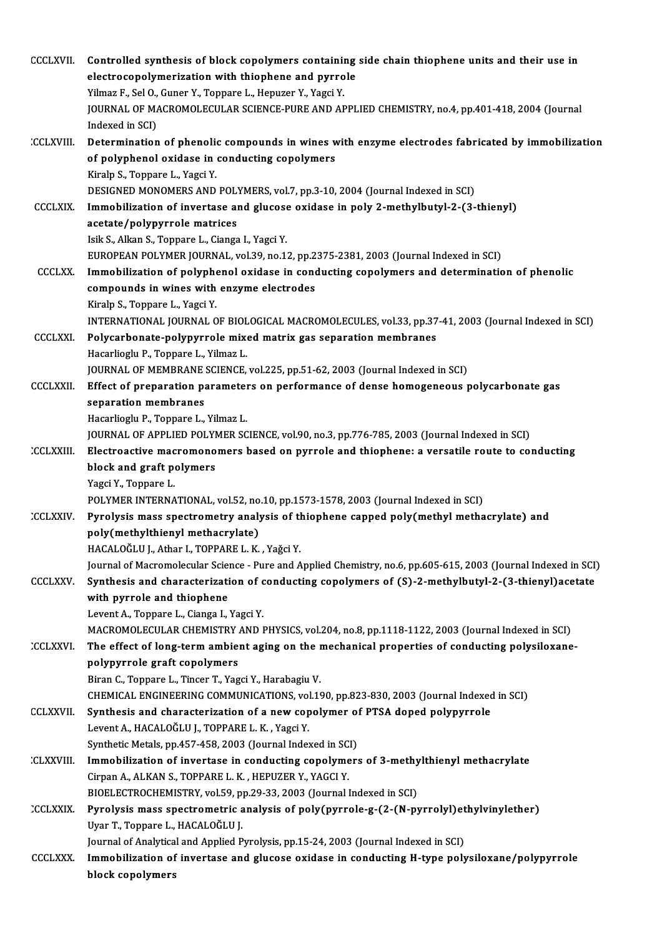| <b>CCCLXVII</b>  | Controlled synthesis of block copolymers containing side chain thiophene units and their use in                                                                        |
|------------------|------------------------------------------------------------------------------------------------------------------------------------------------------------------------|
|                  | electrocopolymerization with thiophene and pyrrole<br>Yilmaz F., Sel O., Guner Y., Toppare L., Hepuzer Y., Yagci Y.                                                    |
|                  | JOURNAL OF MACROMOLECULAR SCIENCE-PURE AND APPLIED CHEMISTRY, no.4, pp.401-418, 2004 (Journal                                                                          |
|                  | Indexed in SCI)                                                                                                                                                        |
| <b>CCLXVIII.</b> | Determination of phenolic compounds in wines with enzyme electrodes fabricated by immobilization                                                                       |
|                  | of polyphenol oxidase in conducting copolymers                                                                                                                         |
|                  | Kiralp S., Toppare L., Yagci Y.                                                                                                                                        |
|                  | DESIGNED MONOMERS AND POLYMERS, vol.7, pp.3-10, 2004 (Journal Indexed in SCI)                                                                                          |
| <b>CCCLXIX</b>   | Immobilization of invertase and glucose oxidase in poly 2-methylbutyl-2-(3-thienyl)                                                                                    |
|                  | acetate/polypyrrole matrices                                                                                                                                           |
|                  | Isik S., Alkan S., Toppare L., Cianga I., Yagci Y.                                                                                                                     |
|                  | EUROPEAN POLYMER JOURNAL, vol.39, no.12, pp.2375-2381, 2003 (Journal Indexed in SCI)                                                                                   |
| <b>CCCLXX</b>    | Immobilization of polyphenol oxidase in conducting copolymers and determination of phenolic                                                                            |
|                  | compounds in wines with enzyme electrodes                                                                                                                              |
|                  | Kiralp S., Toppare L., Yagci Y.                                                                                                                                        |
|                  | INTERNATIONAL JOURNAL OF BIOLOGICAL MACROMOLECULES, vol.33, pp.37-41, 2003 (Journal Indexed in SCI)                                                                    |
| <b>CCCLXXI</b>   | Polycarbonate-polypyrrole mixed matrix gas separation membranes                                                                                                        |
|                  | Hacarlioglu P., Toppare L., Yilmaz L.                                                                                                                                  |
|                  | JOURNAL OF MEMBRANE SCIENCE, vol.225, pp.51-62, 2003 (Journal Indexed in SCI)                                                                                          |
| <b>CCCLXXII</b>  | Effect of preparation parameters on performance of dense homogeneous polycarbonate gas                                                                                 |
|                  | separation membranes<br>Hacarlioglu P., Toppare L., Yilmaz L.                                                                                                          |
|                  | JOURNAL OF APPLIED POLYMER SCIENCE, vol.90, no.3, pp.776-785, 2003 (Journal Indexed in SCI)                                                                            |
| <b>CCLXXIII</b>  | Electroactive macromonomers based on pyrrole and thiophene: a versatile route to conducting                                                                            |
|                  | block and graft polymers                                                                                                                                               |
|                  | Yagci Y, Toppare L                                                                                                                                                     |
|                  | POLYMER INTERNATIONAL, vol 52, no.10, pp.1573-1578, 2003 (Journal Indexed in SCI)                                                                                      |
| CCLXXIV.         | Pyrolysis mass spectrometry analysis of thiophene capped poly(methyl methacrylate) and                                                                                 |
|                  | poly(methylthienyl methacrylate)                                                                                                                                       |
|                  | HACALOĞLU J., Athar I., TOPPARE L. K., Yağci Y.                                                                                                                        |
|                  | Journal of Macromolecular Science - Pure and Applied Chemistry, no.6, pp.605-615, 2003 (Journal Indexed in SCI)                                                        |
| <b>CCCLXXV</b>   | Synthesis and characterization of conducting copolymers of (S)-2-methylbutyl-2-(3-thienyl)acetate                                                                      |
|                  | with pyrrole and thiophene                                                                                                                                             |
|                  | Levent A., Toppare L., Cianga I., Yagci Y.                                                                                                                             |
|                  | MACROMOLECULAR CHEMISTRY AND PHYSICS, vol.204, no.8, pp.1118-1122, 2003 (Journal Indexed in SCI)                                                                       |
| CCLXXVI.         | The effect of long-term ambient aging on the mechanical properties of conducting polysiloxane-                                                                         |
|                  | polypyrrole graft copolymers                                                                                                                                           |
|                  | Biran C., Toppare L., Tincer T., Yagci Y., Harabagiu V.                                                                                                                |
|                  | CHEMICAL ENGINEERING COMMUNICATIONS, vol.190, pp.823-830, 2003 (Journal Indexed in SCI)<br>Synthesis and characterization of a new copolymer of PTSA doped polypyrrole |
| <b>CCLXXVII</b>  | Levent A., HACALOĞLU J., TOPPARE L. K., Yagci Y.                                                                                                                       |
|                  | Synthetic Metals, pp.457-458, 2003 (Journal Indexed in SCI)                                                                                                            |
| <b>CLXXVIII.</b> | Immobilization of invertase in conducting copolymers of 3-methylthienyl methacrylate                                                                                   |
|                  | Cirpan A., ALKAN S., TOPPARE L. K., HEPUZER Y., YAGCI Y.                                                                                                               |
|                  | BIOELECTROCHEMISTRY, vol.59, pp.29-33, 2003 (Journal Indexed in SCI)                                                                                                   |
| CCLXXIX.         | Pyrolysis mass spectrometric analysis of poly(pyrrole-g-(2-(N-pyrrolyl)ethylvinylether)                                                                                |
|                  | Uyar T., Toppare L., HACALOĞLU J.                                                                                                                                      |
|                  | Journal of Analytical and Applied Pyrolysis, pp.15-24, 2003 (Journal Indexed in SCI)                                                                                   |
| <b>CCCLXXX</b>   | Immobilization of invertase and glucose oxidase in conducting H-type polysiloxane/polypyrrole                                                                          |
|                  | block copolymers                                                                                                                                                       |
|                  |                                                                                                                                                                        |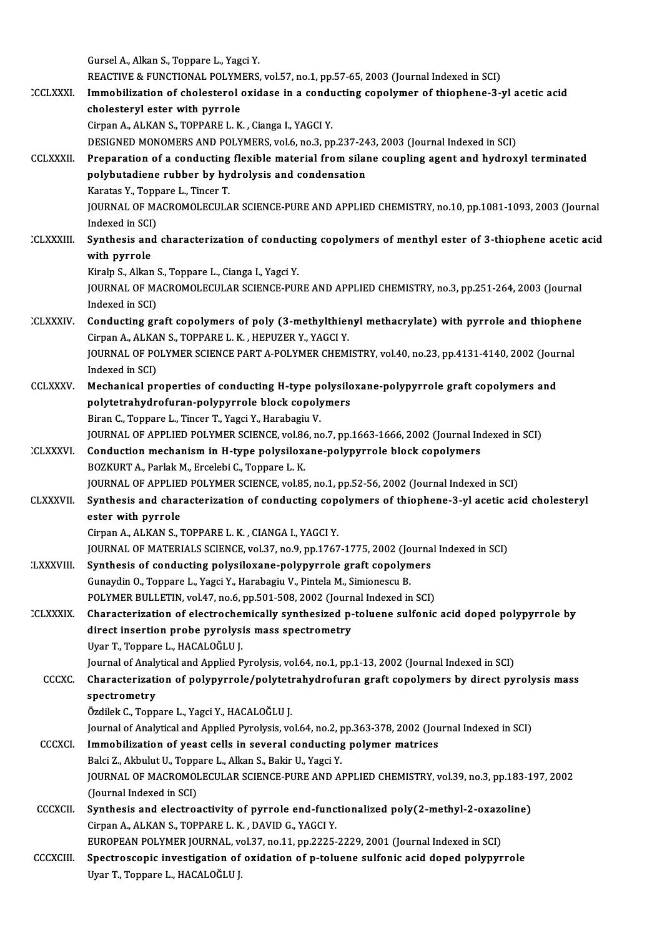GurselA.,AlkanS.,Toppare L.,YagciY. Gursel A., Alkan S., Toppare L., Yagci Y.<br>REACTIVE & FUNCTIONAL POLYMERS, vol.57, no.1, pp.57-65, 2003 (Journal Indexed in SCI)<br>Immebilization of shelesterel evidese in a sendusting senelymer of thionhene 3 : Gursel A., Alkan S., Toppare L., Yagci Y.<br>REACTIVE & FUNCTIONAL POLYMERS, vol.57, no.1, pp.57-65, 2003 (Journal Indexed in SCI)<br>CCLXXXI. Immobilization of cholesterol oxidase in a conducting copolymer of thiophene-3-yl ace REACTIVE & FUNCTIONAL POLYM<br>Immobilization of cholesterol<br>cholesteryl ester with pyrrole Immobilization of cholesterol oxidase in a conducting copolymer of thiophene-3-yl acetic acid<br>cholesteryl ester with pyrrole<br>Cirpan A., ALKAN S., TOPPARE L. K. , Cianga I., YAGCI Y. DESIGNED MONOMERS AND POLYMERS, vol.6, no.3, pp.237-243, 2003 (Journal Indexed in SCI) Cirpan A., ALKAN S., TOPPARE L. K. , Cianga I., YAGCI Y.<br>DESIGNED MONOMERS AND POLYMERS, vol.6, no.3, pp.237-243, 2003 (Journal Indexed in SCI)<br>CCLXXXII. Preparation of a conducting flexible material from silane coupling a DESIGNED MONOMERS AND POLYMERS, vol.6, no.3, pp.237-24<br>Preparation of a conducting flexible material from silar<br>polybutadiene rubber by hydrolysis and condensation<br>Karatas V. Tennare L. Tinger T Preparation of a conducting<br>polybutadiene rubber by hy<br>Karatas Y., Toppare L., Tincer T.<br>JOUPNAL OF MACPOMOLECULA polybutadiene rubber by hydrolysis and condensation<br>Karatas Y., Toppare L., Tincer T.<br>JOURNAL OF MACROMOLECULAR SCIENCE-PURE AND APPLIED CHEMISTRY, no.10, pp.1081-1093, 2003 (Journal<br>Indexed in SCD Karatas Y., Topp<br>JOURNAL OF MA<br>Indexed in SCI)<br>Synthosis and JOURNAL OF MACROMOLECULAR SCIENCE-PURE AND APPLIED CHEMISTRY, no.10, pp.1081-1093, 2003 (Journal<br>Indexed in SCI)<br>CLXXXIII. Synthesis and characterization of conducting copolymers of menthyl ester of 3-thiophene acetic acid Indexed in SCI)<br>Synthesis and characterization of conducting copolymers of menthyl ester of 3-thiophene acetic acid<br>with pyrrole Synthesis and characterization of conduct<br>with pyrrole<br>Kiralp S., Alkan S., Toppare L., Cianga I., Yagci Y.<br>JOUPNAL OF MACROMOLECULAR SCIENCE PUL JOURNAL OF MACROMOLECULAR SCIENCE-PURE AND APPLIED CHEMISTRY, no.3, pp.251-264, 2003 (Journal Indexed in SCI) Kiralp S., Alkan<br>JOURNAL OF MA<br>Indexed in SCI)<br>Conducting an JOURNAL OF MACROMOLECULAR SCIENCE-PURE AND APPLIED CHEMISTRY, no.3, pp.251-264, 2003 (Journal<br>Indexed in SCI)<br>CLXXXIV. Conducting graft copolymers of poly (3-methylthienyl methacrylate) with pyrrole and thiophene<br>Cinnar A, Indexed in SCI)<br>Conducting graft copolymers of poly (3-methylthier<br>Cirpan A., ALKAN S., TOPPARE L. K. , HEPUZER Y., YAGCI Y.<br>JOUPMAL OF POLYMER SCIENCE RART A POLYMER CHEM Conducting graft copolymers of poly (3-methylthienyl methacrylate) with pyrrole and thiophen<br>Cirpan A., ALKAN S., TOPPARE L. K. , HEPUZER Y., YAGCI Y.<br>JOURNAL OF POLYMER SCIENCE PART A-POLYMER CHEMISTRY, vol.40, no.23, pp. Cirpan A., ALKAN S., TOPPARE L. K. , HEPUZER Y., YAGCI Y.<br>JOURNAL OF POLYMER SCIENCE PART A-POLYMER CHEMI<br>Indexed in SCI) JOURNAL OF POLYMER SCIENCE PART A-POLYMER CHEMISTRY, vol.40, no.23, pp.4131-4140, 2002 (Journal<br>Indexed in SCI)<br>CCLXXXV. Mechanical properties of conducting H-type polysiloxane-polypyrrole graft copolymers and<br>polytetrahyd Mechanical properties of conducting H-type polysiloxane-polypyrrole graft copolymers and Biran C., Toppare L., Tincer T., Yagci Y., Harabagiu V. polytetrahydrofuran-polypyrrole block copolymers<br>Biran C., Toppare L., Tincer T., Yagci Y., Harabagiu V.<br>JOURNAL OF APPLIED POLYMER SCIENCE, vol.86, no.7, pp.1663-1666, 2002 (Journal Indexed in SCI)<br>Conduction mechanism in Biran C., Toppare L., Tincer T., Yagci Y., Harabagiu V.<br>JOURNAL OF APPLIED POLYMER SCIENCE, vol.86, no.7, pp.1663-1666, 2002 (Journal Inc.)<br>CLXXXVI. Conduction mechanism in H-type polysiloxane-polypyrrole block copolymers. **JOURNAL OF APPLIED POLYMER SCIENCE, vol.86**<br>**Conduction mechanism in H-type polysilox:**<br>BOZKURT A., Parlak M., Ercelebi C., Toppare L.K.<br>JOUPMAL OF APPLIED BOLYMER SCIENCE, vol.95 Conduction mechanism in H-type polysiloxane-polypyrrole block copolymers<br>BOZKURT A., Parlak M., Ercelebi C., Toppare L. K.<br>JOURNAL OF APPLIED POLYMER SCIENCE, vol.85, no.1, pp.52-56, 2002 (Journal Indexed in SCI)<br>Synthesis BOZKURT A., Parlak M., Ercelebi C., Toppare L. K.<br>JOURNAL OF APPLIED POLYMER SCIENCE, vol.85, no.1, pp.52-56, 2002 (Journal Indexed in SCI)<br>CLXXXVII. Synthesis and characterization of conducting copolymers of thiophene-3-y JOURNAL OF APPLIE<br>Synthesis and char<br>ester with pyrrole<br>Cinnon A ALKAN S CirpanA.,ALKANS.,TOPPAREL.K. ,CIANGAI.,YAGCIY. JOURNAL OF MATERIALS SCIENCE, vol.37, no.9, pp.1767-1775, 2002 (Journal Indexed in SCI) Cirpan A., ALKAN S., TOPPARE L. K. , CIANGA I., YAGCI Y.<br>JOURNAL OF MATERIALS SCIENCE, vol.37, no.9, pp.1767-1775, 2002 (Journa<br>LXXXVIII. Synthesis of conducting polysiloxane-polypyrrole graft copolymers:<br>Cunovdin O. Tonno JOURNAL OF MATERIALS SCIENCE, vol.37, no.9, pp.1767-1775, 2002 (Jo<br>Synthesis of conducting polysiloxane-polypyrrole graft copolyn<br>Gunaydin O., Toppare L., Yagci Y., Harabagiu V., Pintela M., Simionescu B.<br>POLYMER BLU LETIN Synthesis of conducting polysiloxane-polypyrrole graft copolymers<br>Gunaydin O., Toppare L., Yagci Y., Harabagiu V., Pintela M., Simionescu B.<br>POLYMER BULLETIN, vol.47, no.6, pp.501-508, 2002 (Journal Indexed in SCI)<br>Charact Gunaydin O., Toppare L., Yagci Y., Harabagiu V., Pintela M., Simionescu B.<br>POLYMER BULLETIN, vol.47, no.6, pp.501-508, 2002 (Journal Indexed in SCI)<br>CLXXXIX. Characterization of electrochemically synthesized p-toluene sulf POLYMER BULLETIN, vol.47, no.6, pp.501-508, 2002 (Journal Indexed in SCI)<br>Characterization of electrochemically synthesized p-toluene sulfonic<br>direct insertion probe pyrolysis mass spectrometry<br>Uyar T., Toppare L., HACALOĞ Characterization of electrocher<br>direct insertion probe pyrolysi<br>Uyar T., Toppare L., HACALOĞLU J.<br>Journal of Analytical and Analicd B direct insertion probe pyrolysis mass spectrometry<br>Uyar T., Toppare L., HACALOĞLU J.<br>Journal of Analytical and Applied Pyrolysis, vol.64, no.1, pp.1-13, 2002 (Journal Indexed in SCI)<br>Characterization of polynurrals (polyte Uyar T., Toppare L., HACALOĞLU J.<br>Journal of Analytical and Applied Pyrolysis, vol.64, no.1, pp.1-13, 2002 (Journal Indexed in SCI)<br>CCCXC. Characterization of polypyrrole/polytetrahydrofuran graft copolymers by direct pyro Journal of Analy<br>Characterizati<br>spectrometry<br>Ördilek C. Tenn Characterization of polypyrrole/polyteti<br>spectrometry<br>Özdilek C., Toppare L., Yagci Y., HACALOĞLU J.<br>Journal of Anakrisal and Anakied Burokras vo spectrometry<br>Özdilek C., Toppare L., Yagci Y., HACALOĞLU J.<br>Journal of Analytical and Applied Pyrolysis, vol.64, no.2, pp.363-378, 2002 (Journal Indexed in SCI)<br>Immebilization of veset sells in several sendusting polymer m Özdilek C., Toppare L., Yagci Y., HACALOĞLU J.<br>Journal of Analytical and Applied Pyrolysis, vol.64, no.2, pp.363-378, 2002 (Journal of Analytical and Applied Pyrolysis, vol.64, no.2, pp.363-378, 2002 (Journal conducting po Journal of Analytical and Applied Pyrolysis, vol.64, no.2, p<br>Immobilization of yeast cells in several conducting<br>Balci Z., Akbulut U., Toppare L., Alkan S., Bakir U., Yagci Y.<br>JOURNAL OF MACROMOLECULAR SCIENCE BURE AND AL JOURNAL OF MACROMOLECULAR SCIENCE-PURE AND APPLIED CHEMISTRY, vol.39, no.3, pp.183-197, 2002<br>(Journal Indexed in SCI) Balci Z., Akbulut U., Toppare L., Alkan S., Bakir U., Yagci Y. JOURNAL OF MACROMOLECULAR SCIENCE-PURE AND APPLIED CHEMISTRY, vol.39, no.3, pp.183-1<br>(Journal Indexed in SCI)<br>CCCXCII. Synthesis and electroactivity of pyrrole end-functionalized poly(2-methyl-2-oxazoline) (Journal Indexed in SCI)<br>Synthesis and electroactivity of pyrrole end-func<br>Cirpan A., ALKAN S., TOPPARE L. K. , DAVID G., YAGCI Y.<br>FUROPEAN POLYMER JOURNAL, vol 37, no 11, np 3225. Synthesis and electroactivity of pyrrole end-functionalized poly(2-methyl-2-oxazo<br>Cirpan A., ALKAN S., TOPPARE L. K., DAVID G., YAGCI Y.<br>EUROPEAN POLYMER JOURNAL, vol.37, no.11, pp.2225-2229, 2001 (Journal Indexed in SCI)<br> Cirpan A., ALKAN S., TOPPARE L. K. , DAVID G., YAGCI Y.<br>EUROPEAN POLYMER JOURNAL, vol.37, no.11, pp.2225-2229, 2001 (Journal Indexed in SCI)<br>CCCXCIII. Spectroscopic investigation of oxidation of p-toluene sulfonic acid dop EUROPEAN POLYMER JOURNAL, vo<br>Spectroscopic investigation of<br>Uyar T., Toppare L., HACALOĞLU J.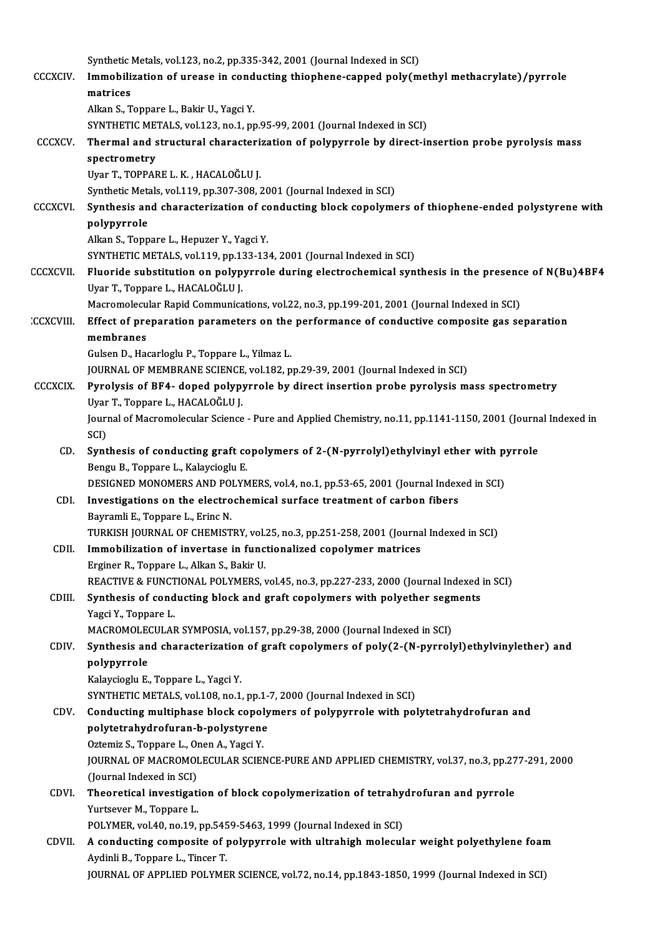|                  | Synthetic Metals, vol.123, no.2, pp.335-342, 2001 (Journal Indexed in SCI)                                            |
|------------------|-----------------------------------------------------------------------------------------------------------------------|
| <b>CCCXCIV</b>   | Immobilization of urease in conducting thiophene-capped poly(methyl methacrylate)/pyrrole                             |
|                  | matrices                                                                                                              |
|                  | Alkan S., Toppare L., Bakir U., Yagci Y.                                                                              |
|                  | SYNTHETIC METALS, vol.123, no.1, pp.95-99, 2001 (Journal Indexed in SCI)                                              |
| <b>CCCXCV</b>    | Thermal and structural characterization of polypyrrole by direct-insertion probe pyrolysis mass                       |
|                  | spectrometry                                                                                                          |
|                  | Uyar T., TOPPARE L. K., HACALOĞLU J.                                                                                  |
|                  | Synthetic Metals, vol.119, pp.307-308, 2001 (Journal Indexed in SCI)                                                  |
| <b>CCCXCVI</b>   | Synthesis and characterization of conducting block copolymers of thiophene-ended polystyrene with                     |
|                  | polypyrrole                                                                                                           |
|                  | Alkan S., Toppare L., Hepuzer Y., Yagci Y.                                                                            |
|                  | SYNTHETIC METALS, vol.119, pp.133-134, 2001 (Journal Indexed in SCI)                                                  |
| CCCXCVII         | Fluoride substitution on polypyrrole during electrochemical synthesis in the presence of N(Bu)4BF4                    |
|                  | Uyar T., Toppare L., HACALOĞLU J.                                                                                     |
|                  | Macromolecular Rapid Communications, vol.22, no.3, pp.199-201, 2001 (Journal Indexed in SCI)                          |
| <b>CCXCVIII.</b> | Effect of preparation parameters on the performance of conductive composite gas separation                            |
|                  | membranes                                                                                                             |
|                  | Gulsen D., Hacarloglu P., Toppare L., Yilmaz L.                                                                       |
|                  | JOURNAL OF MEMBRANE SCIENCE, vol.182, pp.29-39, 2001 (Journal Indexed in SCI)                                         |
| <b>CCCXCIX</b>   | Pyrolysis of BF4- doped polypyrrole by direct insertion probe pyrolysis mass spectrometry                             |
|                  | Uyar T., Toppare L., HACALOĞLU J.                                                                                     |
|                  | Journal of Macromolecular Science - Pure and Applied Chemistry, no.11, pp.1141-1150, 2001 (Journal Indexed in<br>SCI) |
| CD.              | Synthesis of conducting graft copolymers of 2-(N-pyrrolyl)ethylvinyl ether with pyrrole                               |
|                  | Bengu B, Toppare L, Kalaycioglu E.                                                                                    |
|                  | DESIGNED MONOMERS AND POLYMERS, vol.4, no.1, pp.53-65, 2001 (Journal Indexed in SCI)                                  |
| CDI.             | Investigations on the electrochemical surface treatment of carbon fibers                                              |
|                  | Bayramli E., Toppare L., Erinc N.                                                                                     |
|                  | TURKISH JOURNAL OF CHEMISTRY, vol.25, no.3, pp.251-258, 2001 (Journal Indexed in SCI)                                 |
| CDII.            | Immobilization of invertase in functionalized copolymer matrices                                                      |
|                  | Erginer R., Toppare L., Alkan S., Bakir U.                                                                            |
|                  | REACTIVE & FUNCTIONAL POLYMERS, vol.45, no.3, pp.227-233, 2000 (Journal Indexed in SCI)                               |
| CDIII.           | Synthesis of conducting block and graft copolymers with polyether segments                                            |
|                  | Yagci Y., Toppare L.                                                                                                  |
|                  | MACROMOLECULAR SYMPOSIA, vol.157, pp.29-38, 2000 (Journal Indexed in SCI)                                             |
| CDIV.            | Synthesis and characterization of graft copolymers of poly(2-(N-pyrrolyl)ethylvinylether) and                         |
|                  | polypyrrole                                                                                                           |
|                  | Kalaycioglu E., Toppare L., Yagci Y.                                                                                  |
|                  | SYNTHETIC METALS, vol.108, no.1, pp.1-7, 2000 (Journal Indexed in SCI)                                                |
| CDV.             | Conducting multiphase block copolymers of polypyrrole with polytetrahydrofuran and                                    |
|                  | polytetrahydrofuran-b-polystyrene                                                                                     |
|                  | Oztemiz S., Toppare L., Onen A., Yagci Y.                                                                             |
|                  | JOURNAL OF MACROMOLECULAR SCIENCE-PURE AND APPLIED CHEMISTRY, vol.37, no.3, pp.277-291, 2000                          |
| CDVI.            | (Journal Indexed in SCI)<br>Theoretical investigation of block copolymerization of tetrahydrofuran and pyrrole        |
|                  | Yurtsever M., Toppare L.                                                                                              |
|                  | POLYMER, vol.40, no.19, pp.5459-5463, 1999 (Journal Indexed in SCI)                                                   |
| CDVII.           | A conducting composite of polypyrrole with ultrahigh molecular weight polyethylene foam                               |
|                  | Aydinli B., Toppare L., Tincer T.                                                                                     |
|                  | JOURNAL OF APPLIED POLYMER SCIENCE, vol.72, no.14, pp.1843-1850, 1999 (Journal Indexed in SCI)                        |
|                  |                                                                                                                       |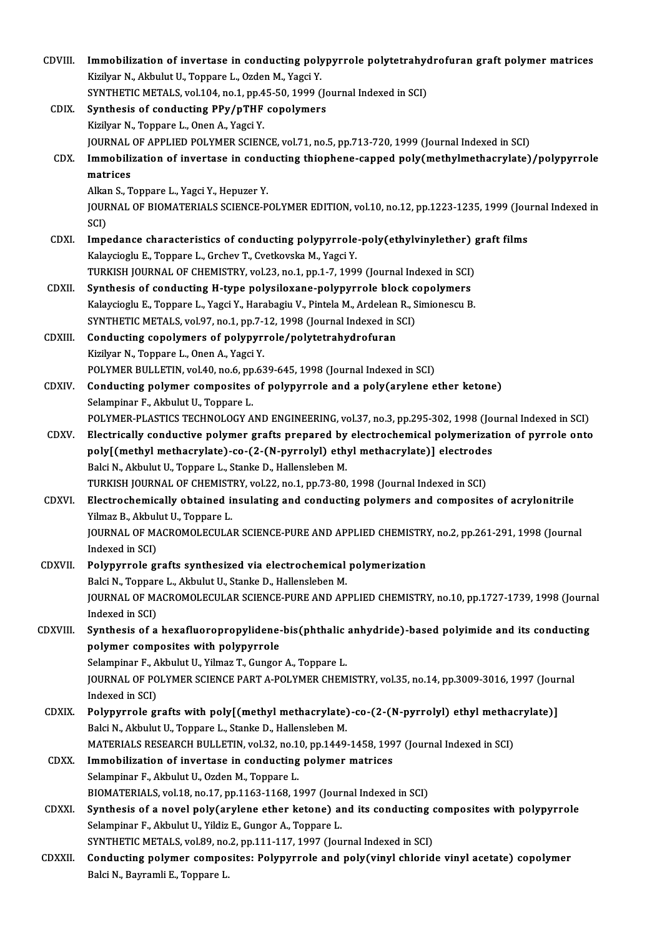| CDVIII.<br>Immobilization of invertase in conducting polypyrrole polytetrahydrofuran graft polymer matrices<br>Kizilyar N., Akbulut U., Toppare L., Ozden M., Yagci Y.<br>SYNTHETIC METALS, vol.104, no.1, pp.45-50, 1999 (Journal Indexed in SCI)<br>Synthesis of conducting PPy/pTHF copolymers<br>CDIX.<br>Kizilyar N., Toppare L., Onen A., Yagci Y.<br>JOURNAL OF APPLIED POLYMER SCIENCE, vol.71, no.5, pp.713-720, 1999 (Journal Indexed in SCI)<br>Immobilization of invertase in conducting thiophene-capped poly(methylmethacrylate)/polypyrrole<br>CDX.<br>matrices<br>Alkan S., Toppare L., Yagci Y., Hepuzer Y.<br>JOURNAL OF BIOMATERIALS SCIENCE-POLYMER EDITION, vol.10, no.12, pp.1223-1235, 1999 (Journal Indexed in<br>SCI)<br>CDXI.<br>Impedance characteristics of conducting polypyrrole-poly(ethylvinylether) graft films<br>Kalaycioglu E., Toppare L., Grchev T., Cvetkovska M., Yagci Y.<br>TURKISH JOURNAL OF CHEMISTRY, vol.23, no.1, pp.1-7, 1999 (Journal Indexed in SCI)<br><b>CDXII</b><br>Synthesis of conducting H-type polysiloxane-polypyrrole block copolymers<br>Kalaycioglu E., Toppare L., Yagci Y., Harabagiu V., Pintela M., Ardelean R., Simionescu B.<br>SYNTHETIC METALS, vol.97, no.1, pp.7-12, 1998 (Journal Indexed in SCI)<br>Conducting copolymers of polypyrrole/polytetrahydrofuran<br>CDXIII.<br>Kizilyar N., Toppare L., Onen A., Yagci Y.<br>POLYMER BULLETIN, vol.40, no.6, pp.639-645, 1998 (Journal Indexed in SCI)<br>Conducting polymer composites of polypyrrole and a poly(arylene ether ketone)<br>CDXIV.<br>Selampinar F., Akbulut U., Toppare L.<br>POLYMER-PLASTICS TECHNOLOGY AND ENGINEERING, vol.37, no.3, pp.295-302, 1998 (Journal Indexed in SCI)<br>Electrically conductive polymer grafts prepared by electrochemical polymerization of pyrrole onto<br>CDXV.<br>poly[(methyl methacrylate)-co-(2-(N-pyrrolyl) ethyl methacrylate)] electrodes<br>Balci N., Akbulut U., Toppare L., Stanke D., Hallensleben M.<br>TURKISH JOURNAL OF CHEMISTRY, vol.22, no.1, pp.73-80, 1998 (Journal Indexed in SCI)<br>Electrochemically obtained insulating and conducting polymers and composites of acrylonitrile<br>CDXVI.<br>Yilmaz B., Akbulut U., Toppare L.<br>JOURNAL OF MACROMOLECULAR SCIENCE-PURE AND APPLIED CHEMISTRY, no.2, pp.261-291, 1998 (Journal<br>Indexed in SCI)<br>Polypyrrole grafts synthesized via electrochemical polymerization<br>CDXVII.<br>Balci N., Toppare L., Akbulut U., Stanke D., Hallensleben M.<br>JOURNAL OF MACROMOLECULAR SCIENCE-PURE AND APPLIED CHEMISTRY, no.10, pp.1727-1739, 1998 (Journal<br>Indexed in SCI)<br>Synthesis of a hexafluoropropylidene-bis(phthalic anhydride)-based polyimide and its conducting<br>polymer composites with polypyrrole<br>Selampinar F., Akbulut U., Yilmaz T., Gungor A., Toppare L.<br>JOURNAL OF POLYMER SCIENCE PART A-POLYMER CHEMISTRY, vol.35, no.14, pp.3009-3016, 1997 (Journal<br>Indexed in SCI)<br>Polypyrrole grafts with poly[(methyl methacrylate)-co-(2-(N-pyrrolyl) ethyl methacrylate)]<br><b>CDXIX</b><br>Balci N., Akbulut U., Toppare L., Stanke D., Hallensleben M.<br>MATERIALS RESEARCH BULLETIN, vol.32, no.10, pp.1449-1458, 1997 (Journal Indexed in SCI)<br><b>CDXX</b><br>Immobilization of invertase in conducting polymer matrices<br>Selampinar F., Akbulut U., Ozden M., Toppare L.<br>BIOMATERIALS, vol.18, no.17, pp.1163-1168, 1997 (Journal Indexed in SCI)<br>Synthesis of a novel poly(arylene ether ketone) and its conducting composites with polypyrrole<br><b>CDXXI</b><br>Selampinar F., Akbulut U., Yildiz E., Gungor A., Toppare L.<br>SYNTHETIC METALS, vol.89, no.2, pp.111-117, 1997 (Journal Indexed in SCI)<br>Conducting polymer composites: Polypyrrole and poly(vinyl chloride vinyl acetate) copolymer<br><b>CDXXII</b><br>Balci N., Bayramli E., Toppare L. |          |  |
|-------------------------------------------------------------------------------------------------------------------------------------------------------------------------------------------------------------------------------------------------------------------------------------------------------------------------------------------------------------------------------------------------------------------------------------------------------------------------------------------------------------------------------------------------------------------------------------------------------------------------------------------------------------------------------------------------------------------------------------------------------------------------------------------------------------------------------------------------------------------------------------------------------------------------------------------------------------------------------------------------------------------------------------------------------------------------------------------------------------------------------------------------------------------------------------------------------------------------------------------------------------------------------------------------------------------------------------------------------------------------------------------------------------------------------------------------------------------------------------------------------------------------------------------------------------------------------------------------------------------------------------------------------------------------------------------------------------------------------------------------------------------------------------------------------------------------------------------------------------------------------------------------------------------------------------------------------------------------------------------------------------------------------------------------------------------------------------------------------------------------------------------------------------------------------------------------------------------------------------------------------------------------------------------------------------------------------------------------------------------------------------------------------------------------------------------------------------------------------------------------------------------------------------------------------------------------------------------------------------------------------------------------------------------------------------------------------------------------------------------------------------------------------------------------------------------------------------------------------------------------------------------------------------------------------------------------------------------------------------------------------------------------------------------------------------------------------------------------------------------------------------------------------------------------------------------------------------------------------------------------------------------------------------------------------------------------------------------------------------------------------------------------------------------------------------------------------------------------------------------------------------------------------------------------------------------------------------------------------------------------------------------------------------------------------------------------------------------------------------------------------------------------------------------------------------------------------------------------------------------|----------|--|
|                                                                                                                                                                                                                                                                                                                                                                                                                                                                                                                                                                                                                                                                                                                                                                                                                                                                                                                                                                                                                                                                                                                                                                                                                                                                                                                                                                                                                                                                                                                                                                                                                                                                                                                                                                                                                                                                                                                                                                                                                                                                                                                                                                                                                                                                                                                                                                                                                                                                                                                                                                                                                                                                                                                                                                                                                                                                                                                                                                                                                                                                                                                                                                                                                                                                                                                                                                                                                                                                                                                                                                                                                                                                                                                                                                                                                                                                   |          |  |
|                                                                                                                                                                                                                                                                                                                                                                                                                                                                                                                                                                                                                                                                                                                                                                                                                                                                                                                                                                                                                                                                                                                                                                                                                                                                                                                                                                                                                                                                                                                                                                                                                                                                                                                                                                                                                                                                                                                                                                                                                                                                                                                                                                                                                                                                                                                                                                                                                                                                                                                                                                                                                                                                                                                                                                                                                                                                                                                                                                                                                                                                                                                                                                                                                                                                                                                                                                                                                                                                                                                                                                                                                                                                                                                                                                                                                                                                   |          |  |
|                                                                                                                                                                                                                                                                                                                                                                                                                                                                                                                                                                                                                                                                                                                                                                                                                                                                                                                                                                                                                                                                                                                                                                                                                                                                                                                                                                                                                                                                                                                                                                                                                                                                                                                                                                                                                                                                                                                                                                                                                                                                                                                                                                                                                                                                                                                                                                                                                                                                                                                                                                                                                                                                                                                                                                                                                                                                                                                                                                                                                                                                                                                                                                                                                                                                                                                                                                                                                                                                                                                                                                                                                                                                                                                                                                                                                                                                   |          |  |
|                                                                                                                                                                                                                                                                                                                                                                                                                                                                                                                                                                                                                                                                                                                                                                                                                                                                                                                                                                                                                                                                                                                                                                                                                                                                                                                                                                                                                                                                                                                                                                                                                                                                                                                                                                                                                                                                                                                                                                                                                                                                                                                                                                                                                                                                                                                                                                                                                                                                                                                                                                                                                                                                                                                                                                                                                                                                                                                                                                                                                                                                                                                                                                                                                                                                                                                                                                                                                                                                                                                                                                                                                                                                                                                                                                                                                                                                   |          |  |
|                                                                                                                                                                                                                                                                                                                                                                                                                                                                                                                                                                                                                                                                                                                                                                                                                                                                                                                                                                                                                                                                                                                                                                                                                                                                                                                                                                                                                                                                                                                                                                                                                                                                                                                                                                                                                                                                                                                                                                                                                                                                                                                                                                                                                                                                                                                                                                                                                                                                                                                                                                                                                                                                                                                                                                                                                                                                                                                                                                                                                                                                                                                                                                                                                                                                                                                                                                                                                                                                                                                                                                                                                                                                                                                                                                                                                                                                   |          |  |
|                                                                                                                                                                                                                                                                                                                                                                                                                                                                                                                                                                                                                                                                                                                                                                                                                                                                                                                                                                                                                                                                                                                                                                                                                                                                                                                                                                                                                                                                                                                                                                                                                                                                                                                                                                                                                                                                                                                                                                                                                                                                                                                                                                                                                                                                                                                                                                                                                                                                                                                                                                                                                                                                                                                                                                                                                                                                                                                                                                                                                                                                                                                                                                                                                                                                                                                                                                                                                                                                                                                                                                                                                                                                                                                                                                                                                                                                   |          |  |
|                                                                                                                                                                                                                                                                                                                                                                                                                                                                                                                                                                                                                                                                                                                                                                                                                                                                                                                                                                                                                                                                                                                                                                                                                                                                                                                                                                                                                                                                                                                                                                                                                                                                                                                                                                                                                                                                                                                                                                                                                                                                                                                                                                                                                                                                                                                                                                                                                                                                                                                                                                                                                                                                                                                                                                                                                                                                                                                                                                                                                                                                                                                                                                                                                                                                                                                                                                                                                                                                                                                                                                                                                                                                                                                                                                                                                                                                   |          |  |
|                                                                                                                                                                                                                                                                                                                                                                                                                                                                                                                                                                                                                                                                                                                                                                                                                                                                                                                                                                                                                                                                                                                                                                                                                                                                                                                                                                                                                                                                                                                                                                                                                                                                                                                                                                                                                                                                                                                                                                                                                                                                                                                                                                                                                                                                                                                                                                                                                                                                                                                                                                                                                                                                                                                                                                                                                                                                                                                                                                                                                                                                                                                                                                                                                                                                                                                                                                                                                                                                                                                                                                                                                                                                                                                                                                                                                                                                   |          |  |
|                                                                                                                                                                                                                                                                                                                                                                                                                                                                                                                                                                                                                                                                                                                                                                                                                                                                                                                                                                                                                                                                                                                                                                                                                                                                                                                                                                                                                                                                                                                                                                                                                                                                                                                                                                                                                                                                                                                                                                                                                                                                                                                                                                                                                                                                                                                                                                                                                                                                                                                                                                                                                                                                                                                                                                                                                                                                                                                                                                                                                                                                                                                                                                                                                                                                                                                                                                                                                                                                                                                                                                                                                                                                                                                                                                                                                                                                   |          |  |
|                                                                                                                                                                                                                                                                                                                                                                                                                                                                                                                                                                                                                                                                                                                                                                                                                                                                                                                                                                                                                                                                                                                                                                                                                                                                                                                                                                                                                                                                                                                                                                                                                                                                                                                                                                                                                                                                                                                                                                                                                                                                                                                                                                                                                                                                                                                                                                                                                                                                                                                                                                                                                                                                                                                                                                                                                                                                                                                                                                                                                                                                                                                                                                                                                                                                                                                                                                                                                                                                                                                                                                                                                                                                                                                                                                                                                                                                   |          |  |
|                                                                                                                                                                                                                                                                                                                                                                                                                                                                                                                                                                                                                                                                                                                                                                                                                                                                                                                                                                                                                                                                                                                                                                                                                                                                                                                                                                                                                                                                                                                                                                                                                                                                                                                                                                                                                                                                                                                                                                                                                                                                                                                                                                                                                                                                                                                                                                                                                                                                                                                                                                                                                                                                                                                                                                                                                                                                                                                                                                                                                                                                                                                                                                                                                                                                                                                                                                                                                                                                                                                                                                                                                                                                                                                                                                                                                                                                   |          |  |
|                                                                                                                                                                                                                                                                                                                                                                                                                                                                                                                                                                                                                                                                                                                                                                                                                                                                                                                                                                                                                                                                                                                                                                                                                                                                                                                                                                                                                                                                                                                                                                                                                                                                                                                                                                                                                                                                                                                                                                                                                                                                                                                                                                                                                                                                                                                                                                                                                                                                                                                                                                                                                                                                                                                                                                                                                                                                                                                                                                                                                                                                                                                                                                                                                                                                                                                                                                                                                                                                                                                                                                                                                                                                                                                                                                                                                                                                   |          |  |
|                                                                                                                                                                                                                                                                                                                                                                                                                                                                                                                                                                                                                                                                                                                                                                                                                                                                                                                                                                                                                                                                                                                                                                                                                                                                                                                                                                                                                                                                                                                                                                                                                                                                                                                                                                                                                                                                                                                                                                                                                                                                                                                                                                                                                                                                                                                                                                                                                                                                                                                                                                                                                                                                                                                                                                                                                                                                                                                                                                                                                                                                                                                                                                                                                                                                                                                                                                                                                                                                                                                                                                                                                                                                                                                                                                                                                                                                   |          |  |
|                                                                                                                                                                                                                                                                                                                                                                                                                                                                                                                                                                                                                                                                                                                                                                                                                                                                                                                                                                                                                                                                                                                                                                                                                                                                                                                                                                                                                                                                                                                                                                                                                                                                                                                                                                                                                                                                                                                                                                                                                                                                                                                                                                                                                                                                                                                                                                                                                                                                                                                                                                                                                                                                                                                                                                                                                                                                                                                                                                                                                                                                                                                                                                                                                                                                                                                                                                                                                                                                                                                                                                                                                                                                                                                                                                                                                                                                   |          |  |
|                                                                                                                                                                                                                                                                                                                                                                                                                                                                                                                                                                                                                                                                                                                                                                                                                                                                                                                                                                                                                                                                                                                                                                                                                                                                                                                                                                                                                                                                                                                                                                                                                                                                                                                                                                                                                                                                                                                                                                                                                                                                                                                                                                                                                                                                                                                                                                                                                                                                                                                                                                                                                                                                                                                                                                                                                                                                                                                                                                                                                                                                                                                                                                                                                                                                                                                                                                                                                                                                                                                                                                                                                                                                                                                                                                                                                                                                   |          |  |
|                                                                                                                                                                                                                                                                                                                                                                                                                                                                                                                                                                                                                                                                                                                                                                                                                                                                                                                                                                                                                                                                                                                                                                                                                                                                                                                                                                                                                                                                                                                                                                                                                                                                                                                                                                                                                                                                                                                                                                                                                                                                                                                                                                                                                                                                                                                                                                                                                                                                                                                                                                                                                                                                                                                                                                                                                                                                                                                                                                                                                                                                                                                                                                                                                                                                                                                                                                                                                                                                                                                                                                                                                                                                                                                                                                                                                                                                   |          |  |
|                                                                                                                                                                                                                                                                                                                                                                                                                                                                                                                                                                                                                                                                                                                                                                                                                                                                                                                                                                                                                                                                                                                                                                                                                                                                                                                                                                                                                                                                                                                                                                                                                                                                                                                                                                                                                                                                                                                                                                                                                                                                                                                                                                                                                                                                                                                                                                                                                                                                                                                                                                                                                                                                                                                                                                                                                                                                                                                                                                                                                                                                                                                                                                                                                                                                                                                                                                                                                                                                                                                                                                                                                                                                                                                                                                                                                                                                   |          |  |
|                                                                                                                                                                                                                                                                                                                                                                                                                                                                                                                                                                                                                                                                                                                                                                                                                                                                                                                                                                                                                                                                                                                                                                                                                                                                                                                                                                                                                                                                                                                                                                                                                                                                                                                                                                                                                                                                                                                                                                                                                                                                                                                                                                                                                                                                                                                                                                                                                                                                                                                                                                                                                                                                                                                                                                                                                                                                                                                                                                                                                                                                                                                                                                                                                                                                                                                                                                                                                                                                                                                                                                                                                                                                                                                                                                                                                                                                   |          |  |
|                                                                                                                                                                                                                                                                                                                                                                                                                                                                                                                                                                                                                                                                                                                                                                                                                                                                                                                                                                                                                                                                                                                                                                                                                                                                                                                                                                                                                                                                                                                                                                                                                                                                                                                                                                                                                                                                                                                                                                                                                                                                                                                                                                                                                                                                                                                                                                                                                                                                                                                                                                                                                                                                                                                                                                                                                                                                                                                                                                                                                                                                                                                                                                                                                                                                                                                                                                                                                                                                                                                                                                                                                                                                                                                                                                                                                                                                   |          |  |
|                                                                                                                                                                                                                                                                                                                                                                                                                                                                                                                                                                                                                                                                                                                                                                                                                                                                                                                                                                                                                                                                                                                                                                                                                                                                                                                                                                                                                                                                                                                                                                                                                                                                                                                                                                                                                                                                                                                                                                                                                                                                                                                                                                                                                                                                                                                                                                                                                                                                                                                                                                                                                                                                                                                                                                                                                                                                                                                                                                                                                                                                                                                                                                                                                                                                                                                                                                                                                                                                                                                                                                                                                                                                                                                                                                                                                                                                   |          |  |
|                                                                                                                                                                                                                                                                                                                                                                                                                                                                                                                                                                                                                                                                                                                                                                                                                                                                                                                                                                                                                                                                                                                                                                                                                                                                                                                                                                                                                                                                                                                                                                                                                                                                                                                                                                                                                                                                                                                                                                                                                                                                                                                                                                                                                                                                                                                                                                                                                                                                                                                                                                                                                                                                                                                                                                                                                                                                                                                                                                                                                                                                                                                                                                                                                                                                                                                                                                                                                                                                                                                                                                                                                                                                                                                                                                                                                                                                   |          |  |
|                                                                                                                                                                                                                                                                                                                                                                                                                                                                                                                                                                                                                                                                                                                                                                                                                                                                                                                                                                                                                                                                                                                                                                                                                                                                                                                                                                                                                                                                                                                                                                                                                                                                                                                                                                                                                                                                                                                                                                                                                                                                                                                                                                                                                                                                                                                                                                                                                                                                                                                                                                                                                                                                                                                                                                                                                                                                                                                                                                                                                                                                                                                                                                                                                                                                                                                                                                                                                                                                                                                                                                                                                                                                                                                                                                                                                                                                   |          |  |
|                                                                                                                                                                                                                                                                                                                                                                                                                                                                                                                                                                                                                                                                                                                                                                                                                                                                                                                                                                                                                                                                                                                                                                                                                                                                                                                                                                                                                                                                                                                                                                                                                                                                                                                                                                                                                                                                                                                                                                                                                                                                                                                                                                                                                                                                                                                                                                                                                                                                                                                                                                                                                                                                                                                                                                                                                                                                                                                                                                                                                                                                                                                                                                                                                                                                                                                                                                                                                                                                                                                                                                                                                                                                                                                                                                                                                                                                   |          |  |
|                                                                                                                                                                                                                                                                                                                                                                                                                                                                                                                                                                                                                                                                                                                                                                                                                                                                                                                                                                                                                                                                                                                                                                                                                                                                                                                                                                                                                                                                                                                                                                                                                                                                                                                                                                                                                                                                                                                                                                                                                                                                                                                                                                                                                                                                                                                                                                                                                                                                                                                                                                                                                                                                                                                                                                                                                                                                                                                                                                                                                                                                                                                                                                                                                                                                                                                                                                                                                                                                                                                                                                                                                                                                                                                                                                                                                                                                   |          |  |
|                                                                                                                                                                                                                                                                                                                                                                                                                                                                                                                                                                                                                                                                                                                                                                                                                                                                                                                                                                                                                                                                                                                                                                                                                                                                                                                                                                                                                                                                                                                                                                                                                                                                                                                                                                                                                                                                                                                                                                                                                                                                                                                                                                                                                                                                                                                                                                                                                                                                                                                                                                                                                                                                                                                                                                                                                                                                                                                                                                                                                                                                                                                                                                                                                                                                                                                                                                                                                                                                                                                                                                                                                                                                                                                                                                                                                                                                   |          |  |
|                                                                                                                                                                                                                                                                                                                                                                                                                                                                                                                                                                                                                                                                                                                                                                                                                                                                                                                                                                                                                                                                                                                                                                                                                                                                                                                                                                                                                                                                                                                                                                                                                                                                                                                                                                                                                                                                                                                                                                                                                                                                                                                                                                                                                                                                                                                                                                                                                                                                                                                                                                                                                                                                                                                                                                                                                                                                                                                                                                                                                                                                                                                                                                                                                                                                                                                                                                                                                                                                                                                                                                                                                                                                                                                                                                                                                                                                   |          |  |
|                                                                                                                                                                                                                                                                                                                                                                                                                                                                                                                                                                                                                                                                                                                                                                                                                                                                                                                                                                                                                                                                                                                                                                                                                                                                                                                                                                                                                                                                                                                                                                                                                                                                                                                                                                                                                                                                                                                                                                                                                                                                                                                                                                                                                                                                                                                                                                                                                                                                                                                                                                                                                                                                                                                                                                                                                                                                                                                                                                                                                                                                                                                                                                                                                                                                                                                                                                                                                                                                                                                                                                                                                                                                                                                                                                                                                                                                   |          |  |
|                                                                                                                                                                                                                                                                                                                                                                                                                                                                                                                                                                                                                                                                                                                                                                                                                                                                                                                                                                                                                                                                                                                                                                                                                                                                                                                                                                                                                                                                                                                                                                                                                                                                                                                                                                                                                                                                                                                                                                                                                                                                                                                                                                                                                                                                                                                                                                                                                                                                                                                                                                                                                                                                                                                                                                                                                                                                                                                                                                                                                                                                                                                                                                                                                                                                                                                                                                                                                                                                                                                                                                                                                                                                                                                                                                                                                                                                   |          |  |
|                                                                                                                                                                                                                                                                                                                                                                                                                                                                                                                                                                                                                                                                                                                                                                                                                                                                                                                                                                                                                                                                                                                                                                                                                                                                                                                                                                                                                                                                                                                                                                                                                                                                                                                                                                                                                                                                                                                                                                                                                                                                                                                                                                                                                                                                                                                                                                                                                                                                                                                                                                                                                                                                                                                                                                                                                                                                                                                                                                                                                                                                                                                                                                                                                                                                                                                                                                                                                                                                                                                                                                                                                                                                                                                                                                                                                                                                   |          |  |
|                                                                                                                                                                                                                                                                                                                                                                                                                                                                                                                                                                                                                                                                                                                                                                                                                                                                                                                                                                                                                                                                                                                                                                                                                                                                                                                                                                                                                                                                                                                                                                                                                                                                                                                                                                                                                                                                                                                                                                                                                                                                                                                                                                                                                                                                                                                                                                                                                                                                                                                                                                                                                                                                                                                                                                                                                                                                                                                                                                                                                                                                                                                                                                                                                                                                                                                                                                                                                                                                                                                                                                                                                                                                                                                                                                                                                                                                   |          |  |
|                                                                                                                                                                                                                                                                                                                                                                                                                                                                                                                                                                                                                                                                                                                                                                                                                                                                                                                                                                                                                                                                                                                                                                                                                                                                                                                                                                                                                                                                                                                                                                                                                                                                                                                                                                                                                                                                                                                                                                                                                                                                                                                                                                                                                                                                                                                                                                                                                                                                                                                                                                                                                                                                                                                                                                                                                                                                                                                                                                                                                                                                                                                                                                                                                                                                                                                                                                                                                                                                                                                                                                                                                                                                                                                                                                                                                                                                   |          |  |
|                                                                                                                                                                                                                                                                                                                                                                                                                                                                                                                                                                                                                                                                                                                                                                                                                                                                                                                                                                                                                                                                                                                                                                                                                                                                                                                                                                                                                                                                                                                                                                                                                                                                                                                                                                                                                                                                                                                                                                                                                                                                                                                                                                                                                                                                                                                                                                                                                                                                                                                                                                                                                                                                                                                                                                                                                                                                                                                                                                                                                                                                                                                                                                                                                                                                                                                                                                                                                                                                                                                                                                                                                                                                                                                                                                                                                                                                   |          |  |
|                                                                                                                                                                                                                                                                                                                                                                                                                                                                                                                                                                                                                                                                                                                                                                                                                                                                                                                                                                                                                                                                                                                                                                                                                                                                                                                                                                                                                                                                                                                                                                                                                                                                                                                                                                                                                                                                                                                                                                                                                                                                                                                                                                                                                                                                                                                                                                                                                                                                                                                                                                                                                                                                                                                                                                                                                                                                                                                                                                                                                                                                                                                                                                                                                                                                                                                                                                                                                                                                                                                                                                                                                                                                                                                                                                                                                                                                   | CDXVIII. |  |
|                                                                                                                                                                                                                                                                                                                                                                                                                                                                                                                                                                                                                                                                                                                                                                                                                                                                                                                                                                                                                                                                                                                                                                                                                                                                                                                                                                                                                                                                                                                                                                                                                                                                                                                                                                                                                                                                                                                                                                                                                                                                                                                                                                                                                                                                                                                                                                                                                                                                                                                                                                                                                                                                                                                                                                                                                                                                                                                                                                                                                                                                                                                                                                                                                                                                                                                                                                                                                                                                                                                                                                                                                                                                                                                                                                                                                                                                   |          |  |
|                                                                                                                                                                                                                                                                                                                                                                                                                                                                                                                                                                                                                                                                                                                                                                                                                                                                                                                                                                                                                                                                                                                                                                                                                                                                                                                                                                                                                                                                                                                                                                                                                                                                                                                                                                                                                                                                                                                                                                                                                                                                                                                                                                                                                                                                                                                                                                                                                                                                                                                                                                                                                                                                                                                                                                                                                                                                                                                                                                                                                                                                                                                                                                                                                                                                                                                                                                                                                                                                                                                                                                                                                                                                                                                                                                                                                                                                   |          |  |
|                                                                                                                                                                                                                                                                                                                                                                                                                                                                                                                                                                                                                                                                                                                                                                                                                                                                                                                                                                                                                                                                                                                                                                                                                                                                                                                                                                                                                                                                                                                                                                                                                                                                                                                                                                                                                                                                                                                                                                                                                                                                                                                                                                                                                                                                                                                                                                                                                                                                                                                                                                                                                                                                                                                                                                                                                                                                                                                                                                                                                                                                                                                                                                                                                                                                                                                                                                                                                                                                                                                                                                                                                                                                                                                                                                                                                                                                   |          |  |
|                                                                                                                                                                                                                                                                                                                                                                                                                                                                                                                                                                                                                                                                                                                                                                                                                                                                                                                                                                                                                                                                                                                                                                                                                                                                                                                                                                                                                                                                                                                                                                                                                                                                                                                                                                                                                                                                                                                                                                                                                                                                                                                                                                                                                                                                                                                                                                                                                                                                                                                                                                                                                                                                                                                                                                                                                                                                                                                                                                                                                                                                                                                                                                                                                                                                                                                                                                                                                                                                                                                                                                                                                                                                                                                                                                                                                                                                   |          |  |
|                                                                                                                                                                                                                                                                                                                                                                                                                                                                                                                                                                                                                                                                                                                                                                                                                                                                                                                                                                                                                                                                                                                                                                                                                                                                                                                                                                                                                                                                                                                                                                                                                                                                                                                                                                                                                                                                                                                                                                                                                                                                                                                                                                                                                                                                                                                                                                                                                                                                                                                                                                                                                                                                                                                                                                                                                                                                                                                                                                                                                                                                                                                                                                                                                                                                                                                                                                                                                                                                                                                                                                                                                                                                                                                                                                                                                                                                   |          |  |
|                                                                                                                                                                                                                                                                                                                                                                                                                                                                                                                                                                                                                                                                                                                                                                                                                                                                                                                                                                                                                                                                                                                                                                                                                                                                                                                                                                                                                                                                                                                                                                                                                                                                                                                                                                                                                                                                                                                                                                                                                                                                                                                                                                                                                                                                                                                                                                                                                                                                                                                                                                                                                                                                                                                                                                                                                                                                                                                                                                                                                                                                                                                                                                                                                                                                                                                                                                                                                                                                                                                                                                                                                                                                                                                                                                                                                                                                   |          |  |
|                                                                                                                                                                                                                                                                                                                                                                                                                                                                                                                                                                                                                                                                                                                                                                                                                                                                                                                                                                                                                                                                                                                                                                                                                                                                                                                                                                                                                                                                                                                                                                                                                                                                                                                                                                                                                                                                                                                                                                                                                                                                                                                                                                                                                                                                                                                                                                                                                                                                                                                                                                                                                                                                                                                                                                                                                                                                                                                                                                                                                                                                                                                                                                                                                                                                                                                                                                                                                                                                                                                                                                                                                                                                                                                                                                                                                                                                   |          |  |
|                                                                                                                                                                                                                                                                                                                                                                                                                                                                                                                                                                                                                                                                                                                                                                                                                                                                                                                                                                                                                                                                                                                                                                                                                                                                                                                                                                                                                                                                                                                                                                                                                                                                                                                                                                                                                                                                                                                                                                                                                                                                                                                                                                                                                                                                                                                                                                                                                                                                                                                                                                                                                                                                                                                                                                                                                                                                                                                                                                                                                                                                                                                                                                                                                                                                                                                                                                                                                                                                                                                                                                                                                                                                                                                                                                                                                                                                   |          |  |
|                                                                                                                                                                                                                                                                                                                                                                                                                                                                                                                                                                                                                                                                                                                                                                                                                                                                                                                                                                                                                                                                                                                                                                                                                                                                                                                                                                                                                                                                                                                                                                                                                                                                                                                                                                                                                                                                                                                                                                                                                                                                                                                                                                                                                                                                                                                                                                                                                                                                                                                                                                                                                                                                                                                                                                                                                                                                                                                                                                                                                                                                                                                                                                                                                                                                                                                                                                                                                                                                                                                                                                                                                                                                                                                                                                                                                                                                   |          |  |
|                                                                                                                                                                                                                                                                                                                                                                                                                                                                                                                                                                                                                                                                                                                                                                                                                                                                                                                                                                                                                                                                                                                                                                                                                                                                                                                                                                                                                                                                                                                                                                                                                                                                                                                                                                                                                                                                                                                                                                                                                                                                                                                                                                                                                                                                                                                                                                                                                                                                                                                                                                                                                                                                                                                                                                                                                                                                                                                                                                                                                                                                                                                                                                                                                                                                                                                                                                                                                                                                                                                                                                                                                                                                                                                                                                                                                                                                   |          |  |
|                                                                                                                                                                                                                                                                                                                                                                                                                                                                                                                                                                                                                                                                                                                                                                                                                                                                                                                                                                                                                                                                                                                                                                                                                                                                                                                                                                                                                                                                                                                                                                                                                                                                                                                                                                                                                                                                                                                                                                                                                                                                                                                                                                                                                                                                                                                                                                                                                                                                                                                                                                                                                                                                                                                                                                                                                                                                                                                                                                                                                                                                                                                                                                                                                                                                                                                                                                                                                                                                                                                                                                                                                                                                                                                                                                                                                                                                   |          |  |
|                                                                                                                                                                                                                                                                                                                                                                                                                                                                                                                                                                                                                                                                                                                                                                                                                                                                                                                                                                                                                                                                                                                                                                                                                                                                                                                                                                                                                                                                                                                                                                                                                                                                                                                                                                                                                                                                                                                                                                                                                                                                                                                                                                                                                                                                                                                                                                                                                                                                                                                                                                                                                                                                                                                                                                                                                                                                                                                                                                                                                                                                                                                                                                                                                                                                                                                                                                                                                                                                                                                                                                                                                                                                                                                                                                                                                                                                   |          |  |
|                                                                                                                                                                                                                                                                                                                                                                                                                                                                                                                                                                                                                                                                                                                                                                                                                                                                                                                                                                                                                                                                                                                                                                                                                                                                                                                                                                                                                                                                                                                                                                                                                                                                                                                                                                                                                                                                                                                                                                                                                                                                                                                                                                                                                                                                                                                                                                                                                                                                                                                                                                                                                                                                                                                                                                                                                                                                                                                                                                                                                                                                                                                                                                                                                                                                                                                                                                                                                                                                                                                                                                                                                                                                                                                                                                                                                                                                   |          |  |
|                                                                                                                                                                                                                                                                                                                                                                                                                                                                                                                                                                                                                                                                                                                                                                                                                                                                                                                                                                                                                                                                                                                                                                                                                                                                                                                                                                                                                                                                                                                                                                                                                                                                                                                                                                                                                                                                                                                                                                                                                                                                                                                                                                                                                                                                                                                                                                                                                                                                                                                                                                                                                                                                                                                                                                                                                                                                                                                                                                                                                                                                                                                                                                                                                                                                                                                                                                                                                                                                                                                                                                                                                                                                                                                                                                                                                                                                   |          |  |
|                                                                                                                                                                                                                                                                                                                                                                                                                                                                                                                                                                                                                                                                                                                                                                                                                                                                                                                                                                                                                                                                                                                                                                                                                                                                                                                                                                                                                                                                                                                                                                                                                                                                                                                                                                                                                                                                                                                                                                                                                                                                                                                                                                                                                                                                                                                                                                                                                                                                                                                                                                                                                                                                                                                                                                                                                                                                                                                                                                                                                                                                                                                                                                                                                                                                                                                                                                                                                                                                                                                                                                                                                                                                                                                                                                                                                                                                   |          |  |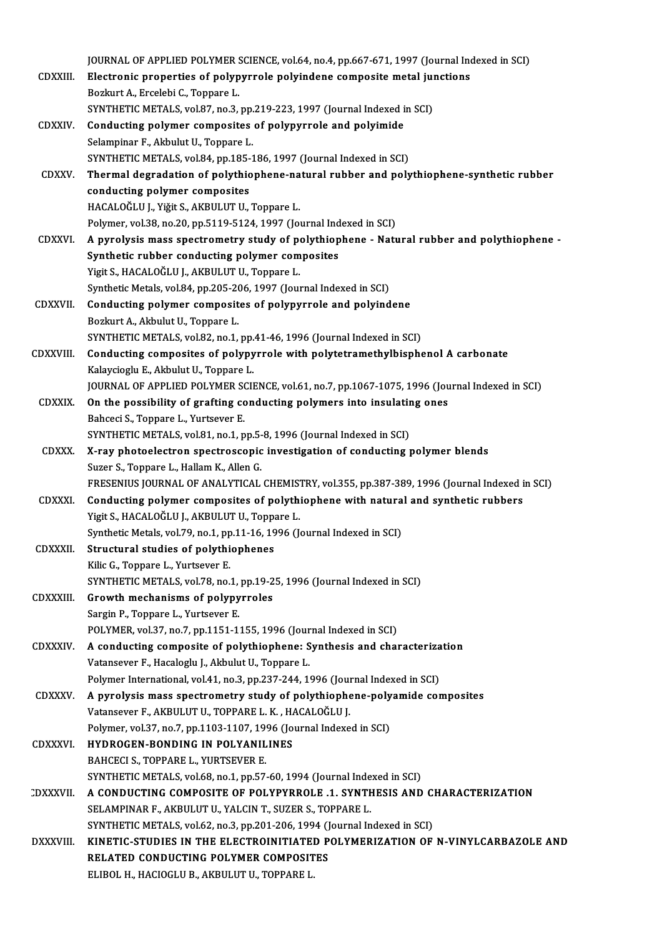JOURNAL OF APPLIED POLYMER SCIENCE, vol.64, no.4, pp.667-671, 1997 (Journal Indexed in SCI)<br>Flastnania proportice of polynymole polyindene composite metal iunctions JOURNAL OF APPLIED POLYMER SCIENCE, vol.64, no.4, pp.667-671, 1997 (Journal Inc<br>CDXXIII. Electronic properties of polypyrrole polyindene composite metal junctions **JOURNAL OF APPLIED POLYMER S<br>Electronic properties of polyp<br>Bozkurt A., Ercelebi C., Toppare L.<br>SYNTHETIC METALS, VOL97, P.0 3** Electronic properties of polypyrrole polyindene composite metal junctions<br>Bozkurt A., Ercelebi C., Toppare L.<br>SYNTHETIC METALS, vol.87, no.3, pp.219-223, 1997 (Journal Indexed in SCI)<br>Conducting polymer composites of polyp Bozkurt A., Ercelebi C., Toppare L.<br>SYNTHETIC METALS, vol.87, no.3, pp.219-223, 1997 (Journal Indexed i<br>CDXXIV. Conducting polymer composites of polypyrrole and polyimide<br>Selemninar E. Althulut U. Toppare J. SYNTHETIC METALS, vol.87, no.3, pp.<br>Conducting polymer composites<br>Selampinar F., Akbulut U., Toppare L.<br>SYNTHETIC METALS, vol.84, np.195-1 Conducting polymer composites of polypyrrole and polyimide<br>Selampinar F., Akbulut U., Toppare L.<br>SYNTHETIC METALS, vol.84, pp.185-186, 1997 (Journal Indexed in SCI)<br>Thermal degradation of polythionhene natural rubber and p Selampinar F., Akbulut U., Toppare L.<br>SYNTHETIC METALS, vol.84, pp.185-186, 1997 (Journal Indexed in SCI)<br>CDXXV. Thermal degradation of polythiophene-natural rubber and polythiophene-synthetic rubber<br>conducting polymer com SYNTHETIC METALS, vol.84, pp.185-<br>Thermal degradation of polythic<br>conducting polymer composites<br>HACALOČLILL Viği: S. AVPHLIFTI HACALOĞLU J., Yiğit S., AKBULUT U., Toppare L. conducting polymer composites<br>HACALOĞLU J., Yiğit S., AKBULUT U., Toppare L.<br>Polymer, vol.38, no.20, pp.5119-5124, 1997 (Journal Indexed in SCI)<br>A nurolygis mass spectrometry study of polythianhane... Net: CDXXVI. A pyrolysis mass spectrometry study of polythiophene - Natural rubber and polythiophene -<br>Synthetic rubber conducting polymer composites Polymer, vol.38, no.20, pp.5119-5124, 1997 (Journal Ind<br>A pyrolysis mass spectrometry study of polythiop<br>Synthetic rubber conducting polymer composites<br>Vigit S. HACALOČLULLAVPULUTUL Tennere L Yigit S., HACALOĞLU J., AKBULUT U., Toppare L. Synthetic rubber conducting polymer composites<br>Yigit S., HACALOĞLU J., AKBULUT U., Toppare L.<br>Synthetic Metals, vol.84, pp.205-206, 1997 (Journal Indexed in SCI)<br>Conducting polymer composites of polymyruals and polyind Yigit S., HACALOĞLU J., AKBULUT U., Toppare L.<br>Synthetic Metals, vol.84, pp.205-206, 1997 (Journal Indexed in SCI)<br>CDXXVII. Conducting polymer composites of polypyrrole and polyindene<br>Poslaut A. Althulut U. Toppane L Synthetic Metals, vol.84, pp.205-20<br>**Conducting polymer composit**<br>Bozkurt A., Akbulut U., Toppare L. Conducting polymer composites of polypyrrole and polyindene<br>Bozkurt A., Akbulut U., Toppare L.<br>SYNTHETIC METALS, vol.82, no.1, pp.41-46, 1996 (Journal Indexed in SCI) Bozkurt A., Akbulut U., Toppare L.<br>SYNTHETIC METALS, vol.82, no.1, pp.41-46, 1996 (Journal Indexed in SCI)<br>CDXXVIII. Conducting composites of polypyrrole with polytetramethylbisphenol A carbonate<br>Kelevgiogly E. Althulut II SYNTHETIC METALS, vol.82, no.1, pp.<br>Conducting composites of polypy<br>Kalaycioglu E., Akbulut U., Toppare L.<br>JOUPNAL OF APPLIED POLYMED SCU Conducting composites of polypyrrole with polytetramethylbisphenol A carbonate<br>Kalaycioglu E., Akbulut U., Toppare L.<br>JOURNAL OF APPLIED POLYMER SCIENCE, vol.61, no.7, pp.1067-1075, 1996 (Journal Indexed in SCI)<br>On the pos Kalaycioglu E., Akbulut U., Toppare L.<br>JOURNAL OF APPLIED POLYMER SCIENCE, vol.61, no.7, pp.1067-1075, 1996 (Journ CDXXIX.<br>On the possibility of grafting conducting polymers into insulating ones<br>Bahceci S., Toppare L., Yur JOURNAL OF APPLIED POLYMER SO<br>On the possibility of grafting contract S., Toppare L., Yurtsever E. On the possibility of grafting conducting polymers into insulating<br>Bahceci S., Toppare L., Yurtsever E.<br>SYNTHETIC METALS, vol.81, no.1, pp.5-8, 1996 (Journal Indexed in SCI)<br>Y roy photoelectron spectrossopis investigation CDXXX. X-ray photoelectron spectroscopic investigation of conducting polymer blends SYNTHETIC METALS, vol.81, no.1, pp.5-<br>X-ray photoelectron spectroscopic<br>Suzer S., Toppare L., Hallam K., Allen G.<br>ERESENIUS JOURNAL OF ANALYTICAL FRESENIUS JOURNAL OF ANALYTICAL CHEMISTRY, vol.355, pp.387-389, 1996 (Journal Indexed in SCI) Suzer S., Toppare L., Hallam K., Allen G.<br>FRESENIUS JOURNAL OF ANALYTICAL CHEMISTRY, vol.355, pp.387-389, 1996 (Journal Indexed is<br>CDXXXI. Conducting polymer composites of polythiophene with natural and synthetic rubbers<br>V FRESENIUS JOURNAL OF ANALYTICAL CHEMIST<br>Conducting polymer composites of polythi<br>Yigit S., HACALOĞLU J., AKBULUT U., Toppare L. Conducting polymer composites of polythiophene with natura<br>Yigit S., HACALOĞLU J., AKBULUT U., Toppare L.<br>Synthetic Metals, vol.79, no.1, pp.11-16, 1996 (Journal Indexed in SCI)<br>Structural studies of polythiophenes Yigit S., HACALOĞLU J., AKBULUT U., Toppa<br>Synthetic Metals, vol.79, no.1, pp.11-16, 19<br>CDXXXII. Structural studies of polythiophenes Synthetic Metals, vol.79, no.1, pp.11-16, 1996 (Journal Indexed in SCI)<br>Structural studies of polythiophenes<br>Kilic G., Toppare L., Yurtsever E. Structural studies of polythiophenes<br>Kilic G., Toppare L., Yurtsever E.<br>SYNTHETIC METALS, vol.78, no.1, pp.19-25, 1996 (Journal Indexed in SCI)<br>Crowth mechanisms of polynywroles Kilic G., Toppare L., Yurtsever E.<br>SYNTHETIC METALS, vol.78, no.1, pp.19-2<br>CDXXXIII. Growth mechanisms of polypyrroles SYNTHETIC METALS, vol.78, no.1,<br>Growth mechanisms of polypy<br>Sargin P., Toppare L., Yurtsever E.<br>POLYMER vol.37, no.7, np.1151.1. Growth mechanisms of polypyrroles<br>Sargin P., Toppare L., Yurtsever E.<br>POLYMER, vol.37, no.7, pp.1151-1155, 1996 (Journal Indexed in SCI) Sargin P., Toppare L., Yurtsever E.<br>POLYMER, vol.37, no.7, pp.1151-1155, 1996 (Journal Indexed in SCI)<br>CDXXXIV. A conducting composite of polythiophene: Synthesis and characterization Vatansever F., Hacaloglu J., Akbulut U., Toppare L.<br>Polymer International, vol.41, no.3, pp.237-244, 1996 (Journal Indexed in SCI) A conducting composite of polythiophene: Synthesis and characteriza<br>Vatansever F., Hacaloglu J., Akbulut U., Toppare L.<br>Polymer International, vol.41, no.3, pp.237-244, 1996 (Journal Indexed in SCI)<br>A nurolygis mass spectr CDXXXV. A pyrolysismass spectrometry study of polythiophene-polyamide composites Polymer International, vol.41, no.3, pp.237-244, 1996 (Journal)<br>A pyrolysis mass spectrometry study of polythiophe<br>Vatansever F., AKBULUT U., TOPPARE L. K. , HACALOĞLU J.<br>Polymer vol.37, no.7, np.1103, 1107, 1996 (Journal Polymer, vol.37, no.7, pp.1103-1107, 1996 (Journal Indexed in SCI)<br>HYDROGEN-BONDING IN POLYANILINES Vatansever F., AKBULUT U., TOPPARE L. K., H.<br>Polymer, vol.37, no.7, pp.1103-1107, 1996 (Jo<br>CDXXXVI. HYDROGEN-BONDING IN POLYANILINES BAHCECI S., TOPPARE L., YURTSEVER E. SYNTHETIC METALS, vol.68, no.1, pp.57-60, 1994 (Journal Indexed in SCI) CDXXXVII. A CONDUCTING COMPOSITE OF POLYPYRROLE .1. SYNTHESIS AND CHARACTERIZATION SELAMPINAR F., AKBULUT U., YALCIN T., SUZER S., TOPPARE L. A CONDUCTING COMPOSITE OF POLYPYRROLE .1. SYNTHESIS AND C.<br>SELAMPINAR F., AKBULUT U., YALCIN T., SUZER S., TOPPARE L.<br>SYNTHETIC METALS, vol.62, no.3, pp.201-206, 1994 (Journal Indexed in SCI)<br>KINETIC STUDIES IN THE ELECTRO DXXXVIII. KINETIC-STUDIES IN THE ELECTROINITIATED POLYMERIZATION OF N-VINYLCARBAZOLE AND SYNTHETIC METALS, vol.62, no.3, pp.201-206, 1994 (J<br>KINETIC-STUDIES IN THE ELECTROINITIATED P<br>RELATED CONDUCTING POLYMER COMPOSITES<br>ELIBOL H. HACIOCLU P. AVBULUT U. TOPPAPE L RELATED CONDUCTING POLYMER COMPOSITES<br>ELIBOL H., HACIOGLU B., AKBULUT U., TOPPARE L.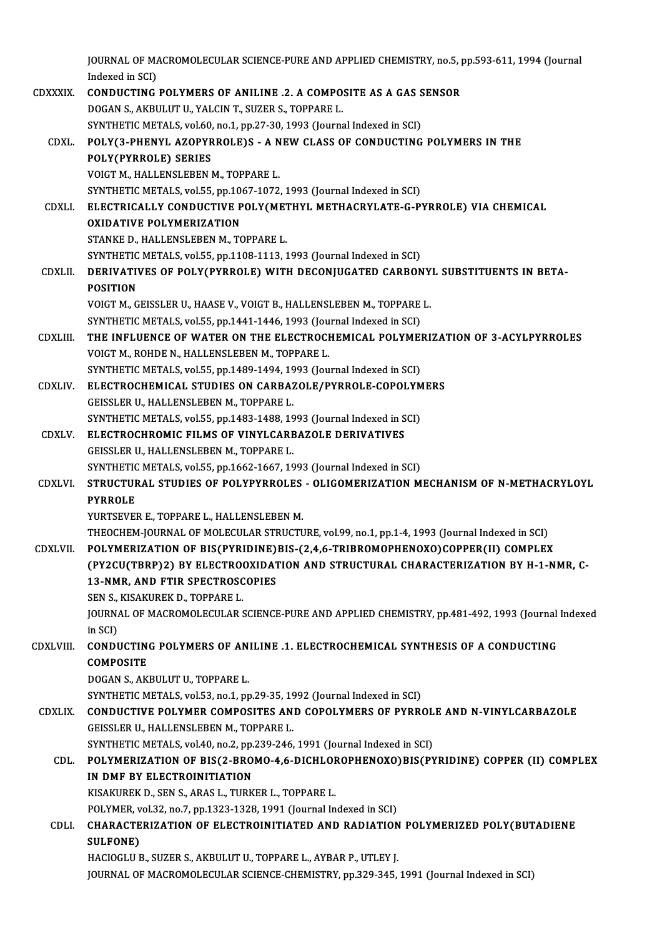|                 | JOURNAL OF MACROMOLECULAR SCIENCE-PURE AND APPLIED CHEMISTRY, no.5, pp.593-611, 1994 (Journal      |
|-----------------|----------------------------------------------------------------------------------------------------|
|                 | Indexed in SCI)                                                                                    |
| <b>CDXXXIX</b>  | <b>CONDUCTING POLYMERS OF ANILINE .2. A COMPOSITE AS A GAS SENSOR</b>                              |
|                 | DOGAN S., AKBULUT U., YALCIN T., SUZER S., TOPPARE L.                                              |
|                 | SYNTHETIC METALS, vol.60, no.1, pp.27-30, 1993 (Journal Indexed in SCI)                            |
| <b>CDXL</b>     | POLY(3-PHENYL AZOPYRROLE)S - A NEW CLASS OF CONDUCTING POLYMERS IN THE                             |
|                 | POLY(PYRROLE) SERIES                                                                               |
|                 | VOIGT M., HALLENSLEBEN M., TOPPARE L.                                                              |
|                 | SYNTHETIC METALS, vol.55, pp.1067-1072, 1993 (Journal Indexed in SCI)                              |
| CDXLI.          | ELECTRICALLY CONDUCTIVE POLY(METHYL METHACRYLATE-G-PYRROLE) VIA CHEMICAL                           |
|                 | <b>OXIDATIVE POLYMERIZATION</b>                                                                    |
|                 | STANKE D., HALLENSLEBEN M., TOPPARE L.                                                             |
|                 | SYNTHETIC METALS, vol.55, pp.1108-1113, 1993 (Journal Indexed in SCI)                              |
| <b>CDXLII</b>   | DERIVATIVES OF POLY(PYRROLE) WITH DECONJUGATED CARBONYL SUBSTITUENTS IN BETA-                      |
|                 | <b>POSITION</b>                                                                                    |
|                 | VOIGT M., GEISSLER U., HAASE V., VOIGT B., HALLENSLEBEN M., TOPPARE L.                             |
|                 | SYNTHETIC METALS, vol.55, pp.1441-1446, 1993 (Journal Indexed in SCI)                              |
| CDXLIII.        | THE INFLUENCE OF WATER ON THE ELECTROCHEMICAL POLYMERIZATION OF 3-ACYLPYRROLES                     |
|                 | VOIGT M., ROHDE N., HALLENSLEBEN M., TOPPARE L.                                                    |
|                 | SYNTHETIC METALS, vol.55, pp.1489-1494, 1993 (Journal Indexed in SCI)                              |
| <b>CDXLIV</b>   | ELECTROCHEMICAL STUDIES ON CARBAZOLE/PYRROLE-COPOLYMERS                                            |
|                 | GEISSLER U., HALLENSLEBEN M., TOPPARE L.                                                           |
|                 | SYNTHETIC METALS, vol.55, pp.1483-1488, 1993 (Journal Indexed in SCI)                              |
| <b>CDXLV</b>    | ELECTROCHROMIC FILMS OF VINYLCARBAZOLE DERIVATIVES                                                 |
|                 | GEISSLER U., HALLENSLEBEN M., TOPPARE L.                                                           |
| <b>CDXLVI</b>   | SYNTHETIC METALS, vol.55, pp.1662-1667, 1993 (Journal Indexed in SCI)                              |
|                 | STRUCTURAL STUDIES OF POLYPYRROLES - OLIGOMERIZATION MECHANISM OF N-METHACRYLOYL<br><b>PYRROLE</b> |
|                 | YURTSEVER E., TOPPARE L., HALLENSLEBEN M.                                                          |
|                 | THEOCHEM-JOURNAL OF MOLECULAR STRUCTURE, vol.99, no.1, pp.1-4, 1993 (Journal Indexed in SCI)       |
| <b>CDXLVII.</b> | POLYMERIZATION OF BIS(PYRIDINE)BIS-(2,4,6-TRIBROMOPHENOXO)COPPER(II) COMPLEX                       |
|                 | (PY2CU(TBRP)2) BY ELECTROOXIDATION AND STRUCTURAL CHARACTERIZATION BY H-1-NMR, C-                  |
|                 | 13-NMR, AND FTIR SPECTROSCOPIES                                                                    |
|                 | SEN S., KISAKUREK D., TOPPARE L.                                                                   |
|                 | JOURNAL OF MACROMOLECULAR SCIENCE-PURE AND APPLIED CHEMISTRY, pp.481-492, 1993 (Journal Indexed    |
|                 | in SCI)                                                                                            |
| CDXLVIII.       | CONDUCTING POLYMERS OF ANILINE .1. ELECTROCHEMICAL SYNTHESIS OF A CONDUCTING                       |
|                 | <b>COMPOSITE</b>                                                                                   |
|                 | DOGAN S., AKBULUT U., TOPPARE L.                                                                   |
|                 | SYNTHETIC METALS, vol.53, no.1, pp.29-35, 1992 (Journal Indexed in SCI)                            |
| <b>CDXLIX</b>   | CONDUCTIVE POLYMER COMPOSITES AND COPOLYMERS OF PYRROLE AND N-VINYLCARBAZOLE                       |
|                 | GEISSLER U., HALLENSLEBEN M., TOPPARE L.                                                           |
|                 | SYNTHETIC METALS, vol.40, no.2, pp.239-246, 1991 (Journal Indexed in SCI)                          |
| CDL             | POLYMERIZATION OF BIS(2-BROMO-4,6-DICHLOROPHENOXO)BIS(PYRIDINE) COPPER (II) COMPLEX                |
|                 | IN DMF BY ELECTROINITIATION                                                                        |
|                 | KISAKUREK D., SEN S., ARAS L., TURKER L., TOPPARE L.                                               |
|                 | POLYMER, vol.32, no.7, pp.1323-1328, 1991 (Journal Indexed in SCI)                                 |
| CDLI.           | CHARACTERIZATION OF ELECTROINITIATED AND RADIATION POLYMERIZED POLY(BUTADIENE                      |
|                 | CHI CONEV                                                                                          |

POLYMER, v<br>CHARACTE<br>SULFONE)<br>HACIOCLU E SULFONE)<br>HACIOGLU B., SUZER S., AKBULUT U., TOPPARE L., AYBAR P., UTLEY J. JOURNAL OF MACROMOLECULAR SCIENCE-CHEMISTRY, pp.329-345, 1991 (Journal Indexed in SCI)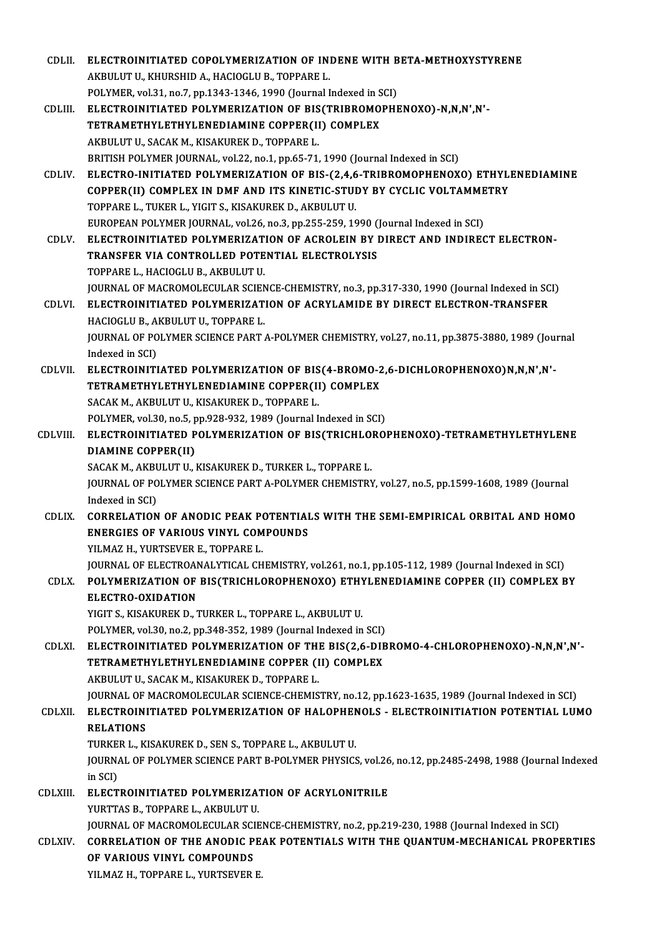| CDLII.        | ELECTROINITIATED COPOLYMERIZATION OF INDENE WITH BETA-METHOXYSTYRENE                                               |
|---------------|--------------------------------------------------------------------------------------------------------------------|
|               | AKBULUT U., KHURSHID A., HACIOGLU B., TOPPARE L.                                                                   |
|               | POLYMER, vol.31, no.7, pp.1343-1346, 1990 (Journal Indexed in SCI)                                                 |
| CDLIII.       | ELECTROINITIATED POLYMERIZATION OF BIS(TRIBROMOPHENOXO)-N,N,N',N'-                                                 |
|               | TETRAMETHYLETHYLENEDIAMINE COPPER(II) COMPLEX                                                                      |
|               | AKBULUT U., SACAK M., KISAKUREK D., TOPPARE L.                                                                     |
|               | BRITISH POLYMER JOURNAL, vol.22, no.1, pp.65-71, 1990 (Journal Indexed in SCI)                                     |
| CDLIV.        | ELECTRO-INITIATED POLYMERIZATION OF BIS-(2,4,6-TRIBROMOPHENOXO) ETHYLENEDIAMINE                                    |
|               | COPPER(II) COMPLEX IN DMF AND ITS KINETIC-STUDY BY CYCLIC VOLTAMMETRY                                              |
|               | TOPPARE L., TUKER L., YIGIT S., KISAKUREK D., AKBULUT U.                                                           |
|               | EUROPEAN POLYMER JOURNAL, vol.26, no.3, pp.255-259, 1990 (Journal Indexed in SCI)                                  |
| CDLV.         | ELECTROINITIATED POLYMERIZATION OF ACROLEIN BY DIRECT AND INDIRECT ELECTRON-                                       |
|               | TRANSFER VIA CONTROLLED POTENTIAL ELECTROLYSIS                                                                     |
|               | TOPPARE L., HACIOGLU B., AKBULUT U.                                                                                |
|               | JOURNAL OF MACROMOLECULAR SCIENCE-CHEMISTRY, no.3, pp.317-330, 1990 (Journal Indexed in SCI)                       |
| CDLVI.        | ELECTROINITIATED POLYMERIZATION OF ACRYLAMIDE BY DIRECT ELECTRON-TRANSFER                                          |
|               | HACIOGLU B., AKBULUT U., TOPPARE L.                                                                                |
|               | JOURNAL OF POLYMER SCIENCE PART A-POLYMER CHEMISTRY, vol.27, no.11, pp.3875-3880, 1989 (Journal                    |
|               | Indexed in SCI)                                                                                                    |
| CDLVII.       | ELECTROINITIATED POLYMERIZATION OF BIS(4-BROMO-2,6-DICHLOROPHENOXO)N,N,N',N'-                                      |
|               | TETRAMETHYLETHYLENEDIAMINE COPPER(II) COMPLEX                                                                      |
|               | SACAK M., AKBULUT U., KISAKUREK D., TOPPARE L.<br>POLYMER, vol.30, no.5, pp.928-932, 1989 (Journal Indexed in SCI) |
| CDLVIII.      | ELECTROINITIATED POLYMERIZATION OF BIS(TRICHLOROPHENOXO)-TETRAMETHYLETHYLENE                                       |
|               | <b>DIAMINE COPPER(II)</b>                                                                                          |
|               | SACAK M., AKBULUT U., KISAKUREK D., TURKER L., TOPPARE L.                                                          |
|               | JOURNAL OF POLYMER SCIENCE PART A-POLYMER CHEMISTRY, vol.27, no.5, pp.1599-1608, 1989 (Journal                     |
|               | Indexed in SCI)                                                                                                    |
| CDLIX.        | CORRELATION OF ANODIC PEAK POTENTIALS WITH THE SEMI-EMPIRICAL ORBITAL AND HOMO                                     |
|               | <b>ENERGIES OF VARIOUS VINYL COMPOUNDS</b>                                                                         |
|               | YILMAZ H., YURTSEVER E., TOPPARE L.                                                                                |
|               | JOURNAL OF ELECTROANALYTICAL CHEMISTRY, vol.261, no.1, pp.105-112, 1989 (Journal Indexed in SCI)                   |
| CDLX.         | POLYMERIZATION OF BIS(TRICHLOROPHENOXO) ETHYLENEDIAMINE COPPER (II) COMPLEX BY                                     |
|               | ELECTRO-OXIDATION                                                                                                  |
|               | YIGIT S., KISAKUREK D., TURKER L., TOPPARE L., AKBULUT U.                                                          |
|               | POLYMER, vol.30, no.2, pp.348-352, 1989 (Journal Indexed in SCI)                                                   |
| CDLXI.        | ELECTROINITIATED POLYMERIZATION OF THE BIS(2,6-DIBROMO-4-CHLOROPHENOXO)-N,N,N',N'-                                 |
|               | TETRAMETHYLETHYLENEDIAMINE COPPER (II) COMPLEX                                                                     |
|               | AKBULUT U., SACAK M., KISAKUREK D., TOPPARE L.                                                                     |
|               | JOURNAL OF MACROMOLECULAR SCIENCE-CHEMISTRY, no.12, pp.1623-1635, 1989 (Journal Indexed in SCI)                    |
| <b>CDLXII</b> | ELECTROINITIATED POLYMERIZATION OF HALOPHENOLS - ELECTROINITIATION POTENTIAL LUMO                                  |
|               | <b>RELATIONS</b>                                                                                                   |
|               | TURKER L., KISAKUREK D., SEN S., TOPPARE L., AKBULUT U.                                                            |
|               | JOURNAL OF POLYMER SCIENCE PART B-POLYMER PHYSICS, vol.26, no.12, pp.2485-2498, 1988 (Journal Indexed<br>in SCI)   |
| CDLXIII.      | ELECTROINITIATED POLYMERIZATION OF ACRYLONITRILE                                                                   |
|               | YURTTAS B., TOPPARE L., AKBULUT U.                                                                                 |
|               | JOURNAL OF MACROMOLECULAR SCIENCE-CHEMISTRY, no.2, pp.219-230, 1988 (Journal Indexed in SCI)                       |
| CDLXIV.       | CORRELATION OF THE ANODIC PEAK POTENTIALS WITH THE QUANTUM-MECHANICAL PROPERTIES                                   |
|               | OF VARIOUS VINYL COMPOUNDS                                                                                         |
|               | YILMAZ H., TOPPARE L., YURTSEVER E.                                                                                |
|               |                                                                                                                    |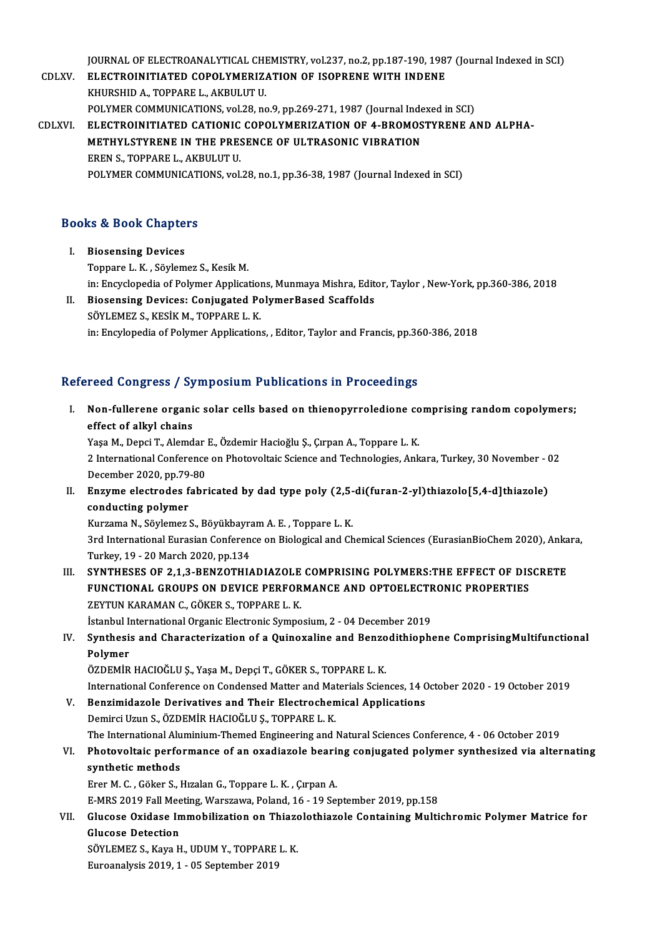JOURNAL OF ELECTROANALYTICAL CHEMISTRY, vol.237, no.2, pp.187-190, 1987 (Journal Indexed in SCI)<br>ELECTROINITIATED COROLYMERIZATION OF ISOPRENE WITH INDENE

JOURNAL OF ELECTROANALYTICAL CHEMISTRY, vol.237, no.2, pp.187-190, 198<br>CDLXV. ELECTROINITIATED COPOLYMERIZATION OF ISOPRENE WITH INDENE **JOURNAL OF ELECTROANALYTICAL CHI<br>ELECTROINITIATED COPOLYMERIZ.<br>KHURSHID A., TOPPARE L., AKBULUT U.**<br>POLYMER COMMUNICATIONS. val 38. pa ELECTROINITIATED COPOLYMERIZATION OF ISOPRENE WITH INDENE<br>KHURSHID A., TOPPARE L., AKBULUT U.<br>POLYMER COMMUNICATIONS, vol.28, no.9, pp.269-271, 1987 (Journal Indexed in SCI) KHURSHID A., TOPPARE L., AKBULUT U.<br>POLYMER COMMUNICATIONS, vol.28, no.9, pp.269-271, 1987 (Journal Indexed in SCI)<br>CDLXVI. ELECTROINITIATED CATIONIC COPOLYMERIZATION OF 4-BROMOSTYRENE AND ALPHA-POLYMER COMMUNICATIONS, vol.28, no.9, pp.269-271, 1987 (Journal Indept.)<br>ELECTROINITIATED CATIONIC COPOLYMERIZATION OF 4-BROMOS<br>METHYLSTYRENE IN THE PRESENCE OF ULTRASONIC VIBRATION<br>FREN STOPPARE LAKPULUTU ELECTROINITIATED CATIONIC<br>METHYLSTYRENE IN THE PRE:<br>EREN S., TOPPARE L., AKBULUT U.<br>POLYMER COMMUNICATIONS vol METHYLSTYRENE IN THE PRESENCE OF ULTRASONIC VIBRATION<br>EREN S., TOPPARE L., AKBULUT U.<br>POLYMER COMMUNICATIONS, vol.28, no.1, pp.36-38, 1987 (Journal Indexed in SCI)

# POLTMER COMMONICATE<br>Books & Book Chapters

- **ooks & Book Chapte**<br>I. Biosensing Devices<br>Tennere L. K. Säylem I. Biosensing Devices<br>Toppare L.K., Söylemez S., Kesik M. in: Encyclopedia of Polymer Applications, Munmaya Mishra, Editor, Taylor , New-York, pp.360-386, 2018
- II. Biosensing Devices: Conjugated PolymerBased Scaffolds SÖYLEMEZ S., KESİK M., TOPPARE L. K. in: Encylopedia of Polymer Applications, , Editor, Taylor and Francis, pp.360-386, 2018

### Refereed Congress / Symposium Publications in Proceedings

efereed Congress / Symposium Publications in Proceedings<br>I. Non-fullerene organic solar cells based on thienopyrroledione comprising random copolymers;<br>effect of allyl chains effect of alkyl chains<br>effect of alkyl chains<br>Yess M. Depsi T. Alemd Non-fullerene organic solar cells based on thienopyrroledione co<br>effect of alkyl chains<br>Yaşa M., Depci T., Alemdar E., Özdemir Hacioğlu Ş., Çırpan A., Toppare L. K.<br>2 International Conference on Photovaltaje Science and Te

Yaşa M., Depci T., Alemdar E., Özdemir Hacioğlu Ş., Çırpan A., Toppare L. K.

effect of alkyl chains<br>Yaşa M., Depci T., Alemdar E., Özdemir Hacioğlu Ş., Çırpan A., Toppare L. K.<br>2 International Conference on Photovoltaic Science and Technologies, Ankara, Turkey, 30 November - 02<br>December 2020, pp.79 2 International Conference on Photovoltaic Science and Technologies, Ankara, Turkey, 30 November - (<br>December 2020, pp.79-80<br>II. Enzyme electrodes fabricated by dad type poly (2,5-di(furan-2-yl)thiazolo[5,4-d]thiazole)<br>con

December 2020, pp.79<br>Enzyme electrodes f<br>conducting polymer<br>Eursame N. Säylomes Enzyme electrodes fabricated by dad type poly (2,5-<br>conducting polymer<br>Kurzama N., Söylemez S., Böyükbayram A. E. , Toppare L. K.<br><sup>2nd</sup> International Euresian Conference on Biological and Ch

conducting polymer<br>Kurzama N., Söylemez S., Böyükbayram A. E. , Toppare L. K.<br>3rd International Eurasian Conference on Biological and Chemical Sciences (EurasianBioChem 2020), Ankara,<br>Turkay, 10,, 20 Mareb 2020, np.124 Kurzama N., Söylemez S., Böyükbayra<br>3rd International Eurasian Conferen<br>Turkey, 19 - 20 March 2020, pp.134<br>SYNTUESES OF 2.1.2. PENZOTULA 3rd International Eurasian Conference on Biological and Chemical Sciences (EurasianBioChem 2020), Anka<br>Turkey, 19 - 20 March 2020, pp.134<br>III. SYNTHESES OF 2,1,3-BENZOTHIADIAZOLE COMPRISING POLYMERS:THE EFFECT OF DISCRETE<br>

Turkey, 19 - 20 March 2020, pp.134<br>SYNTHESES OF 2,1,3-BENZOTHIADIAZOLE COMPRISING POLYMERS:THE EFFECT OF DIS<br>FUNCTIONAL GROUPS ON DEVICE PERFORMANCE AND OPTOELECTRONIC PROPERTIES<br>ZEVTIN KARAMAN C. CÖKER S. TOPRARE L. K SYNTHESES OF 2,1,3-BENZOTHIADIAZOLE<br>FUNCTIONAL GROUPS ON DEVICE PERFOR<br>ZEYTUN KARAMAN C., GÖKER S., TOPPARE L. K.<br>İstanbul International Organis Electronic Sumne FUNCTIONAL GROUPS ON DEVICE PERFORMANCE AND OPTOELECTRONIC PROPERTIES<br>ZEYTUN KARAMAN C., GÖKER S., TOPPARE L. K.<br>İstanbul International Organic Electronic Symposium, 2 - 04 December 2019 ZEYTUN KARAMAN C., GÖKER S., TOPPARE L. K.<br>Istanbul International Organic Electronic Symposium, 2 - 04 December 2019<br>IV. Synthesis and Characterization of a Quinoxaline and Benzodithiophene ComprisingMultifunctional<br>Polymo

İstanbul I<br>Synthesi:<br>Polymer<br>ÖZDEMİP Synthesis and Characterization of a Quinoxaline and Benzo<br>Polymer<br>ÖZDEMİR HACIOĞLU Ş., Yaşa M., Depçi T., GÖKER S., TOPPARE L. K.<br>International Conference en Condensed Matter and Materials Scien Polymer<br>ÖZDEMİR HACIOĞLU Ş., Yaşa M., Depçi T., GÖKER S., TOPPARE L. K.<br>International Conference on Condensed Matter and Materials Sciences, 14 October 2020 - 19 October 2019<br>Ponzimidazele Derivatives and Their Electrochem

ÖZDEMİR HACIOĞLU Ş., Yaşa M., Depçi T., GÖKER S., TOPPARE L. K.<br>International Conference on Condensed Matter and Materials Sciences, 14 C<br>V. Benzimidazole Derivatives and Their Electrochemical Applications<br>Demirci Urun S. International Conference on Condensed Matter and Mat<br>Benzimidazole Derivatives and Their Electrochen<br>Demirci Uzun S., ÖZDEMİR HACIOĞLU Ş., TOPPARE L. K.<br>The International Aluminium Themed Engineering and l Benzimidazole Derivatives and Their Electrochemical Applications<br>Demirci Uzun S., ÖZDEMİR HACIOĞLU Ş., TOPPARE L. K.<br>The International Aluminium-Themed Engineering and Natural Sciences Conference, 4 - 06 October 2019<br>Photo Demirci Uzun S., ÖZDEMİR HACIOĞLU Ş., TOPPARE L. K.<br>The International Aluminium-Themed Engineering and Natural Sciences Conference, 4 - 06 October 2019<br>VI. Photovoltaic performance of an oxadiazole bearing conjugated polym

## The International Alu<br>Photovoltaic perfo<br>synthetic methods<br>Erer M.C. Göker S. J synthetic methods<br>Erer M. C. , Göker S., Hızalan G., Toppare L. K. , Çırpan A.<br>E-MRS 2019 Fall Meeting, Warszawa, Poland, 16 - 19 September 2019, pp.158<br>Glusese Qvidase İmmebilization en Thioselethiasele Conteining Multi

ErerM.C. ,Göker S.,HızalanG.,Toppare L.K. ,ÇırpanA.

VII. Glucose Oxidase Immobilization on Thiazolothiazole Containing Multichromic Polymer Matrice for<br>Glucose Detection E-MRS 2019 Fall Mee<br>Glucose Oxidase In<br>Glucose Detection<br>SÖVLEMEZ S. Kava H Glucose Oxidase Immobilization on Thiazo<br>Glucose Detection<br>SÖYLEMEZ S., Kaya H., UDUM Y., TOPPARE L. K.<br>Euroanakria 2010, 1, . 05 Santambar 2010.

Glucose Detection<br>SÖYLEMEZ S., Kaya H., UDUM Y., TOPPARE<br>Euroanalysis 2019, 1 - 05 September 2019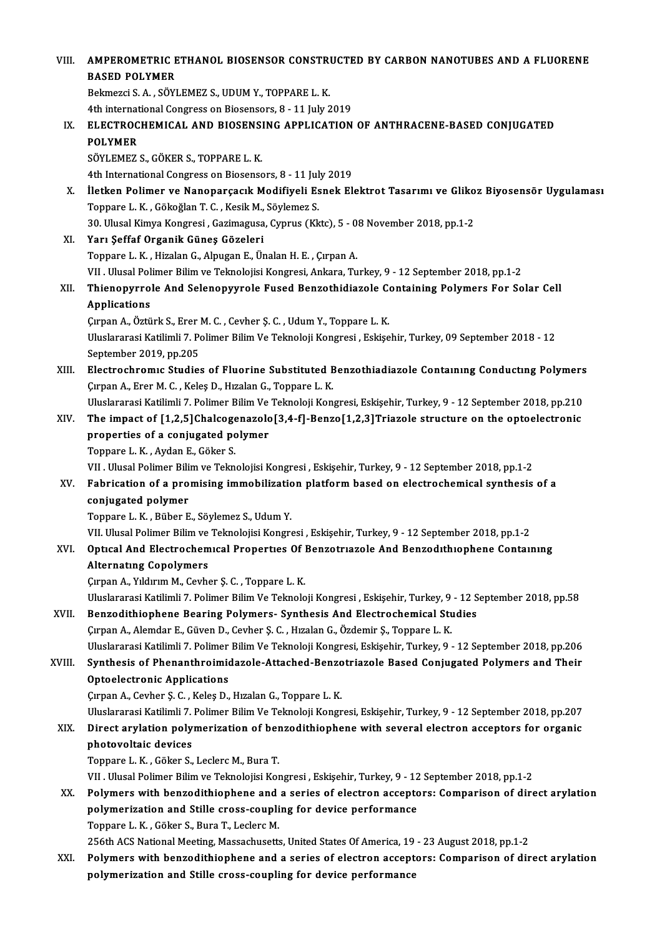| VIII.  | AMPEROMETRIC ETHANOL BIOSENSOR CONSTRUCTED BY CARBON NANOTUBES AND A FLUORENE                                                                                                                         |
|--------|-------------------------------------------------------------------------------------------------------------------------------------------------------------------------------------------------------|
|        | <b>BASED POLYMER</b>                                                                                                                                                                                  |
|        | Bekmezci S. A., SÖYLEMEZ S., UDUM Y., TOPPARE L. K.                                                                                                                                                   |
|        | 4th international Congress on Biosensors, 8 - 11 July 2019                                                                                                                                            |
| IX.    | ELECTROCHEMICAL AND BIOSENSING APPLICATION OF ANTHRACENE-BASED CONJUGATED                                                                                                                             |
|        | <b>POLYMER</b>                                                                                                                                                                                        |
|        | SÖYLEMEZ S., GÖKER S., TOPPARE L. K.                                                                                                                                                                  |
|        | 4th International Congress on Biosensors, 8 - 11 July 2019                                                                                                                                            |
| Х.     | İletken Polimer ve Nanoparçacık Modifiyeli Esnek Elektrot Tasarımı ve Glikoz Biyosensör Uygulaması                                                                                                    |
|        | Toppare L. K., Gökoğlan T. C., Kesik M., Söylemez S.                                                                                                                                                  |
|        | 30. Ulusal Kimya Kongresi, Gazimagusa, Cyprus (Kktc), 5 - 08 November 2018, pp.1-2                                                                                                                    |
| XI.    | Yarı Şeffaf Organik Güneş Gözeleri                                                                                                                                                                    |
|        | Toppare L. K., Hizalan G., Alpugan E., Ünalan H. E., Çırpan A.                                                                                                                                        |
|        | VII . Ulusal Polimer Bilim ve Teknolojisi Kongresi, Ankara, Turkey, 9 - 12 September 2018, pp.1-2                                                                                                     |
| XII.   | Thienopyrrole And Selenopyyrole Fused Benzothidiazole Containing Polymers For Solar Cell                                                                                                              |
|        | <b>Applications</b>                                                                                                                                                                                   |
|        | Çırpan A., Öztürk S., Erer M. C., Cevher Ş. C., Udum Y., Toppare L. K.                                                                                                                                |
|        | Uluslararasi Katilimli 7. Polimer Bilim Ve Teknoloji Kongresi, Eskişehir, Turkey, 09 September 2018 - 12                                                                                              |
|        | September 2019, pp.205                                                                                                                                                                                |
| XIII.  | Electrochromic Studies of Fluorine Substituted Benzothiadiazole Containing Conducting Polymers                                                                                                        |
|        | Çırpan A., Erer M. C., Keleş D., Hızalan G., Toppare L. K.                                                                                                                                            |
|        | Uluslararasi Katilimli 7. Polimer Bilim Ve Teknoloji Kongresi, Eskişehir, Turkey, 9 - 12 September 2018, pp.210                                                                                       |
| XIV.   | The impact of [1,2,5]Chalcogenazolo[3,4-f]-Benzo[1,2,3]Triazole structure on the optoelectronic                                                                                                       |
|        | properties of a conjugated polymer                                                                                                                                                                    |
|        | Toppare L K, Aydan E, Göker S.                                                                                                                                                                        |
|        | VII . Ulusal Polimer Bilim ve Teknolojisi Kongresi , Eskişehir, Turkey, 9 - 12 September 2018, pp.1-2                                                                                                 |
| XV.    | Fabrication of a promising immobilization platform based on electrochemical synthesis of a                                                                                                            |
|        | conjugated polymer                                                                                                                                                                                    |
|        | Toppare L. K., Büber E., Söylemez S., Udum Y.                                                                                                                                                         |
|        | VII. Ulusal Polimer Bilim ve Teknolojisi Kongresi , Eskişehir, Turkey, 9 - 12 September 2018, pp.1-2                                                                                                  |
| XVI.   | Optical And Electrochemical Properties Of Benzotriazole And Benzodithiophene Containing                                                                                                               |
|        | <b>Alternating Copolymers</b>                                                                                                                                                                         |
|        | Çırpan A., Yıldırım M., Cevher Ş. C., Toppare L. K.                                                                                                                                                   |
|        | Uluslararasi Katilimli 7. Polimer Bilim Ve Teknoloji Kongresi, Eskişehir, Turkey, 9 - 12 September 2018, pp.58                                                                                        |
| XVII.  | Benzodithiophene Bearing Polymers- Synthesis And Electrochemical Studies                                                                                                                              |
|        | Çırpan A., Alemdar E., Güven D., Cevher Ş. C. , Hızalan G., Özdemir Ş., Toppare L. K.                                                                                                                 |
|        | Uluslararasi Katilimli 7. Polimer Bilim Ve Teknoloji Kongresi, Eskişehir, Turkey, 9 - 12 September 2018, pp.206                                                                                       |
| XVIII. | Synthesis of Phenanthroimidazole-Attached-Benzotriazole Based Conjugated Polymers and Their                                                                                                           |
|        | <b>Optoelectronic Applications</b>                                                                                                                                                                    |
|        | Çırpan A., Cevher Ş. C., Keleş D., Hızalan G., Toppare L. K.                                                                                                                                          |
|        | Uluslararasi Katilimli 7. Polimer Bilim Ve Teknoloji Kongresi, Eskişehir, Turkey, 9 - 12 September 2018, pp.207                                                                                       |
| XIX.   | Direct arylation polymerization of benzodithiophene with several electron acceptors for organic                                                                                                       |
|        | photovoltaic devices                                                                                                                                                                                  |
|        | Toppare L. K., Göker S., Leclerc M., Bura T.                                                                                                                                                          |
|        | VII . Ulusal Polimer Bilim ve Teknolojisi Kongresi , Eskişehir, Turkey, 9 - 12 September 2018, pp.1-2                                                                                                 |
| XX.    | Polymers with benzodithiophene and a series of electron acceptors: Comparison of direct arylation                                                                                                     |
|        | polymerization and Stille cross-coupling for device performance                                                                                                                                       |
|        | Toppare L. K., Göker S., Bura T., Leclerc M.                                                                                                                                                          |
| XXI.   | 256th ACS National Meeting, Massachusetts, United States Of America, 19 - 23 August 2018, pp.1-2<br>Polymers with benzodithiophene and a series of electron acceptors: Comparison of direct arylation |
|        | polymerization and Stille cross-coupling for device performance                                                                                                                                       |
|        |                                                                                                                                                                                                       |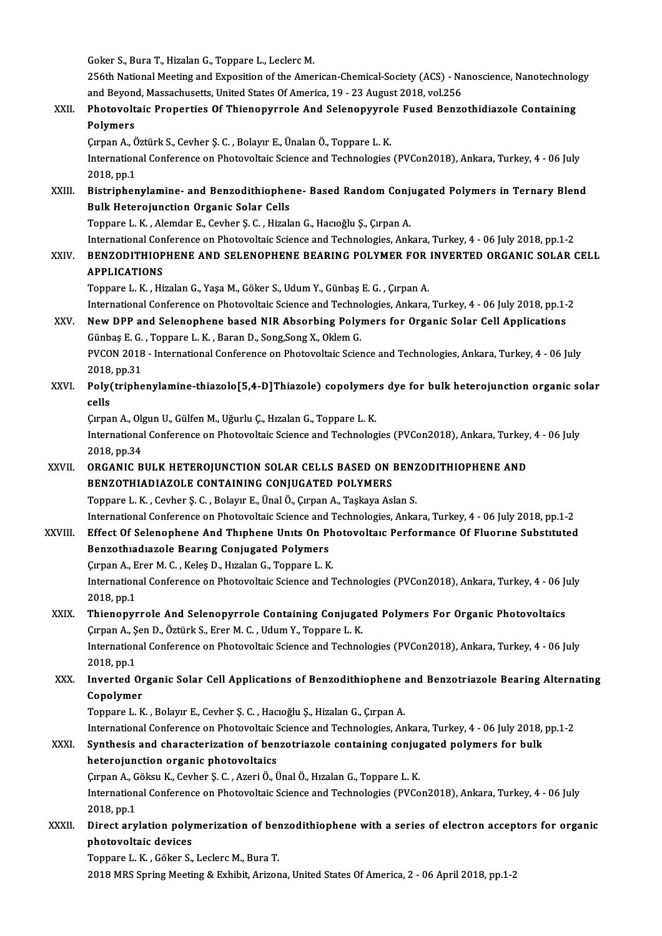|         | Goker S., Bura T., Hizalan G., Toppare L., Leclerc M.                                                                                                                    |
|---------|--------------------------------------------------------------------------------------------------------------------------------------------------------------------------|
|         | 256th National Meeting and Exposition of the American-Chemical-Society (ACS) - Nanoscience, Nanotechnology                                                               |
|         | and Beyond, Massachusetts, United States Of America, 19 - 23 August 2018, vol.256                                                                                        |
| XXII.   | Photovoltaic Properties Of Thienopyrrole And Selenopyyrole Fused Benzothidiazole Containing                                                                              |
|         | Polymers                                                                                                                                                                 |
|         | Çırpan A., Öztürk S., Cevher Ş. C., Bolayır E., Ünalan Ö., Toppare L. K.                                                                                                 |
|         | International Conference on Photovoltaic Science and Technologies (PVCon2018), Ankara, Turkey, 4 - 06 July                                                               |
|         | 2018, pp.1                                                                                                                                                               |
| XXIII.  | Bistriphenylamine- and Benzodithiophene- Based Random Conjugated Polymers in Ternary Blend                                                                               |
|         | <b>Bulk Heterojunction Organic Solar Cells</b>                                                                                                                           |
|         | Toppare L. K., Alemdar E., Cevher Ş. C., Hizalan G., Hacıoğlu Ş., Çırpan A.                                                                                              |
|         | International Conference on Photovoltaic Science and Technologies, Ankara, Turkey, 4 - 06 July 2018, pp.1-2                                                              |
| XXIV.   | BENZODITHIOPHENE AND SELENOPHENE BEARING POLYMER FOR INVERTED ORGANIC SOLAR CELL                                                                                         |
|         | <b>APPLICATIONS</b>                                                                                                                                                      |
|         | Toppare L. K., Hizalan G., Yaşa M., Göker S., Udum Y., Günbaş E. G., Çırpan A.                                                                                           |
|         | International Conference on Photovoltaic Science and Technologies, Ankara, Turkey, 4 - 06 July 2018, pp.1-2                                                              |
| XXV.    | New DPP and Selenophene based NIR Absorbing Polymers for Organic Solar Cell Applications                                                                                 |
|         | Günbaş E. G., Toppare L. K., Baran D., Song, Song X., Oklem G.                                                                                                           |
|         | PVCON 2018 - International Conference on Photovoltaic Science and Technologies, Ankara, Turkey, 4 - 06 July                                                              |
|         | 2018, pp 31                                                                                                                                                              |
| XXVI.   | Poly(triphenylamine-thiazolo[5,4-D]Thiazole) copolymers dye for bulk heterojunction organic solar                                                                        |
|         | cells                                                                                                                                                                    |
|         | Çırpan A., Olgun U., Gülfen M., Uğurlu Ç., Hızalan G., Toppare L. K.                                                                                                     |
|         | International Conference on Photovoltaic Science and Technologies (PVCon2018), Ankara, Turkey, 4 - 06 July                                                               |
|         | 2018, pp.34                                                                                                                                                              |
| XXVII.  | ORGANIC BULK HETEROJUNCTION SOLAR CELLS BASED ON BENZODITHIOPHENE AND                                                                                                    |
|         | BENZOTHIADIAZOLE CONTAINING CONJUGATED POLYMERS                                                                                                                          |
|         | Toppare L. K., Cevher Ş. C., Bolayır E., Ünal Ö., Çırpan A., Taşkaya Aslan S.                                                                                            |
|         | International Conference on Photovoltaic Science and Technologies, Ankara, Turkey, 4 - 06 July 2018, pp.1-2                                                              |
| XXVIII. | Effect Of Selenophene And Thiphene Units On Photovoltaic Performance Of Fluorine Substituted                                                                             |
|         | Benzothiadiazole Bearing Conjugated Polymers                                                                                                                             |
|         | Çırpan A., Erer M. C., Keleş D., Hızalan G., Toppare L. K.<br>International Conference on Photovoltaic Science and Technologies (PVCon2018), Ankara, Turkey, 4 - 06 July |
|         | 2018, pp 1                                                                                                                                                               |
| XXIX.   | Thienopyrrole And Selenopyrrole Containing Conjugated Polymers For Organic Photovoltaics                                                                                 |
|         | Çırpan A., Şen D., Öztürk S., Erer M. C., Udum Y., Toppare L. K.                                                                                                         |
|         | International Conference on Photovoltaic Science and Technologies (PVCon2018), Ankara, Turkey, 4 - 06 July                                                               |
|         | 2018, pp.1                                                                                                                                                               |
| XXX.    | Inverted Organic Solar Cell Applications of Benzodithiophene and Benzotriazole Bearing Alternating                                                                       |
|         | Copolymer                                                                                                                                                                |
|         | Toppare L. K., Bolayır E., Cevher Ş. C., Hacıoğlu Ş., Hizalan G., Çırpan A.                                                                                              |
|         | International Conference on Photovoltaic Science and Technologies, Ankara, Turkey, 4 - 06 July 2018, pp.1-2                                                              |
| XXXI.   | Synthesis and characterization of benzotriazole containing conjugated polymers for bulk                                                                                  |
|         | heterojunction organic photovoltaics                                                                                                                                     |
|         | Çırpan A., Göksu K., Cevher Ş. C., Azeri Ö., Ünal Ö., Hızalan G., Toppare L. K.                                                                                          |
|         | International Conference on Photovoltaic Science and Technologies (PVCon2018), Ankara, Turkey, 4 - 06 July                                                               |
|         | 2010 m1                                                                                                                                                                  |

Cirpan A., G.<br>Internation<br>2018, pp.1<br>Dinest any International Conference on Photovoltaic Science and Technologies (PVCon2018), Ankara, Turkey, 4 - 06 July<br>2018, pp.1<br>XXXII. Direct arylation polymerization of benzodithiophene with a series of electron acceptors for organ

2018, pp.1<br>Direct arylation poly:<br>photovoltaic devices<br>Tannare L. K., Gäkar S. Direct arylation polymerization of ber<br>photovoltaic devices<br>Toppare L. K. , Göker S., Leclerc M., Bura T.<br>2019 MBS Spring Mesting & Eubibit, Arigan

photovoltaic devices<br>Toppare L. K. , Göker S., Leclerc M., Bura T.<br>2018 MRS Spring Meeting & Exhibit, Arizona, United States Of America, 2 - 06 April 2018, pp.1-2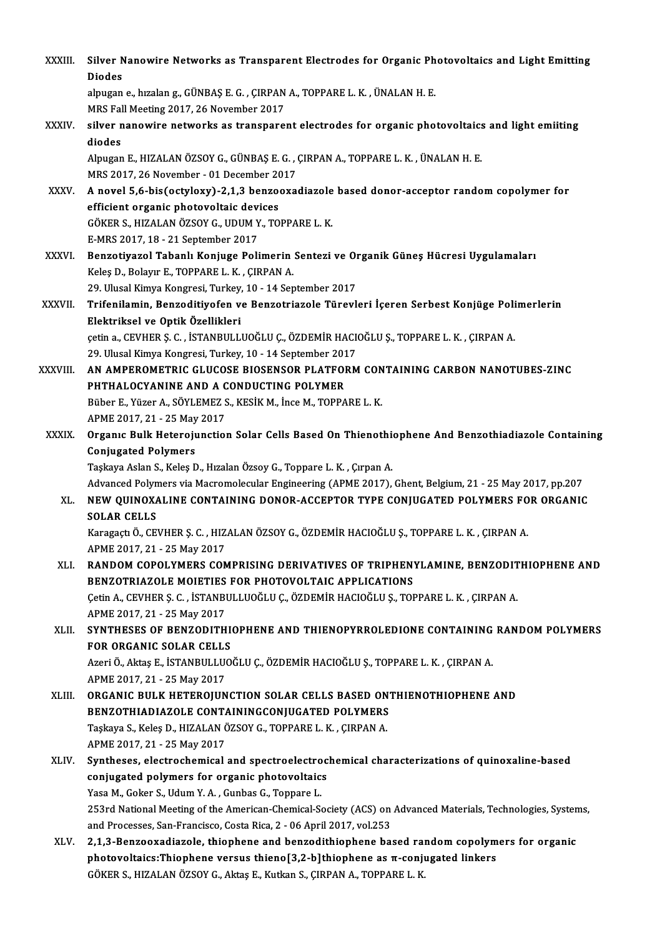| XXXIII.      | Silver Nanowire Networks as Transparent Electrodes for Organic Photovoltaics and Light Emitting             |
|--------------|-------------------------------------------------------------------------------------------------------------|
|              | <b>Diodes</b>                                                                                               |
|              | alpugan e., hızalan g., GÜNBAŞ E. G., ÇIRPAN A., TOPPARE L. K., ÜNALAN H. E.                                |
|              | MRS Fall Meeting 2017, 26 November 2017                                                                     |
| XXXIV.       | silver nanowire networks as transparent electrodes for organic photovoltaics and light emiiting             |
|              | diodes                                                                                                      |
|              | Alpugan E., HIZALAN ÖZSOY G., GÜNBAŞ E. G., ÇIRPAN A., TOPPARE L. K., ÜNALAN H. E.                          |
|              | MRS 2017, 26 November - 01 December 2017                                                                    |
| XXXV.        | A novel 5,6-bis(octyloxy)-2,1,3 benzooxadiazole based donor-acceptor random copolymer for                   |
|              | efficient organic photovoltaic devices                                                                      |
|              | GÖKER S., HIZALAN ÖZSOY G., UDUM Y., TOPPARE L. K.                                                          |
|              | E-MRS 2017, 18 - 21 September 2017                                                                          |
| <b>XXXVI</b> | Benzotiyazol Tabanlı Konjuge Polimerin Sentezi ve Organik Güneş Hücresi Uygulamaları                        |
|              | Keleş D., Bolayır E., TOPPARE L. K., ÇIRPAN A.                                                              |
|              | 29. Ulusal Kimya Kongresi, Turkey, 10 - 14 September 2017                                                   |
| XXXVII.      | Trifenilamin, Benzoditiyofen ve Benzotriazole Türevleri İçeren Serbest Konjüge Polimerlerin                 |
|              | Elektriksel ve Optik Özellikleri                                                                            |
|              | çetin a., CEVHER Ş. C., İSTANBULLUOĞLU Ç., ÖZDEMİR HACIOĞLU Ş., TOPPARE L. K., ÇIRPAN A.                    |
|              | 29. Ulusal Kimya Kongresi, Turkey, 10 - 14 September 2017                                                   |
| XXXVIII.     | AN AMPEROMETRIC GLUCOSE BIOSENSOR PLATFORM CONTAINING CARBON NANOTUBES-ZINC                                 |
|              | PHTHALOCYANINE AND A CONDUCTING POLYMER                                                                     |
|              | Büber E., Yüzer A., SÖYLEMEZ S., KESİK M., İnce M., TOPPARE L. K.                                           |
|              | APME 2017, 21 - 25 May 2017                                                                                 |
| <b>XXXIX</b> | Organic Bulk Heterojunction Solar Cells Based On Thienothiophene And Benzothiadiazole Containing            |
|              | <b>Conjugated Polymers</b>                                                                                  |
|              | Taşkaya Aslan S., Keleş D., Hızalan Özsoy G., Toppare L. K., Çırpan A.                                      |
|              | Advanced Polymers via Macromolecular Engineering (APME 2017), Ghent, Belgium, 21 - 25 May 2017, pp.207      |
| XL.          | NEW QUINOXALINE CONTAINING DONOR-ACCEPTOR TYPE CONJUGATED POLYMERS FOR ORGANIC                              |
|              | SOLAR CELLS                                                                                                 |
|              | Karagaçtı Ö., CEVHER Ş. C., HIZALAN ÖZSOY G., ÖZDEMİR HACIOĞLU Ş., TOPPARE L. K., ÇIRPAN A.                 |
|              | APME 2017, 21 - 25 May 2017                                                                                 |
| XLI.         | RANDOM COPOLYMERS COMPRISING DERIVATIVES OF TRIPHENYLAMINE, BENZODITHIOPHENE AND                            |
|              | BENZOTRIAZOLE MOIETIES FOR PHOTOVOLTAIC APPLICATIONS                                                        |
|              | Çetin A., CEVHER Ş. C., İSTANBULLUOĞLU Ç., ÖZDEMİR HACIOĞLU Ş., TOPPARE L. K., ÇIRPAN A.                    |
|              | APME 2017, 21 - 25 May 2017                                                                                 |
| XLII.        | SYNTHESES OF BENZODITHIOPHENE AND THIENOPYRROLEDIONE CONTAINING RANDOM POLYMERS                             |
|              | FOR ORGANIC SOLAR CELLS                                                                                     |
|              | Azeri Ö., Aktaş E., İSTANBULLUOĞLU Ç., ÖZDEMİR HACIOĞLU Ş., TOPPARE L. K. , ÇIRPAN A.                       |
|              | APME 2017, 21 - 25 May 2017                                                                                 |
| XLIII.       | ORGANIC BULK HETEROJUNCTION SOLAR CELLS BASED ONTHIENOTHIOPHENE AND                                         |
|              | BENZOTHIADIAZOLE CONTAININGCONJUGATED POLYMERS                                                              |
|              | Taşkaya S., Keleş D., HIZALAN ÖZSOY G., TOPPARE L. K., ÇIRPAN A.                                            |
|              | APME 2017, 21 - 25 May 2017                                                                                 |
| XLIV.        | Syntheses, electrochemical and spectroelectrochemical characterizations of quinoxaline-based                |
|              | conjugated polymers for organic photovoltaics                                                               |
|              | Yasa M., Goker S., Udum Y. A., Gunbas G., Toppare L.                                                        |
|              | 253rd National Meeting of the American-Chemical-Society (ACS) on Advanced Materials, Technologies, Systems, |
|              | and Processes, San-Francisco, Costa Rica, 2 - 06 April 2017, vol.253                                        |
| XLV.         | 2,1,3-Benzooxadiazole, thiophene and benzodithiophene based random copolymers for organic                   |
|              | photovoltaics:Thiophene versus thieno[3,2-b]thiophene as $\pi$ -conjugated linkers                          |
|              | GÖKER S., HIZALAN ÖZSOY G., Aktaş E., Kutkan S., ÇIRPAN A., TOPPARE L. K.                                   |
|              |                                                                                                             |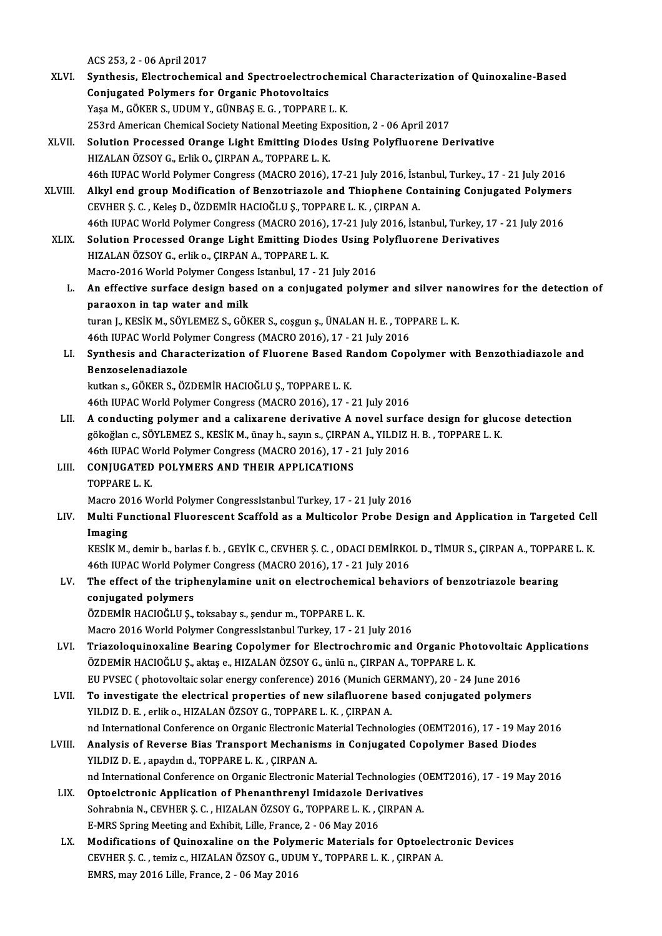ACS253,2 -06April2017

- ACS 253, 2 06 April 2017<br>XLVI. Synthesis, Electrochemical and Spectroelectrochemical Characterization of Quinoxaline-Based<br>Conjugated Polymons for Organia Photoyaltaics ACS 253, 2 - 06 April 2017<br>Synthesis, Electrochemical and Spectroelectrock<br>Conjugated Polymers for Organic Photovoltaics<br>Yess M. GÖVER S. UDUM Y. CÜNRAS E.C., TOPRAPE I Conjugated Polymers for Organic Photovoltaics<br>Yaşa M., GÖKER S., UDUM Y., GÜNBAŞ E. G., TOPPARE L. K. 253rd American Chemical Society National Meeting Exposition, 2 - 06 April 2017 XLVII. Solution Processed Orange Light Emitting Diodes Using Polyfluorene Derivative HIZALAN ÖZSOY G., Erlik O., ÇIRPAN A., TOPPARE L. K. 46th IUPACWorldPolymer Congress (MACRO2016),17-21 July2016, İstanbul,Turkey.,17 -21 July2016
- HIZALAN ÖZSOY G., Erlik O., ÇIRPAN A., TOPPARE L. K.<br>46th IUPAC World Polymer Congress (MACRO 2016), 17-21 July 2016, İstanbul, Turkey., 17 21 July 2016<br>XLVIII. Alkyl end group Modification of Benzotriazole and Thiophene CEVHERŞ.C. ,KeleşD.,ÖZDEMİRHACIOĞLUŞ.,TOPPAREL.K. ,ÇIRPANA. Alkyl end group Modification of Benzotriazole and Thiophene Containing Conjugated Polymer<br>CEVHER Ş. C. , Keleş D., ÖZDEMİR HACIOĞLU Ş., TOPPARE L. K. , ÇIRPAN A.<br>46th IUPAC World Polymer Congress (MACRO 2016), 17-21 July 2 46th IUPAC World Polymer Congress (MACRO 2016), 17-21 July 2016, İstanbul, Turkey, 17 - 21 July 2016
- XLIX. Solution Processed Orange Light Emitting Diodes Using Polyfluorene Derivatives Solution Processed Orange Light Emitting Diodes Using P<br>HIZALAN ÖZSOY G., erlik o., ÇIRPAN A., TOPPARE L. K.<br>Macro-2016 World Polymer Congess Istanbul, 17 - 21 July 2016<br>An effective surface design besed on a seniusated po
	- HIZALAN ÖZSOY G., erlik o., ÇIRPAN A., TOPPARE L. K.<br>Macro-2016 World Polymer Congess Istanbul, 17 21 July 2016<br>L. An effective surface design based on a conjugated polymer and silver nanowires for the detection of<br>nanow Macro-2016 World Polymer Conges:<br>An effective surface design base<br>paraoxon in tap water and milk<br>turen L KESİK M. SÖVLEMEZ S. GÖK An effective surface design based on a conjugated polymer and silver nai<br>paraoxon in tap water and milk<br>turan J., KESİK M., SÖYLEMEZ S., GÖKER S., coşgun ş., ÜNALAN H. E. , TOPPARE L. K.<br>46th UIBAC World Bokwası Congress ( paraoxon in tap water and milk<br>turan J., KESİK M., SÖYLEMEZ S., GÖKER S., coşgun ş., ÜNALAN H. E. , TOPPARE L. K.<br>46th IUPAC World Polymer Congress (MACRO 2016), 17 - 21 July 2016
	- turan J., KESİK M., SÖYLEMEZ S., GÖKER S., coşgun ş., ÜNALAN H. E. , TOPPARE L. K.<br>46th IUPAC World Polymer Congress (MACRO 2016), 17 21 July 2016<br>LI. Synthesis and Characterization of Fluorene Based Random Copolymer wit 46th IUPAC World Poly<br>Synthesis and Chara<br>Benzoselenadiazole<br>Intian 6 GÖKER S.ÖZ Synthesis and Characterization of Fluorene Based R<br>Benzoselenadiazole<br>kutkan s., GÖKER S., ÖZDEMİR HACIOĞLU Ş., TOPPARE L. K.<br>46th UIBAC World Polymor Congress (MACPO 2016), 17 Benzoselenadiazole<br>kutkan s., GÖKER S., ÖZDEMİR HACIOĞLU Ş., TOPPARE L. K.<br>46th IUPAC World Polymer Congress (MACRO 2016), 17 - 21 July 2016<br>A sendusting polymer and a selixarene derivative A povel surfa

- kutkan s., GÖKER S., ÖZDEMİR HACIOĞLU Ş., TOPPARE L. K.<br>46th IUPAC World Polymer Congress (MACRO 2016), 17 21 July 2016<br>LII. A conducting polymer and a calixarene derivative A novel surface design for glucose detection 46th IUPAC World Polymer Congress (MACRO 2016), 17 - 21 July 2016<br>A conducting polymer and a calixarene derivative A novel surface design for gluc<br>gökoğlan c., SÖYLEMEZ S., KESİK M., ünay h., sayın s., ÇIRPAN A., YILDIZ H. A conducting polymer and a calixarene derivative A novel surfa<br>gökoğlan c., SÖYLEMEZ S., KESİK M., ünay h., sayın s., ÇIRPAN A., YILDIZ I<br>46th IUPAC World Polymer Congress (MACRO 2016), 17 - 21 July 2016<br>CONIUC ATED POLYME gökoğlan c., SÖYLEMEZ S., KESİK M., ünay h., sayın s., ÇIRPAI<br>46th IUPAC World Polymer Congress (MACRO 2016), 17 - 2<br>LIII. CONJUGATED POLYMERS AND THEIR APPLICATIONS<br>TOPPAPEL *V*
- 46th IUPAC We<br>CONJUGATED<br>TOPPARE L. K.<br>Magna 2016 W TOPPARE L. K.<br>Macro 2016 World Polymer CongressIstanbul Turkey, 17 - 21 July 2016

TOPPARE L. K.<br>Macro 2016 World Polymer CongressIstanbul Turkey, 17 - 21 July 2016<br>LIV. Multi Functional Fluorescent Scaffold as a Multicolor Probe Design and Application in Targeted Cell<br>Imaging Macro 20<br><mark>Multi Fu</mark><br>Imaging<br>*V*ESiV M Multi Functional Fluorescent Scaffold as a Multicolor Probe Design and Application in Targeted Cell<br>Imaging<br>KESİK M., demir b., barlas f. b. , GEYİK C., CEVHER Ş. C. , ODACI DEMİRKOL D., TİMUR S., ÇIRPAN A., TOPPARE L. K.<br>

Imaging<br>KESİK M., demir b., barlas f. b. , GEYİK C., CEVHER Ş. C. , ODACI DEMİRKOL D., TİMUR S., ÇIRPAN A., TOPPARE L. K. KESİK M., demir b., barlas f. b. , GEYİK C., CEVHER Ş. C. , ODACI DEMİRKOL D., TİMUR S., ÇIRPAN A., TOPPA<br>46th IUPAC World Polymer Congress (MACRO 2016), 17 - 21 July 2016<br>LV. The effect of the triphenylamine unit on elect

46th IUPAC World Polymer Congress (MACRO 2016), 17 - 21 July 2016<br>The effect of the triphenylamine unit on electrochemical behav<br>conjugated polymers<br>ÖZDEMİR HACIOĞLU Ş., toksabay s., şendur m., TOPPARE L. K. The effect of the triphenylamine unit on electrochemic<br>conjugated polymers<br>ÖZDEMİR HACIOĞLU Ş., toksabay s., şendur m., TOPPARE L. K.<br>Messe 2016 Wexld Polymer Congresslatanbul Turkey 17, 21

Macro 2016 World Polymer CongressIstanbul Turkey, 17 - 21 July 2016

- LVI. Triazoloquinoxaline Bearing Copolymer for Electrochromic and Organic Photovoltaic Applications Macro 2016 World Polymer CongressIstanbul Turkey, 17 - 21 July 2016<br>Triazoloquinoxaline Bearing Copolymer for Electrochromic and Organic Pho<br>ÖZDEMİR HACIOĞLU Ş., aktaş e., HIZALAN ÖZSOY G., ünlü n., ÇIRPAN A., TOPPARE L. K Triazoloquinoxaline Bearing Copolymer for Electrochromic and Organic Photovoltaic<br>ÖZDEMİR HACIOĞLU Ș., aktaş e., HIZALAN ÖZSOY G., ünlü n., ÇIRPAN A., TOPPARE L. K.<br>EU PVSEC ( photovoltaic solar energy conference) 2016 (Mu ÖZDEMİR HACIOĞLU Ş., aktaş e., HIZALAN ÖZSOY G., ünlü n., ÇIRPAN A., TOPPARE L. K.<br>EU PVSEC (photovoltaic solar energy conference) 2016 (Munich GERMANY), 20 - 24 June 2016<br>LVII. To investigate the electrical properties of
- EU PVSEC ( photovoltaic solar energy conference) 2016 (Munich GERMANY), 20 24 June 2016<br>To investigate the electrical properties of new silafluorene based conjugated polymers<br>YILDIZ D. E., erliko., HIZALAN ÖZSOY G., TOPP To investigate the electrical properties of new silafluorene based conjugated polymers<br>YILDIZ D. E. , erlik o., HIZALAN ÖZSOY G., TOPPARE L. K. , ÇIRPAN A.<br>nd International Conference on Organic Electronic Material Technol YILDIZ D. E., erlik o., HIZALAN ÖZSOY G., TOPPARE L. K., ÇIRPAN A.<br>
nd International Conference on Organic Electronic Material Technologies (OEMT2016), 17 - 19 May<br>
LVIII. Analysis of Reverse Bias Transport Mechanisms in C
- nd International Conference on Organic Electronic I<br>Analysis of Reverse Bias Transport Mechanis<br>YILDIZ D. E. , apaydın d., TOPPARE L. K. , ÇIRPAN A.<br>nd International Conference on Organic Electronic I Analysis of Reverse Bias Transport Mechanisms in Conjugated Copolymer Based Diodes<br>YILDIZ D. E. , apaydın d., TOPPARE L. K. , ÇIRPAN A.<br>nd International Conference on Organic Electronic Material Technologies (OEMT2016), 17 YILDIZ D. E. , apaydın d., TOPPARE L. K. , ÇIRPAN A.<br>nd International Conference on Organic Electronic Material Technologies (OEMT2016), 17 - 19 May 2016<br>LIX. Optoelctronic Application of Phenanthrenyl Imidazole Deriva
	- nd International Conference on Organic Electronic Material Technologies (Optoelctronic Application of Phenanthrenyl Imidazole Derivatives<br>Sohrabnia N., CEVHER Ş. C. , HIZALAN ÖZSOY G., TOPPARE L. K. , ÇIRPAN A.<br>E MPS Sprin Optoelctronic Application of Phenanthrenyl Imidazole Den<br>Sohrabnia N., CEVHER Ş. C. , HIZALAN ÖZSOY G., TOPPARE L. K. , Ç<br>E-MRS Spring Meeting and Exhibit, Lille, France, 2 - 06 May 2016<br>Medifications of Quinovaline on the
	- E-MRS Spring Meeting and Exhibit, Lille, France, 2 06 May 2016<br>LX. Modifications of Quinoxaline on the Polymeric Materials for Optoelectronic Devices E-MRS Spring Meeting and Exhibit, Lille, France, 2 - 06 May 2016<br>Modifications of Quinoxaline on the Polymeric Materials for Optoelect<br>CEVHER Ş. C. , temiz c., HIZALAN ÖZSOY G., UDUM Y., TOPPARE L. K. , ÇIRPAN A.<br>EMPS. may Modifications of Quinoxaline on the Polyr<br>CEVHER Ş. C. , temiz c., HIZALAN ÖZSOY G., UDI<br>EMRS, may 2016 Lille, France, 2 - 06 May 2016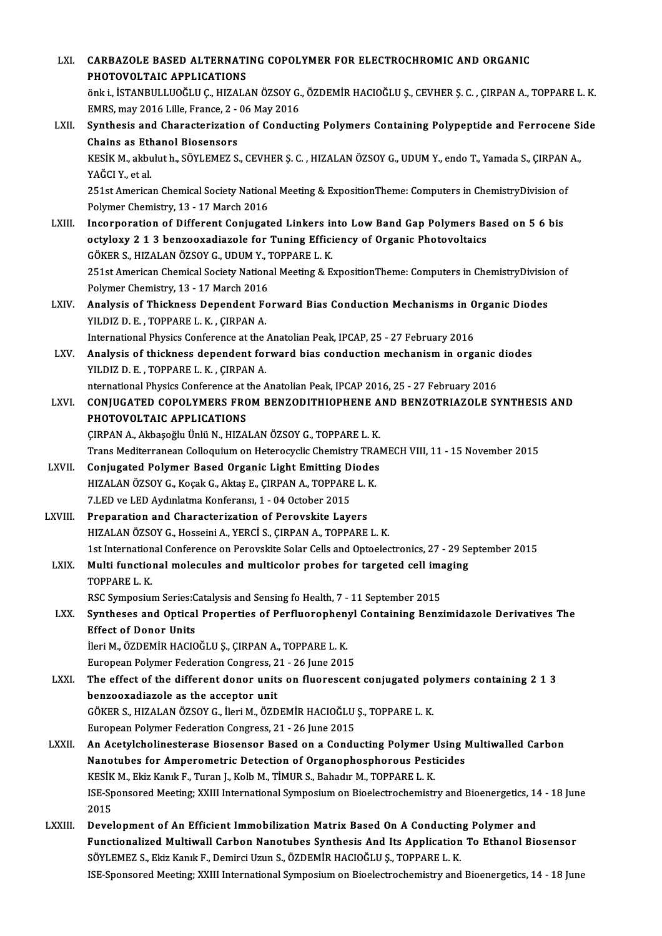| LXI.    | CARBAZOLE BASED ALTERNATING COPOLYMER FOR ELECTROCHROMIC AND ORGANIC                                                                                                         |
|---------|------------------------------------------------------------------------------------------------------------------------------------------------------------------------------|
|         | PHOTOVOLTAIC APPLICATIONS                                                                                                                                                    |
|         | önk i., İSTANBULLUOĞLU Ç., HIZALAN ÖZSOY G., ÖZDEMİR HACIOĞLU Ş., CEVHER Ş. C. , ÇIRPAN A., TOPPARE L. K.                                                                    |
|         | EMRS, may 2016 Lille, France, 2 - 06 May 2016                                                                                                                                |
| LXII.   | Synthesis and Characterization of Conducting Polymers Containing Polypeptide and Ferrocene Side                                                                              |
|         | <b>Chains as Ethanol Biosensors</b>                                                                                                                                          |
|         | KESİK M., akbulut h., SÖYLEMEZ S., CEVHER Ş. C., HIZALAN ÖZSOY G., UDUM Y., endo T., Yamada S., ÇIRPAN A.,                                                                   |
|         | YAĞCI Y., et al.                                                                                                                                                             |
|         | 251st American Chemical Society National Meeting & ExpositionTheme: Computers in ChemistryDivision of                                                                        |
|         | Polymer Chemistry, 13 - 17 March 2016                                                                                                                                        |
| LXIII.  | Incorporation of Different Conjugated Linkers into Low Band Gap Polymers Based on 5 6 bis<br>octyloxy 2 1 3 benzooxadiazole for Tuning Efficiency of Organic Photovoltaics   |
|         | GÖKER S., HIZALAN ÖZSOY G., UDUM Y., TOPPARE L. K.                                                                                                                           |
|         | 251st American Chemical Society National Meeting & ExpositionTheme: Computers in ChemistryDivision of                                                                        |
|         | Polymer Chemistry, 13 - 17 March 2016                                                                                                                                        |
| LXIV.   | Analysis of Thickness Dependent Forward Bias Conduction Mechanisms in Organic Diodes                                                                                         |
|         | YILDIZ D. E., TOPPARE L. K., CIRPAN A.                                                                                                                                       |
|         | International Physics Conference at the Anatolian Peak, IPCAP, 25 - 27 February 2016                                                                                         |
| LXV.    | Analysis of thickness dependent forward bias conduction mechanism in organic diodes                                                                                          |
|         | YILDIZ D. E., TOPPARE L. K., ÇIRPAN A.                                                                                                                                       |
|         | nternational Physics Conference at the Anatolian Peak, IPCAP 2016, 25 - 27 February 2016                                                                                     |
| LXVI.   | CONJUGATED COPOLYMERS FROM BENZODITHIOPHENE AND BENZOTRIAZOLE SYNTHESIS AND                                                                                                  |
|         | PHOTOVOLTAIC APPLICATIONS<br>ÇIRPAN A., Akbaşoğlu Ünlü N., HIZALAN ÖZSOY G., TOPPARE L. K.                                                                                   |
|         | Trans Mediterranean Colloquium on Heterocyclic Chemistry TRAMECH VIII, 11 - 15 November 2015                                                                                 |
| LXVII.  | Conjugated Polymer Based Organic Light Emitting Diodes                                                                                                                       |
|         | HIZALAN ÖZSOY G., Koçak G., Aktaş E., ÇIRPAN A., TOPPARE L. K.                                                                                                               |
|         | 7 LED ve LED Aydınlatma Konferansı, 1 - 04 October 2015                                                                                                                      |
| LXVIII. | Preparation and Characterization of Perovskite Lavers                                                                                                                        |
|         | HIZALAN ÖZSOY G., Hosseini A., YERCİ S., ÇIRPAN A., TOPPARE L. K.                                                                                                            |
|         | 1st International Conference on Perovskite Solar Cells and Optoelectronics, 27 - 29 September 2015                                                                           |
| LXIX.   | Multi functional molecules and multicolor probes for targeted cell imaging                                                                                                   |
|         | TOPPARE L.K.                                                                                                                                                                 |
| LXX.    | RSC Symposium Series: Catalysis and Sensing fo Health, 7 - 11 September 2015<br>Syntheses and Optical Properties of Perfluorophenyl Containing Benzimidazole Derivatives The |
|         | <b>Effect of Donor Units</b>                                                                                                                                                 |
|         | İleri M., ÖZDEMİR HACIOĞLU Ş., ÇIRPAN A., TOPPARE L. K.                                                                                                                      |
|         | European Polymer Federation Congress, 21 - 26 June 2015                                                                                                                      |
| LXXI.   | The effect of the different donor units on fluorescent conjugated polymers containing 2 1 3                                                                                  |
|         | benzooxadiazole as the acceptor unit                                                                                                                                         |
|         | GÖKER S., HIZALAN ÖZSOY G., İleri M., ÖZDEMİR HACIOĞLU Ş., TOPPARE L. K.                                                                                                     |
|         | European Polymer Federation Congress, 21 - 26 June 2015                                                                                                                      |
| LXXII.  | An Acetylcholinesterase Biosensor Based on a Conducting Polymer Using Multiwalled Carbon                                                                                     |
|         | Nanotubes for Amperometric Detection of Organophosphorous Pesticides                                                                                                         |
|         | KESİK M., Ekiz Kanık F., Turan J., Kolb M., TİMUR S., Bahadır M., TOPPARE L. K.                                                                                              |
|         | ISE-Sponsored Meeting; XXIII International Symposium on Bioelectrochemistry and Bioenergetics, 14 - 18 June<br>2015                                                          |
| LXXIII. | Development of An Efficient Immobilization Matrix Based On A Conducting Polymer and                                                                                          |
|         | Functionalized Multiwall Carbon Nanotubes Synthesis And Its Application To Ethanol Biosensor                                                                                 |
|         | SÖYLEMEZ S., Ekiz Kanık F., Demirci Uzun S., ÖZDEMİR HACIOĞLU Ş., TOPPARE L. K.                                                                                              |
|         | ISE-Sponsored Meeting; XXIII International Symposium on Bioelectrochemistry and Bioenergetics, 14 - 18 June                                                                  |
|         |                                                                                                                                                                              |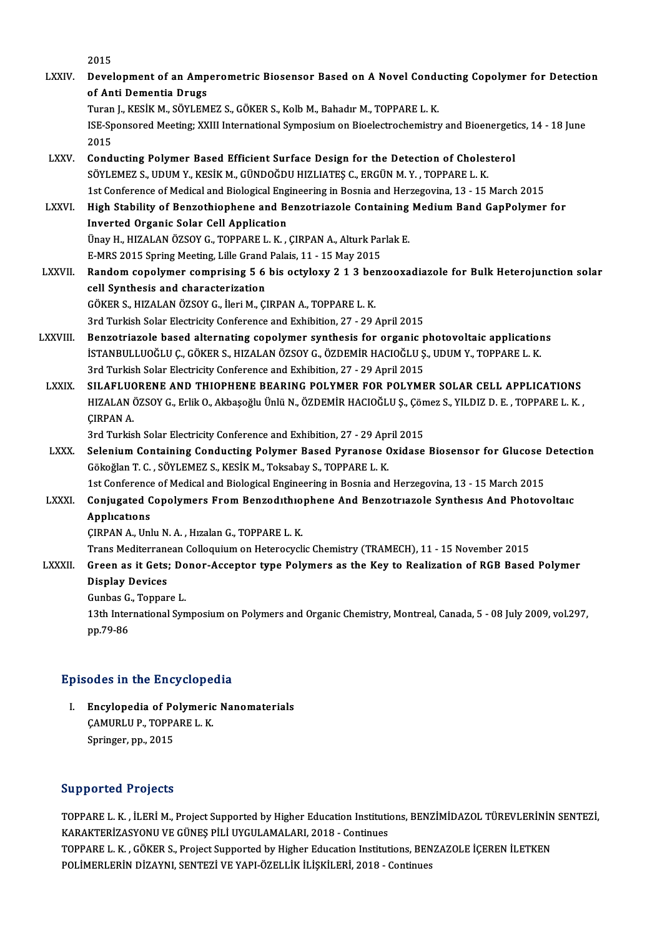2015 2015<br>LXXIV. Development of an Amperometric Biosensor Based on A Novel Conducting Copolymer for Detection<br>Anti Demontic Drugs 2015<br>Development of an Amp<br>of Anti Dementia Drugs<br>Turon L KESİK M. SÖVLEM Development of an Amperometric Biosensor Based on A Novel Cond<mark>u</mark><br>of Anti Dementia Drugs<br>Turan J., KESİK M., SÖYLEMEZ S., GÖKER S., Kolb M., Bahadır M., TOPPARE L. K.<br><sup>ISE</sup> Sponsored Mesting: YYIII International Sumnesium of Anti Dementia Drugs<br>Turan J., KESİK M., SÖYLEMEZ S., GÖKER S., Kolb M., Bahadır M., TOPPARE L. K.<br>ISE-Sponsored Meeting; XXIII International Symposium on Bioelectrochemistry and Bioenergetics, 14 - 18 June<br>2015 Turan<br>ISE-Sp<br>2015<br>Cond ISE-Sponsored Meeting; XXIII International Symposium on Bioelectrochemistry and Bioenergeti<br>2015<br>LXXV. Conducting Polymer Based Efficient Surface Design for the Detection of Cholesterol<br>2011 EMEZ S. UDUM V. KESİK M. CÜNDOĞ 2015<br>Conducting Polymer Based Efficient Surface Design for the Detection of Choles<br>SÖYLEMEZ S., UDUM Y., KESİK M., GÜNDOĞDU HIZLIATEŞ C., ERGÜN M.Y. , TOPPARE L. K.<br>1st Conference of Medical and Biological Engineering in B Conducting Polymer Based Efficient Surface Design for the Detection of Cholesterol<br>SÖYLEMEZ S., UDUM Y., KESİK M., GÜNDOĞDU HIZLIATEŞ C., ERGÜN M. Y. , TOPPARE L. K.<br>1st Conference of Medical and Biological Engineering in SÖYLEMEZ S., UDUM Y., KESİK M., GÜNDOĞDU HIZLIATEŞ C., ERGÜN M. Y. , TOPPARE L. K.<br>1st Conference of Medical and Biological Engineering in Bosnia and Herzegovina, 13 - 15 March 2015<br>LXXVI. High Stability of Benzothiophene 1st Conference of Medical and Biological Eng<br>High Stability of Benzothiophene and Be<br>Inverted Organic Solar Cell Application High Stability of Benzothiophene and Benzotriazole Containing Medium Band GapPolymer for<br>Inverted Organic Solar Cell Application<br>Ünay H., HIZALAN ÖZSOY G., TOPPARE L. K. , ÇIRPAN A., Alturk Parlak E.<br>E-MRS 2015 Spring Meet Ünay H., HIZALAN ÖZSOY G., TOPPARE L. K., CIRPAN A., Alturk Parlak E. Ünay H., HIZALAN ÖZSOY G., TOPPARE L. K. , ÇIRPAN A., Alturk Parlak E.<br>E-MRS 2015 Spring Meeting, Lille Grand Palais, 11 - 15 May 2015<br>LXXVII. Random copolymer comprising 5 6 bis octyloxy 2 1 3 benzooxadiazole for Bulk E-MRS 2015 Spring Meeting, Lille Grand<br>Random copolymer comprising 5 6<br>cell Synthesis and characterization Random copolymer comprising 5 6 bis octyloxy 2 1 3 bel<br>cell Synthesis and characterization<br>GÖKER S., HIZALAN ÖZSOY G., İleri M., ÇIRPAN A., TOPPARE L. K.<br>2nd Turkish Selan Electrisity Conference and Eubibition 27 - 29 cell Synthesis and characterization<br>GÖKER S., HIZALAN ÖZSOY G., İleri M., ÇIRPAN A., TOPPARE L. K.<br>3rd Turkish Solar Electricity Conference and Exhibition, 27 - 29 April 2015<br>Bongetriagele based elternating senelymen synth 3rd Turkish Solar Electricity Conference and Exhibition, 27 - 29 April 2015<br>LXXVIII. Benzotriazole based alternating copolymer synthesis for organic photovoltaic applications 3rd Turkish Solar Electricity Conference and Exhibition, 27 - 29 April 2015<br>Benzotriazole based alternating copolymer synthesis for organic photovoltaic application<br>İSTANBULLUOĞLU Ç., GÖKER S., HIZALAN ÖZSOY G., ÖZDEMİR HA Benzotriazole based alternating copolymer synthesis for organic p<br>ISTANBULLUOĞLU Ç., GÖKER S., HIZALAN ÖZSOY G., ÖZDEMİR HACIOĞLU Ş<br>3rd Turkish Solar Electricity Conference and Exhibition, 27 - 29 April 2015<br>SU AELUORENE A ISTANBULLUOĞLU Ç., GÖKER S., HIZALAN ÖZSOY G., ÖZDEMIR HACIOĞLU Ş., UDUM Y., TOPPARE L. K.<br>3rd Turkish Solar Electricity Conference and Exhibition, 27 - 29 April 2015<br>LXXIX. SILAFLUORENE AND THIOPHENE BEARING POLYMER FOR P 3rd Turkish Solar Electricity Conference and Exhibition, 27 - 29 April 2015<br>SILAFLUORENE AND THIOPHENE BEARING POLYMER FOR POLYMER SOLAR CELL APPLICATIONS<br>HIZALAN ÖZSOY G., Erlik O., Akbaşoğlu Ünlü N., ÖZDEMİR HACIOĞLU Ş., SILAFLUO<br>HIZALAN (<br>ÇIRPAN A. HIZALAN ÖZSOY G., Erlik O., Akbaşoğlu Ünlü N., ÖZDEMİR HACIOĞLU Ş., Çön<br>ÇIRPAN A.<br>3rd Turkish Solar Electricity Conference and Exhibition, 27 - 29 April 2015<br>Solanium Containing Conducting Polymor Based Byranose Ovidase CIRPAN A.<br>3rd Turkish Solar Electricity Conference and Exhibition, 27 - 29 April 2015<br>LXXX. Selenium Containing Conducting Polymer Based Pyranose Oxidase Biosensor for Glucose Detection 3rd Turkish Solar Electricity Conference and Exhibition, 27 - 29 Apr<br>Selenium Containing Conducting Polymer Based Pyranose C<br>Gökoğlan T. C. , SÖYLEMEZ S., KESİK M., Toksabay S., TOPPARE L. K.<br>1st Conference of Medical and Selenium Containing Conducting Polymer Based Pyranose Oxidase Biosensor for Glucose I<br>Gökoğlan T. C. , SÖYLEMEZ S., KESİK M., Toksabay S., TOPPARE L. K.<br>1st Conference of Medical and Biological Engineering in Bosnia and He Gökoğlan T. C. , SÖYLEMEZ S., KESİK M., Toksabay S., TOPPARE L. K.<br>1st Conference of Medical and Biological Engineering in Bosnia and Herzegovina, 13 - 15 March 2015<br>2. Conjugated Copolymers From Benzodıthıophene And Benzo 1st Conference<br>Conjugated C<br>Applications<br>CIPPAN A Hal Conjugated Copolymers From Benzodithio<br>Applications<br>ÇIRPAN A., Unlu N. A. , Hızalan G., TOPPARE L. K.<br>Trans Mediterranean Colloquium en Heterogyeli Applications<br>CIRPAN A., Unlu N. A. , Hizalan G., TOPPARE L. K.<br>Trans Mediterranean Colloquium on Heterocyclic Chemistry (TRAMECH), 11 - 15 November 2015 CIRPAN A., Unlu N. A. , Hızalan G., TOPPARE L. K.<br>Trans Mediterranean Colloquium on Heterocyclic Chemistry (TRAMECH), 11 - 15 November 2015<br>LXXXII. Green as it Gets; Donor-Acceptor type Polymers as the Key to Realizati Display Devices Green as it Gets; Do<br>Display Devices<br>Gunbas G., Toppare L.<br>12th International Sun 13th International Symposium on Polymers and Organic Chemistry, Montreal, Canada, 5 - 08 July 2009, vol.297, pp.79-86 Gunbas G., Toppare L.

### Episodes in the Encyclopedia

pisodes in the Encyclopedia<br>I. Encylopedia of Polymeric Nanomaterials<br>CAMURUUB TOPPAREL K Encylopedia of Polymeric<br>CAMURLU P., TOPPARE L. K. Encylopedia of Pc<br>ÇAMURLU P., TOPP*l*<br>Springer, pp., 2015

# Springer, pp., 2015<br>Supported Projects

Supported Projects<br>TOPPARE L. K. , İLERİ M., Project Supported by Higher Education Institutions, BENZİMİDAZOL TÜREVLERİNİN SENTEZİ,<br>KARAKTERİZASYONU VE ÇÜNES BU İ UYÇULAMALARL 2018, Continues KARAKTERİZASYONU VE GÜNEŞ PİLİ UYGULAMALARI, 2018 - Continues<br>TOPPARE L. K. , GÖKER S., Project Supported by Higher Education Institutions, BENZAZOLE İCEREN İLETKEN TOPPARE L. K. , İLERİ M., Project Supported by Higher Education Institutions, BENZİMİDAZOL TÜREVLERİNİN<br>KARAKTERİZASYONU VE GÜNEŞ PİLİ UYGULAMALARI, 2018 - Continues<br>TOPPARE L. K. , GÖKER S., Project Supported by Higher Ed POLİMERLERİN DİZAYNI, SENTEZİ VE YAPI-ÖZELLİK İLİŞKİLERİ, 2018 - Continues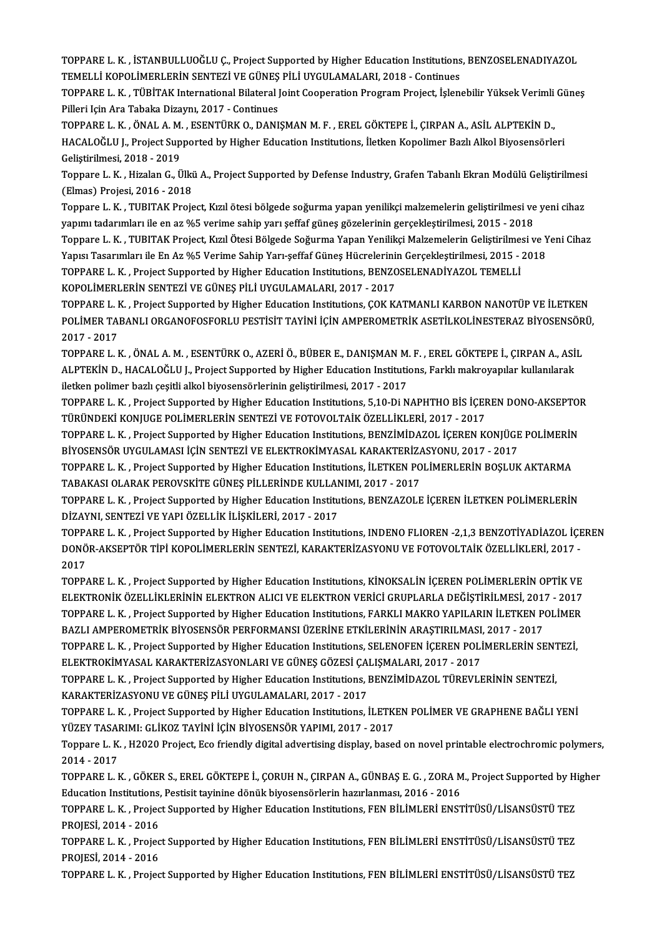TOPPARE L. K. , İSTANBULLUOĞLU Ç., Project Supported by Higher Education Institutions, BENZOSELENADIYAZOL<br>TEMELLİ KOROLİMERLERİN SENTEZİ VE ÇÜNES PİLİ UVCULAMALARL 2019, Continues TOPPARE L. K. , İSTANBULLUOĞLU Ç., Project Supported by Higher Education Institutions<br>TEMELLİ KOPOLİMERLERİN SENTEZİ VE GÜNEŞ PİLİ UYGULAMALARI, 2018 - Continues<br>TOPPARE L. K., TÜRİTAK International Bilateral Jejnt Coopera TOPPARE L. K. , İSTANBULLUOĞLU Ç., Project Supported by Higher Education Institutions, BENZOSELENADIYAZOL<br>TEMELLİ KOPOLİMERLERİN SENTEZİ VE GÜNEŞ PİLİ UYGULAMALARI, 2018 - Continues<br>TOPPARE L. K. , TÜBİTAK International Bi

TEMELLİ KOPOLİMERLERİN SENTEZİ VE GÜNEŞ PİLİ UYGULAMALARI, 2018 - Continues<br>TOPPARE L. K. , TÜBİTAK International Bilateral Joint Cooperation Program Project, İşlen<br>Pilleri Için Ara Tabaka Dizaynı, 2017 - Continues TOPPARE L. K., TÜBİTAK International Bilateral Joint Cooperation Program Project, İslenebilir Yüksek Verimli Günes

HACALOĞLU J., Project Supported by Higher Education Institutions, İletken Kopolimer Bazlı Alkol Biyosensörleri<br>Geliştirilmesi, 2018 - 2019 TOPPARE L. K., ÖNAL A. M., ESENTÜRK O., DANIŞMAN M. F., EREL GÖKTEPE İ., ÇIRPAN A., ASİL ALPTEKİN D., HACALOĞLU J., Project Supported by Higher Education Institutions, İletken Kopolimer Bazlı Alkol Biyosensörleri<br>Geliştirilmesi, 2018 - 2019<br>Toppare L. K. , Hizalan G., Ülkü A., Project Supported by Defense Industry, Grafen

Geliştirilmesi, 2018 - 2019<br>Toppare L. K. , Hizalan G., Ülki<br>(Elmas) Projesi, 2016 - 2018<br>Toppare L. K., TUBITAK Proje Toppare L. K. , Hizalan G., Ülkü A., Project Supported by Defense Industry, Grafen Tabanlı Ekran Modülü Geliştirilmesi<br>(Elmas) Projesi, 2016 - 2018<br>Toppare L. K. , TUBITAK Project, Kızıl ötesi bölgede soğurma yapan yenilik

(Elmas) Projesi, 2016 - 2018<br>Toppare L. K. , TUBITAK Project, Kızıl ötesi bölgede soğurma yapan yenilikçi malzemelerin geliştirilmesi ve<br>yapımı tadarımları ile en az %5 verime sahip yarı şeffaf güneş gözelerinin gerçekleşt

Toppare L. K. , TUBITAK Project, Kızıl ötesi bölgede soğurma yapan yenilikçi malzemelerin geliştirilmesi ve yeni cihaz<br>yapımı tadarımları ile en az %5 verime sahip yarı şeffaf güneş gözelerinin gerçekleştirilmesi, 2015 - 2 yapımı tadarımları ile en az %5 verime sahip yarı şeffaf güneş gözelerinin gerçekleştirilmesi, 2015 - 2018<br>Toppare L. K. , TUBITAK Project, Kızıl Ötesi Bölgede Soğurma Yapan Yenilikçi Malzemelerin Geliştirilmesi ve Y<br>Yapıs Toppare L. K. , TUBITAK Project, Kızıl Ötesi Bölgede Soğurma Yapan Yenilikçi Malzemelerin Geliştirilmes<br>Yapısı Tasarımları ile En Az %5 Verime Sahip Yarı-şeffaf Güneş Hücrelerinin Gerçekleştirilmesi, 2015 - :<br>TOPPARE L. K. Yapısı Tasarımları ile En Az %5 Verime Sahip Yarı-şeffaf Güneş Hücrelerini<br>TOPPARE L. K. , Project Supported by Higher Education Institutions, BENZC<br>KOPOLİMERLERİN SENTEZİ VE GÜNEŞ PİLİ UYGULAMALARI, 2017 - 2017<br>TOPPARE L. TOPPARE L. K. , Project Supported by Higher Education Institutions, BENZOSELENADİYAZOL TEMELLİ<br>KOPOLİMERLERİN SENTEZİ VE GÜNEŞ PİLİ UYGULAMALARI, 2017 - 2017<br>TOPPARE L. K. , Project Supported by Higher Education Institutio

KOPOLİMERLERİN SENTEZİ VE GÜNEŞ PİLİ UYGULAMALARI, 2017 - 2017<br>TOPPARE L. K. , Project Supported by Higher Education Institutions, ÇOK KATMANLI KARBON NANOTÜP VE İLETKEN<br>POLİMER TABANLI ORGANOFOSFORLU PESTİSİT TAYİNİ İÇİN TOPPARE L. <mark>I</mark><br>POLİMER TAI<br>2017 - 2017<br>TOPPARE L. I POLİMER TABANLI ORGANOFOSFORLU PESTİSİT TAYİNİ İÇİN AMPEROMETRİK ASETİLKOLİNESTERAZ BİYOSENSÖR<br>2017 - 2017<br>TOPPARE L. K. , ÖNAL A. M. , ESENTÜRK O., AZERİ Ö., BÜBER E., DANIŞMAN M. F. , EREL GÖKTEPE İ., ÇIRPAN A., ASİL<br>ALB

2017 - 2017<br>TOPPARE L. K. , ÖNAL A. M. , ESENTÜRK O., AZERİ Ö., BÜBER E., DANIŞMAN M. F. , EREL GÖKTEPE İ., ÇIRPAN A., ASİ<br>ALPTEKİN D., HACALOĞLU J., Project Supported by Higher Education Institutions, Farklı makroyapılar TOPPARE L. K. , ÖNAL A. M. , ESENTÜRK O., AZERİ Ö., BÜBER E., DANIŞMAN M.<br>ALPTEKİN D., HACALOĞLU J., Project Supported by Higher Education Institution<br>iletken polimer bazlı çeşitli alkol biyosensörlerinin geliştirilmesi, 2 ALPTEKİN D., HACALOĞLU J., Project Supported by Higher Education Institutions, Farklı makroyapılar kullanılarak<br>iletken polimer bazlı çeşitli alkol biyosensörlerinin geliştirilmesi, 2017 - 2017<br>TOPPARE L. K. , Project Supp

iletken polimer bazlı çeşitli alkol biyosensörlerinin geliştirilmesi, 2017 - 2017<br>TOPPARE L. K. , Project Supported by Higher Education Institutions, 5,10-Di NAPHTHO BİS İÇEREN DONO-AKSEPTOR<br>TÜRÜNDEKİ KONJUGE POLİMERLERİN TOPPARE L. K. , Project Supported by Higher Education Institutions, 5,10-Di NAPHTHO BİS İÇEREN DONO-AKSEPTOI<br>TÜRÜNDEKİ KONJUGE POLİMERLERİN SENTEZİ VE FOTOVOLTAİK ÖZELLİKLERİ, 2017 - 2017<br>TOPPARE L. K. , Project Supported

TÜRÜNDEKİ KONJUGE POLİMERLERİN SENTEZİ VE FOTOVOLTAİK ÖZELLİKLERİ, 2017 - 2017<br>TOPPARE L. K. , Project Supported by Higher Education Institutions, BENZİMİDAZOL İÇEREN KONJÜGE<br>BİYOSENSÖR UYGULAMASI İÇİN SENTEZİ VE ELEKTROKİ TOPPARE L. K. , Project Supported by Higher Education Institutions, BENZİMİDAZOL İÇEREN KONJÜGE POLİMERİN<br>BİYOSENSÖR UYGULAMASI İÇİN SENTEZİ VE ELEKTROKİMYASAL KARAKTERİZASYONU, 2017 - 2017<br>TOPPARE L. K. , Project Supporte

BİYOSENSÖR UYGULAMASI İÇİN SENTEZİ VE ELEKTROKİMYASAL KARAKTERİZA<br>TOPPARE L. K. , Project Supported by Higher Education Institutions, İLETKEN PO<br>TABAKASI OLARAK PEROVSKİTE GÜNEŞ PİLLERİNDE KULLANIMI, 2017 - 2017<br>TOPPARE L. TOPPARE L. K. , Project Supported by Higher Education Institutions, İLETKEN POLİMERLERİN BOŞLUK AKTARMA<br>TABAKASI OLARAK PEROVSKİTE GÜNEŞ PİLLERİNDE KULLANIMI, 2017 - 2017<br>TOPPARE L. K. , Project Supported by Higher Educati

TABAKASI OLARAK PEROVSKİTE GÜNEŞ PİLLERİNDE KULLANIMI, 2017 - 2017<br>TOPPARE L. K. , Project Supported by Higher Education Institutions, BENZAZOLE İÇEREN İLETKEN POLİMERLERİN<br>DİZAYNI, SENTEZİ VE YAPI ÖZELLİK İLİŞKİLERİ, 2017 TOPPARE L. K. , Project Supported by Higher Education Institutions, BENZAZOLE İÇEREN İLETKEN POLİMERLERİN<br>DİZAYNI, SENTEZİ VE YAPI ÖZELLİK İLİŞKİLERİ, 2017 - 2017<br>TOPPARE L. K. , Project Supported by Higher Education Insti

DİZAYNI, SENTEZİ VE YAPI ÖZELLİK İLİŞKİLERİ, 2017 - 2017<br>TOPPARE L. K. , Project Supported by Higher Education Institutions, INDENO FLIOREN -2,1,3 BENZOTİYADİAZOL İÇE<br>DONÖR-AKSEPTÖR TİPİ KOPOLİMERLERİN SENTEZİ, KARAKTERİZA TOPPA<br>DONÖ<br>2017<br>TOPPA DONÖR-AKSEPTÖR TİPİ KOPOLİMERLERİN SENTEZİ, KARAKTERİZASYONU VE FOTOVOLTAİK ÖZELLİKLERİ, 2017 -<br>2017<br>TOPPARE L. K. , Project Supported by Higher Education Institutions, KİNOKSALİN İÇEREN POLİMERLERİN OPTİK VE<br>ELEKTRONİK ÖZ

2017<br>TOPPARE L. K. , Project Supported by Higher Education Institutions, KİNOKSALİN İÇEREN POLİMERLERİN OPTİK VE<br>ELEKTRONİK ÖZELLİKLERİNİN ELEKTRON ALICI VE ELEKTRON VERİCİ GRUPLARLA DEĞİŞTİRİLMESİ, 2017 - 2017<br>TOPPARE L. TOPPARE L. K. , Project Supported by Higher Education Institutions, KİNOKSALİN İÇEREN POLİMERLERİN OPTİK VE<br>ELEKTRONİK ÖZELLİKLERİNİN ELEKTRON ALICI VE ELEKTRON VERİCİ GRUPLARLA DEĞİŞTİRİLMESİ, 2017 - 2017<br>TOPPARE L. K. , ELEKTRONİK ÖZELLİKLERİNİN ELEKTRON ALICI VE ELEKTRON VERİCİ GRUPLARLA DEĞİŞTİRİLMESİ, 201'<br>TOPPARE L. K. , Project Supported by Higher Education Institutions, FARKLI MAKRO YAPILARIN İLETKEN P<br>BAZLI AMPEROMETRİK BİYOSENSÖR TOPPARE L. K. , Project Supported by Higher Education Institutions, FARKLI MAKRO YAPILARIN İLETKEN POLİMER<br>BAZLI AMPEROMETRİK BİYOSENSÖR PERFORMANSI ÜZERİNE ETKİLERİNİN ARAŞTIRILMASI, 2017 - 2017<br>TOPPARE L. K. , Project Su BAZLI AMPEROMETRİK BİYOSENSÖR PERFORMANSI ÜZERİNE ETKİLERİNİN ARAŞTIRILMASI,<br>TOPPARE L. K. , Project Supported by Higher Education Institutions, SELENOFEN İÇEREN POLİ<br>ELEKTROKİMYASAL KARAKTERİZASYONLARI VE GÜNEŞ GÖZESİ ÇAL

TOPPARE L. K. , Project Supported by Higher Education Institutions, SELENOFEN İÇEREN POLİMERLERİN SENTEZİ, ELEKTROKİMYASAL KARAKTERİZASYONLARI VE GÜNEŞ GÖZESİ ÇALIŞMALARI, 2017 - 2017<br>TOPPARE L. K. , Project Supported by H ELEKTROKİMYASAL KARAKTERİZASYONLARI VE GÜNEŞ GÖZESİ ÇAH<br>TOPPARE L. K. , Project Supported by Higher Education Institutions, l<br>KARAKTERİZASYONU VE GÜNEŞ PİLİ UYGULAMALARI, 2017 - 2017<br>TOPPAPE L. K., Project Supported by Hig TOPPARE L. K. , Project Supported by Higher Education Institutions, BENZİMİDAZOL TÜREVLERİNİN SENTEZİ,<br>KARAKTERİZASYONU VE GÜNEŞ PİLİ UYGULAMALARI, 2017 - 2017<br>TOPPARE L. K. , Project Supported by Higher Education Institut

KARAKTERİZASYONU VE GÜNEŞ PİLİ UYGULAMALARI, 2017 - 2017<br>TOPPARE L. K. , Project Supported by Higher Education Institutions, İLETKI<br>YÜZEY TASARIMI: GLİKOZ TAYİNİ İÇİN BİYOSENSÖR YAPIMI, 2017 - 2017<br>Tennare L. K., 192020 Pr TOPPARE L. K. , Project Supported by Higher Education Institutions, İLETKEN POLİMER VE GRAPHENE BAĞLI YENİ<br>YÜZEY TASARIMI: GLİKOZ TAYİNİ İÇİN BİYOSENSÖR YAPIMI, 2017 - 2017<br>Toppare L. K. , H2020 Project, Eco friendly digit

YÜZEY TASA<mark>l</mark><br>Toppare L. K.<br>2014 - 2017<br>TOPPAPE L. L Toppare L. K. , H2020 Project, Eco friendly digital advertising display, based on novel printable electrochromic polymers,<br>2014 - 2017<br>TOPPARE L. K. , GÖKER S., EREL GÖKTEPE İ., ÇORUH N., ÇIRPAN A., GÜNBAŞ E. G. , ZORA M.,

2014 - 2017<br>TOPPARE L. K. , GÖKER S., EREL GÖKTEPE İ., ÇORUH N., ÇIRPAN A., GÜNBAŞ E. G. , ZORA M., Project Supported by Higher<br>Education Institutions, Pestisit tayinine dönük biyosensörlerin hazırlanması, 2016 - 2016 TOPPARE L. K. , GÖKER S., EREL GÖKTEPE İ., ÇORUH N., ÇIRPAN A., GÜNBAŞ E. G. , ZORA M., Project Supported by H<br>Education Institutions, Pestisit tayinine dönük biyosensörlerin hazırlanması, 2016 - 2016<br>TOPPARE L. K. , Proje

Education Institutions,<br>TOPPARE L. K. , Projec<br>PROJESİ, 2014 - 2016<br>TOPPARE L. K. , Projec TOPPARE L. K. , Project Supported by Higher Education Institutions, FEN BİLİMLERİ ENSTİTÜSÜ/LİSANSÜSTÜ TEZ<br>PROJESİ, 2014 - 2016<br>TOPPARE L. K. , Project Supported by Higher Education Institutions, FEN BİLİMLERİ ENSTİTÜSÜ/Lİ

PROJESİ, 2014 - 2016<br>TOPPARE L. K. , Projec<br>PROJESİ, 2014 - 2016<br>TOPPARE L. K. , Projec TOPPARE L. K. , Project Supported by Higher Education Institutions, FEN BİLİMLERİ ENSTİTÜSÜ/LİSANSÜSTÜ TEZ<br>PROJESİ, 2014 - 2016<br>TOPPARE L. K. , Project Supported by Higher Education Institutions, FEN BİLİMLERİ ENSTİTÜSÜ/Lİ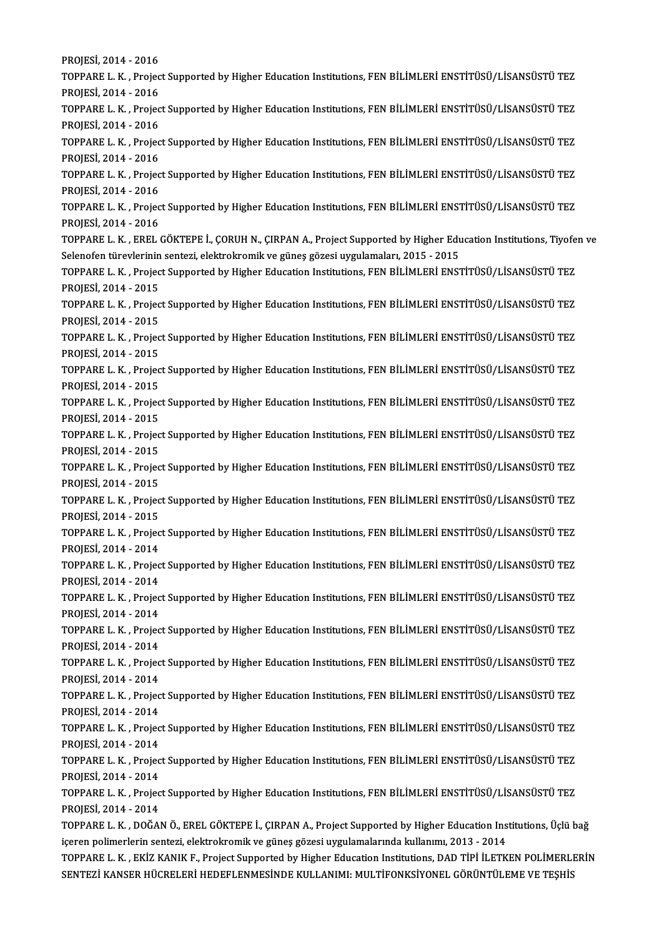PROJESİ,2014 -2016 PROJESİ, 2014 - 2016<br>TOPPARE L. K. , Project Supported by Higher Education Institutions, FEN BİLİMLERİ ENSTİTÜSÜ/LİSANSÜSTÜ TEZ<br>PROJESİ, 2014 - 2016 PROJESİ, 2014 - 2016<br>TOPPARE L. K. , Projec<br>PROJESİ, 2014 - 2016<br>TOPPARE L. K. , Projec TOPPARE L. K. , Project Supported by Higher Education Institutions, FEN BİLİMLERİ ENSTİTÜSÜ/LİSANSÜSTÜ TEZ<br>PROJESİ, 2014 - 2016<br>TOPPARE L. K. , Project Supported by Higher Education Institutions, FEN BİLİMLERİ ENSTİTÜSÜ/Lİ PROJESİ, 2014 - 2016<br>TOPPARE L. K. , Projec<br>PROJESİ, 2014 - 2016<br>TOPPAPE L. K. , Projec TOPPARE L. K. , Project Supported by Higher Education Institutions, FEN BİLİMLERİ ENSTİTÜSÜ/LİSANSÜSTÜ TEZ<br>PROJESİ, 2014 - 2016<br>TOPPARE L. K. , Project Supported by Higher Education Institutions, FEN BİLİMLERİ ENSTİTÜSÜ/Lİ PROJESİ, 2014 - 2016<br>TOPPARE L. K. , Project Supported by Higher Education Institutions, FEN BİLİMLERİ ENSTİTÜSÜ/LİSANSÜSTÜ TEZ<br>PROJESİ, 2014 - 2016 TOPPARE L. K. , Project Supported by Higher Education Institutions, FEN BİLİMLERİ ENSTİTÜSÜ/LİSANSÜSTÜ TEZ<br>PROJESİ, 2014 - 2016<br>TOPPARE L. K. , Project Supported by Higher Education Institutions, FEN BİLİMLERİ ENSTİTÜSÜ/Lİ PROJESİ, 2014 - 2016<br>TOPPARE L. K. , Projec<br>PROJESİ, 2014 - 2016<br>TOPPARE L. K. , Projec TOPPARE L. K. , Project Supported by Higher Education Institutions, FEN BİLİMLERİ ENSTİTÜSÜ/LİSANSÜSTÜ TEZ<br>PROJESİ, 2014 - 2016<br>TOPPARE L. K. , Project Supported by Higher Education Institutions, FEN BİLİMLERİ ENSTİTÜSÜ/Lİ PROJESİ, 2014 - 2016<br>TOPPARE L. K. , Projec<br>PROJESİ, 2014 - 2016<br>TOPPARE L. K. EREL ( TOPPARE L. K. , Project Supported by Higher Education Institutions, FEN BİLİMLERİ ENSTİTÜSÜ/LİSANSÜSTÜ TEZ<br>PROJESİ, 2014 - 2016<br>TOPPARE L. K. , EREL GÖKTEPE İ., ÇORUH N., ÇIRPAN A., Project Supported by Higher Education In PROJESİ, 2014 - 2016<br>TOPPARE L. K. , EREL GÖKTEPE İ., ÇORUH N., ÇIRPAN A., Project Supported by Higher Education Institutions, Tiyofen ve<br>Selenofen türevlerinin sentezi, elektrokromik ve güneş gözesi uygulamaları, 2015 - 2 TOPPARE L. K. , EREL GÖKTEPE İ., ÇORUH N., ÇIRPAN A., Project Supported by Higher Education Institutions, Tiyofe<br>Selenofen türevlerinin sentezi, elektrokromik ve güneş gözesi uygulamaları, 2015 - 2015<br>TOPPARE L. K. , Proje Selenofen türevlerinin<br>TOPPARE L. K. , Projec<br>PROJESİ, 2014 - 2015<br>TOPPARE L. K. , Projec TOPPARE L. K. , Project Supported by Higher Education Institutions, FEN BİLİMLERİ ENSTİTÜSÜ/LİSANSÜSTÜ TEZ<br>PROJESİ, 2014 - 2015<br>TOPPARE L. K. , Project Supported by Higher Education Institutions, FEN BİLİMLERİ ENSTİTÜSÜ/Lİ PROJESİ, 2014 - 2015<br>TOPPARE L. K. , Projec<br>PROJESİ, 2014 - 2015<br>TOPPARE L. K. , Projec TOPPARE L. K. , Project Supported by Higher Education Institutions, FEN BİLİMLERİ ENSTİTÜSÜ/LİSANSÜSTÜ TEZ<br>PROJESİ, 2014 - 2015<br>TOPPARE L. K. , Project Supported by Higher Education Institutions, FEN BİLİMLERİ ENSTİTÜSÜ/Lİ PROJESİ, 2014 - 2015<br>TOPPARE L. K. , Project Supported by Higher Education Institutions, FEN BİLİMLERİ ENSTİTÜSÜ/LİSANSÜSTÜ TEZ<br>PROJESİ, 2014 - 2015 TOPPARE L. K. , Project Supported by Higher Education Institutions, FEN BİLİMLERİ ENSTİTÜSÜ/LİSANSÜSTÜ TEZ<br>PROJESİ, 2014 - 2015<br>TOPPARE L. K. , Project Supported by Higher Education Institutions, FEN BİLİMLERİ ENSTİTÜSÜ/Lİ PROJESİ, 2014 - 2015<br>TOPPARE L. K. , Projec<br>PROJESİ, 2014 - 2015<br>TOPPARE L. K. , Projec TOPPARE L. K. , Project Supported by Higher Education Institutions, FEN BİLİMLERİ ENSTİTÜSÜ/LİSANSÜSTÜ TEZ<br>PROJESİ, 2014 - 2015<br>TOPPARE L. K. , Project Supported by Higher Education Institutions, FEN BİLİMLERİ ENSTİTÜSÜ/Lİ PROJESİ, 2014 - 2015<br>TOPPARE L. K. , Project Supported by Higher Education Institutions, FEN BİLİMLERİ ENSTİTÜSÜ/LİSANSÜSTÜ TEZ<br>PROJESİ, 2014 - 2015 TOPPARE L. K. , Project Supported by Higher Education Institutions, FEN BİLİMLERİ ENSTİTÜSÜ/LİSANSÜSTÜ TEZ<br>PROJESİ, 2014 - 2015<br>TOPPARE L. K. , Project Supported by Higher Education Institutions, FEN BİLİMLERİ ENSTİTÜSÜ/Lİ PROJESİ, 2014 - 2015<br>TOPPARE L. K. , Projec<br>PROJESİ, 2014 - 2015<br>TOPPARE L. K. , Projec TOPPARE L. K. , Project Supported by Higher Education Institutions, FEN BİLİMLERİ ENSTİTÜSÜ/LİSANSÜSTÜ TEZ<br>PROJESİ, 2014 - 2015<br>TOPPARE L. K. , Project Supported by Higher Education Institutions, FEN BİLİMLERİ ENSTİTÜSÜ/Lİ PROJESİ, 2014 - 2015<br>TOPPARE L. K. , Projec<br>PROJESİ, 2014 - 2015<br>TOPPARE L. K. , Projec TOPPARE L. K. , Project Supported by Higher Education Institutions, FEN BİLİMLERİ ENSTİTÜSÜ/LİSANSÜSTÜ TEZ<br>PROJESİ, 2014 - 2015<br>TOPPARE L. K. , Project Supported by Higher Education Institutions, FEN BİLİMLERİ ENSTİTÜSÜ/Lİ PROJESİ, 2014 - 2015<br>TOPPARE L. K. , Project Supported by Higher Education Institutions, FEN BİLİMLERİ ENSTİTÜSÜ/LİSANSÜSTÜ TEZ<br>PROJESİ, 2014 - 2015 TOPPARE L. K. , Project Supported by Higher Education Institutions, FEN BİLİMLERİ ENSTİTÜSÜ/LİSANSÜSTÜ TEZ<br>PROJESİ, 2014 - 2015<br>TOPPARE L. K. , Project Supported by Higher Education Institutions, FEN BİLİMLERİ ENSTİTÜSÜ/Lİ PROJESİ, 2014 - 2015<br>TOPPARE L. K. , Projec<br>PROJESİ, 2014 - 2014<br>TOPPARE L. K. , Projec TOPPARE L. K. , Project Supported by Higher Education Institutions, FEN BİLİMLERİ ENSTİTÜSÜ/LİSANSÜSTÜ TEZ<br>PROJESİ, 2014 - 2014<br>TOPPARE L. K. , Project Supported by Higher Education Institutions, FEN BİLİMLERİ ENSTİTÜSÜ/Lİ PROJESİ, 2014 - 2014<br>TOPPARE L. K. , Projec<br>PROJESİ, 2014 - 2014<br>TOPPARE L. K. , Projec TOPPARE L. K. , Project Supported by Higher Education Institutions, FEN BİLİMLERİ ENSTİTÜSÜ/LİSANSÜSTÜ TEZ<br>PROJESİ, 2014 - 2014<br>TOPPARE L. K. , Project Supported by Higher Education Institutions, FEN BİLİMLERİ ENSTİTÜSÜ/Lİ PROJESİ, 2014 - 2014<br>TOPPARE L. K. , Projec<br>PROJESİ, 2014 - 2014<br>TOPPARE L. K. , Projec TOPPARE L. K. , Project Supported by Higher Education Institutions, FEN BİLİMLERİ ENSTİTÜSÜ/LİSANSÜSTÜ TEZ<br>PROJESİ, 2014 - 2014<br>TOPPARE L. K. , Project Supported by Higher Education Institutions, FEN BİLİMLERİ ENSTİTÜSÜ/Lİ PROJESİ, 2014 - 2014<br>TOPPARE L. K. , Project Supported by Higher Education Institutions, FEN BİLİMLERİ ENSTİTÜSÜ/LİSANSÜSTÜ TEZ<br>PROJESİ, 2014 - 2014 TOPPARE L. K. , Project Supported by Higher Education Institutions, FEN BİLİMLERİ ENSTİTÜSÜ/LİSANSÜSTÜ TEZ<br>PROJESİ, 2014 - 2014<br>TOPPARE L. K. , Project Supported by Higher Education Institutions, FEN BİLİMLERİ ENSTİTÜSÜ/Lİ PROJESİ, 2014 - 2014<br>TOPPARE L. K. , Projec<br>PROJESİ, 2014 - 2014<br>TOPPARE L. K. , Projec TOPPARE L. K. , Project Supported by Higher Education Institutions, FEN BİLİMLERİ ENSTİTÜSÜ/LİSANSÜSTÜ TEZ<br>PROJESİ, 2014 - 2014<br>TOPPARE L. K. , Project Supported by Higher Education Institutions, FEN BİLİMLERİ ENSTİTÜSÜ/Lİ PROJESİ, 2014 - 2014<br>TOPPARE L. K. , Projec<br>PROJESİ, 2014 - 2014<br>TOPPARE L. K. , Projec TOPPARE L. K. , Project Supported by Higher Education Institutions, FEN BİLİMLERİ ENSTİTÜSÜ/LİSANSÜSTÜ TEZ<br>PROJESİ, 2014 - 2014<br>TOPPARE L. K. , Project Supported by Higher Education Institutions, FEN BİLİMLERİ ENSTİTÜSÜ/Lİ PROJESİ, 2014 - 2014<br>TOPPARE L. K. , Projec<br>PROJESİ, 2014 - 2014<br>TOPPARE L. K. , Projec TOPPARE L. K. , Project Supported by Higher Education Institutions, FEN BİLİMLERİ ENSTİTÜSÜ/LİSANSÜSTÜ TEZ<br>PROJESİ, 2014 - 2014<br>TOPPARE L. K. , Project Supported by Higher Education Institutions, FEN BİLİMLERİ ENSTİTÜSÜ/Lİ PROJESİ, 2014 - 2014<br>TOPPARE L. K. , Project Supported by Higher Education Institutions, FEN BİLİMLERİ ENSTİTÜSÜ/LİSANSÜSTÜ TEZ<br>PROJESİ, 2014 - 2014 TOPPARE L. K. , Project Supported by Higher Education Institutions, FEN BİLİMLERİ ENSTİTÜSÜ/LİSANSÜSTÜ TEZ<br>PROJESİ, 2014 - 2014<br>TOPPARE L. K. , Project Supported by Higher Education Institutions, FEN BİLİMLERİ ENSTİTÜSÜ/Lİ PROJESİ, 2014 - 2014<br>TOPPARE L. K. , Projec<br>PROJESİ, 2014 - 2014<br>TOPPARE L. K. DOČA TOPPARE L. K. , Project Supported by Higher Education Institutions, FEN BİLİMLERİ ENSTİTÜSÜ/LİSANSÜSTÜ TEZ<br>PROJESİ, 2014 - 2014<br>TOPPARE L. K. , DOĞAN Ö., EREL GÖKTEPE İ., ÇIRPAN A., Project Supported by Higher Education In PROJESİ, 2014 - 2014<br>TOPPARE L. K. , DOĞAN Ö., EREL GÖKTEPE İ., ÇIRPAN A., Project Supported by Higher Education Institutions, Üçlü bağ<br>içeren polimerlerin sentezi, elektrokromik ve güneş gözesi uygulamalarında kullanımı, TOPPARE L. K. , DOĞAN Ö., EREL GÖKTEPE İ., ÇIRPAN A., Project Supported by Higher Education Institutions, Üçlü bağ<br>içeren polimerlerin sentezi, elektrokromik ve güneş gözesi uygulamalarında kullanımı, 2013 - 2014<br>TOPPARE L içeren polimerlerin sentezi, elektrokromik ve güneş gözesi uygulamalarında kullanımı, 2013 - 2014<br>TOPPARE L. K. , EKİZ KANIK F., Project Supported by Higher Education Institutions, DAD TİPİ İLETKEN POLİMERLI<br>SENTEZİ KANSER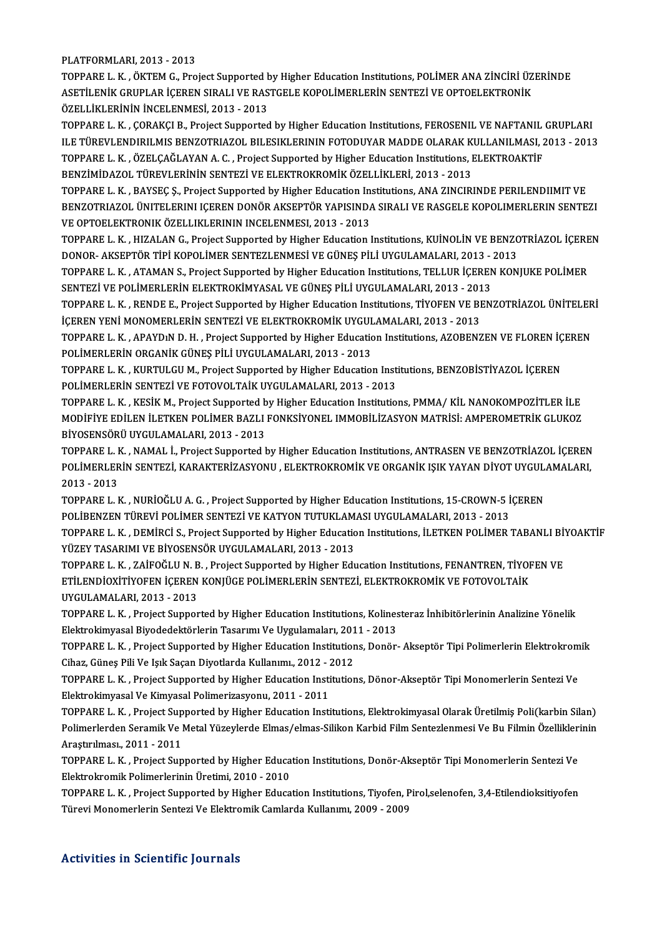#### PLATFORMLARI,2013 -2013

TOPPARE L. K., ÖKTEM G., Project Supported by Higher Education Institutions, POLİMER ANA ZİNCİRİ ÜZERİNDE PLATFORMLARI, 2013 - 2013<br>TOPPARE L. K. , ÖKTEM G., Project Supported by Higher Education Institutions, POLİMER ANA ZİNCİRİ ÜZ<br>ASETİLENİK GRUPLAR İÇEREN SIRALI VE RASTGELE KOPOLİMERLERİN SENTEZİ VE OPTOELEKTRONİK<br>ÖZELLİKLE TOPPARE L. K. , ÖKTEM G., Project Supported <mark>:</mark><br>ASETİLENİK GRUPLAR İÇEREN SIRALI VE RAS<br>ÖZELLİKLERİNİN İNCELENMESİ, 2013 - 2013<br>TOPPARE L. K., GORAKÇLE, Project Supported ÖZELLİKLERİNİN İNCELENMESİ, 2013 - 2013<br>TOPPARE L. K. , ÇORAKÇI B., Project Supported by Higher Education Institutions, FEROSENIL VE NAFTANIL GRUPLARI

ÖZELLİKLERİNİN İNCELENMESİ, 2013 - 2013<br>TOPPARE L. K. , ÇORAKÇI B., Project Supported by Higher Education Institutions, FEROSENIL VE NAFTANIL GRUPLARI<br>ILE TÜREVLENDIRILMIS BENZOTRIAZOL BILESIKLERININ FOTODUYAR MADDE OLARAK TOPPARE L. K. , ÇORAKÇI B., Project Supported by Higher Education Institutions, FEROSENIL VE NAFTANIL<br>ILE TÜREVLENDIRILMIS BENZOTRIAZOL BILESIKLERININ FOTODUYAR MADDE OLARAK KULLANILMASI, 2<br>TOPPARE L. K. , ÖZELÇAĞLAYAN A. ILE TÜREVLENDIRILMIS BENZOTRIAZOL BILESIKLERININ FOTODUYAR MADDE OLARAK K<br>TOPPARE L. K. , ÖZELÇAĞLAYAN A. C. , Project Supported by Higher Education Institutions, I<br>BENZİMİDAZOL TÜREVLERİNİN SENTEZİ VE ELEKTROKROMİK ÖZELLİ TOPPARE L. K. , ÖZELÇAĞLAYAN A. C. , Project Supported by Higher Education Institutions, ELEKTROAKTİF<br>BENZİMİDAZOL TÜREVLERİNİN SENTEZİ VE ELEKTROKROMİK ÖZELLİKLERİ, 2013 - 2013<br>TOPPARE L. K. , BAYSEC S., Project Supported

BENZİMİDAZOL TÜREVLERİNIN SENTEZİ VE ELEKTROKROMİK ÖZELLİKLERİ, 2013 - 2013<br>TOPPARE L. K. , BAYSEÇ Ş., Project Supported by Higher Education Institutions, ANA ZINCIRINDE PERILENDIIMIT VE<br>BENZOTRIAZOL ÜNITELERINI IÇEREN DON TOPPARE L. K. , BAYSEÇ Ş., Project Supported by Higher Education In<br>BENZOTRIAZOL ÜNITELERINI IÇEREN DONÖR AKSEPTÖR YAPISINDA<br>VE OPTOELEKTRONIK ÖZELLIKLERININ INCELENMESI, 2013 - 2013<br>TOPPAPE L. K., HIZALAN C., Project Supp BENZOTRIAZOL ÜNITELERINI IÇEREN DONÖR AKSEPTÖR YAPISINDA SIRALI VE RASGELE KOPOLIMERLERIN SENTEZI<br>VE OPTOELEKTRONIK ÖZELLIKLERININ INCELENMESI, 2013 - 2013<br>TOPPARE L. K. , HIZALAN G., Project Supported by Higher Education

VE OPTOELEKTRONIK ÖZELLIKLERININ INCELENMESI, 2013 - 2013<br>TOPPARE L. K. , HIZALAN G., Project Supported by Higher Education Institutions, KUİNOLİN VE BENZC<br>DONOR- AKSEPTÖR TİPİ KOPOLİMER SENTEZLENMESİ VE GÜNEŞ PİLİ UYGULAM TOPPARE L. K. , HIZALAN G., Project Supported by Higher Education Institutions, KUİNOLİN VE BENZOTRİAZOL İÇERE<br>DONOR- AKSEPTÖR TİPİ KOPOLİMER SENTEZLENMESİ VE GÜNEŞ PİLİ UYGULAMALARI, 2013 - 2013<br>TOPPARE L. K. , ATAMAN S.,

DONOR- AKSEPTÖR TİPİ KOPOLİMER SENTEZLENMESİ VE GÜNEŞ PİLİ UYGULAMALARI, 2013 -<br>TOPPARE L. K. , ATAMAN S., Project Supported by Higher Education Institutions, TELLUR İÇEREN<br>SENTEZİ VE POLİMERLERİN ELEKTROKİMYASAL VE GÜNEŞ TOPPARE L. K. , ATAMAN S., Project Supported by Higher Education Institutions, TELLUR İÇEREN KONJUKE POLİMER<br>SENTEZİ VE POLİMERLERİN ELEKTROKİMYASAL VE GÜNEŞ PİLİ UYGULAMALARI, 2013 - 2013<br>TOPPARE L. K. , RENDE E., Project

SENTEZİ VE POLİMERLERİN ELEKTROKİMYASAL VE GÜNEŞ PİLİ UYGULAMALARI, 2013 - 2013<br>TOPPARE L. K. , RENDE E., Project Supported by Higher Education Institutions, TİYOFEN VE BENZOTRİAZOL ÜNİTELEI<br>İÇEREN YENİ MONOMERLERİN SENTEZ İÇEREN YENİ MONOMERLERİN SENTEZİ VE ELEKTROKROMİK UYGULAMALARI, 2013 - 2013

TOPPARE L. K. , RENDE E., Project Supported by Higher Education Institutions, TİYOFEN VE BENZOTRİAZOL ÜNİTELERİ<br>İÇEREN YENİ MONOMERLERİN SENTEZİ VE ELEKTROKROMİK UYGULAMALARI, 2013 - 2013<br>TOPPARE L. K. , APAYDıN D. H. , Pr TOPPARE L. K. , APAYDIN D. H. , Project Supported by Higher Education Institutions, AZOBENZEN VE FLOREN İÇ<br>POLİMERLERİN ORGANİK GÜNEŞ PİLİ UYGULAMALARI, 2013 - 2013<br>TOPPARE L. K. , KURTULGU M., Project Supported by Higher

POLİMERLERİN ORGANİK GÜNEŞ PİLİ UYGULAMALARI, 2013 - 2013<br>TOPPARE L. K. , KURTULGU M., Project Supported by Higher Education Inst<br>POLİMERLERİN SENTEZİ VE FOTOVOLTAİK UYGULAMALARI, 2013 - 2013<br>TOPPARE L. K., KESİK M. Projec TOPPARE L. K. , KURTULGU M., Project Supported by Higher Education Institutions, BENZOBİSTİYAZOL İÇEREN<br>POLİMERLERİN SENTEZİ VE FOTOVOLTAİK UYGULAMALARI, 2013 - 2013<br>TOPPARE L. K. , KESİK M., Project Supported by Higher Ed

POLİMERLERİN SENTEZİ VE FOTOVOLTAİK UYGULAMALARI, 2013 - 2013<br>TOPPARE L. K. , KESİK M., Project Supported by Higher Education Institutions, PMMA/ KİL NANOKOMPOZİTLER İLE<br>MODİFİYE EDİLEN İLETKEN POLİMER BAZLI FONKSİYONEL IM TOPPARE L. K. , KESİK M., Project Supported b<br>MODİFİYE EDİLEN İLETKEN POLİMER BAZLI<br>BİYOSENSÖRÜ UYGULAMALARI, 2013 - 2013<br>TOPPAPE L. K., NAMAL İ., Project Supported b MODİFİYE EDİLEN İLETKEN POLİMER BAZLI FONKSİYONEL IMMOBİLİZASYON MATRİSİ: AMPEROMETRİK GLUKOZ<br>BİYOSENSÖRÜ UYGULAMALARI, 2013 - 2013<br>TOPPARE L. K. , NAMAL İ., Project Supported by Higher Education Institutions, ANTRASEN VE

BİYOSENSÖRÜ UYGULAMALARI, 2013 - 2013<br>TOPPARE L. K. , NAMAL İ., Project Supported by Higher Education Institutions, ANTRASEN VE BENZOTRİAZOL İÇEREN<br>POLİMERLERİN SENTEZİ, KARAKTERİZASYONU , ELEKTROKROMİK VE ORGANİK IŞIK YAY TOPPARE L. <mark>I</mark><br>POLİMERLER<br>2013 - 2013<br>TOPPARE L. I POLİMERLERİN SENTEZİ, KARAKTERİZASYONU , ELEKTROKROMİK VE ORGANİK IŞIK YAYAN DİYOT UYGUL.<br>2013 - 2013<br>TOPPARE L. K. , NURİOĞLU A. G. , Project Supported by Higher Education Institutions, 15-CROWN-5 İÇEREN<br>POLİPENZEN TÜREVL

2013 - 2013<br>TOPPARE L. K. , NURİOĞLU A. G. , Project Supported by Higher Education Institutions, 15-CROWN-5 İÇEREN TOPPARE L. K. , NURİOĞLU A. G. , Project Supported by Higher Education Institutions, 15-CROWN-5 İÇEREN<br>POLİBENZEN TÜREVİ POLİMER SENTEZİ VE KATYON TUTUKLAMASI UYGULAMALARI, 2013 - 2013<br>TOPPARE L. K. , DEMİRCİ S., Project S

POLİBENZEN TÜREVİ POLİMER SENTEZİ VE KATYON TUTUKLAMASI UYGULAMALARI, 2013 - 2013<br>TOPPARE L. K. , DEMİRCİ S., Project Supported by Higher Education Institutions, İLETKEN POLİMER TABANLI Bİ<br>YÜZEY TASARIMI VE BİYOSENSÖR UYGU TOPPARE L. K. , DEMİRCİ S., Project Supported by Higher Education Institutions, İLETKEN POLİMER TABANLI Bİ'<br>YÜZEY TASARIMI VE BİYOSENSÖR UYGULAMALARI, 2013 - 2013<br>TOPPARE L. K. , ZAİFOĞLU N. B. , Project Supported by Highe

YÜZEY TASARIMI VE BİYOSENSÖR UYGULAMALARI, 2013 - 2013<br>TOPPARE L. K. , ZAİFOĞLU N. B. , Project Supported by Higher Education Institutions, FENANTREN, TİYOF<br>ETİLENDİOXİTİYOFEN İÇEREN KONJÜGE POLİMERLERİN SENTEZİ, ELEKTROKR TOPPARE L. K. , ZAİFOĞLU N. B<br>ETİLENDİOXİTİYOFEN İÇEREN<br>UYGULAMALARI, 2013 - 2013<br>TOPPAPE L. K. , Project Sunner ETİLENDİOXİTİYOFEN İÇEREN KONJÜGE POLİMERLERİN SENTEZİ, ELEKTROKROMİK VE FOTOVOLTAİK<br>UYGULAMALARI, 2013 - 2013<br>TOPPARE L. K. , Project Supported by Higher Education Institutions, Kolinesteraz İnhibitörlerinin Analizine Yön

UYGULAMALARI, 2013 - 2013<br>TOPPARE L. K. , Project Supported by Higher Education Institutions, Kolines<br>Elektrokimyasal Biyodedektörlerin Tasarımı Ve Uygulamaları, 2011 - 2013<br>TOPPARE L. K., Project Supported by Higher Educa TOPPARE L. K. , Project Supported by Higher Education Institutions, Kolinesteraz İnhibitörlerinin Analizine Yönelik<br>Elektrokimyasal Biyodedektörlerin Tasarımı Ve Uygulamaları, 2011 - 2013<br>TOPPARE L. K. , Project Supported

Elektrokimyasal Biyodedektörlerin Tasarımı Ve Uygulamaları, 201<br>TOPPARE L. K. , Project Supported by Higher Education Institution<br>Cihaz, Güneş Pili Ve Işık Saçan Diyotlarda Kullanımı., 2012 - 2012<br>TOPPARE L. K., Project Su TOPPARE L. K. , Project Supported by Higher Education Institutions, Donör- Akseptör Tipi Polimerlerin Elektrokrom<br>Cihaz, Güneş Pili Ve Işık Saçan Diyotlarda Kullanımı., 2012 - 2012<br>TOPPARE L. K. , Project Supported by High

Cihaz, Güneş Pili Ve Işık Saçan Diyotlarda Kullanımı., 2012 - 2012<br>TOPPARE L. K. , Project Supported by Higher Education Institutions, Dönor-Akseptör Tipi Monomerlerin Sentezi Ve<br>Elektrokimyasal Ve Kimyasal Polimerizasyonu TOPPARE L. K. , Project Supported by Higher Education Institutions, Dönor-Akseptör Tipi Monomerlerin Sentezi Ve<br>Elektrokimyasal Ve Kimyasal Polimerizasyonu, 2011 - 2011<br>TOPPARE L. K. , Project Supported by Higher Education

Elektrokimyasal Ve Kimyasal Polimerizasyonu, 2011 - 2011<br>TOPPARE L. K. , Project Supported by Higher Education Institutions, Elektrokimyasal Olarak Üretilmiş Poli(karbin Silan)<br>Polimerlerden Seramik Ve Metal Yüzeylerde Elm TOPPARE L. K. , Project Sup<br>Polimerlerden Seramik Ve l<br>Araştırılması., 2011 - 2011<br>TOPPAPE L. K., Project Sup Polimerlerden Seramik Ve Metal Yüzeylerde Elmas/elmas-Silikon Karbid Film Sentezlenmesi Ve Bu Filmin Özelliklerinin<br>Araştırılması., 2011 - 2011<br>TOPPARE L. K. , Project Supported by Higher Education Institutions, Donör-Akse

TOPPARE L. K., Project Supported by Higher Education Institutions, Donör-Akseptör Tipi Monomerlerin Sentezi Ve TOPPARE L. K. , Project Supported by Higher Education Institutions, Donör-Akseptör Tipi Monomerlerin Sentezi Ve<br>Elektrokromik Polimerlerinin Üretimi, 2010 - 2010<br>TOPPARE L. K. , Project Supported by Higher Education Instit

Elektrokromik Polimerlerinin Üretimi, 2010 - 2010<br>TOPPARE L. K. , Project Supported by Higher Education Institutions, Tiyofen, P<br>Türevi Monomerlerin Sentezi Ve Elektromik Camlarda Kullanımı, 2009 - 2009 Türevi Monomerlerin Sentezi Ve Elektromik Camlarda Kullanımı, 2009 - 2009<br>Activities in Scientific Journals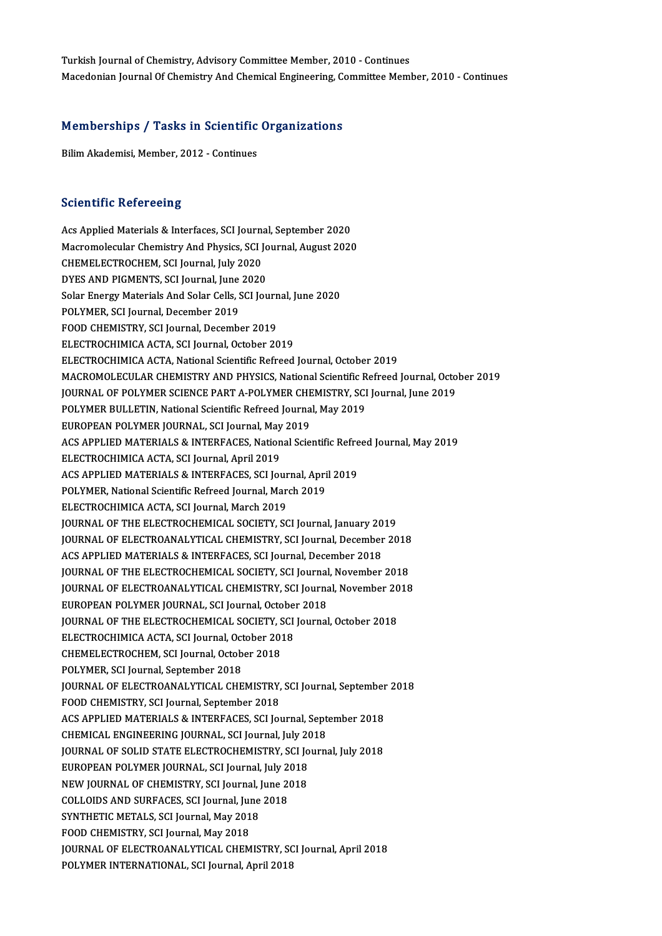Turkish Journal of Chemistry, Advisory Committee Member, 2010 - Continues Macedonian Journal Of Chemistry And Chemical Engineering, Committee Member, 2010 - Continues

## macedonian journal or chemistry And chemical Engineering, contract the material or chemical Engineering, contr<br>Memberships / Tasks in Scientific Organizations Memberships / Tasks in Scientific<br>Bilim Akademisi, Member, 2012 - Continues

Bilim Akademisi, Member, 2012 - Continues<br>Scientific Refereeing

Acs Applied Materials & Interfaces, SCI Journal, September 2020 Bereffurfe Refereeing<br>Acs Applied Materials & Interfaces, SCI Journal, September 2020<br>Macromolecular Chemistry And Physics, SCI Journal, August 2020<br>CHEMELECTROCHEM, SCI Journal, July 2020 Acs Applied Materials & Interfaces, SCI Journa<br>Macromolecular Chemistry And Physics, SCI J<br>CHEMELECTROCHEM, SCI Journal, July 2020<br>DVES AND PICMENTS, SCI Journal, June 2020 Macromolecular Chemistry And Physics, SCI Jo<br>CHEMELECTROCHEM, SCI Journal, July 2020<br>DYES AND PIGMENTS, SCI Journal, June 2020<br>Selan Energy Materials And Selan Gelle, SCI Jou CHEMELECTROCHEM, SCI Journal, July 2020<br>DYES AND PIGMENTS, SCI Journal, June 2020<br>Solar Energy Materials And Solar Cells, SCI Journal, June 2020<br>POLYMER, SCI Journal, Desember 2019 DYES AND PIGMENTS, SCI Journal, June 2020<br>Solar Energy Materials And Solar Cells, SCI Jour<br>POLYMER, SCI Journal, December 2019<br>FOOD CHEMISTRY, SCI Journal, December 2019 Solar Energy Materials And Solar Cells, SCI Journ<br>POLYMER, SCI Journal, December 2019<br>FOOD CHEMISTRY, SCI Journal, December 2019<br>ELECTROCHIMICA ACTA, SCI Journal, Ostaber 20 ELECTROCHIMICA ACTA, SCI Journal, October 2019 ELECTROCHIMICA ACTA, National Scientific Refreed Journal, October 2019 ELECTROCHIMICA ACTA, SCI Journal, October 2019<br>ELECTROCHIMICA ACTA, National Scientific Refreed Journal, October 2019<br>MACROMOLECULAR CHEMISTRY AND PHYSICS, National Scientific Refreed Journal, October 2019<br>JOURNAL OF POLYM ELECTROCHIMICA ACTA, National Scientific Refreed Journal, October 2019<br>MACROMOLECULAR CHEMISTRY AND PHYSICS, National Scientific Refreed Journal, Octo<br>JOURNAL OF POLYMER SCIENCE PART A-POLYMER CHEMISTRY, SCI Journal, June MACROMOLECULAR CHEMISTRY AND PHYSICS, National Scientific R<br>JOURNAL OF POLYMER SCIENCE PART A-POLYMER CHEMISTRY, SCI<br>POLYMER BULLETIN, National Scientific Refreed Journal, May 2019<br>FUROPEAN POLYMER JOURNAL, SCI Journal, Ma **JOURNAL OF POLYMER SCIENCE PART A-POLYMER CHE<br>POLYMER BULLETIN, National Scientific Refreed Journa<br>EUROPEAN POLYMER JOURNAL, SCI Journal, May 2019<br>ACS APPLIED MATERIALS & INTERFACES National Scie** POLYMER BULLETIN, National Scientific Refreed Journal, May 2019<br>EUROPEAN POLYMER JOURNAL, SCI Journal, May 2019<br>ACS APPLIED MATERIALS & INTERFACES, National Scientific Refreed Journal, May 2019<br>ELECTROCHIMICA ACTA, SCI Jou EUROPEAN POLYMER JOURNAL, SCI Journal, May<br>ACS APPLIED MATERIALS & INTERFACES, Nation<br>ELECTROCHIMICA ACTA, SCI Journal, April 2019<br>ACS APPLIED MATERIALS & INTERFACES SCI JOU ACS APPLIED MATERIALS & INTERFACES, National Scientific Refre<br>ELECTROCHIMICA ACTA, SCI Journal, April 2019<br>ACS APPLIED MATERIALS & INTERFACES, SCI Journal, April 2019<br>POLYMER National Scientific Petreed Journal March 2019 ELECTROCHIMICA ACTA, SCI Journal, April 2019<br>ACS APPLIED MATERIALS & INTERFACES, SCI Journal, Apri<br>POLYMER, National Scientific Refreed Journal, March 2019<br>ELECTROCHIMICA ACTA, SCI Journal, March 2010 ACS APPLIED MATERIALS & INTERFACES, SCI Jour<br>POLYMER, National Scientific Refreed Journal, Mar<br>ELECTROCHIMICA ACTA, SCI Journal, March 2019<br>JOURNAL OF THE ELECTROCHEMICAL SOCIETY SC POLYMER, National Scientific Refreed Journal, March 2019<br>ELECTROCHIMICA ACTA, SCI Journal, March 2019<br>JOURNAL OF THE ELECTROCHEMICAL SOCIETY, SCI Journal, January 2019<br>JOURNAL OF ELECTROANALYTICAL CHEMISTRY, SCI Journal, D ELECTROCHIMICA ACTA, SCI Journal, March 2019<br>JOURNAL OF THE ELECTROCHEMICAL SOCIETY, SCI Journal, January 2019<br>JOURNAL OF ELECTROANALYTICAL CHEMISTRY, SCI Journal, December 2018<br>ACS APPLIED MATERIALS & INTERFACES, SCI Jour JOURNAL OF THE ELECTROCHEMICAL SOCIETY, SCI Journal, January 20<br>JOURNAL OF ELECTROANALYTICAL CHEMISTRY, SCI Journal, December<br>ACS APPLIED MATERIALS & INTERFACES, SCI Journal, December 2018<br>JOURNAL OF THE ELECTROCHEMICAL SO JOURNAL OF ELECTROANALYTICAL CHEMISTRY, SCI Journal, December 2018<br>ACS APPLIED MATERIALS & INTERFACES, SCI Journal, December 2018<br>JOURNAL OF THE ELECTROCHEMICAL SOCIETY, SCI Journal, November 2018<br>JOURNAL OF ELECTROANALYTI ACS APPLIED MATERIALS & INTERFACES, SCI Journal, December 2018<br>JOURNAL OF THE ELECTROCHEMICAL SOCIETY, SCI Journal, November 2018<br>JOURNAL OF ELECTROANALYTICAL CHEMISTRY, SCI Journal, November 2018<br>FUROPEAN POLYMER JOURNAL JOURNAL OF THE ELECTROCHEMICAL SOCIETY, SCI Journal<br>JOURNAL OF ELECTROANALYTICAL CHEMISTRY, SCI Journa<br>EUROPEAN POLYMER JOURNAL, SCI Journal, October 2018<br>JOURNAL OF THE ELECTROCHEMICAL SOCIETY, SCI Journal JOURNAL OF ELECTROANALYTICAL CHEMISTRY, SCI Journal, November 2018<br>EUROPEAN POLYMER JOURNAL, SCI Journal, October 2018<br>JOURNAL OF THE ELECTROCHEMICAL SOCIETY, SCI Journal, October 2018 EUROPEAN POLYMER JOURNAL, SCI Journal, October<br>JOURNAL OF THE ELECTROCHEMICAL SOCIETY, SCI<br>ELECTROCHIMICA ACTA, SCI Journal, October 2018<br>CHEMELECTROCHEM, SCI Journal, October 2018 JOURNAL OF THE ELECTROCHEMICAL SOCIETY, S<br>ELECTROCHIMICA ACTA, SCI Journal, October 201<br>CHEMELECTROCHEM, SCI Journal, October 2018<br>POLYMER, SCI Journal, Sontombor 2018 ELECTROCHIMICA ACTA, SCI Journal, Oct<br>CHEMELECTROCHEM, SCI Journal, Octob<br>POLYMER, SCI Journal, September 2018<br>JOUPMAL OF ELECTROANALYTICAL CHE CHEMELECTROCHEM, SCI Journal, October 2018<br>POLYMER, SCI Journal, September 2018<br>JOURNAL OF ELECTROANALYTICAL CHEMISTRY, SCI Journal, September 2018<br>FOOD CHEMISTRY, SCI Journal, Sontember 2019 POLYMER, SCI Journal, September 2018<br>JOURNAL OF ELECTROANALYTICAL CHEMISTRY,<br>FOOD CHEMISTRY, SCI Journal, September 2018<br>ACS APPLIED MATERIALS & INTERFACES SCI JO JOURNAL OF ELECTROANALYTICAL CHEMISTRY, SCI Journal, September<br>FOOD CHEMISTRY, SCI Journal, September 2018<br>ACS APPLIED MATERIALS & INTERFACES, SCI Journal, September 2018<br>CHEMICAL ENCINEERING JOURNAL SCLIQurnal July 2019 FOOD CHEMISTRY, SCI Journal, September 2018<br>ACS APPLIED MATERIALS & INTERFACES, SCI Journal, Sept<br>CHEMICAL ENGINEERING JOURNAL, SCI Journal, July 2018<br>JOURNAL OF SOLID STATE ELECTROCHEMISTRY, SCI Journ ACS APPLIED MATERIALS & INTERFACES, SCI Journal, September 2018<br>CHEMICAL ENGINEERING JOURNAL, SCI Journal, July 2018<br>JOURNAL OF SOLID STATE ELECTROCHEMISTRY, SCI Journal, July 2018<br>FUROPEAN POLYMER JOURNAL, SCI Journal, Ju CHEMICAL ENGINEERING JOURNAL, SCI Journal, July 2018<br>JOURNAL OF SOLID STATE ELECTROCHEMISTRY, SCI Journal, July 2018<br>EUROPEAN POLYMER JOURNAL, SCI Journal, July 2018 JOURNAL OF SOLID STATE ELECTROCHEMISTRY, SCI Jo<br>EUROPEAN POLYMER JOURNAL, SCI Journal, July 2018<br>NEW JOURNAL OF CHEMISTRY, SCI Journal, June 2018<br>SOLLOIDS AND SURFACES SCI Journal June 2018 EUROPEAN POLYMER JOURNAL, SCI Journal, July 2<br>NEW JOURNAL OF CHEMISTRY, SCI Journal, June 20<br>COLLOIDS AND SURFACES, SCI Journal, June 2018<br>SYNTHETIC METALS, SCI Journal, May 2019 NEW JOURNAL OF CHEMISTRY, SCI Journal, J<br>COLLOIDS AND SURFACES, SCI Journal, June<br>SYNTHETIC METALS, SCI Journal, May 2018<br>FOOD CHEMISTRY, SCI Journal, May 2018 COLLOIDS AND SURFACES, SCI Journal, June 2018<br>SYNTHETIC METALS, SCI Journal, May 2018<br>FOOD CHEMISTRY, SCI Journal, May 2018 JOURNAL OF ELECTROANALYTICAL CHEMISTRY, SCI Journal, April 2018 POLYMER INTERNATIONAL, SCI Journal, April 2018